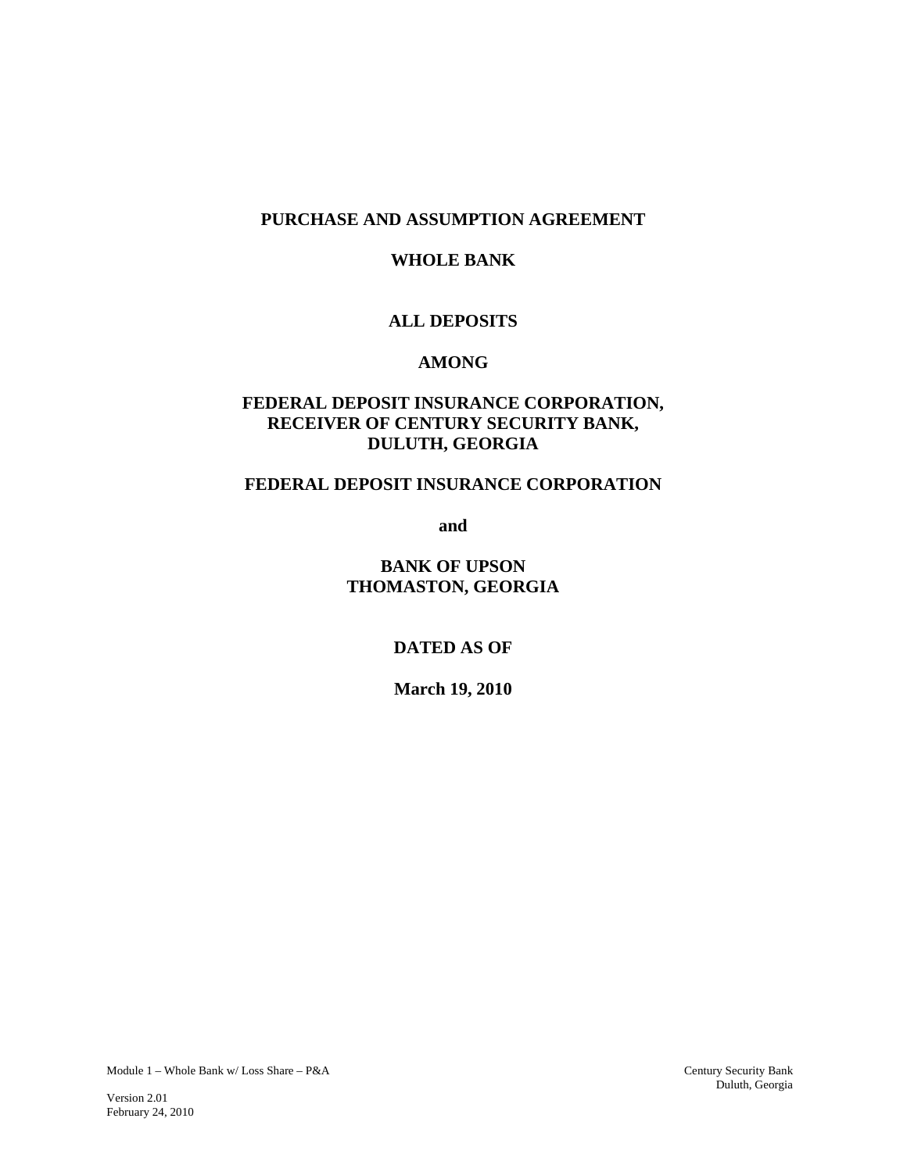#### **PURCHASE AND ASSUMPTION AGREEMENT**

#### **WHOLE BANK**

#### **ALL DEPOSITS**

#### **AMONG**

#### **FEDERAL DEPOSIT INSURANCE CORPORATION, RECEIVER OF CENTURY SECURITY BANK, DULUTH, GEORGIA**

#### **FEDERAL DEPOSIT INSURANCE CORPORATION**

**and** 

 **BANK OF UPSON THOMASTON, GEORGIA** 

**DATED AS OF**

**March 19, 2010** 

Module 1 – Whole Bank w/ Loss Share – P&A Century Security Bank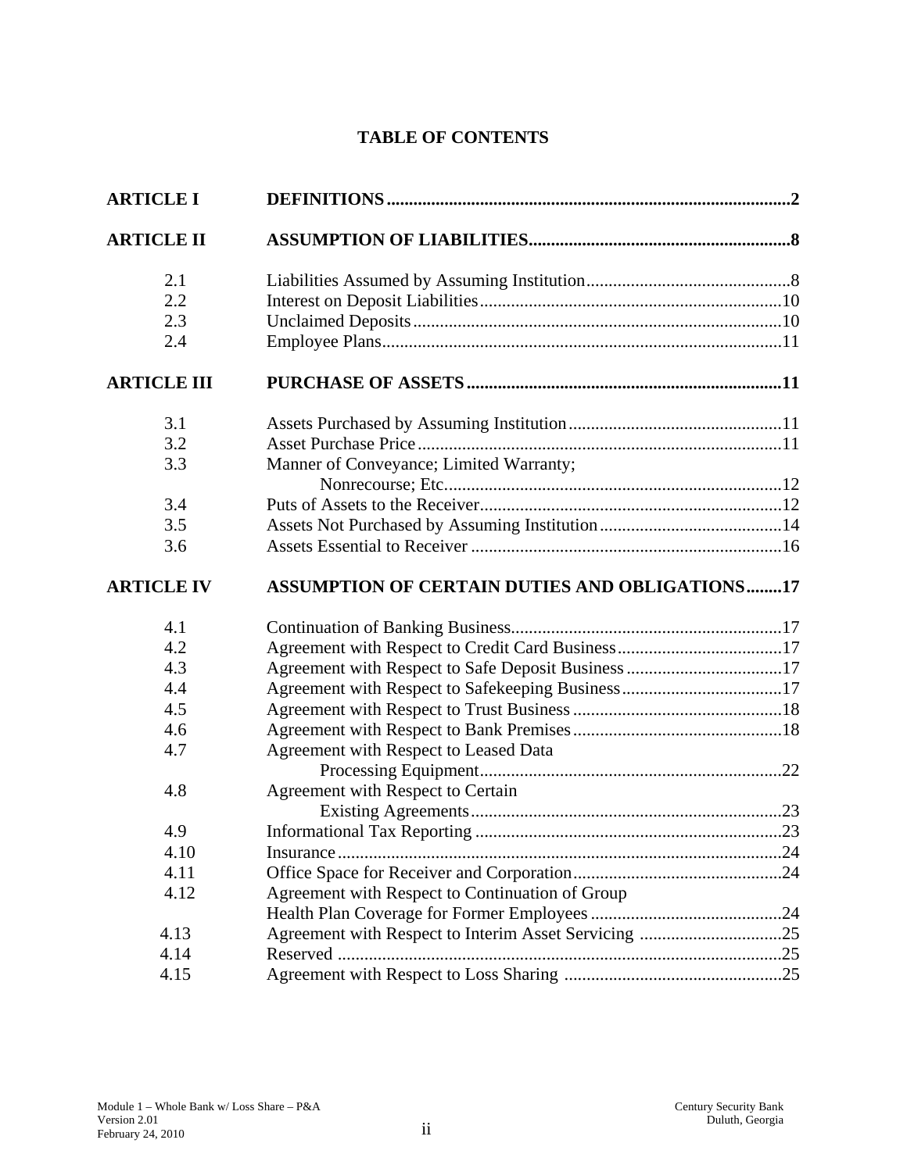## **TABLE OF CONTENTS**

| <b>ARTICLE I</b>   |                                                       |  |
|--------------------|-------------------------------------------------------|--|
| <b>ARTICLE II</b>  |                                                       |  |
| 2.1                |                                                       |  |
| 2.2                |                                                       |  |
| 2.3                |                                                       |  |
| 2.4                |                                                       |  |
| <b>ARTICLE III</b> |                                                       |  |
| 3.1                |                                                       |  |
| 3.2                |                                                       |  |
| 3.3                | Manner of Conveyance; Limited Warranty;               |  |
|                    |                                                       |  |
| 3.4                |                                                       |  |
| 3.5                |                                                       |  |
| 3.6                |                                                       |  |
| <b>ARTICLE IV</b>  | <b>ASSUMPTION OF CERTAIN DUTIES AND OBLIGATIONS17</b> |  |
| 4.1                |                                                       |  |
| 4.2                |                                                       |  |
| 4.3                |                                                       |  |
| 4.4                |                                                       |  |
| 4.5                |                                                       |  |
| 4.6                |                                                       |  |
| 4.7                | Agreement with Respect to Leased Data                 |  |
|                    |                                                       |  |
| 4.8                | Agreement with Respect to Certain                     |  |
|                    |                                                       |  |
| 4.9                |                                                       |  |
| 4.10               |                                                       |  |
| 4.11               |                                                       |  |
| 4.12               | Agreement with Respect to Continuation of Group       |  |
|                    |                                                       |  |
| 4.13               |                                                       |  |
| 4.14               |                                                       |  |
| 4.15               |                                                       |  |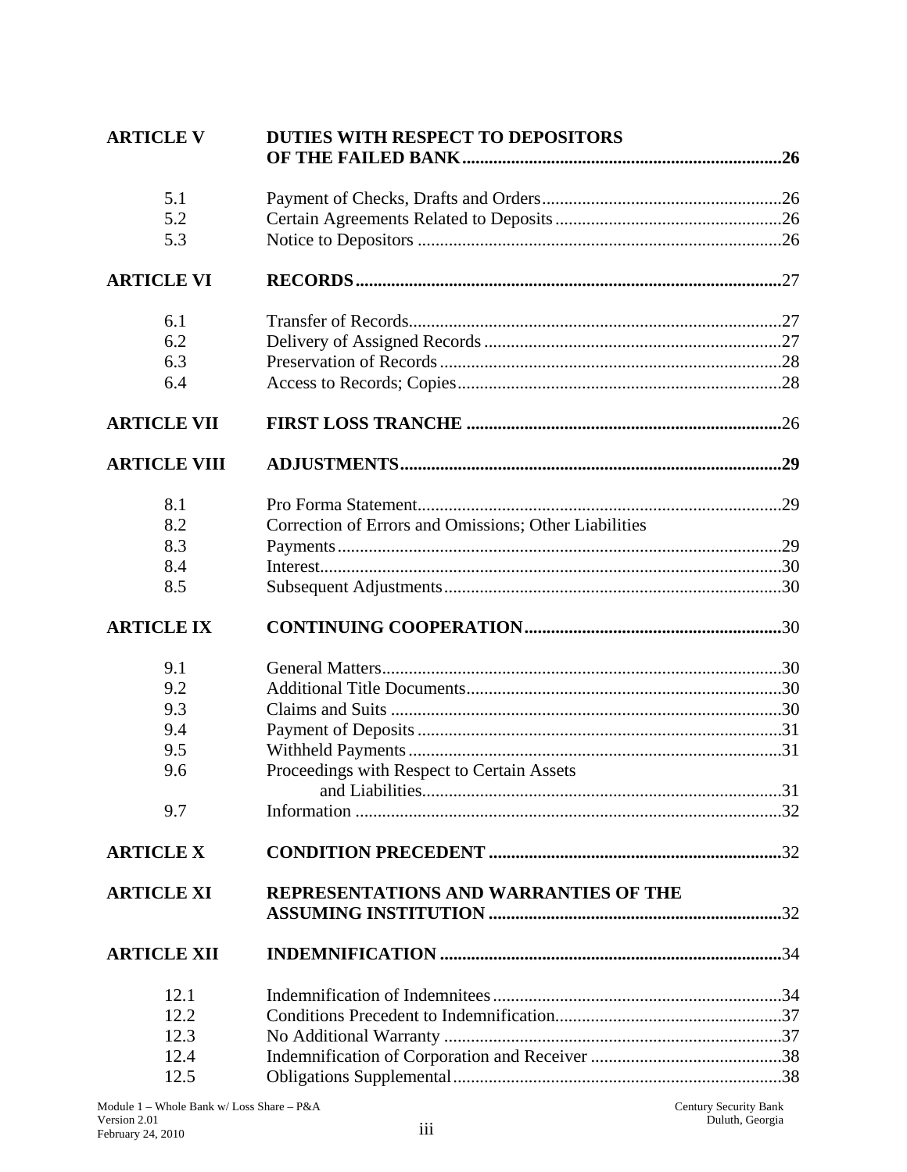| <b>ARTICLE V</b>    | <b>DUTIES WITH RESPECT TO DEPOSITORS</b>              |  |
|---------------------|-------------------------------------------------------|--|
|                     |                                                       |  |
|                     |                                                       |  |
| 5.1                 |                                                       |  |
| 5.2                 |                                                       |  |
| 5.3                 |                                                       |  |
| <b>ARTICLE VI</b>   |                                                       |  |
| 6.1                 |                                                       |  |
| 6.2                 |                                                       |  |
| 6.3                 |                                                       |  |
| 6.4                 |                                                       |  |
| <b>ARTICLE VII</b>  |                                                       |  |
| <b>ARTICLE VIII</b> |                                                       |  |
| 8.1                 |                                                       |  |
| 8.2                 | Correction of Errors and Omissions; Other Liabilities |  |
| 8.3                 |                                                       |  |
| 8.4                 |                                                       |  |
| 8.5                 |                                                       |  |
| <b>ARTICLE IX</b>   |                                                       |  |
| 9.1                 |                                                       |  |
| 9.2                 |                                                       |  |
| 9.3                 |                                                       |  |
| 9.4                 |                                                       |  |
| 9.5                 |                                                       |  |
| 9.6                 | Proceedings with Respect to Certain Assets            |  |
|                     |                                                       |  |
| 9.7                 |                                                       |  |
| <b>ARTICLE X</b>    |                                                       |  |
| <b>ARTICLE XI</b>   | <b>REPRESENTATIONS AND WARRANTIES OF THE</b>          |  |
| <b>ARTICLE XII</b>  |                                                       |  |
| 12.1                |                                                       |  |
| 12.2                |                                                       |  |
| 12.3                |                                                       |  |
| 12.4                |                                                       |  |
| 12.5                |                                                       |  |
|                     |                                                       |  |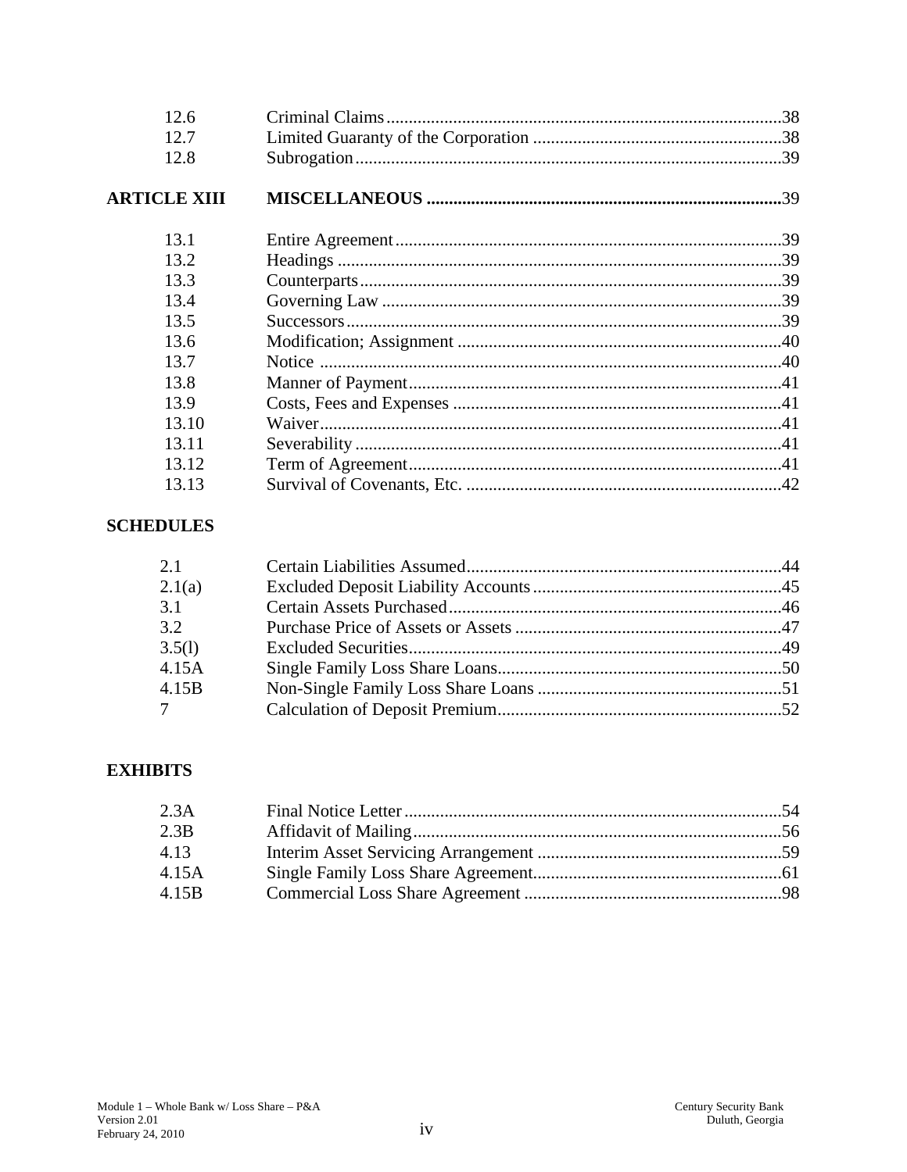| 12.6                |  |
|---------------------|--|
| 12.7                |  |
| 12.8                |  |
| <b>ARTICLE XIII</b> |  |
| 13.1                |  |
| 13.2                |  |
| 13.3                |  |
| 13.4                |  |
| 13.5                |  |
| 13.6                |  |
| 13.7                |  |
| 13.8                |  |
| 13.9                |  |
| 13.10               |  |
| 13.11               |  |
| 13.12               |  |
| 13.13               |  |

### **SCHEDULES**

| 2.1    |  |
|--------|--|
| 2.1(a) |  |
| 3.1    |  |
| 3.2    |  |
| 3.5(l) |  |
| 4.15A  |  |
| 4.15B  |  |
| 7      |  |

# **EXHIBITS**

| 2.3A  |  |
|-------|--|
| 2.3B  |  |
| 4.13  |  |
| 4.15A |  |
| 4.15B |  |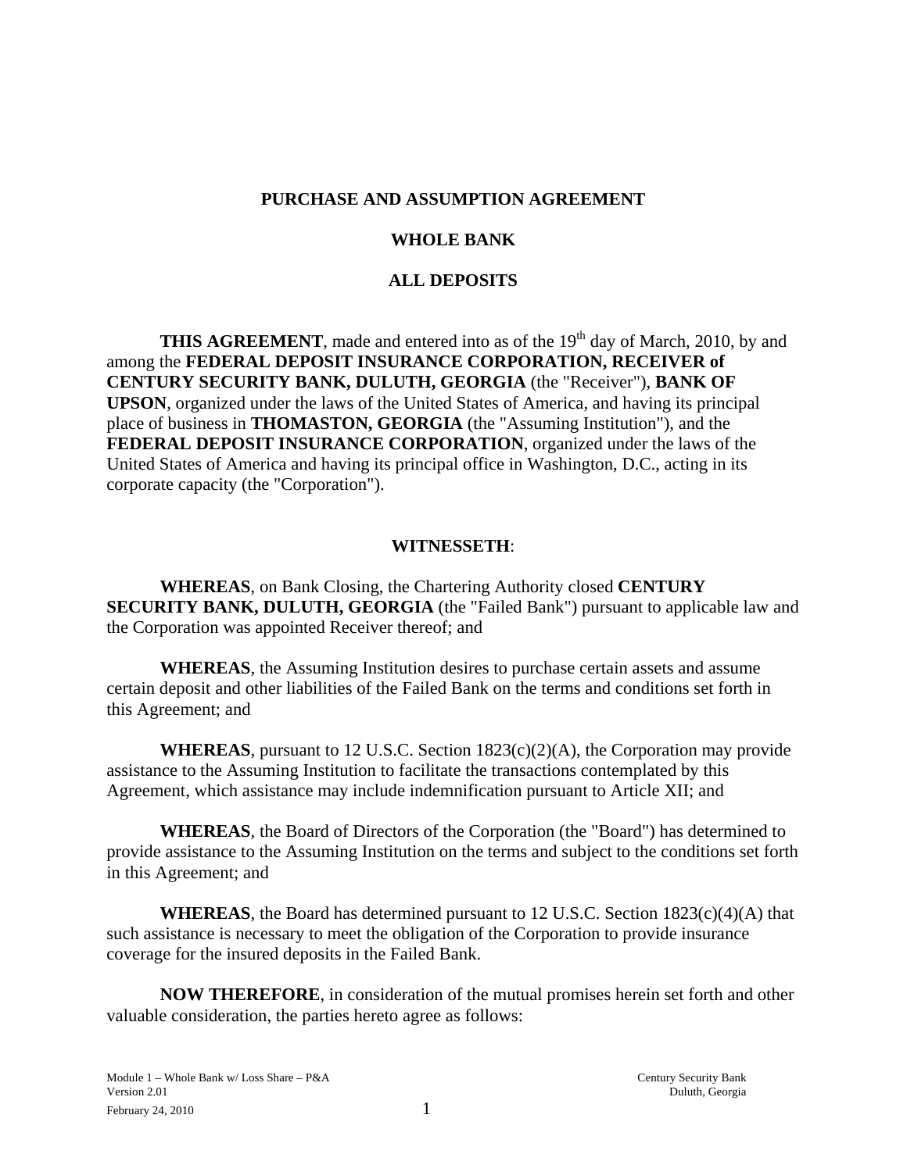#### **PURCHASE AND ASSUMPTION AGREEMENT**

#### **WHOLE BANK**

#### **ALL DEPOSITS**

**THIS AGREEMENT**, made and entered into as of the 19<sup>th</sup> day of March, 2010, by and among the **FEDERAL DEPOSIT INSURANCE CORPORATION, RECEIVER of CENTURY SECURITY BANK, DULUTH, GEORGIA** (the "Receiver"), **BANK OF UPSON**, organized under the laws of the United States of America, and having its principal place of business in **THOMASTON, GEORGIA** (the "Assuming Institution"), and the **FEDERAL DEPOSIT INSURANCE CORPORATION**, organized under the laws of the United States of America and having its principal office in Washington, D.C., acting in its corporate capacity (the "Corporation").

#### **WITNESSETH**:

**WHEREAS**, on Bank Closing, the Chartering Authority closed **CENTURY SECURITY BANK, DULUTH, GEORGIA** (the "Failed Bank") pursuant to applicable law and the Corporation was appointed Receiver thereof; and

**WHEREAS**, the Assuming Institution desires to purchase certain assets and assume certain deposit and other liabilities of the Failed Bank on the terms and conditions set forth in this Agreement; and

**WHEREAS**, pursuant to 12 U.S.C. Section 1823(c)(2)(A), the Corporation may provide assistance to the Assuming Institution to facilitate the transactions contemplated by this Agreement, which assistance may include indemnification pursuant to Article XII; and

 **WHEREAS**, the Board of Directors of the Corporation (the "Board") has determined to provide assistance to the Assuming Institution on the terms and subject to the conditions set forth in this Agreement; and

**WHEREAS**, the Board has determined pursuant to 12 U.S.C. Section 1823(c)(4)(A) that such assistance is necessary to meet the obligation of the Corporation to provide insurance coverage for the insured deposits in the Failed Bank.

 **NOW THEREFORE**, in consideration of the mutual promises herein set forth and other valuable consideration, the parties hereto agree as follows: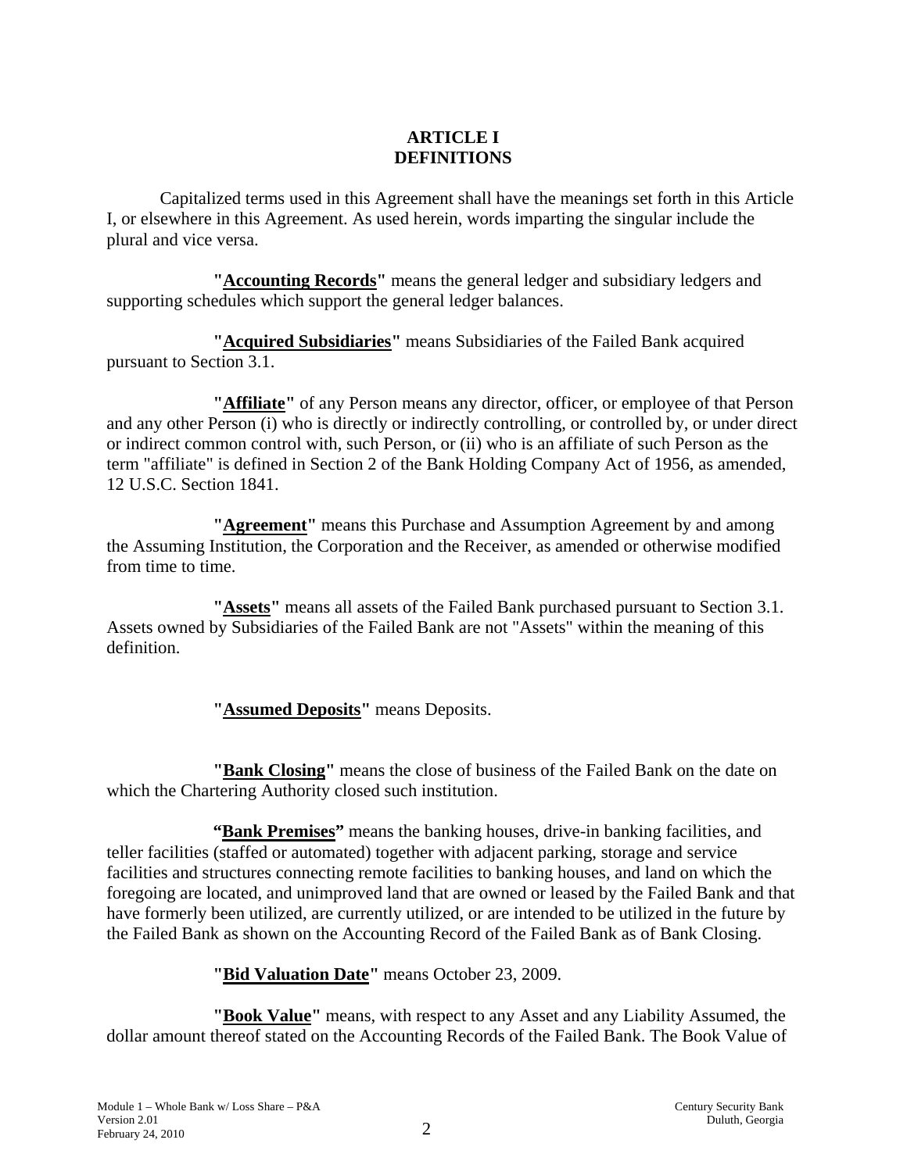## **ARTICLE I DEFINITIONS**

Capitalized terms used in this Agreement shall have the meanings set forth in this Article I, or elsewhere in this Agreement. As used herein, words imparting the singular include the plural and vice versa.

**"Accounting Records"** means the general ledger and subsidiary ledgers and supporting schedules which support the general ledger balances.

**"Acquired Subsidiaries"** means Subsidiaries of the Failed Bank acquired pursuant to Section 3.1.

**"Affiliate"** of any Person means any director, officer, or employee of that Person and any other Person (i) who is directly or indirectly controlling, or controlled by, or under direct or indirect common control with, such Person, or (ii) who is an affiliate of such Person as the term "affiliate" is defined in Section 2 of the Bank Holding Company Act of 1956, as amended, 12 U.S.C. Section 1841.

**"Agreement"** means this Purchase and Assumption Agreement by and among the Assuming Institution, the Corporation and the Receiver, as amended or otherwise modified from time to time.

**"Assets"** means all assets of the Failed Bank purchased pursuant to Section 3.1. Assets owned by Subsidiaries of the Failed Bank are not "Assets" within the meaning of this definition.

**"Assumed Deposits"** means Deposits.

**"Bank Closing"** means the close of business of the Failed Bank on the date on which the Chartering Authority closed such institution.

**"Bank Premises"** means the banking houses, drive-in banking facilities, and teller facilities (staffed or automated) together with adjacent parking, storage and service facilities and structures connecting remote facilities to banking houses, and land on which the foregoing are located, and unimproved land that are owned or leased by the Failed Bank and that have formerly been utilized, are currently utilized, or are intended to be utilized in the future by the Failed Bank as shown on the Accounting Record of the Failed Bank as of Bank Closing.

# **"Bid Valuation Date"** means October 23, 2009.

**"Book Value"** means, with respect to any Asset and any Liability Assumed, the dollar amount thereof stated on the Accounting Records of the Failed Bank. The Book Value of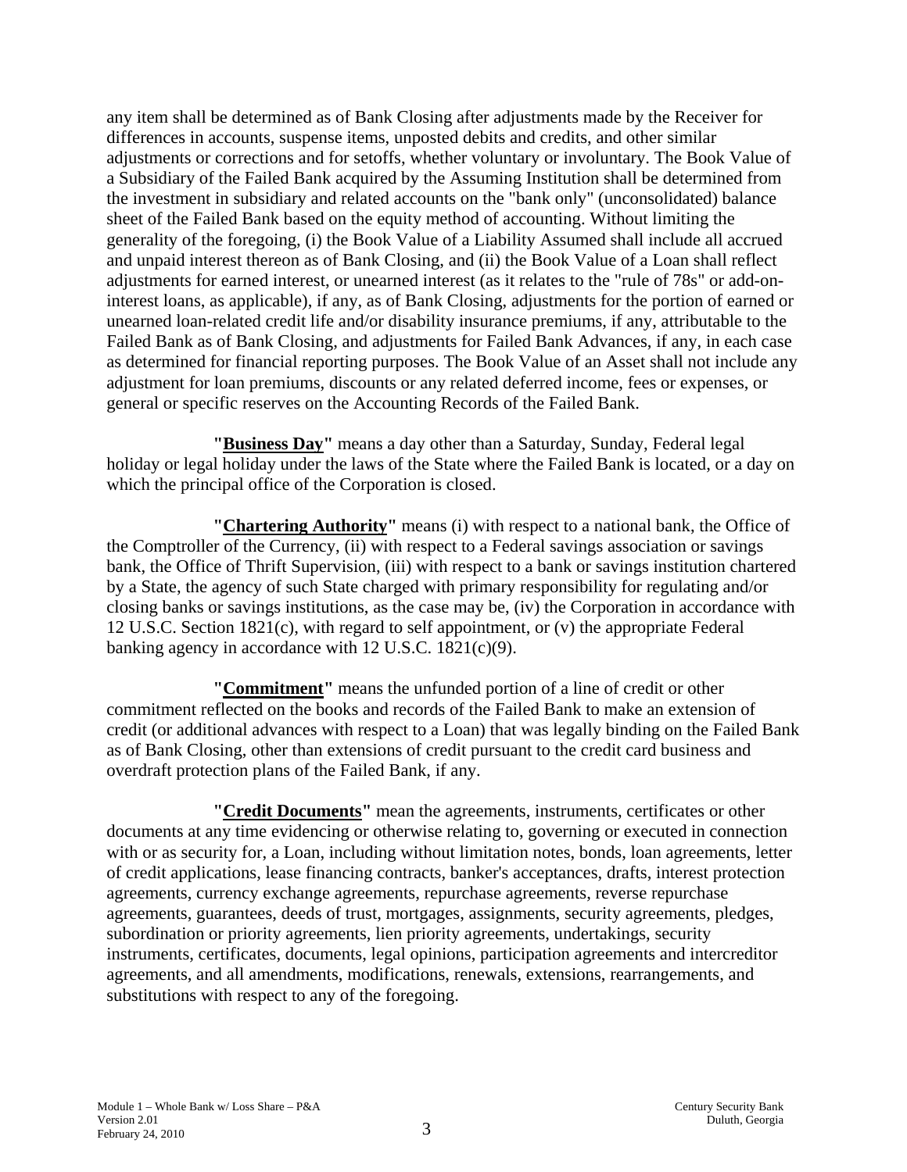any item shall be determined as of Bank Closing after adjustments made by the Receiver for differences in accounts, suspense items, unposted debits and credits, and other similar adjustments or corrections and for setoffs, whether voluntary or involuntary. The Book Value of a Subsidiary of the Failed Bank acquired by the Assuming Institution shall be determined from the investment in subsidiary and related accounts on the "bank only" (unconsolidated) balance sheet of the Failed Bank based on the equity method of accounting. Without limiting the generality of the foregoing, (i) the Book Value of a Liability Assumed shall include all accrued and unpaid interest thereon as of Bank Closing, and (ii) the Book Value of a Loan shall reflect adjustments for earned interest, or unearned interest (as it relates to the "rule of 78s" or add-oninterest loans, as applicable), if any, as of Bank Closing, adjustments for the portion of earned or unearned loan-related credit life and/or disability insurance premiums, if any, attributable to the Failed Bank as of Bank Closing, and adjustments for Failed Bank Advances, if any, in each case as determined for financial reporting purposes. The Book Value of an Asset shall not include any adjustment for loan premiums, discounts or any related deferred income, fees or expenses, or general or specific reserves on the Accounting Records of the Failed Bank.

**"Business Day"** means a day other than a Saturday, Sunday, Federal legal holiday or legal holiday under the laws of the State where the Failed Bank is located, or a day on which the principal office of the Corporation is closed.

**"Chartering Authority"** means (i) with respect to a national bank, the Office of the Comptroller of the Currency, (ii) with respect to a Federal savings association or savings bank, the Office of Thrift Supervision, (iii) with respect to a bank or savings institution chartered by a State, the agency of such State charged with primary responsibility for regulating and/or closing banks or savings institutions, as the case may be, (iv) the Corporation in accordance with 12 U.S.C. Section 1821(c), with regard to self appointment, or (v) the appropriate Federal banking agency in accordance with 12 U.S.C. 1821(c)(9).

**"Commitment"** means the unfunded portion of a line of credit or other commitment reflected on the books and records of the Failed Bank to make an extension of credit (or additional advances with respect to a Loan) that was legally binding on the Failed Bank as of Bank Closing, other than extensions of credit pursuant to the credit card business and overdraft protection plans of the Failed Bank, if any.

**"Credit Documents"** mean the agreements, instruments, certificates or other documents at any time evidencing or otherwise relating to, governing or executed in connection with or as security for, a Loan, including without limitation notes, bonds, loan agreements, letter of credit applications, lease financing contracts, banker's acceptances, drafts, interest protection agreements, currency exchange agreements, repurchase agreements, reverse repurchase agreements, guarantees, deeds of trust, mortgages, assignments, security agreements, pledges, subordination or priority agreements, lien priority agreements, undertakings, security instruments, certificates, documents, legal opinions, participation agreements and intercreditor agreements, and all amendments, modifications, renewals, extensions, rearrangements, and substitutions with respect to any of the foregoing.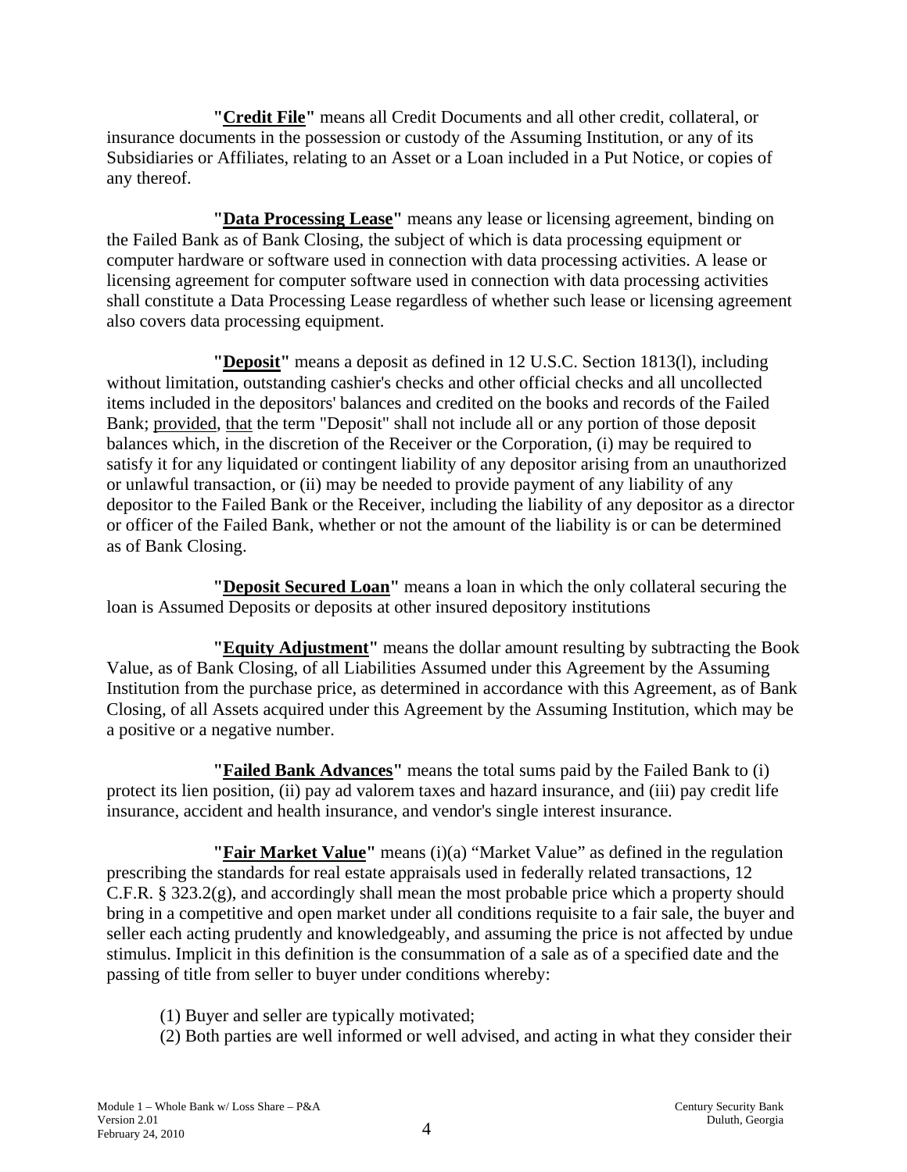**"Credit File"** means all Credit Documents and all other credit, collateral, or insurance documents in the possession or custody of the Assuming Institution, or any of its Subsidiaries or Affiliates, relating to an Asset or a Loan included in a Put Notice, or copies of any thereof.

**"Data Processing Lease"** means any lease or licensing agreement, binding on the Failed Bank as of Bank Closing, the subject of which is data processing equipment or computer hardware or software used in connection with data processing activities. A lease or licensing agreement for computer software used in connection with data processing activities shall constitute a Data Processing Lease regardless of whether such lease or licensing agreement also covers data processing equipment.

**"Deposit"** means a deposit as defined in 12 U.S.C. Section 1813(l), including without limitation, outstanding cashier's checks and other official checks and all uncollected items included in the depositors' balances and credited on the books and records of the Failed Bank; provided, that the term "Deposit" shall not include all or any portion of those deposit balances which, in the discretion of the Receiver or the Corporation, (i) may be required to satisfy it for any liquidated or contingent liability of any depositor arising from an unauthorized or unlawful transaction, or (ii) may be needed to provide payment of any liability of any depositor to the Failed Bank or the Receiver, including the liability of any depositor as a director or officer of the Failed Bank, whether or not the amount of the liability is or can be determined as of Bank Closing.

**"Deposit Secured Loan"** means a loan in which the only collateral securing the loan is Assumed Deposits or deposits at other insured depository institutions

**"Equity Adjustment"** means the dollar amount resulting by subtracting the Book Value, as of Bank Closing, of all Liabilities Assumed under this Agreement by the Assuming Institution from the purchase price, as determined in accordance with this Agreement, as of Bank Closing, of all Assets acquired under this Agreement by the Assuming Institution, which may be a positive or a negative number.

**"Failed Bank Advances"** means the total sums paid by the Failed Bank to (i) protect its lien position, (ii) pay ad valorem taxes and hazard insurance, and (iii) pay credit life insurance, accident and health insurance, and vendor's single interest insurance.

**"Fair Market Value"** means (i)(a) "Market Value" as defined in the regulation prescribing the standards for real estate appraisals used in federally related transactions, 12 C.F.R. § 323.2(g), and accordingly shall mean the most probable price which a property should bring in a competitive and open market under all conditions requisite to a fair sale, the buyer and seller each acting prudently and knowledgeably, and assuming the price is not affected by undue stimulus. Implicit in this definition is the consummation of a sale as of a specified date and the passing of title from seller to buyer under conditions whereby:

- (1) Buyer and seller are typically motivated;
- (2) Both parties are well informed or well advised, and acting in what they consider their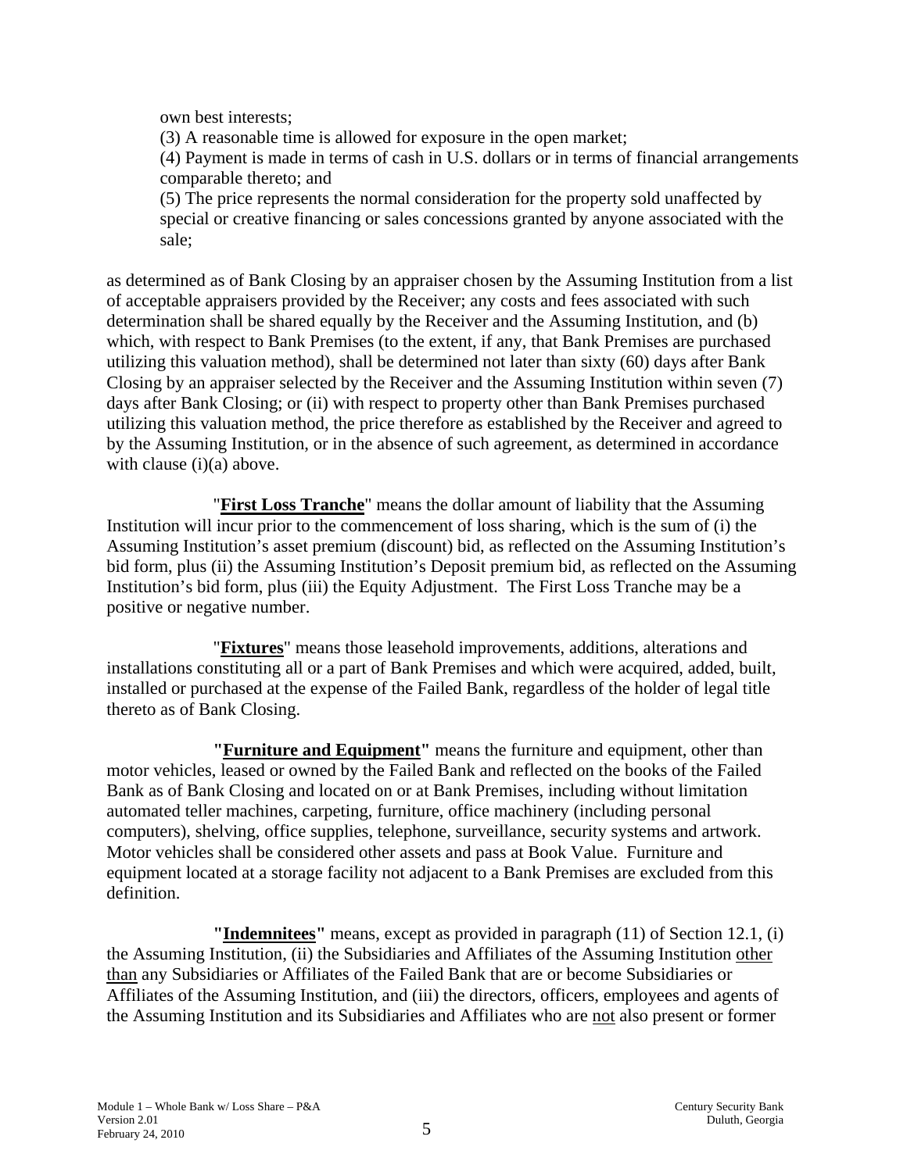own best interests;

(3) A reasonable time is allowed for exposure in the open market;

(4) Payment is made in terms of cash in U.S. dollars or in terms of financial arrangements comparable thereto; and

(5) The price represents the normal consideration for the property sold unaffected by special or creative financing or sales concessions granted by anyone associated with the sale;

as determined as of Bank Closing by an appraiser chosen by the Assuming Institution from a list of acceptable appraisers provided by the Receiver; any costs and fees associated with such determination shall be shared equally by the Receiver and the Assuming Institution, and (b) which, with respect to Bank Premises (to the extent, if any, that Bank Premises are purchased utilizing this valuation method), shall be determined not later than sixty (60) days after Bank Closing by an appraiser selected by the Receiver and the Assuming Institution within seven (7) days after Bank Closing; or (ii) with respect to property other than Bank Premises purchased utilizing this valuation method, the price therefore as established by the Receiver and agreed to by the Assuming Institution, or in the absence of such agreement, as determined in accordance with clause (i)(a) above.

"**First Loss Tranche**" means the dollar amount of liability that the Assuming Institution will incur prior to the commencement of loss sharing, which is the sum of (i) the Assuming Institution's asset premium (discount) bid, as reflected on the Assuming Institution's bid form, plus (ii) the Assuming Institution's Deposit premium bid, as reflected on the Assuming Institution's bid form, plus (iii) the Equity Adjustment. The First Loss Tranche may be a positive or negative number.

"**Fixtures**" means those leasehold improvements, additions, alterations and installations constituting all or a part of Bank Premises and which were acquired, added, built, installed or purchased at the expense of the Failed Bank, regardless of the holder of legal title thereto as of Bank Closing.

**"Furniture and Equipment"** means the furniture and equipment, other than motor vehicles, leased or owned by the Failed Bank and reflected on the books of the Failed Bank as of Bank Closing and located on or at Bank Premises, including without limitation automated teller machines, carpeting, furniture, office machinery (including personal computers), shelving, office supplies, telephone, surveillance, security systems and artwork. Motor vehicles shall be considered other assets and pass at Book Value. Furniture and equipment located at a storage facility not adjacent to a Bank Premises are excluded from this definition.

**"Indemnitees"** means, except as provided in paragraph (11) of Section 12.1, (i) the Assuming Institution, (ii) the Subsidiaries and Affiliates of the Assuming Institution other than any Subsidiaries or Affiliates of the Failed Bank that are or become Subsidiaries or Affiliates of the Assuming Institution, and (iii) the directors, officers, employees and agents of the Assuming Institution and its Subsidiaries and Affiliates who are not also present or former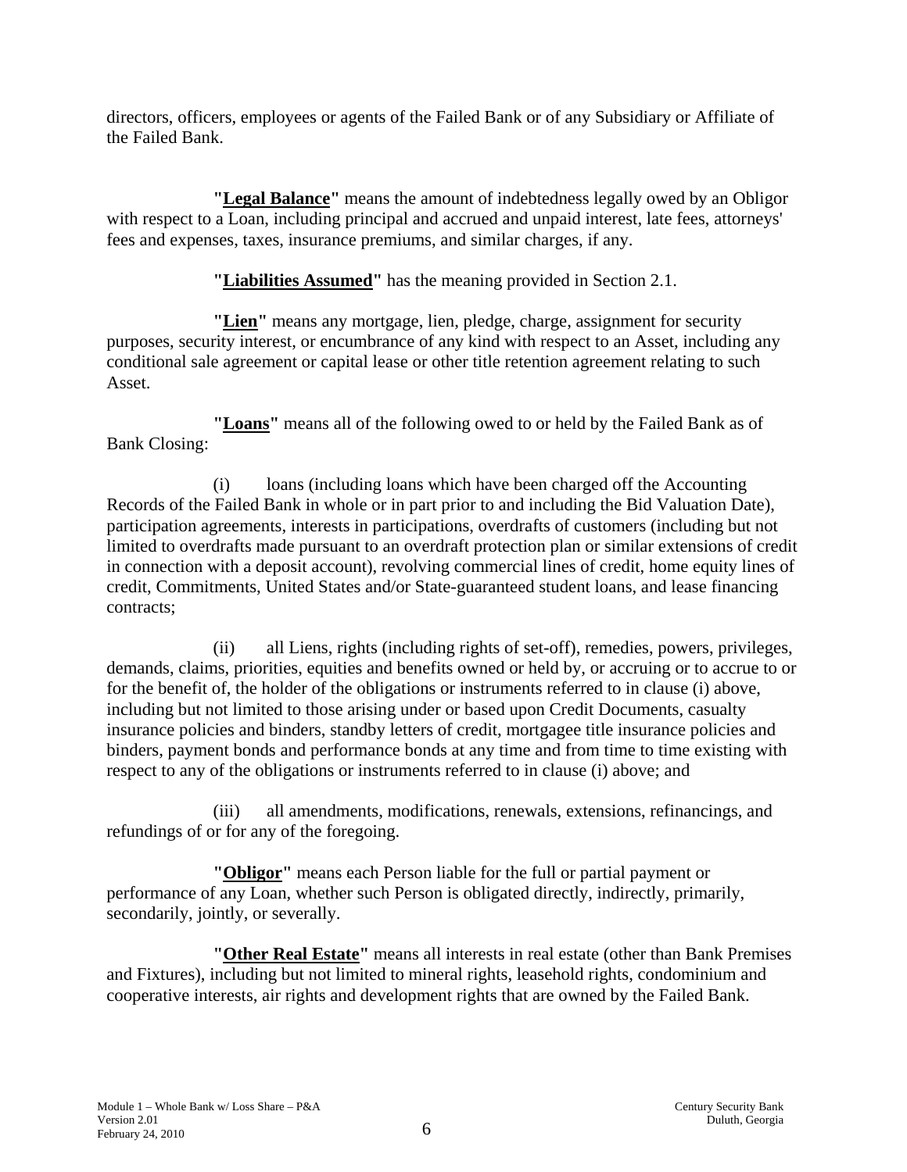directors, officers, employees or agents of the Failed Bank or of any Subsidiary or Affiliate of the Failed Bank.

**"Legal Balance"** means the amount of indebtedness legally owed by an Obligor with respect to a Loan, including principal and accrued and unpaid interest, late fees, attorneys' fees and expenses, taxes, insurance premiums, and similar charges, if any.

 **"Liabilities Assumed"** has the meaning provided in Section 2.1.

**"Lien"** means any mortgage, lien, pledge, charge, assignment for security purposes, security interest, or encumbrance of any kind with respect to an Asset, including any conditional sale agreement or capital lease or other title retention agreement relating to such Asset.

**"Loans"** means all of the following owed to or held by the Failed Bank as of Bank Closing:

(i) loans (including loans which have been charged off the Accounting Records of the Failed Bank in whole or in part prior to and including the Bid Valuation Date), participation agreements, interests in participations, overdrafts of customers (including but not limited to overdrafts made pursuant to an overdraft protection plan or similar extensions of credit in connection with a deposit account), revolving commercial lines of credit, home equity lines of credit, Commitments, United States and/or State-guaranteed student loans, and lease financing contracts;

(ii) all Liens, rights (including rights of set-off), remedies, powers, privileges, demands, claims, priorities, equities and benefits owned or held by, or accruing or to accrue to or for the benefit of, the holder of the obligations or instruments referred to in clause (i) above, including but not limited to those arising under or based upon Credit Documents, casualty insurance policies and binders, standby letters of credit, mortgagee title insurance policies and binders, payment bonds and performance bonds at any time and from time to time existing with respect to any of the obligations or instruments referred to in clause (i) above; and

(iii) all amendments, modifications, renewals, extensions, refinancings, and refundings of or for any of the foregoing.

**"Obligor"** means each Person liable for the full or partial payment or performance of any Loan, whether such Person is obligated directly, indirectly, primarily, secondarily, jointly, or severally.

**"Other Real Estate"** means all interests in real estate (other than Bank Premises and Fixtures), including but not limited to mineral rights, leasehold rights, condominium and cooperative interests, air rights and development rights that are owned by the Failed Bank.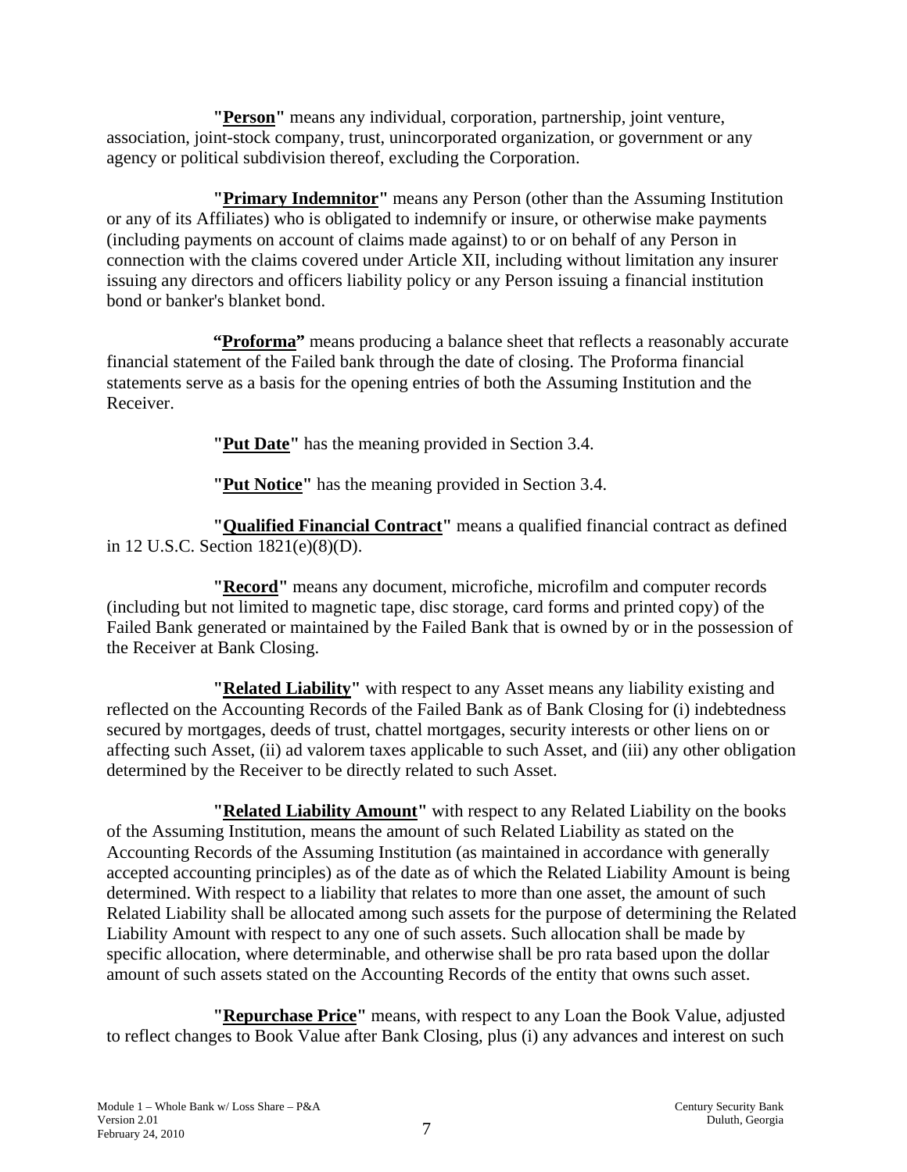**"Person"** means any individual, corporation, partnership, joint venture, association, joint-stock company, trust, unincorporated organization, or government or any agency or political subdivision thereof, excluding the Corporation.

**"Primary Indemnitor"** means any Person (other than the Assuming Institution or any of its Affiliates) who is obligated to indemnify or insure, or otherwise make payments (including payments on account of claims made against) to or on behalf of any Person in connection with the claims covered under Article XII, including without limitation any insurer issuing any directors and officers liability policy or any Person issuing a financial institution bond or banker's blanket bond.

**"Proforma"** means producing a balance sheet that reflects a reasonably accurate financial statement of the Failed bank through the date of closing. The Proforma financial statements serve as a basis for the opening entries of both the Assuming Institution and the Receiver.

**"Put Date"** has the meaning provided in Section 3.4.

**"Put Notice"** has the meaning provided in Section 3.4.

**"Qualified Financial Contract"** means a qualified financial contract as defined in 12 U.S.C. Section 1821(e)(8)(D).

**"Record"** means any document, microfiche, microfilm and computer records (including but not limited to magnetic tape, disc storage, card forms and printed copy) of the Failed Bank generated or maintained by the Failed Bank that is owned by or in the possession of the Receiver at Bank Closing.

**"Related Liability"** with respect to any Asset means any liability existing and reflected on the Accounting Records of the Failed Bank as of Bank Closing for (i) indebtedness secured by mortgages, deeds of trust, chattel mortgages, security interests or other liens on or affecting such Asset, (ii) ad valorem taxes applicable to such Asset, and (iii) any other obligation determined by the Receiver to be directly related to such Asset.

**"Related Liability Amount"** with respect to any Related Liability on the books of the Assuming Institution, means the amount of such Related Liability as stated on the Accounting Records of the Assuming Institution (as maintained in accordance with generally accepted accounting principles) as of the date as of which the Related Liability Amount is being determined. With respect to a liability that relates to more than one asset, the amount of such Related Liability shall be allocated among such assets for the purpose of determining the Related Liability Amount with respect to any one of such assets. Such allocation shall be made by specific allocation, where determinable, and otherwise shall be pro rata based upon the dollar amount of such assets stated on the Accounting Records of the entity that owns such asset.

**"Repurchase Price"** means, with respect to any Loan the Book Value, adjusted to reflect changes to Book Value after Bank Closing, plus (i) any advances and interest on such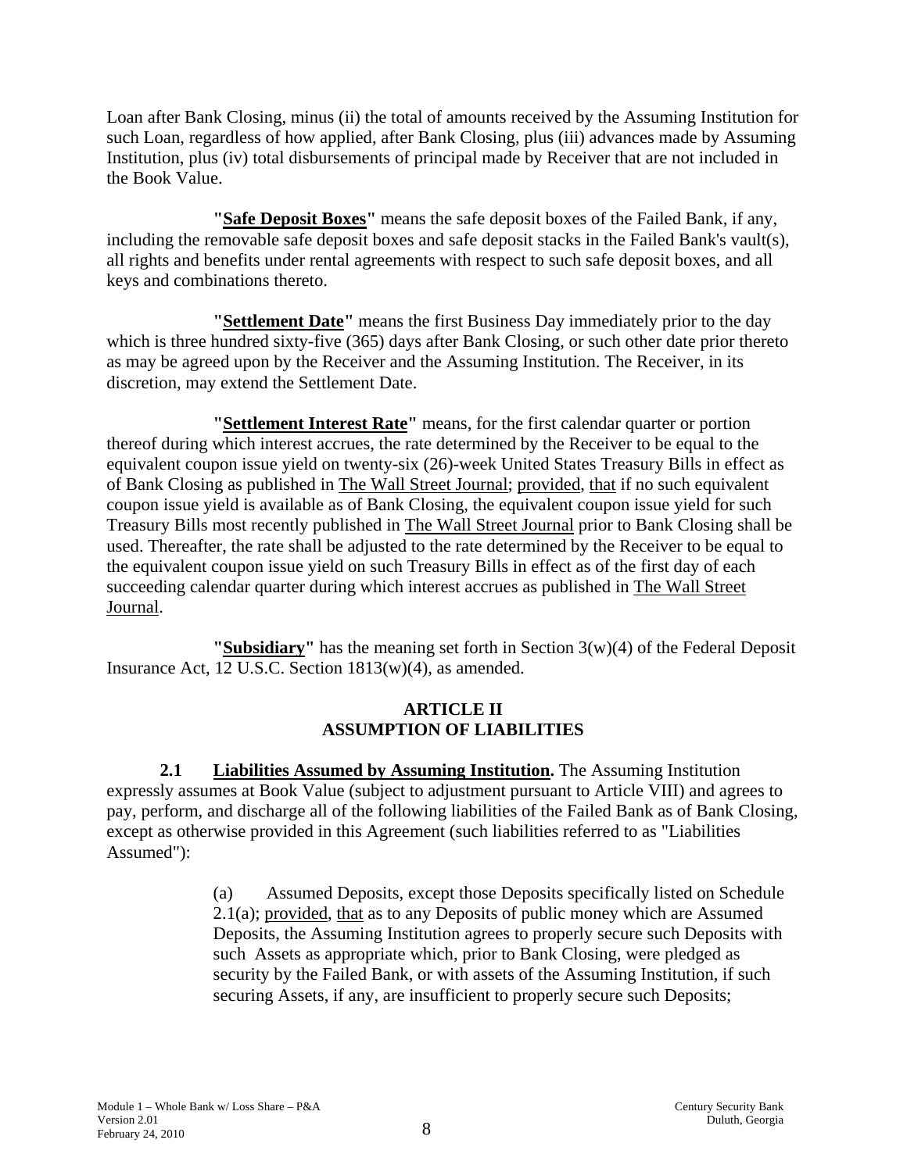Loan after Bank Closing, minus (ii) the total of amounts received by the Assuming Institution for such Loan, regardless of how applied, after Bank Closing, plus (iii) advances made by Assuming Institution, plus (iv) total disbursements of principal made by Receiver that are not included in the Book Value.

**"Safe Deposit Boxes"** means the safe deposit boxes of the Failed Bank, if any, including the removable safe deposit boxes and safe deposit stacks in the Failed Bank's vault(s), all rights and benefits under rental agreements with respect to such safe deposit boxes, and all keys and combinations thereto.

**"Settlement Date"** means the first Business Day immediately prior to the day which is three hundred sixty-five (365) days after Bank Closing, or such other date prior thereto as may be agreed upon by the Receiver and the Assuming Institution. The Receiver, in its discretion, may extend the Settlement Date.

**"Settlement Interest Rate"** means, for the first calendar quarter or portion thereof during which interest accrues, the rate determined by the Receiver to be equal to the equivalent coupon issue yield on twenty-six (26)-week United States Treasury Bills in effect as of Bank Closing as published in The Wall Street Journal; provided, that if no such equivalent coupon issue yield is available as of Bank Closing, the equivalent coupon issue yield for such Treasury Bills most recently published in The Wall Street Journal prior to Bank Closing shall be used. Thereafter, the rate shall be adjusted to the rate determined by the Receiver to be equal to the equivalent coupon issue yield on such Treasury Bills in effect as of the first day of each succeeding calendar quarter during which interest accrues as published in The Wall Street Journal.

**"Subsidiary"** has the meaning set forth in Section 3(w)(4) of the Federal Deposit Insurance Act, 12 U.S.C. Section 1813(w)(4), as amended.

### **ARTICLE II ASSUMPTION OF LIABILITIES**

 **2.1 Liabilities Assumed by Assuming Institution.** The Assuming Institution expressly assumes at Book Value (subject to adjustment pursuant to Article VIII) and agrees to pay, perform, and discharge all of the following liabilities of the Failed Bank as of Bank Closing, except as otherwise provided in this Agreement (such liabilities referred to as "Liabilities Assumed"):

> (a) Assumed Deposits, except those Deposits specifically listed on Schedule 2.1(a); provided, that as to any Deposits of public money which are Assumed Deposits, the Assuming Institution agrees to properly secure such Deposits with such Assets as appropriate which, prior to Bank Closing, were pledged as security by the Failed Bank, or with assets of the Assuming Institution, if such securing Assets, if any, are insufficient to properly secure such Deposits;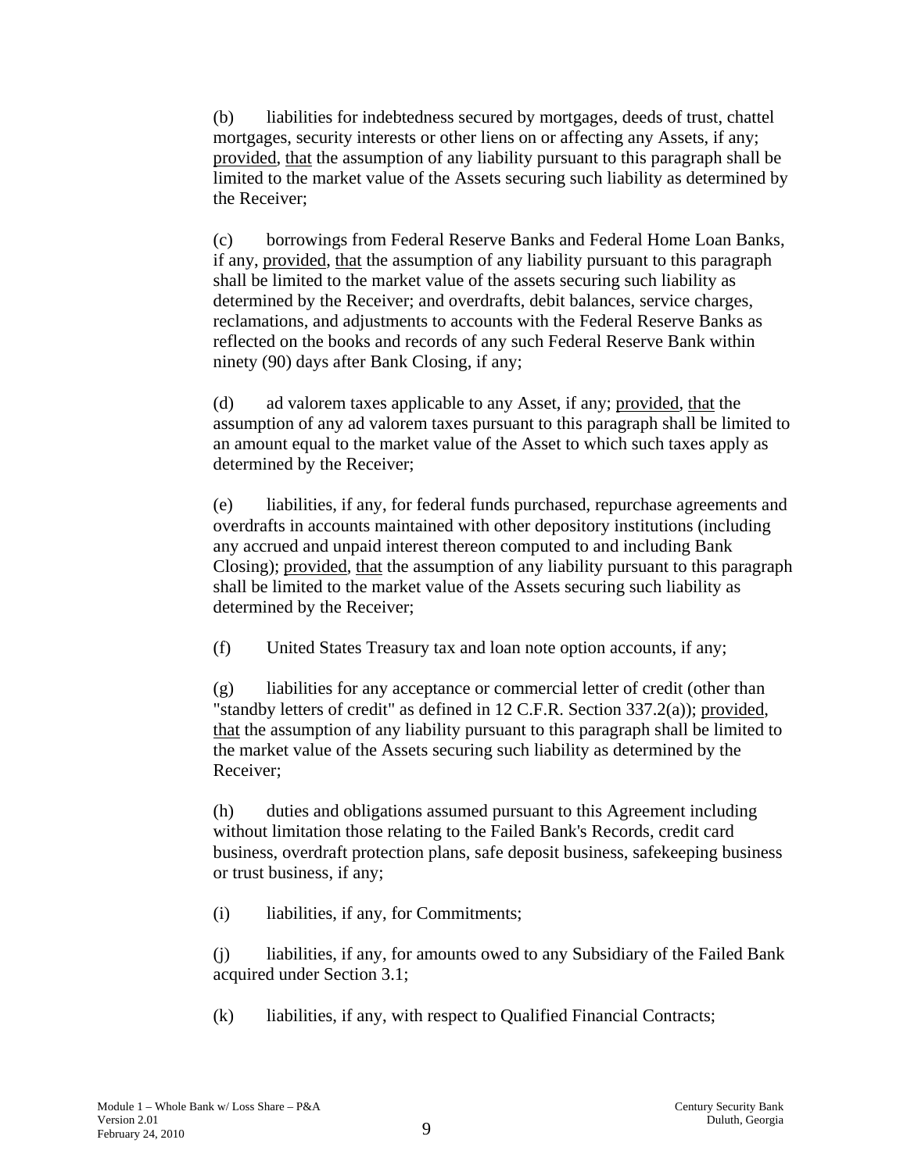(b) liabilities for indebtedness secured by mortgages, deeds of trust, chattel mortgages, security interests or other liens on or affecting any Assets, if any; provided, that the assumption of any liability pursuant to this paragraph shall be limited to the market value of the Assets securing such liability as determined by the Receiver;

(c) borrowings from Federal Reserve Banks and Federal Home Loan Banks, if any, provided, that the assumption of any liability pursuant to this paragraph shall be limited to the market value of the assets securing such liability as determined by the Receiver; and overdrafts, debit balances, service charges, reclamations, and adjustments to accounts with the Federal Reserve Banks as reflected on the books and records of any such Federal Reserve Bank within ninety (90) days after Bank Closing, if any;

(d) ad valorem taxes applicable to any Asset, if any; provided, that the assumption of any ad valorem taxes pursuant to this paragraph shall be limited to an amount equal to the market value of the Asset to which such taxes apply as determined by the Receiver;

(e) liabilities, if any, for federal funds purchased, repurchase agreements and overdrafts in accounts maintained with other depository institutions (including any accrued and unpaid interest thereon computed to and including Bank Closing); provided, that the assumption of any liability pursuant to this paragraph shall be limited to the market value of the Assets securing such liability as determined by the Receiver;

(f) United States Treasury tax and loan note option accounts, if any;

(g) liabilities for any acceptance or commercial letter of credit (other than "standby letters of credit" as defined in 12 C.F.R. Section 337.2(a)); provided, that the assumption of any liability pursuant to this paragraph shall be limited to the market value of the Assets securing such liability as determined by the Receiver;

(h) duties and obligations assumed pursuant to this Agreement including without limitation those relating to the Failed Bank's Records, credit card business, overdraft protection plans, safe deposit business, safekeeping business or trust business, if any;

(i) liabilities, if any, for Commitments;

(j) liabilities, if any, for amounts owed to any Subsidiary of the Failed Bank acquired under Section 3.1;

(k) liabilities, if any, with respect to Qualified Financial Contracts;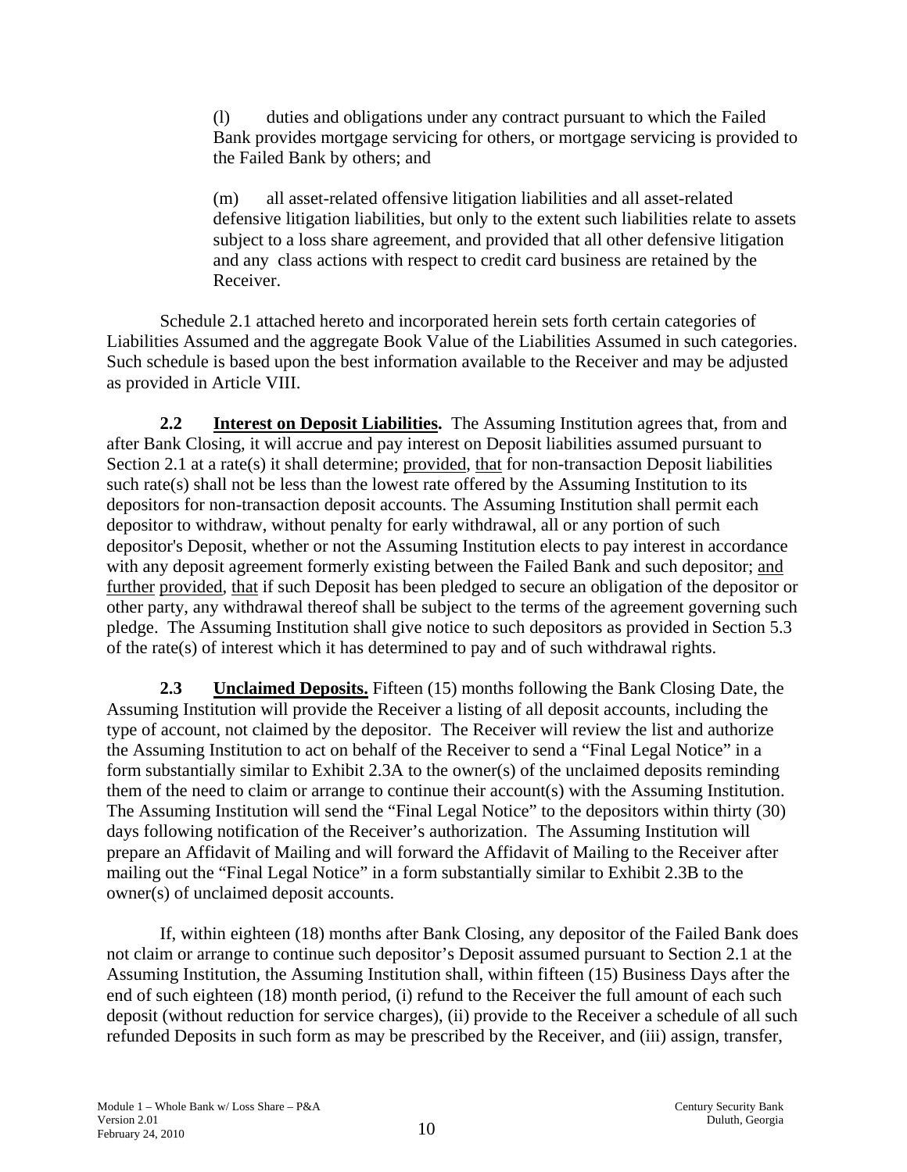(l) duties and obligations under any contract pursuant to which the Failed Bank provides mortgage servicing for others, or mortgage servicing is provided to the Failed Bank by others; and

(m) all asset-related offensive litigation liabilities and all asset-related defensive litigation liabilities, but only to the extent such liabilities relate to assets subject to a loss share agreement, and provided that all other defensive litigation and any class actions with respect to credit card business are retained by the Receiver.

Schedule 2.1 attached hereto and incorporated herein sets forth certain categories of Liabilities Assumed and the aggregate Book Value of the Liabilities Assumed in such categories. Such schedule is based upon the best information available to the Receiver and may be adjusted as provided in Article VIII.

**2.2 Interest on Deposit Liabilities.** The Assuming Institution agrees that, from and after Bank Closing, it will accrue and pay interest on Deposit liabilities assumed pursuant to Section 2.1 at a rate(s) it shall determine; provided, that for non-transaction Deposit liabilities such rate(s) shall not be less than the lowest rate offered by the Assuming Institution to its depositors for non-transaction deposit accounts. The Assuming Institution shall permit each depositor to withdraw, without penalty for early withdrawal, all or any portion of such depositor's Deposit, whether or not the Assuming Institution elects to pay interest in accordance with any deposit agreement formerly existing between the Failed Bank and such depositor; and further provided, that if such Deposit has been pledged to secure an obligation of the depositor or other party, any withdrawal thereof shall be subject to the terms of the agreement governing such pledge. The Assuming Institution shall give notice to such depositors as provided in Section 5.3 of the rate(s) of interest which it has determined to pay and of such withdrawal rights.

**2.3 Unclaimed Deposits.** Fifteen (15) months following the Bank Closing Date, the Assuming Institution will provide the Receiver a listing of all deposit accounts, including the type of account, not claimed by the depositor. The Receiver will review the list and authorize the Assuming Institution to act on behalf of the Receiver to send a "Final Legal Notice" in a form substantially similar to Exhibit 2.3A to the owner(s) of the unclaimed deposits reminding them of the need to claim or arrange to continue their account(s) with the Assuming Institution. The Assuming Institution will send the "Final Legal Notice" to the depositors within thirty (30) days following notification of the Receiver's authorization. The Assuming Institution will prepare an Affidavit of Mailing and will forward the Affidavit of Mailing to the Receiver after mailing out the "Final Legal Notice" in a form substantially similar to Exhibit 2.3B to the owner(s) of unclaimed deposit accounts.

If, within eighteen (18) months after Bank Closing, any depositor of the Failed Bank does not claim or arrange to continue such depositor's Deposit assumed pursuant to Section 2.1 at the Assuming Institution, the Assuming Institution shall, within fifteen (15) Business Days after the end of such eighteen (18) month period, (i) refund to the Receiver the full amount of each such deposit (without reduction for service charges), (ii) provide to the Receiver a schedule of all such refunded Deposits in such form as may be prescribed by the Receiver, and (iii) assign, transfer,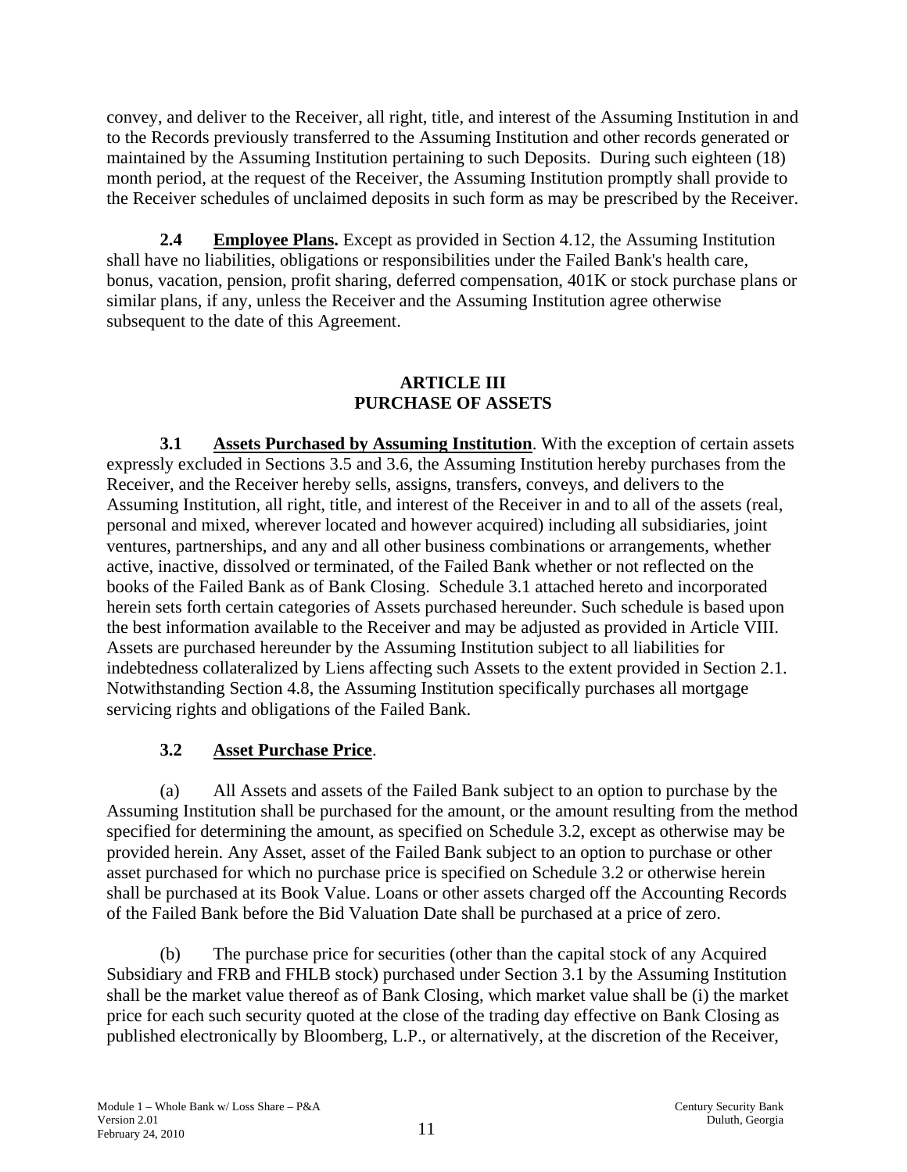convey, and deliver to the Receiver, all right, title, and interest of the Assuming Institution in and to the Records previously transferred to the Assuming Institution and other records generated or maintained by the Assuming Institution pertaining to such Deposits. During such eighteen (18) month period, at the request of the Receiver, the Assuming Institution promptly shall provide to the Receiver schedules of unclaimed deposits in such form as may be prescribed by the Receiver.

**2.4 Employee Plans.** Except as provided in Section 4.12, the Assuming Institution shall have no liabilities, obligations or responsibilities under the Failed Bank's health care, bonus, vacation, pension, profit sharing, deferred compensation, 401K or stock purchase plans or similar plans, if any, unless the Receiver and the Assuming Institution agree otherwise subsequent to the date of this Agreement.

## **ARTICLE III PURCHASE OF ASSETS**

**3.1** Assets Purchased by Assuming Institution. With the exception of certain assets expressly excluded in Sections 3.5 and 3.6, the Assuming Institution hereby purchases from the Receiver, and the Receiver hereby sells, assigns, transfers, conveys, and delivers to the Assuming Institution, all right, title, and interest of the Receiver in and to all of the assets (real, personal and mixed, wherever located and however acquired) including all subsidiaries, joint ventures, partnerships, and any and all other business combinations or arrangements, whether active, inactive, dissolved or terminated, of the Failed Bank whether or not reflected on the books of the Failed Bank as of Bank Closing. Schedule 3.1 attached hereto and incorporated herein sets forth certain categories of Assets purchased hereunder. Such schedule is based upon the best information available to the Receiver and may be adjusted as provided in Article VIII. Assets are purchased hereunder by the Assuming Institution subject to all liabilities for indebtedness collateralized by Liens affecting such Assets to the extent provided in Section 2.1. Notwithstanding Section 4.8, the Assuming Institution specifically purchases all mortgage servicing rights and obligations of the Failed Bank.

# **3.2 Asset Purchase Price**.

(a) All Assets and assets of the Failed Bank subject to an option to purchase by the Assuming Institution shall be purchased for the amount, or the amount resulting from the method specified for determining the amount, as specified on Schedule 3.2, except as otherwise may be provided herein. Any Asset, asset of the Failed Bank subject to an option to purchase or other asset purchased for which no purchase price is specified on Schedule 3.2 or otherwise herein shall be purchased at its Book Value. Loans or other assets charged off the Accounting Records of the Failed Bank before the Bid Valuation Date shall be purchased at a price of zero.

(b) The purchase price for securities (other than the capital stock of any Acquired Subsidiary and FRB and FHLB stock) purchased under Section 3.1 by the Assuming Institution shall be the market value thereof as of Bank Closing, which market value shall be (i) the market price for each such security quoted at the close of the trading day effective on Bank Closing as published electronically by Bloomberg, L.P., or alternatively, at the discretion of the Receiver,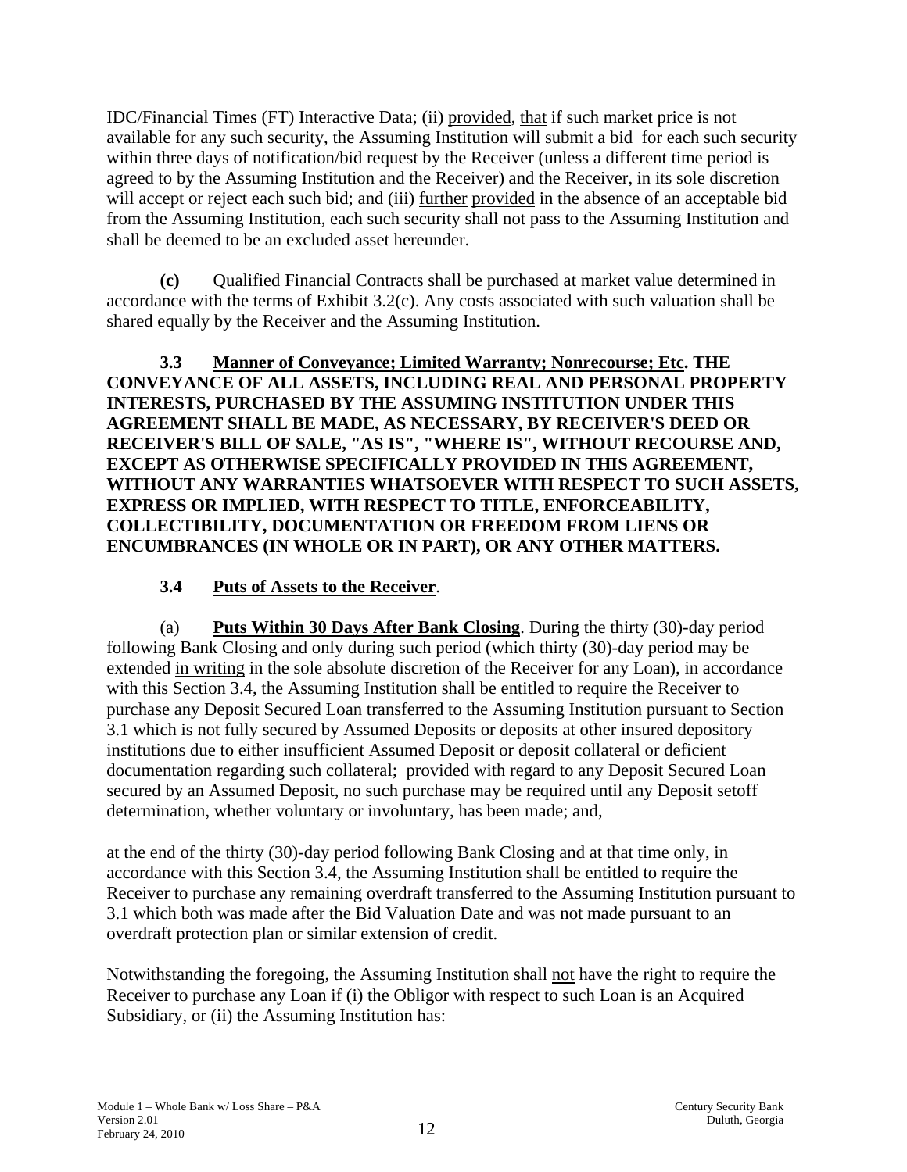IDC/Financial Times (FT) Interactive Data; (ii) provided, that if such market price is not available for any such security, the Assuming Institution will submit a bid for each such security within three days of notification/bid request by the Receiver (unless a different time period is agreed to by the Assuming Institution and the Receiver) and the Receiver, in its sole discretion will accept or reject each such bid; and (iii) further provided in the absence of an acceptable bid from the Assuming Institution, each such security shall not pass to the Assuming Institution and shall be deemed to be an excluded asset hereunder.

**(c)** Qualified Financial Contracts shall be purchased at market value determined in accordance with the terms of Exhibit 3.2(c). Any costs associated with such valuation shall be shared equally by the Receiver and the Assuming Institution.

**3.3 Manner of Conveyance; Limited Warranty; Nonrecourse; Etc. THE CONVEYANCE OF ALL ASSETS, INCLUDING REAL AND PERSONAL PROPERTY INTERESTS, PURCHASED BY THE ASSUMING INSTITUTION UNDER THIS AGREEMENT SHALL BE MADE, AS NECESSARY, BY RECEIVER'S DEED OR RECEIVER'S BILL OF SALE, "AS IS", "WHERE IS", WITHOUT RECOURSE AND, EXCEPT AS OTHERWISE SPECIFICALLY PROVIDED IN THIS AGREEMENT, WITHOUT ANY WARRANTIES WHATSOEVER WITH RESPECT TO SUCH ASSETS, EXPRESS OR IMPLIED, WITH RESPECT TO TITLE, ENFORCEABILITY, COLLECTIBILITY, DOCUMENTATION OR FREEDOM FROM LIENS OR ENCUMBRANCES (IN WHOLE OR IN PART), OR ANY OTHER MATTERS.** 

## **3.4 Puts of Assets to the Receiver**.

(a) **Puts Within 30 Days After Bank Closing**. During the thirty (30)-day period following Bank Closing and only during such period (which thirty (30)-day period may be extended in writing in the sole absolute discretion of the Receiver for any Loan), in accordance with this Section 3.4, the Assuming Institution shall be entitled to require the Receiver to purchase any Deposit Secured Loan transferred to the Assuming Institution pursuant to Section 3.1 which is not fully secured by Assumed Deposits or deposits at other insured depository institutions due to either insufficient Assumed Deposit or deposit collateral or deficient documentation regarding such collateral; provided with regard to any Deposit Secured Loan secured by an Assumed Deposit, no such purchase may be required until any Deposit setoff determination, whether voluntary or involuntary, has been made; and,

at the end of the thirty (30)-day period following Bank Closing and at that time only, in accordance with this Section 3.4, the Assuming Institution shall be entitled to require the Receiver to purchase any remaining overdraft transferred to the Assuming Institution pursuant to 3.1 which both was made after the Bid Valuation Date and was not made pursuant to an overdraft protection plan or similar extension of credit.

Subsidiary, or (ii) the Assuming Institution has: Notwithstanding the foregoing, the Assuming Institution shall not have the right to require the Receiver to purchase any Loan if (i) the Obligor with respect to such Loan is an Acquired Subsidiary, or (ii) the Assuming Institution has:<br>
Module 1 – Whole Bank w/ Loss Share – P&A Century Security Bank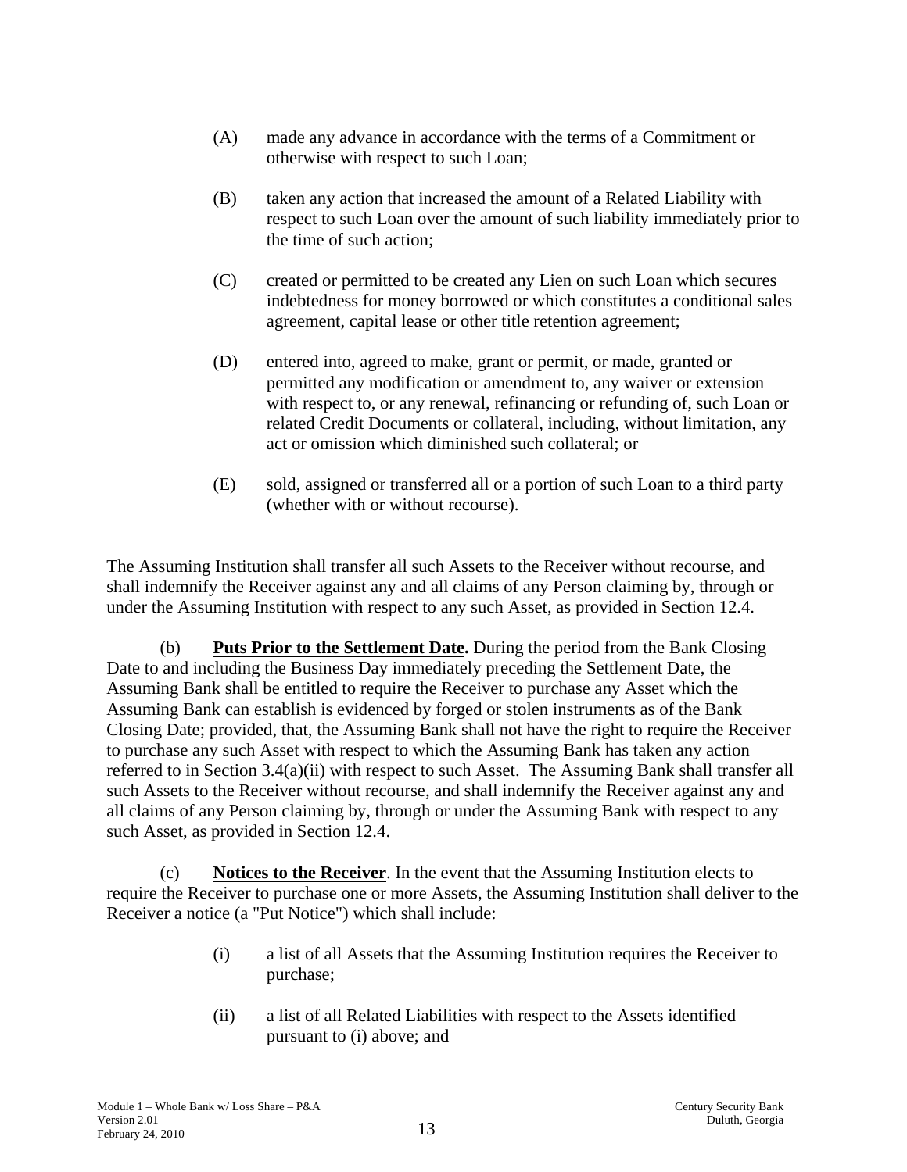- (A) made any advance in accordance with the terms of a Commitment or otherwise with respect to such Loan;
- (B) taken any action that increased the amount of a Related Liability with respect to such Loan over the amount of such liability immediately prior to the time of such action;
- (C) created or permitted to be created any Lien on such Loan which secures indebtedness for money borrowed or which constitutes a conditional sales agreement, capital lease or other title retention agreement;
- (D) entered into, agreed to make, grant or permit, or made, granted or permitted any modification or amendment to, any waiver or extension with respect to, or any renewal, refinancing or refunding of, such Loan or related Credit Documents or collateral, including, without limitation, any act or omission which diminished such collateral; or
- (E) sold, assigned or transferred all or a portion of such Loan to a third party (whether with or without recourse).

The Assuming Institution shall transfer all such Assets to the Receiver without recourse, and shall indemnify the Receiver against any and all claims of any Person claiming by, through or under the Assuming Institution with respect to any such Asset, as provided in Section 12.4.

(b) **Puts Prior to the Settlement Date.** During the period from the Bank Closing Date to and including the Business Day immediately preceding the Settlement Date, the Assuming Bank shall be entitled to require the Receiver to purchase any Asset which the Assuming Bank can establish is evidenced by forged or stolen instruments as of the Bank Closing Date; provided, that, the Assuming Bank shall not have the right to require the Receiver to purchase any such Asset with respect to which the Assuming Bank has taken any action referred to in Section 3.4(a)(ii) with respect to such Asset. The Assuming Bank shall transfer all such Assets to the Receiver without recourse, and shall indemnify the Receiver against any and all claims of any Person claiming by, through or under the Assuming Bank with respect to any such Asset, as provided in Section 12.4.

(c) **Notices to the Receiver**. In the event that the Assuming Institution elects to require the Receiver to purchase one or more Assets, the Assuming Institution shall deliver to the Receiver a notice (a "Put Notice") which shall include:

- (i) a list of all Assets that the Assuming Institution requires the Receiver to purchase;
- (ii) a list of all Related Liabilities with respect to the Assets identified pursuant to (i) above; and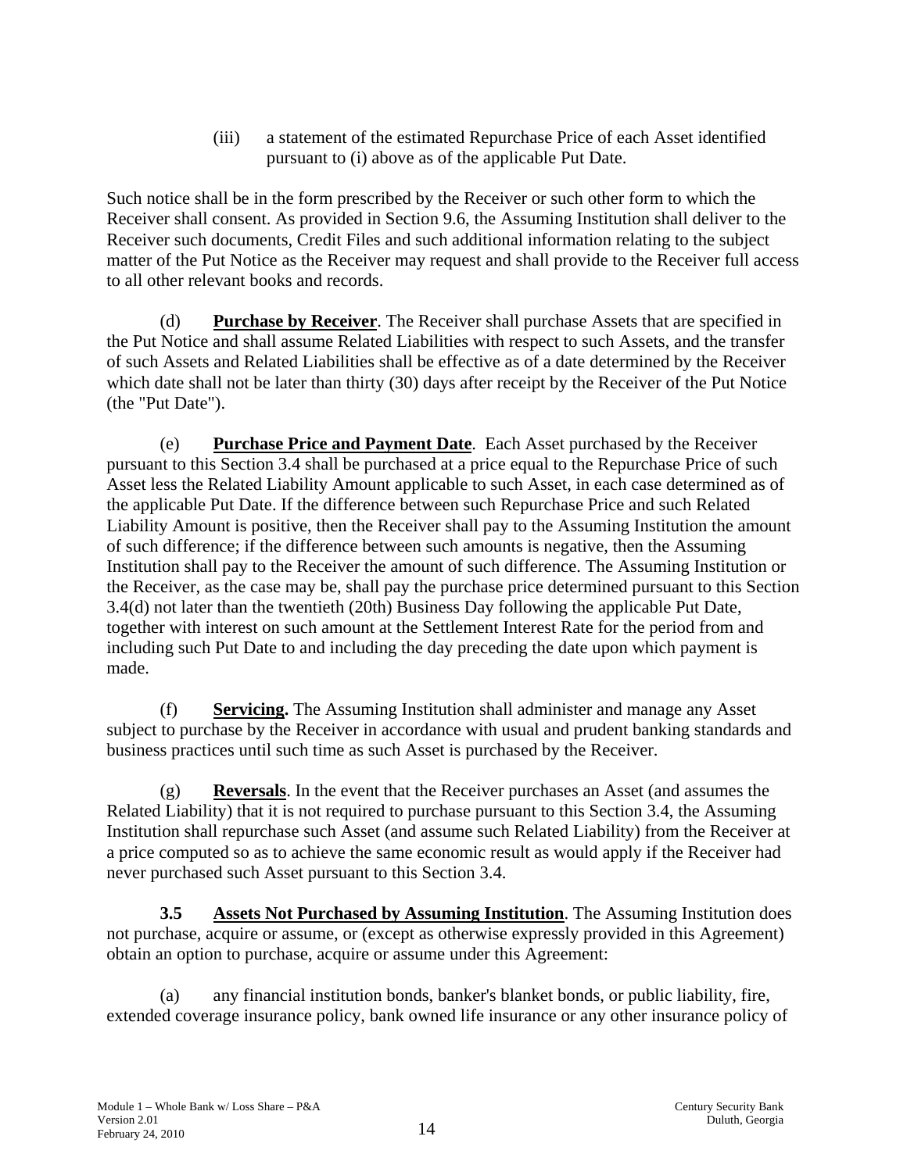(iii) a statement of the estimated Repurchase Price of each Asset identified pursuant to (i) above as of the applicable Put Date.

Such notice shall be in the form prescribed by the Receiver or such other form to which the Receiver shall consent. As provided in Section 9.6, the Assuming Institution shall deliver to the Receiver such documents, Credit Files and such additional information relating to the subject matter of the Put Notice as the Receiver may request and shall provide to the Receiver full access to all other relevant books and records.

(d) **Purchase by Receiver**. The Receiver shall purchase Assets that are specified in the Put Notice and shall assume Related Liabilities with respect to such Assets, and the transfer of such Assets and Related Liabilities shall be effective as of a date determined by the Receiver which date shall not be later than thirty (30) days after receipt by the Receiver of the Put Notice (the "Put Date").

(e) **Purchase Price and Payment Date**. Each Asset purchased by the Receiver pursuant to this Section 3.4 shall be purchased at a price equal to the Repurchase Price of such Asset less the Related Liability Amount applicable to such Asset, in each case determined as of the applicable Put Date. If the difference between such Repurchase Price and such Related Liability Amount is positive, then the Receiver shall pay to the Assuming Institution the amount of such difference; if the difference between such amounts is negative, then the Assuming Institution shall pay to the Receiver the amount of such difference. The Assuming Institution or the Receiver, as the case may be, shall pay the purchase price determined pursuant to this Section 3.4(d) not later than the twentieth (20th) Business Day following the applicable Put Date, together with interest on such amount at the Settlement Interest Rate for the period from and including such Put Date to and including the day preceding the date upon which payment is made.

(f) **Servicing.** The Assuming Institution shall administer and manage any Asset subject to purchase by the Receiver in accordance with usual and prudent banking standards and business practices until such time as such Asset is purchased by the Receiver.

(g) **Reversals**. In the event that the Receiver purchases an Asset (and assumes the Related Liability) that it is not required to purchase pursuant to this Section 3.4, the Assuming Institution shall repurchase such Asset (and assume such Related Liability) from the Receiver at a price computed so as to achieve the same economic result as would apply if the Receiver had never purchased such Asset pursuant to this Section 3.4.

**3.5 Assets Not Purchased by Assuming Institution**. The Assuming Institution does not purchase, acquire or assume, or (except as otherwise expressly provided in this Agreement) obtain an option to purchase, acquire or assume under this Agreement:

(a) any financial institution bonds, banker's blanket bonds, or public liability, fire, extended coverage insurance policy, bank owned life insurance or any other insurance policy of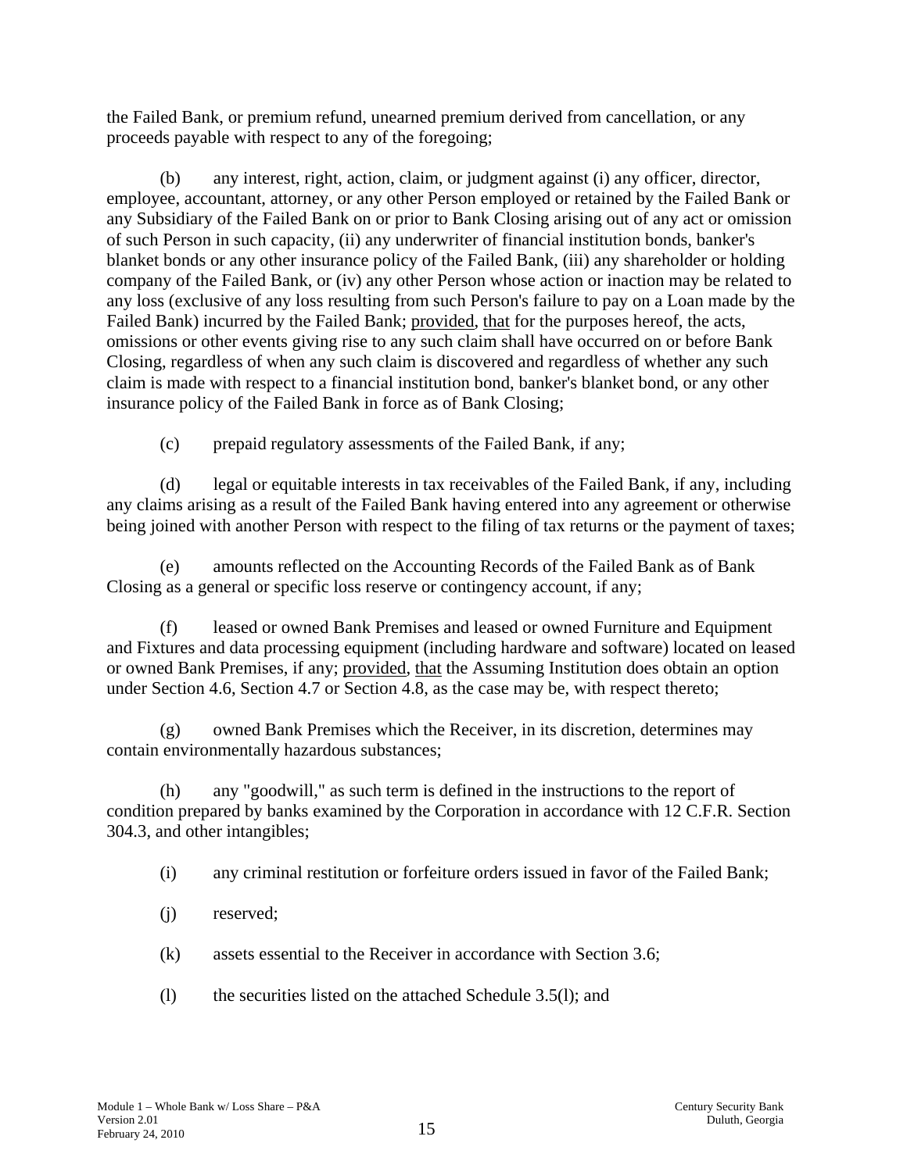the Failed Bank, or premium refund, unearned premium derived from cancellation, or any proceeds payable with respect to any of the foregoing;

(b) any interest, right, action, claim, or judgment against (i) any officer, director, employee, accountant, attorney, or any other Person employed or retained by the Failed Bank or any Subsidiary of the Failed Bank on or prior to Bank Closing arising out of any act or omission of such Person in such capacity, (ii) any underwriter of financial institution bonds, banker's blanket bonds or any other insurance policy of the Failed Bank, (iii) any shareholder or holding company of the Failed Bank, or (iv) any other Person whose action or inaction may be related to any loss (exclusive of any loss resulting from such Person's failure to pay on a Loan made by the Failed Bank) incurred by the Failed Bank; provided, that for the purposes hereof, the acts, omissions or other events giving rise to any such claim shall have occurred on or before Bank Closing, regardless of when any such claim is discovered and regardless of whether any such claim is made with respect to a financial institution bond, banker's blanket bond, or any other insurance policy of the Failed Bank in force as of Bank Closing;

(c) prepaid regulatory assessments of the Failed Bank, if any;

(d) legal or equitable interests in tax receivables of the Failed Bank, if any, including any claims arising as a result of the Failed Bank having entered into any agreement or otherwise being joined with another Person with respect to the filing of tax returns or the payment of taxes;

(e) amounts reflected on the Accounting Records of the Failed Bank as of Bank Closing as a general or specific loss reserve or contingency account, if any;

(f) leased or owned Bank Premises and leased or owned Furniture and Equipment and Fixtures and data processing equipment (including hardware and software) located on leased or owned Bank Premises, if any; provided, that the Assuming Institution does obtain an option under Section 4.6, Section 4.7 or Section 4.8, as the case may be, with respect thereto;

(g) owned Bank Premises which the Receiver, in its discretion, determines may contain environmentally hazardous substances;

(h) any "goodwill," as such term is defined in the instructions to the report of condition prepared by banks examined by the Corporation in accordance with 12 C.F.R. Section 304.3, and other intangibles;

- (i) any criminal restitution or forfeiture orders issued in favor of the Failed Bank;
- (j) reserved;
- (k) assets essential to the Receiver in accordance with Section 3.6;
- (l) the securities listed on the attached Schedule 3.5(l); and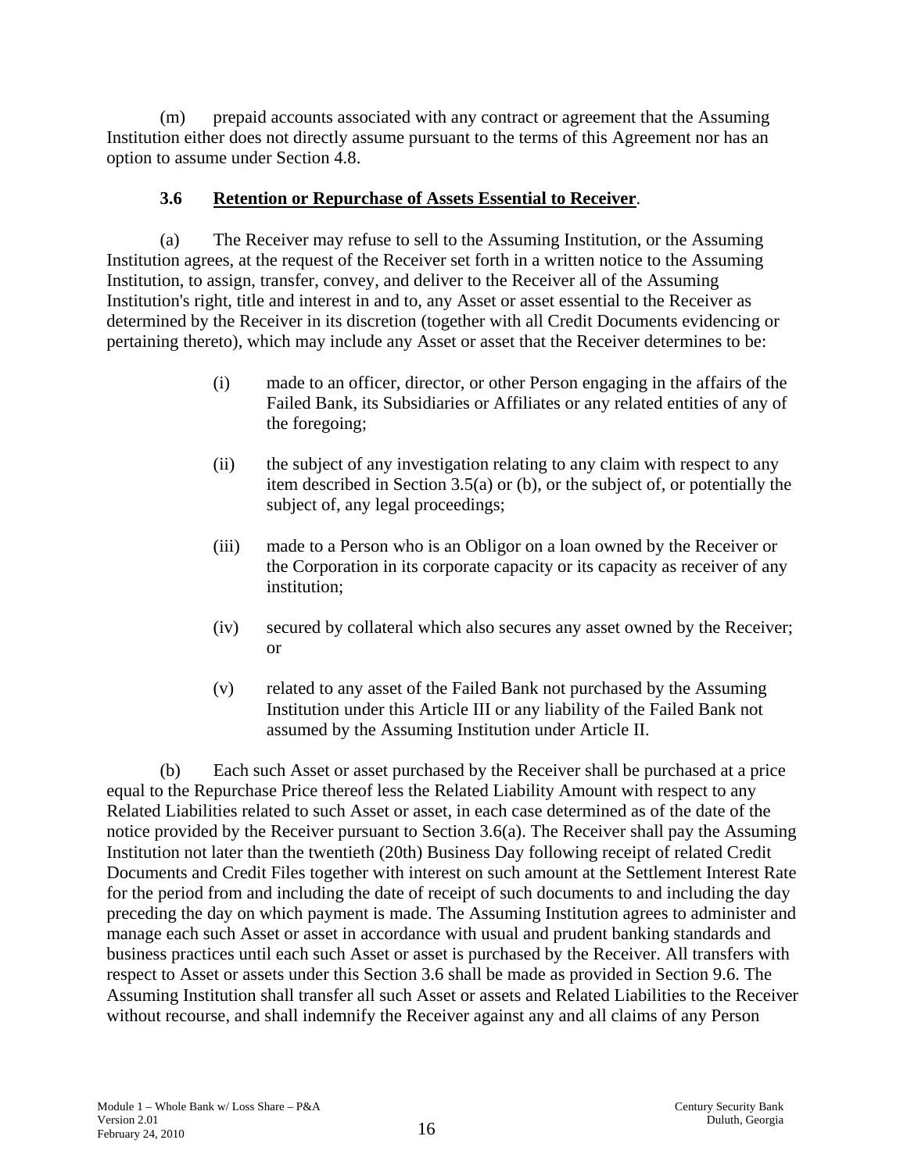(m) prepaid accounts associated with any contract or agreement that the Assuming Institution either does not directly assume pursuant to the terms of this Agreement nor has an option to assume under Section 4.8.

#### **3.6 Retention or Repurchase of Assets Essential to Receiver**.

(a) The Receiver may refuse to sell to the Assuming Institution, or the Assuming Institution agrees, at the request of the Receiver set forth in a written notice to the Assuming Institution, to assign, transfer, convey, and deliver to the Receiver all of the Assuming Institution's right, title and interest in and to, any Asset or asset essential to the Receiver as determined by the Receiver in its discretion (together with all Credit Documents evidencing or pertaining thereto), which may include any Asset or asset that the Receiver determines to be:

- (i) made to an officer, director, or other Person engaging in the affairs of the Failed Bank, its Subsidiaries or Affiliates or any related entities of any of the foregoing;
- (ii) the subject of any investigation relating to any claim with respect to any item described in Section 3.5(a) or (b), or the subject of, or potentially the subject of, any legal proceedings;
- (iii) made to a Person who is an Obligor on a loan owned by the Receiver or the Corporation in its corporate capacity or its capacity as receiver of any institution;
- (iv) secured by collateral which also secures any asset owned by the Receiver; or
- (v) related to any asset of the Failed Bank not purchased by the Assuming Institution under this Article III or any liability of the Failed Bank not assumed by the Assuming Institution under Article II.

(b) Each such Asset or asset purchased by the Receiver shall be purchased at a price equal to the Repurchase Price thereof less the Related Liability Amount with respect to any Related Liabilities related to such Asset or asset, in each case determined as of the date of the notice provided by the Receiver pursuant to Section 3.6(a). The Receiver shall pay the Assuming Institution not later than the twentieth (20th) Business Day following receipt of related Credit Documents and Credit Files together with interest on such amount at the Settlement Interest Rate for the period from and including the date of receipt of such documents to and including the day preceding the day on which payment is made. The Assuming Institution agrees to administer and manage each such Asset or asset in accordance with usual and prudent banking standards and business practices until each such Asset or asset is purchased by the Receiver. All transfers with respect to Asset or assets under this Section 3.6 shall be made as provided in Section 9.6. The Assuming Institution shall transfer all such Asset or assets and Related Liabilities to the Receiver without recourse, and shall indemnify the Receiver against any and all claims of any Person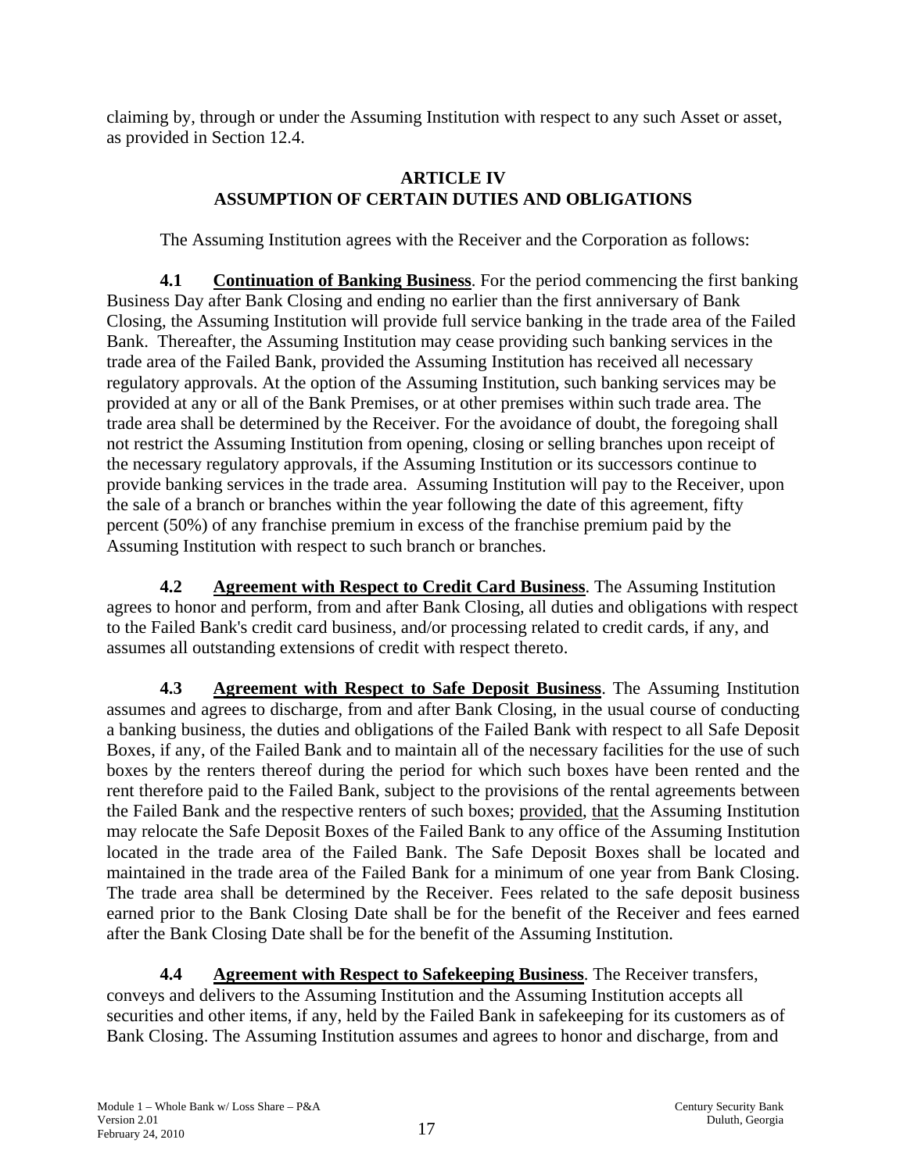claiming by, through or under the Assuming Institution with respect to any such Asset or asset, as provided in Section 12.4.

### **ARTICLE IV ASSUMPTION OF CERTAIN DUTIES AND OBLIGATIONS**

The Assuming Institution agrees with the Receiver and the Corporation as follows:

**4.1 Continuation of Banking Business**. For the period commencing the first banking Business Day after Bank Closing and ending no earlier than the first anniversary of Bank Closing, the Assuming Institution will provide full service banking in the trade area of the Failed Bank. Thereafter, the Assuming Institution may cease providing such banking services in the trade area of the Failed Bank, provided the Assuming Institution has received all necessary regulatory approvals. At the option of the Assuming Institution, such banking services may be provided at any or all of the Bank Premises, or at other premises within such trade area. The trade area shall be determined by the Receiver. For the avoidance of doubt, the foregoing shall not restrict the Assuming Institution from opening, closing or selling branches upon receipt of the necessary regulatory approvals, if the Assuming Institution or its successors continue to provide banking services in the trade area. Assuming Institution will pay to the Receiver, upon the sale of a branch or branches within the year following the date of this agreement, fifty percent (50%) of any franchise premium in excess of the franchise premium paid by the Assuming Institution with respect to such branch or branches.

**4.2 Agreement with Respect to Credit Card Business**. The Assuming Institution agrees to honor and perform, from and after Bank Closing, all duties and obligations with respect to the Failed Bank's credit card business, and/or processing related to credit cards, if any, and assumes all outstanding extensions of credit with respect thereto.

**4.3 Agreement with Respect to Safe Deposit Business**. The Assuming Institution assumes and agrees to discharge, from and after Bank Closing, in the usual course of conducting a banking business, the duties and obligations of the Failed Bank with respect to all Safe Deposit Boxes, if any, of the Failed Bank and to maintain all of the necessary facilities for the use of such boxes by the renters thereof during the period for which such boxes have been rented and the rent therefore paid to the Failed Bank, subject to the provisions of the rental agreements between the Failed Bank and the respective renters of such boxes; provided, that the Assuming Institution may relocate the Safe Deposit Boxes of the Failed Bank to any office of the Assuming Institution located in the trade area of the Failed Bank. The Safe Deposit Boxes shall be located and maintained in the trade area of the Failed Bank for a minimum of one year from Bank Closing. The trade area shall be determined by the Receiver. Fees related to the safe deposit business earned prior to the Bank Closing Date shall be for the benefit of the Receiver and fees earned after the Bank Closing Date shall be for the benefit of the Assuming Institution.

**4.4 Agreement with Respect to Safekeeping Business**. The Receiver transfers, conveys and delivers to the Assuming Institution and the Assuming Institution accepts all securities and other items, if any, held by the Failed Bank in safekeeping for its customers as of Bank Closing. The Assuming Institution assumes and agrees to honor and discharge, from and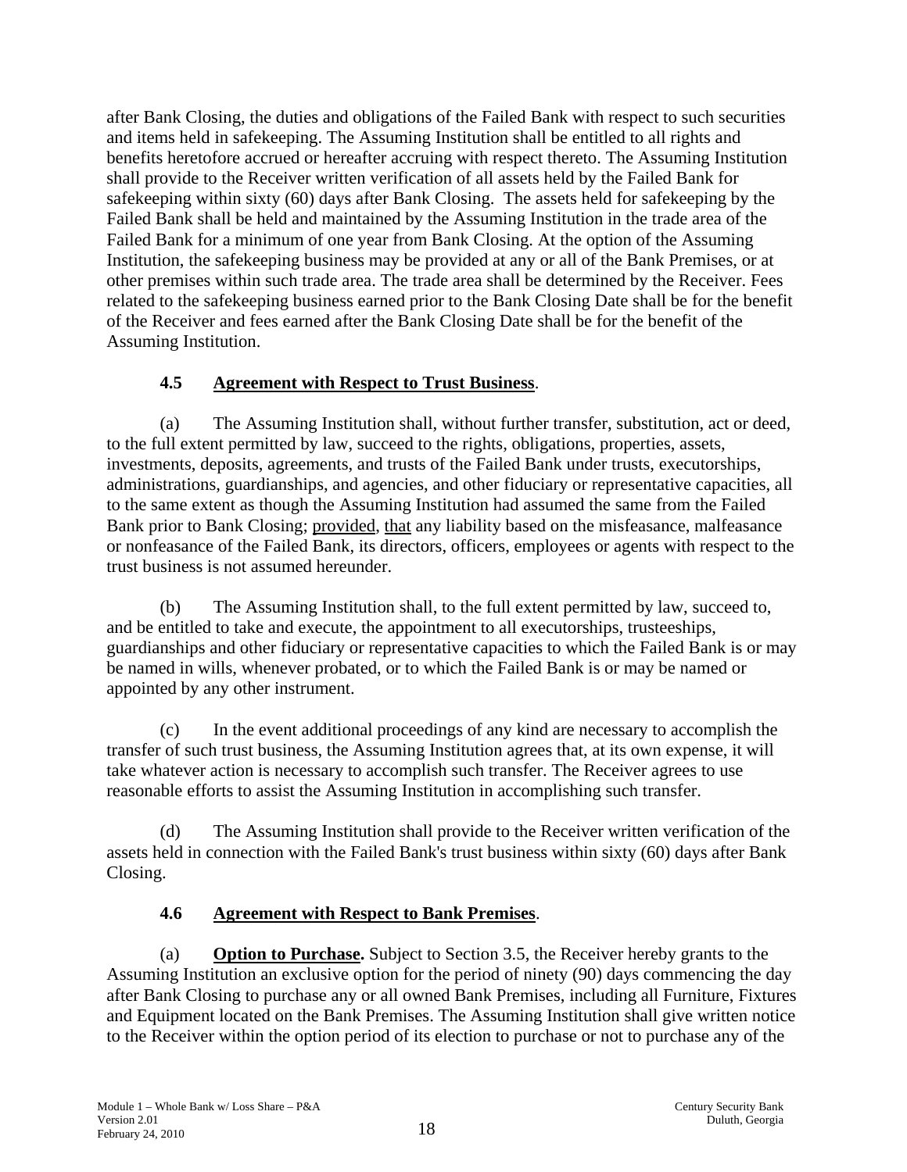after Bank Closing, the duties and obligations of the Failed Bank with respect to such securities and items held in safekeeping. The Assuming Institution shall be entitled to all rights and benefits heretofore accrued or hereafter accruing with respect thereto. The Assuming Institution shall provide to the Receiver written verification of all assets held by the Failed Bank for safekeeping within sixty (60) days after Bank Closing. The assets held for safekeeping by the Failed Bank shall be held and maintained by the Assuming Institution in the trade area of the Failed Bank for a minimum of one year from Bank Closing. At the option of the Assuming Institution, the safekeeping business may be provided at any or all of the Bank Premises, or at other premises within such trade area. The trade area shall be determined by the Receiver. Fees related to the safekeeping business earned prior to the Bank Closing Date shall be for the benefit of the Receiver and fees earned after the Bank Closing Date shall be for the benefit of the Assuming Institution.

# **4.5 Agreement with Respect to Trust Business**.

(a) The Assuming Institution shall, without further transfer, substitution, act or deed, to the full extent permitted by law, succeed to the rights, obligations, properties, assets, investments, deposits, agreements, and trusts of the Failed Bank under trusts, executorships, administrations, guardianships, and agencies, and other fiduciary or representative capacities, all to the same extent as though the Assuming Institution had assumed the same from the Failed Bank prior to Bank Closing; provided, that any liability based on the misfeasance, malfeasance or nonfeasance of the Failed Bank, its directors, officers, employees or agents with respect to the trust business is not assumed hereunder.

(b) The Assuming Institution shall, to the full extent permitted by law, succeed to, and be entitled to take and execute, the appointment to all executorships, trusteeships, guardianships and other fiduciary or representative capacities to which the Failed Bank is or may be named in wills, whenever probated, or to which the Failed Bank is or may be named or appointed by any other instrument.

(c) In the event additional proceedings of any kind are necessary to accomplish the transfer of such trust business, the Assuming Institution agrees that, at its own expense, it will take whatever action is necessary to accomplish such transfer. The Receiver agrees to use reasonable efforts to assist the Assuming Institution in accomplishing such transfer.

(d) The Assuming Institution shall provide to the Receiver written verification of the assets held in connection with the Failed Bank's trust business within sixty (60) days after Bank Closing.

# **4.6 Agreement with Respect to Bank Premises**.

(a) **Option to Purchase.** Subject to Section 3.5, the Receiver hereby grants to the Assuming Institution an exclusive option for the period of ninety (90) days commencing the day after Bank Closing to purchase any or all owned Bank Premises, including all Furniture, Fixtures and Equipment located on the Bank Premises. The Assuming Institution shall give written notice to the Receiver within the option period of its election to purchase or not to purchase any of the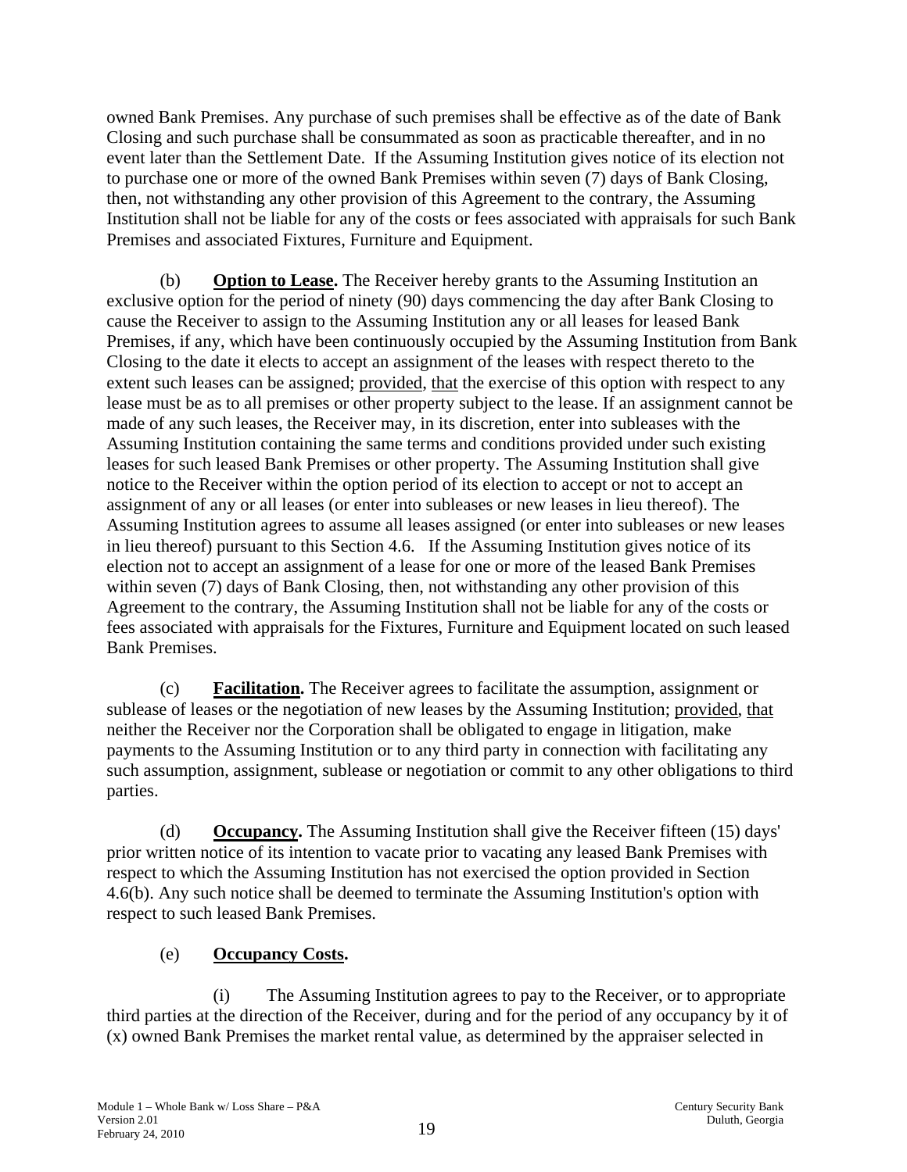owned Bank Premises. Any purchase of such premises shall be effective as of the date of Bank Closing and such purchase shall be consummated as soon as practicable thereafter, and in no event later than the Settlement Date. If the Assuming Institution gives notice of its election not to purchase one or more of the owned Bank Premises within seven (7) days of Bank Closing, then, not withstanding any other provision of this Agreement to the contrary, the Assuming Institution shall not be liable for any of the costs or fees associated with appraisals for such Bank Premises and associated Fixtures, Furniture and Equipment.

(b) **Option to Lease.** The Receiver hereby grants to the Assuming Institution an exclusive option for the period of ninety (90) days commencing the day after Bank Closing to cause the Receiver to assign to the Assuming Institution any or all leases for leased Bank Premises, if any, which have been continuously occupied by the Assuming Institution from Bank Closing to the date it elects to accept an assignment of the leases with respect thereto to the extent such leases can be assigned; provided, that the exercise of this option with respect to any lease must be as to all premises or other property subject to the lease. If an assignment cannot be made of any such leases, the Receiver may, in its discretion, enter into subleases with the Assuming Institution containing the same terms and conditions provided under such existing leases for such leased Bank Premises or other property. The Assuming Institution shall give notice to the Receiver within the option period of its election to accept or not to accept an assignment of any or all leases (or enter into subleases or new leases in lieu thereof). The Assuming Institution agrees to assume all leases assigned (or enter into subleases or new leases in lieu thereof) pursuant to this Section 4.6. If the Assuming Institution gives notice of its election not to accept an assignment of a lease for one or more of the leased Bank Premises within seven (7) days of Bank Closing, then, not withstanding any other provision of this Agreement to the contrary, the Assuming Institution shall not be liable for any of the costs or fees associated with appraisals for the Fixtures, Furniture and Equipment located on such leased Bank Premises.

(c) **Facilitation.** The Receiver agrees to facilitate the assumption, assignment or sublease of leases or the negotiation of new leases by the Assuming Institution; provided, that neither the Receiver nor the Corporation shall be obligated to engage in litigation, make payments to the Assuming Institution or to any third party in connection with facilitating any such assumption, assignment, sublease or negotiation or commit to any other obligations to third parties.

(d) **Occupancy.** The Assuming Institution shall give the Receiver fifteen (15) days' prior written notice of its intention to vacate prior to vacating any leased Bank Premises with respect to which the Assuming Institution has not exercised the option provided in Section 4.6(b). Any such notice shall be deemed to terminate the Assuming Institution's option with respect to such leased Bank Premises.

## (e) **Occupancy Costs.**

(i) The Assuming Institution agrees to pay to the Receiver, or to appropriate third parties at the direction of the Receiver, during and for the period of any occupancy by it of (x) owned Bank Premises the market rental value, as determined by the appraiser selected in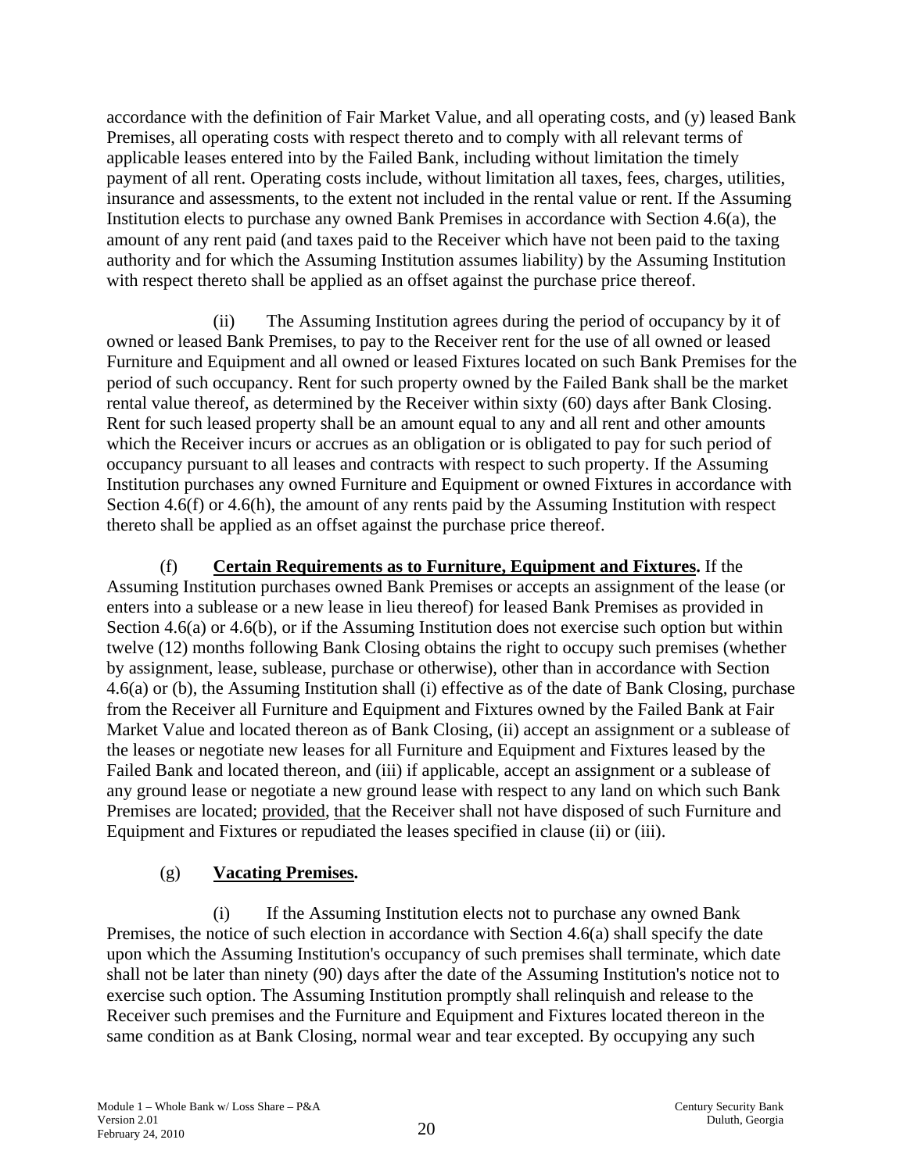accordance with the definition of Fair Market Value, and all operating costs, and (y) leased Bank Premises, all operating costs with respect thereto and to comply with all relevant terms of applicable leases entered into by the Failed Bank, including without limitation the timely payment of all rent. Operating costs include, without limitation all taxes, fees, charges, utilities, insurance and assessments, to the extent not included in the rental value or rent. If the Assuming Institution elects to purchase any owned Bank Premises in accordance with Section 4.6(a), the amount of any rent paid (and taxes paid to the Receiver which have not been paid to the taxing authority and for which the Assuming Institution assumes liability) by the Assuming Institution with respect thereto shall be applied as an offset against the purchase price thereof.

(ii) The Assuming Institution agrees during the period of occupancy by it of owned or leased Bank Premises, to pay to the Receiver rent for the use of all owned or leased Furniture and Equipment and all owned or leased Fixtures located on such Bank Premises for the period of such occupancy. Rent for such property owned by the Failed Bank shall be the market rental value thereof, as determined by the Receiver within sixty (60) days after Bank Closing. Rent for such leased property shall be an amount equal to any and all rent and other amounts which the Receiver incurs or accrues as an obligation or is obligated to pay for such period of occupancy pursuant to all leases and contracts with respect to such property. If the Assuming Institution purchases any owned Furniture and Equipment or owned Fixtures in accordance with Section 4.6(f) or 4.6(h), the amount of any rents paid by the Assuming Institution with respect thereto shall be applied as an offset against the purchase price thereof.

(f) **Certain Requirements as to Furniture, Equipment and Fixtures.** If the Assuming Institution purchases owned Bank Premises or accepts an assignment of the lease (or enters into a sublease or a new lease in lieu thereof) for leased Bank Premises as provided in Section 4.6(a) or 4.6(b), or if the Assuming Institution does not exercise such option but within twelve (12) months following Bank Closing obtains the right to occupy such premises (whether by assignment, lease, sublease, purchase or otherwise), other than in accordance with Section 4.6(a) or (b), the Assuming Institution shall (i) effective as of the date of Bank Closing, purchase from the Receiver all Furniture and Equipment and Fixtures owned by the Failed Bank at Fair Market Value and located thereon as of Bank Closing, (ii) accept an assignment or a sublease of the leases or negotiate new leases for all Furniture and Equipment and Fixtures leased by the Failed Bank and located thereon, and (iii) if applicable, accept an assignment or a sublease of any ground lease or negotiate a new ground lease with respect to any land on which such Bank Premises are located; provided, that the Receiver shall not have disposed of such Furniture and Equipment and Fixtures or repudiated the leases specified in clause (ii) or (iii).

## (g) **Vacating Premises.**

(i) If the Assuming Institution elects not to purchase any owned Bank Premises, the notice of such election in accordance with Section 4.6(a) shall specify the date upon which the Assuming Institution's occupancy of such premises shall terminate, which date shall not be later than ninety (90) days after the date of the Assuming Institution's notice not to exercise such option. The Assuming Institution promptly shall relinquish and release to the Receiver such premises and the Furniture and Equipment and Fixtures located thereon in the same condition as at Bank Closing, normal wear and tear excepted. By occupying any such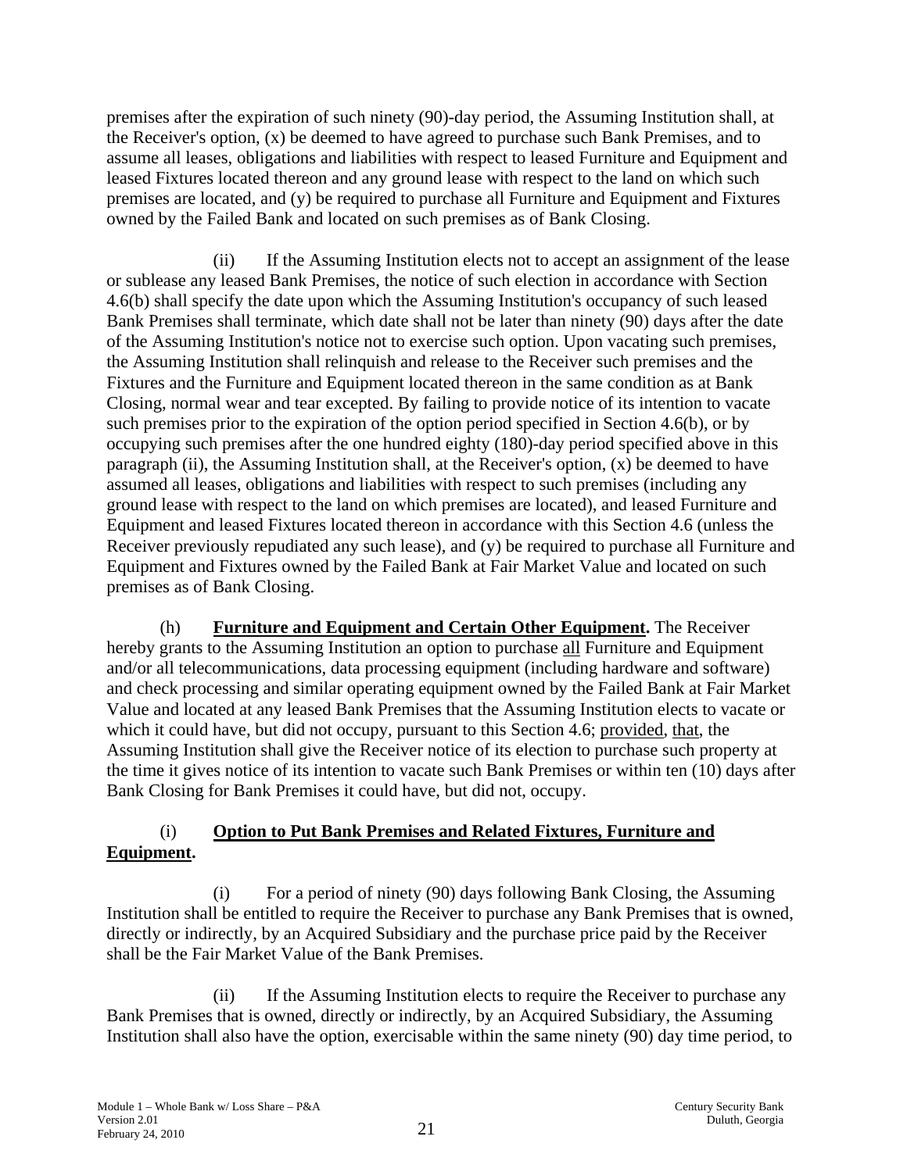premises after the expiration of such ninety (90)-day period, the Assuming Institution shall, at the Receiver's option, (x) be deemed to have agreed to purchase such Bank Premises, and to assume all leases, obligations and liabilities with respect to leased Furniture and Equipment and leased Fixtures located thereon and any ground lease with respect to the land on which such premises are located, and (y) be required to purchase all Furniture and Equipment and Fixtures owned by the Failed Bank and located on such premises as of Bank Closing.

(ii) If the Assuming Institution elects not to accept an assignment of the lease or sublease any leased Bank Premises, the notice of such election in accordance with Section 4.6(b) shall specify the date upon which the Assuming Institution's occupancy of such leased Bank Premises shall terminate, which date shall not be later than ninety (90) days after the date of the Assuming Institution's notice not to exercise such option. Upon vacating such premises, the Assuming Institution shall relinquish and release to the Receiver such premises and the Fixtures and the Furniture and Equipment located thereon in the same condition as at Bank Closing, normal wear and tear excepted. By failing to provide notice of its intention to vacate such premises prior to the expiration of the option period specified in Section 4.6(b), or by occupying such premises after the one hundred eighty (180)-day period specified above in this paragraph (ii), the Assuming Institution shall, at the Receiver's option, (x) be deemed to have assumed all leases, obligations and liabilities with respect to such premises (including any ground lease with respect to the land on which premises are located), and leased Furniture and Equipment and leased Fixtures located thereon in accordance with this Section 4.6 (unless the Receiver previously repudiated any such lease), and (y) be required to purchase all Furniture and Equipment and Fixtures owned by the Failed Bank at Fair Market Value and located on such premises as of Bank Closing.

(h) **Furniture and Equipment and Certain Other Equipment.** The Receiver hereby grants to the Assuming Institution an option to purchase all Furniture and Equipment and/or all telecommunications, data processing equipment (including hardware and software) and check processing and similar operating equipment owned by the Failed Bank at Fair Market Value and located at any leased Bank Premises that the Assuming Institution elects to vacate or which it could have, but did not occupy, pursuant to this Section 4.6; provided, that, the Assuming Institution shall give the Receiver notice of its election to purchase such property at the time it gives notice of its intention to vacate such Bank Premises or within ten (10) days after Bank Closing for Bank Premises it could have, but did not, occupy.

## (i) **Option to Put Bank Premises and Related Fixtures, Furniture and Equipment.**

(i) For a period of ninety (90) days following Bank Closing, the Assuming Institution shall be entitled to require the Receiver to purchase any Bank Premises that is owned, directly or indirectly, by an Acquired Subsidiary and the purchase price paid by the Receiver shall be the Fair Market Value of the Bank Premises.

(ii) If the Assuming Institution elects to require the Receiver to purchase any Bank Premises that is owned, directly or indirectly, by an Acquired Subsidiary, the Assuming Institution shall also have the option, exercisable within the same ninety (90) day time period, to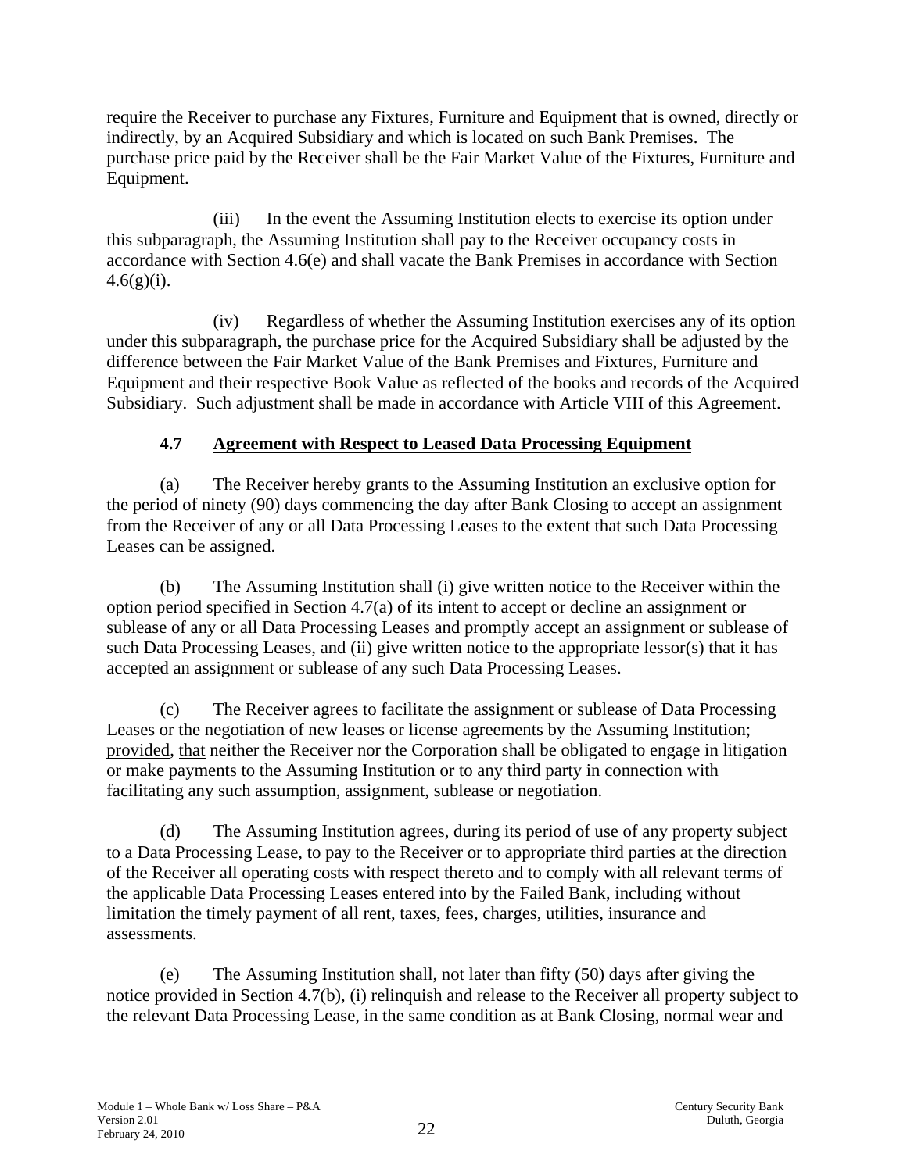require the Receiver to purchase any Fixtures, Furniture and Equipment that is owned, directly or indirectly, by an Acquired Subsidiary and which is located on such Bank Premises. The purchase price paid by the Receiver shall be the Fair Market Value of the Fixtures, Furniture and Equipment.

(iii) In the event the Assuming Institution elects to exercise its option under this subparagraph, the Assuming Institution shall pay to the Receiver occupancy costs in accordance with Section 4.6(e) and shall vacate the Bank Premises in accordance with Section  $4.6(g)(i)$ .

(iv) Regardless of whether the Assuming Institution exercises any of its option under this subparagraph, the purchase price for the Acquired Subsidiary shall be adjusted by the difference between the Fair Market Value of the Bank Premises and Fixtures, Furniture and Equipment and their respective Book Value as reflected of the books and records of the Acquired Subsidiary. Such adjustment shall be made in accordance with Article VIII of this Agreement.

# **4.7 Agreement with Respect to Leased Data Processing Equipment**

(a) The Receiver hereby grants to the Assuming Institution an exclusive option for the period of ninety (90) days commencing the day after Bank Closing to accept an assignment from the Receiver of any or all Data Processing Leases to the extent that such Data Processing Leases can be assigned.

(b) The Assuming Institution shall (i) give written notice to the Receiver within the option period specified in Section 4.7(a) of its intent to accept or decline an assignment or sublease of any or all Data Processing Leases and promptly accept an assignment or sublease of such Data Processing Leases, and (ii) give written notice to the appropriate lessor(s) that it has accepted an assignment or sublease of any such Data Processing Leases.

(c) The Receiver agrees to facilitate the assignment or sublease of Data Processing Leases or the negotiation of new leases or license agreements by the Assuming Institution; provided, that neither the Receiver nor the Corporation shall be obligated to engage in litigation or make payments to the Assuming Institution or to any third party in connection with facilitating any such assumption, assignment, sublease or negotiation.

(d) The Assuming Institution agrees, during its period of use of any property subject to a Data Processing Lease, to pay to the Receiver or to appropriate third parties at the direction of the Receiver all operating costs with respect thereto and to comply with all relevant terms of the applicable Data Processing Leases entered into by the Failed Bank, including without limitation the timely payment of all rent, taxes, fees, charges, utilities, insurance and assessments.

(e) The Assuming Institution shall, not later than fifty (50) days after giving the notice provided in Section 4.7(b), (i) relinquish and release to the Receiver all property subject to the relevant Data Processing Lease, in the same condition as at Bank Closing, normal wear and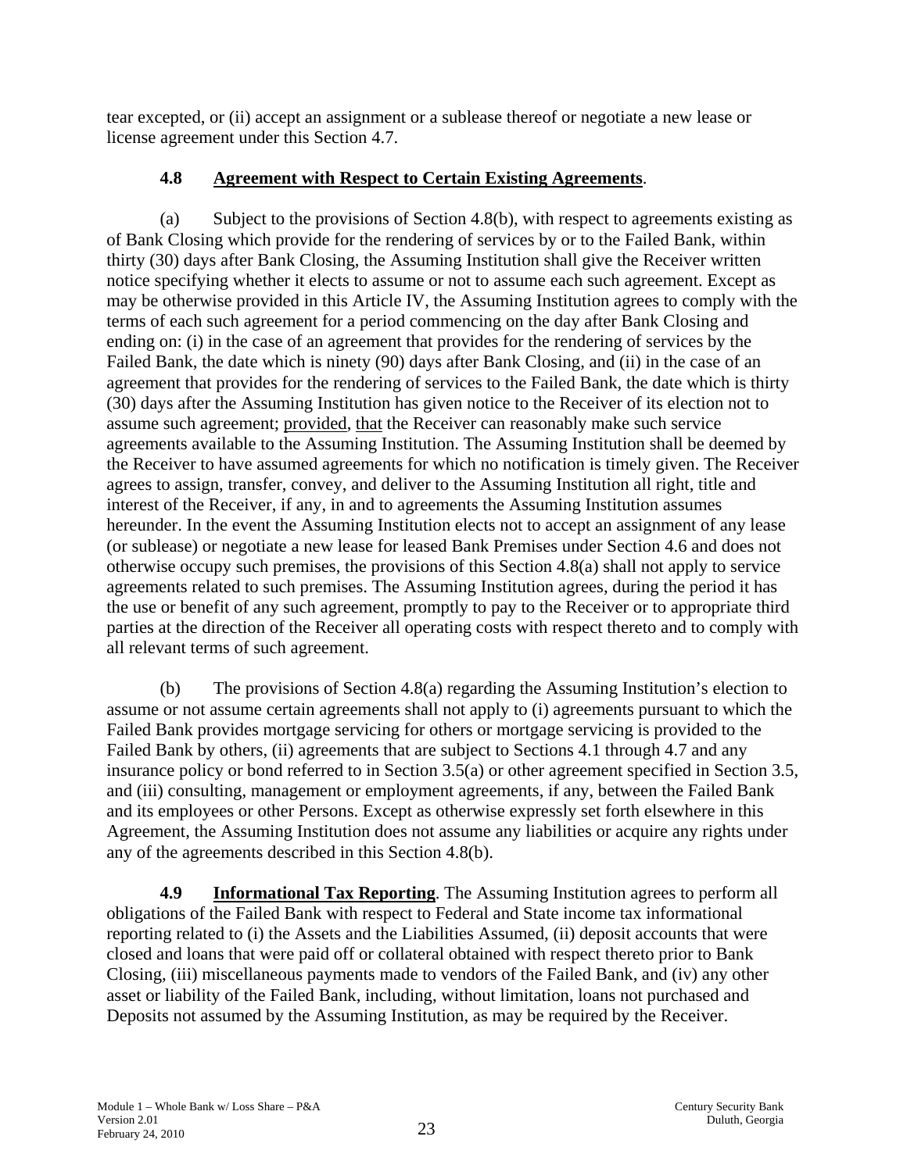tear excepted, or (ii) accept an assignment or a sublease thereof or negotiate a new lease or license agreement under this Section 4.7.

## **4.8 Agreement with Respect to Certain Existing Agreements**.

(a) Subject to the provisions of Section 4.8(b), with respect to agreements existing as of Bank Closing which provide for the rendering of services by or to the Failed Bank, within thirty (30) days after Bank Closing, the Assuming Institution shall give the Receiver written notice specifying whether it elects to assume or not to assume each such agreement. Except as may be otherwise provided in this Article IV, the Assuming Institution agrees to comply with the terms of each such agreement for a period commencing on the day after Bank Closing and ending on: (i) in the case of an agreement that provides for the rendering of services by the Failed Bank, the date which is ninety (90) days after Bank Closing, and (ii) in the case of an agreement that provides for the rendering of services to the Failed Bank, the date which is thirty (30) days after the Assuming Institution has given notice to the Receiver of its election not to assume such agreement; provided, that the Receiver can reasonably make such service agreements available to the Assuming Institution. The Assuming Institution shall be deemed by the Receiver to have assumed agreements for which no notification is timely given. The Receiver agrees to assign, transfer, convey, and deliver to the Assuming Institution all right, title and interest of the Receiver, if any, in and to agreements the Assuming Institution assumes hereunder. In the event the Assuming Institution elects not to accept an assignment of any lease (or sublease) or negotiate a new lease for leased Bank Premises under Section 4.6 and does not otherwise occupy such premises, the provisions of this Section 4.8(a) shall not apply to service agreements related to such premises. The Assuming Institution agrees, during the period it has the use or benefit of any such agreement, promptly to pay to the Receiver or to appropriate third parties at the direction of the Receiver all operating costs with respect thereto and to comply with all relevant terms of such agreement.

(b) The provisions of Section 4.8(a) regarding the Assuming Institution's election to assume or not assume certain agreements shall not apply to (i) agreements pursuant to which the Failed Bank provides mortgage servicing for others or mortgage servicing is provided to the Failed Bank by others, (ii) agreements that are subject to Sections 4.1 through 4.7 and any insurance policy or bond referred to in Section 3.5(a) or other agreement specified in Section 3.5, and (iii) consulting, management or employment agreements, if any, between the Failed Bank and its employees or other Persons. Except as otherwise expressly set forth elsewhere in this Agreement, the Assuming Institution does not assume any liabilities or acquire any rights under any of the agreements described in this Section 4.8(b).

**4.9 Informational Tax Reporting**. The Assuming Institution agrees to perform all obligations of the Failed Bank with respect to Federal and State income tax informational reporting related to (i) the Assets and the Liabilities Assumed, (ii) deposit accounts that were closed and loans that were paid off or collateral obtained with respect thereto prior to Bank Closing, (iii) miscellaneous payments made to vendors of the Failed Bank, and (iv) any other asset or liability of the Failed Bank, including, without limitation, loans not purchased and Deposits not assumed by the Assuming Institution, as may be required by the Receiver.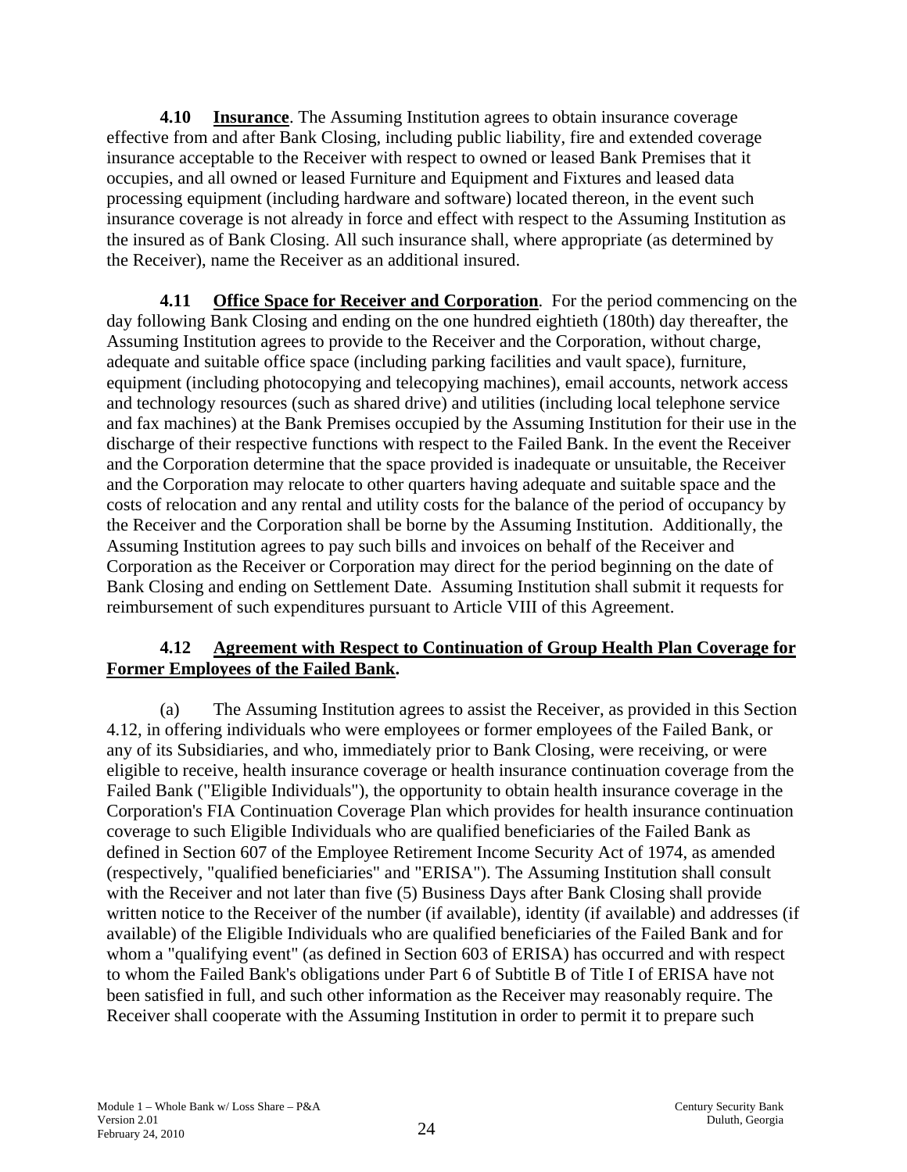**4.10 Insurance**. The Assuming Institution agrees to obtain insurance coverage effective from and after Bank Closing, including public liability, fire and extended coverage insurance acceptable to the Receiver with respect to owned or leased Bank Premises that it occupies, and all owned or leased Furniture and Equipment and Fixtures and leased data processing equipment (including hardware and software) located thereon, in the event such insurance coverage is not already in force and effect with respect to the Assuming Institution as the insured as of Bank Closing. All such insurance shall, where appropriate (as determined by the Receiver), name the Receiver as an additional insured.

**4.11 Office Space for Receiver and Corporation**. For the period commencing on the day following Bank Closing and ending on the one hundred eightieth (180th) day thereafter, the Assuming Institution agrees to provide to the Receiver and the Corporation, without charge, adequate and suitable office space (including parking facilities and vault space), furniture, equipment (including photocopying and telecopying machines), email accounts, network access and technology resources (such as shared drive) and utilities (including local telephone service and fax machines) at the Bank Premises occupied by the Assuming Institution for their use in the discharge of their respective functions with respect to the Failed Bank. In the event the Receiver and the Corporation determine that the space provided is inadequate or unsuitable, the Receiver and the Corporation may relocate to other quarters having adequate and suitable space and the costs of relocation and any rental and utility costs for the balance of the period of occupancy by the Receiver and the Corporation shall be borne by the Assuming Institution. Additionally, the Assuming Institution agrees to pay such bills and invoices on behalf of the Receiver and Corporation as the Receiver or Corporation may direct for the period beginning on the date of Bank Closing and ending on Settlement Date. Assuming Institution shall submit it requests for reimbursement of such expenditures pursuant to Article VIII of this Agreement.

### **4.12 Agreement with Respect to Continuation of Group Health Plan Coverage for Former Employees of the Failed Bank.**

(a) The Assuming Institution agrees to assist the Receiver, as provided in this Section 4.12, in offering individuals who were employees or former employees of the Failed Bank, or any of its Subsidiaries, and who, immediately prior to Bank Closing, were receiving, or were eligible to receive, health insurance coverage or health insurance continuation coverage from the Failed Bank ("Eligible Individuals"), the opportunity to obtain health insurance coverage in the Corporation's FIA Continuation Coverage Plan which provides for health insurance continuation coverage to such Eligible Individuals who are qualified beneficiaries of the Failed Bank as defined in Section 607 of the Employee Retirement Income Security Act of 1974, as amended (respectively, "qualified beneficiaries" and "ERISA"). The Assuming Institution shall consult with the Receiver and not later than five (5) Business Days after Bank Closing shall provide written notice to the Receiver of the number (if available), identity (if available) and addresses (if available) of the Eligible Individuals who are qualified beneficiaries of the Failed Bank and for whom a "qualifying event" (as defined in Section 603 of ERISA) has occurred and with respect to whom the Failed Bank's obligations under Part 6 of Subtitle B of Title I of ERISA have not been satisfied in full, and such other information as the Receiver may reasonably require. The Receiver shall cooperate with the Assuming Institution in order to permit it to prepare such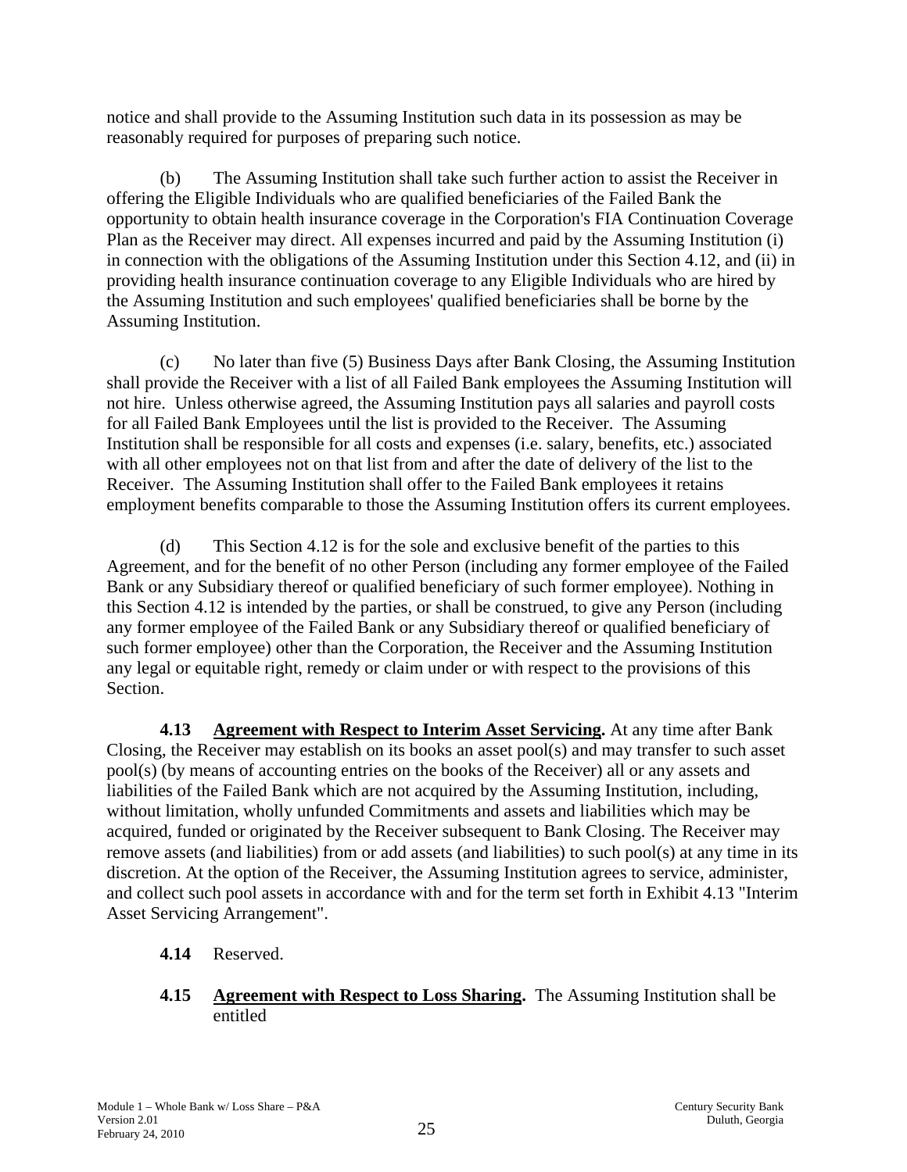notice and shall provide to the Assuming Institution such data in its possession as may be reasonably required for purposes of preparing such notice.

(b) The Assuming Institution shall take such further action to assist the Receiver in offering the Eligible Individuals who are qualified beneficiaries of the Failed Bank the opportunity to obtain health insurance coverage in the Corporation's FIA Continuation Coverage Plan as the Receiver may direct. All expenses incurred and paid by the Assuming Institution (i) in connection with the obligations of the Assuming Institution under this Section 4.12, and (ii) in providing health insurance continuation coverage to any Eligible Individuals who are hired by the Assuming Institution and such employees' qualified beneficiaries shall be borne by the Assuming Institution.

(c) No later than five (5) Business Days after Bank Closing, the Assuming Institution shall provide the Receiver with a list of all Failed Bank employees the Assuming Institution will not hire. Unless otherwise agreed, the Assuming Institution pays all salaries and payroll costs for all Failed Bank Employees until the list is provided to the Receiver. The Assuming Institution shall be responsible for all costs and expenses (i.e. salary, benefits, etc.) associated with all other employees not on that list from and after the date of delivery of the list to the Receiver. The Assuming Institution shall offer to the Failed Bank employees it retains employment benefits comparable to those the Assuming Institution offers its current employees.

(d) This Section 4.12 is for the sole and exclusive benefit of the parties to this Agreement, and for the benefit of no other Person (including any former employee of the Failed Bank or any Subsidiary thereof or qualified beneficiary of such former employee). Nothing in this Section 4.12 is intended by the parties, or shall be construed, to give any Person (including any former employee of the Failed Bank or any Subsidiary thereof or qualified beneficiary of such former employee) other than the Corporation, the Receiver and the Assuming Institution any legal or equitable right, remedy or claim under or with respect to the provisions of this Section.

**4.13 Agreement with Respect to Interim Asset Servicing.** At any time after Bank Closing, the Receiver may establish on its books an asset pool(s) and may transfer to such asset pool(s) (by means of accounting entries on the books of the Receiver) all or any assets and liabilities of the Failed Bank which are not acquired by the Assuming Institution, including, without limitation, wholly unfunded Commitments and assets and liabilities which may be acquired, funded or originated by the Receiver subsequent to Bank Closing. The Receiver may remove assets (and liabilities) from or add assets (and liabilities) to such pool(s) at any time in its discretion. At the option of the Receiver, the Assuming Institution agrees to service, administer, and collect such pool assets in accordance with and for the term set forth in Exhibit 4.13 "Interim Asset Servicing Arrangement".

## **4.14** Reserved.

**4.15 Agreement with Respect to Loss Sharing.** The Assuming Institution shall be entitled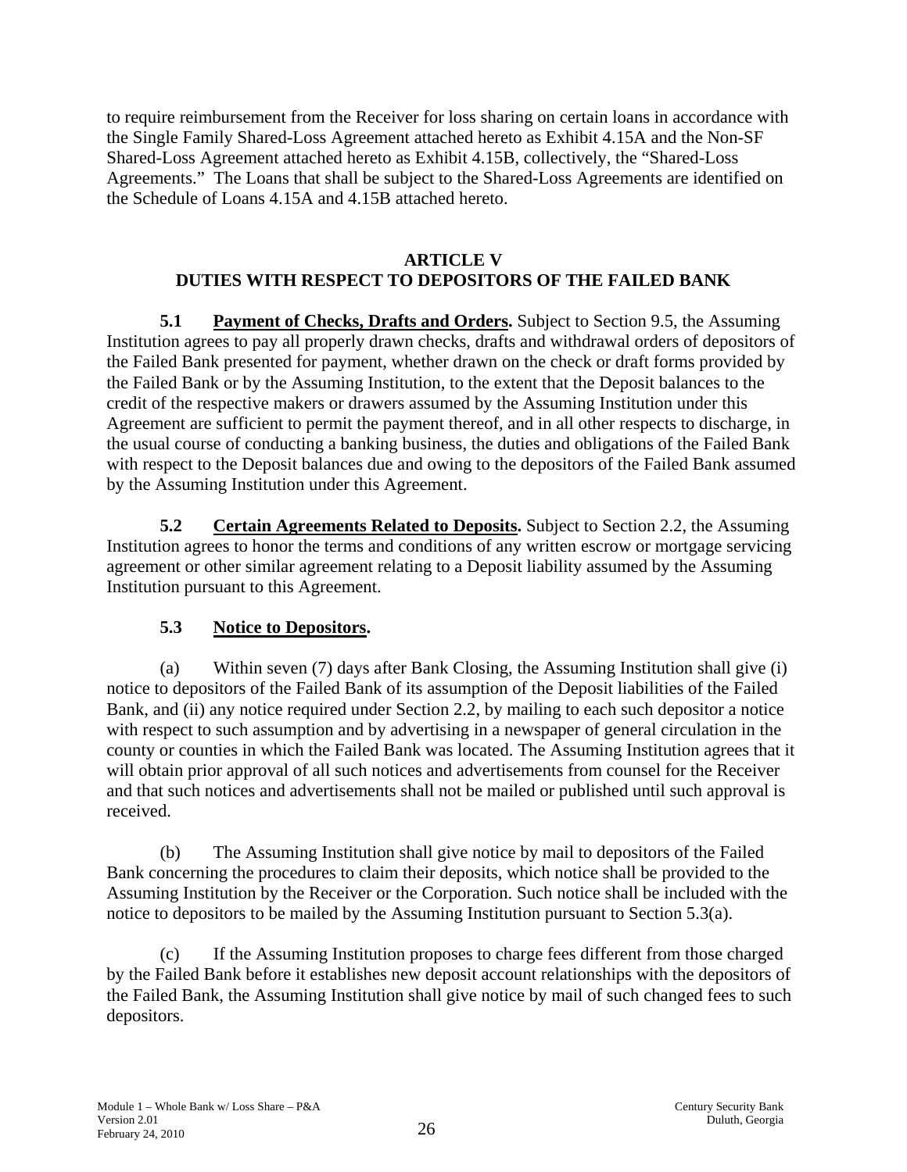to require reimbursement from the Receiver for loss sharing on certain loans in accordance with the Single Family Shared-Loss Agreement attached hereto as Exhibit 4.15A and the Non-SF Shared-Loss Agreement attached hereto as Exhibit 4.15B, collectively, the "Shared-Loss Agreements." The Loans that shall be subject to the Shared-Loss Agreements are identified on the Schedule of Loans 4.15A and 4.15B attached hereto.

### **ARTICLE V DUTIES WITH RESPECT TO DEPOSITORS OF THE FAILED BANK**

**5.1** Payment of Checks, Drafts and Orders. Subject to Section 9.5, the Assuming Institution agrees to pay all properly drawn checks, drafts and withdrawal orders of depositors of the Failed Bank presented for payment, whether drawn on the check or draft forms provided by the Failed Bank or by the Assuming Institution, to the extent that the Deposit balances to the credit of the respective makers or drawers assumed by the Assuming Institution under this Agreement are sufficient to permit the payment thereof, and in all other respects to discharge, in the usual course of conducting a banking business, the duties and obligations of the Failed Bank with respect to the Deposit balances due and owing to the depositors of the Failed Bank assumed by the Assuming Institution under this Agreement.

**5.2 Certain Agreements Related to Deposits.** Subject to Section 2.2, the Assuming Institution agrees to honor the terms and conditions of any written escrow or mortgage servicing agreement or other similar agreement relating to a Deposit liability assumed by the Assuming Institution pursuant to this Agreement.

## **5.3 Notice to Depositors.**

(a) Within seven (7) days after Bank Closing, the Assuming Institution shall give (i) notice to depositors of the Failed Bank of its assumption of the Deposit liabilities of the Failed Bank, and (ii) any notice required under Section 2.2, by mailing to each such depositor a notice with respect to such assumption and by advertising in a newspaper of general circulation in the county or counties in which the Failed Bank was located. The Assuming Institution agrees that it will obtain prior approval of all such notices and advertisements from counsel for the Receiver and that such notices and advertisements shall not be mailed or published until such approval is received.

(b) The Assuming Institution shall give notice by mail to depositors of the Failed Bank concerning the procedures to claim their deposits, which notice shall be provided to the Assuming Institution by the Receiver or the Corporation. Such notice shall be included with the notice to depositors to be mailed by the Assuming Institution pursuant to Section 5.3(a).

(c) If the Assuming Institution proposes to charge fees different from those charged by the Failed Bank before it establishes new deposit account relationships with the depositors of the Failed Bank, the Assuming Institution shall give notice by mail of such changed fees to such depositors.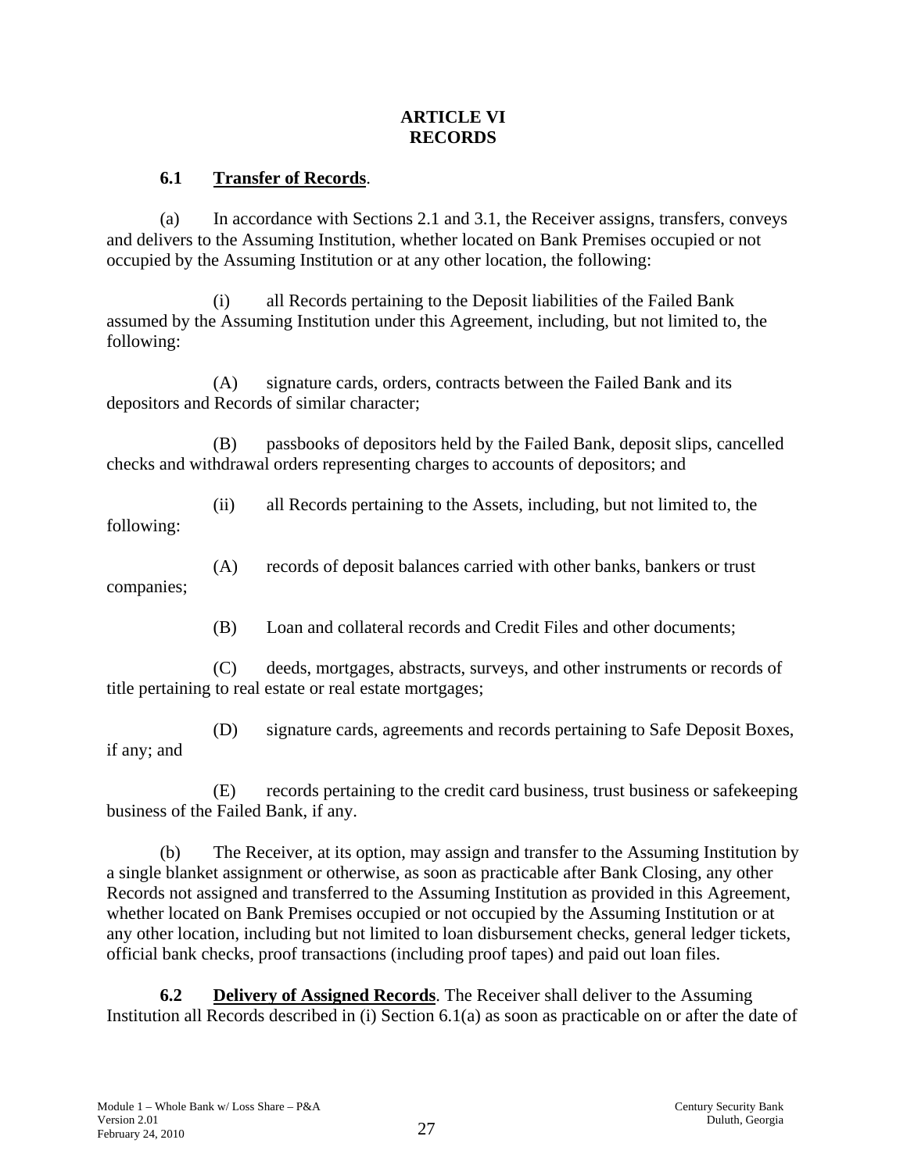#### **ARTICLE VI RECORDS**

## **6.1 Transfer of Records**.

(a) In accordance with Sections 2.1 and 3.1, the Receiver assigns, transfers, conveys and delivers to the Assuming Institution, whether located on Bank Premises occupied or not occupied by the Assuming Institution or at any other location, the following:

(i) all Records pertaining to the Deposit liabilities of the Failed Bank assumed by the Assuming Institution under this Agreement, including, but not limited to, the following:

(A) signature cards, orders, contracts between the Failed Bank and its depositors and Records of similar character;

(B) passbooks of depositors held by the Failed Bank, deposit slips, cancelled checks and withdrawal orders representing charges to accounts of depositors; and

following: (ii) all Records pertaining to the Assets, including, but not limited to, the

companies; (A) records of deposit balances carried with other banks, bankers or trust

(B) Loan and collateral records and Credit Files and other documents;

(C) deeds, mortgages, abstracts, surveys, and other instruments or records of title pertaining to real estate or real estate mortgages;

(D) signature cards, agreements and records pertaining to Safe Deposit Boxes, if any; and

(E) records pertaining to the credit card business, trust business or safekeeping business of the Failed Bank, if any.

(b) The Receiver, at its option, may assign and transfer to the Assuming Institution by a single blanket assignment or otherwise, as soon as practicable after Bank Closing, any other Records not assigned and transferred to the Assuming Institution as provided in this Agreement, whether located on Bank Premises occupied or not occupied by the Assuming Institution or at any other location, including but not limited to loan disbursement checks, general ledger tickets, official bank checks, proof transactions (including proof tapes) and paid out loan files.

**6.2 Delivery of Assigned Records**. The Receiver shall deliver to the Assuming Institution all Records described in (i) Section 6.1(a) as soon as practicable on or after the date of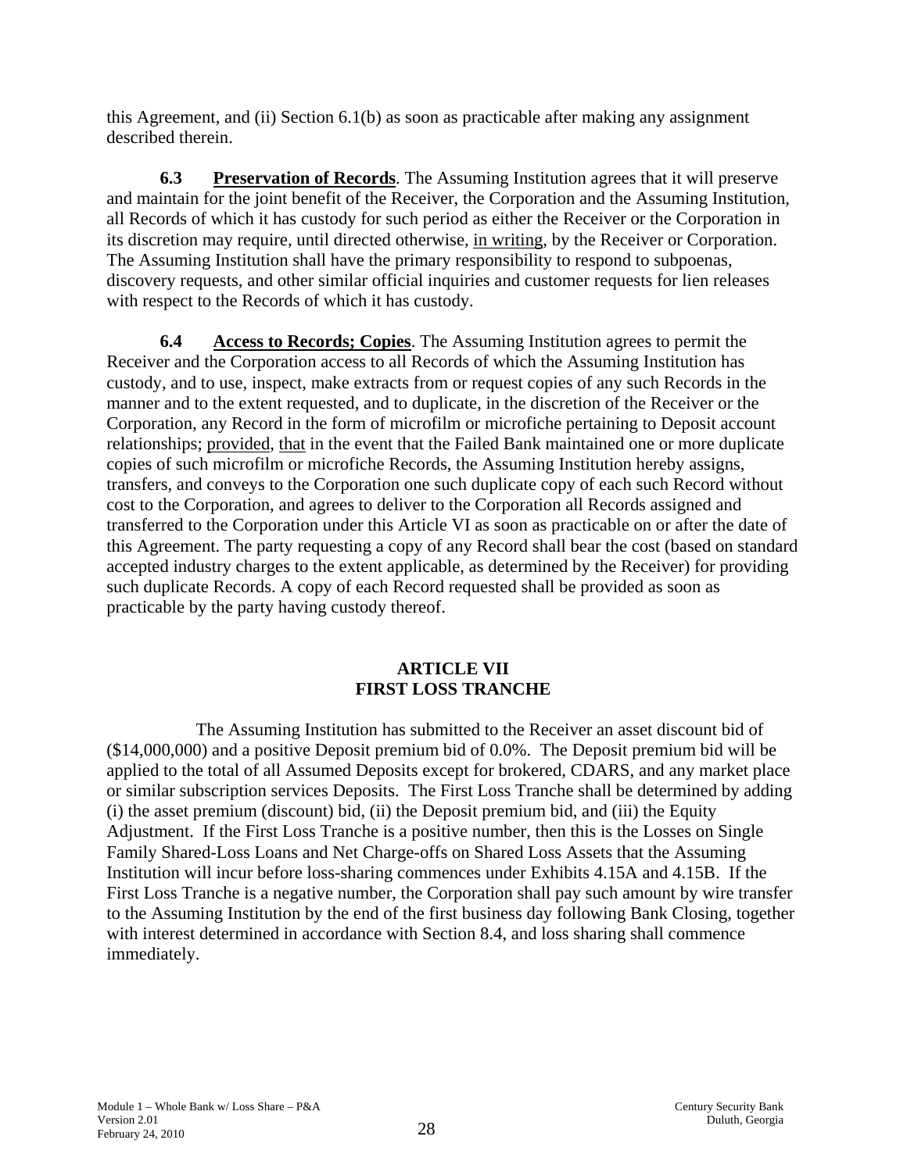this Agreement, and (ii) Section 6.1(b) as soon as practicable after making any assignment described therein.

**6.3** Preservation of Records. The Assuming Institution agrees that it will preserve and maintain for the joint benefit of the Receiver, the Corporation and the Assuming Institution, all Records of which it has custody for such period as either the Receiver or the Corporation in its discretion may require, until directed otherwise, in writing, by the Receiver or Corporation. The Assuming Institution shall have the primary responsibility to respond to subpoenas, discovery requests, and other similar official inquiries and customer requests for lien releases with respect to the Records of which it has custody.

**6.4 Access to Records; Copies**. The Assuming Institution agrees to permit the Receiver and the Corporation access to all Records of which the Assuming Institution has custody, and to use, inspect, make extracts from or request copies of any such Records in the manner and to the extent requested, and to duplicate, in the discretion of the Receiver or the Corporation, any Record in the form of microfilm or microfiche pertaining to Deposit account relationships; provided, that in the event that the Failed Bank maintained one or more duplicate copies of such microfilm or microfiche Records, the Assuming Institution hereby assigns, transfers, and conveys to the Corporation one such duplicate copy of each such Record without cost to the Corporation, and agrees to deliver to the Corporation all Records assigned and transferred to the Corporation under this Article VI as soon as practicable on or after the date of this Agreement. The party requesting a copy of any Record shall bear the cost (based on standard accepted industry charges to the extent applicable, as determined by the Receiver) for providing such duplicate Records. A copy of each Record requested shall be provided as soon as practicable by the party having custody thereof.

### **ARTICLE VII FIRST LOSS TRANCHE**

 The Assuming Institution has submitted to the Receiver an asset discount bid of (\$14,000,000) and a positive Deposit premium bid of 0.0%. The Deposit premium bid will be applied to the total of all Assumed Deposits except for brokered, CDARS, and any market place or similar subscription services Deposits. The First Loss Tranche shall be determined by adding (i) the asset premium (discount) bid, (ii) the Deposit premium bid, and (iii) the Equity Adjustment. If the First Loss Tranche is a positive number, then this is the Losses on Single Family Shared-Loss Loans and Net Charge-offs on Shared Loss Assets that the Assuming Institution will incur before loss-sharing commences under Exhibits 4.15A and 4.15B. If the First Loss Tranche is a negative number, the Corporation shall pay such amount by wire transfer to the Assuming Institution by the end of the first business day following Bank Closing, together with interest determined in accordance with Section 8.4, and loss sharing shall commence immediately.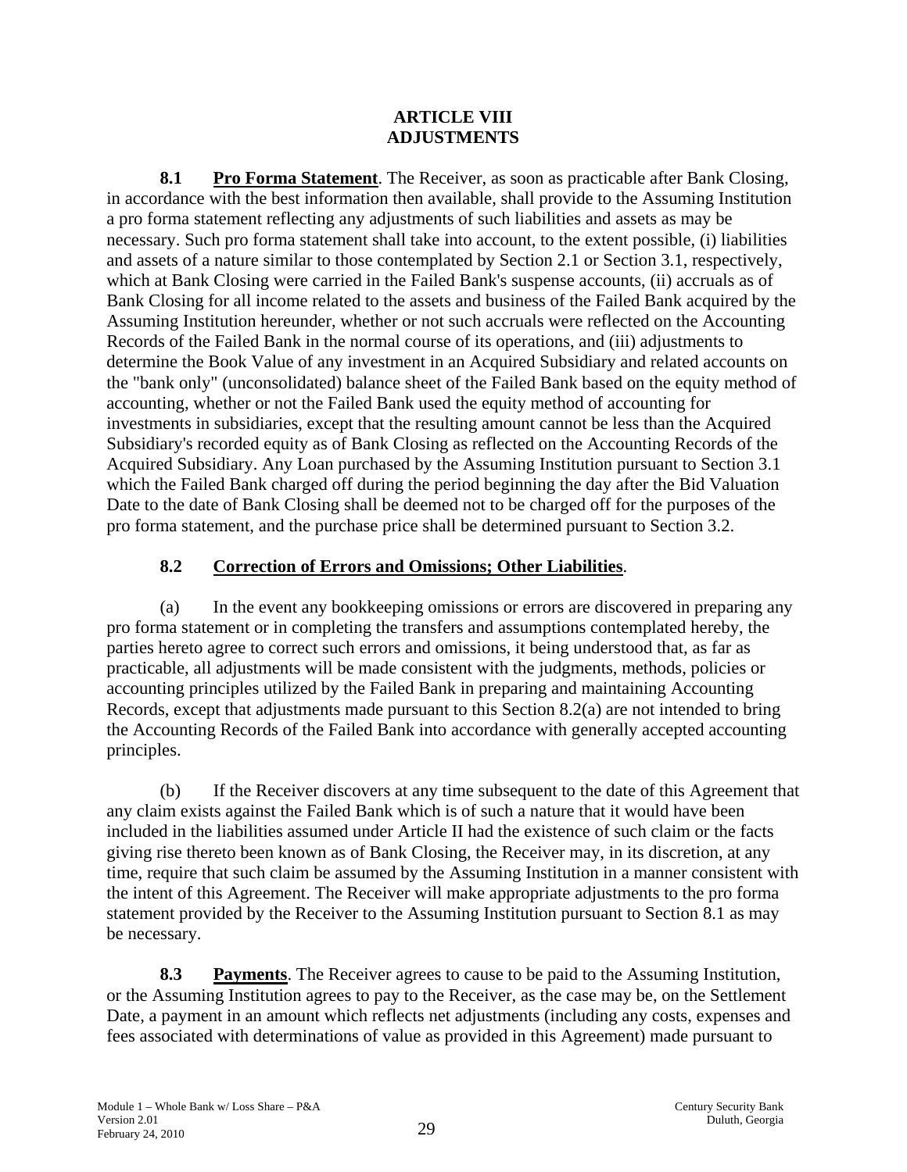#### **ARTICLE VIII ADJUSTMENTS**

**8.1** Pro Forma Statement. The Receiver, as soon as practicable after Bank Closing, in accordance with the best information then available, shall provide to the Assuming Institution a pro forma statement reflecting any adjustments of such liabilities and assets as may be necessary. Such pro forma statement shall take into account, to the extent possible, (i) liabilities and assets of a nature similar to those contemplated by Section 2.1 or Section 3.1, respectively, which at Bank Closing were carried in the Failed Bank's suspense accounts, (ii) accruals as of Bank Closing for all income related to the assets and business of the Failed Bank acquired by the Assuming Institution hereunder, whether or not such accruals were reflected on the Accounting Records of the Failed Bank in the normal course of its operations, and (iii) adjustments to determine the Book Value of any investment in an Acquired Subsidiary and related accounts on the "bank only" (unconsolidated) balance sheet of the Failed Bank based on the equity method of accounting, whether or not the Failed Bank used the equity method of accounting for investments in subsidiaries, except that the resulting amount cannot be less than the Acquired Subsidiary's recorded equity as of Bank Closing as reflected on the Accounting Records of the Acquired Subsidiary. Any Loan purchased by the Assuming Institution pursuant to Section 3.1 which the Failed Bank charged off during the period beginning the day after the Bid Valuation Date to the date of Bank Closing shall be deemed not to be charged off for the purposes of the pro forma statement, and the purchase price shall be determined pursuant to Section 3.2.

# **8.2 Correction of Errors and Omissions; Other Liabilities**.

(a) In the event any bookkeeping omissions or errors are discovered in preparing any pro forma statement or in completing the transfers and assumptions contemplated hereby, the parties hereto agree to correct such errors and omissions, it being understood that, as far as practicable, all adjustments will be made consistent with the judgments, methods, policies or accounting principles utilized by the Failed Bank in preparing and maintaining Accounting Records, except that adjustments made pursuant to this Section 8.2(a) are not intended to bring the Accounting Records of the Failed Bank into accordance with generally accepted accounting principles.

(b) If the Receiver discovers at any time subsequent to the date of this Agreement that any claim exists against the Failed Bank which is of such a nature that it would have been included in the liabilities assumed under Article II had the existence of such claim or the facts giving rise thereto been known as of Bank Closing, the Receiver may, in its discretion, at any time, require that such claim be assumed by the Assuming Institution in a manner consistent with the intent of this Agreement. The Receiver will make appropriate adjustments to the pro forma statement provided by the Receiver to the Assuming Institution pursuant to Section 8.1 as may be necessary.

**8.3 Payments**. The Receiver agrees to cause to be paid to the Assuming Institution, or the Assuming Institution agrees to pay to the Receiver, as the case may be, on the Settlement Date, a payment in an amount which reflects net adjustments (including any costs, expenses and fees associated with determinations of value as provided in this Agreement) made pursuant to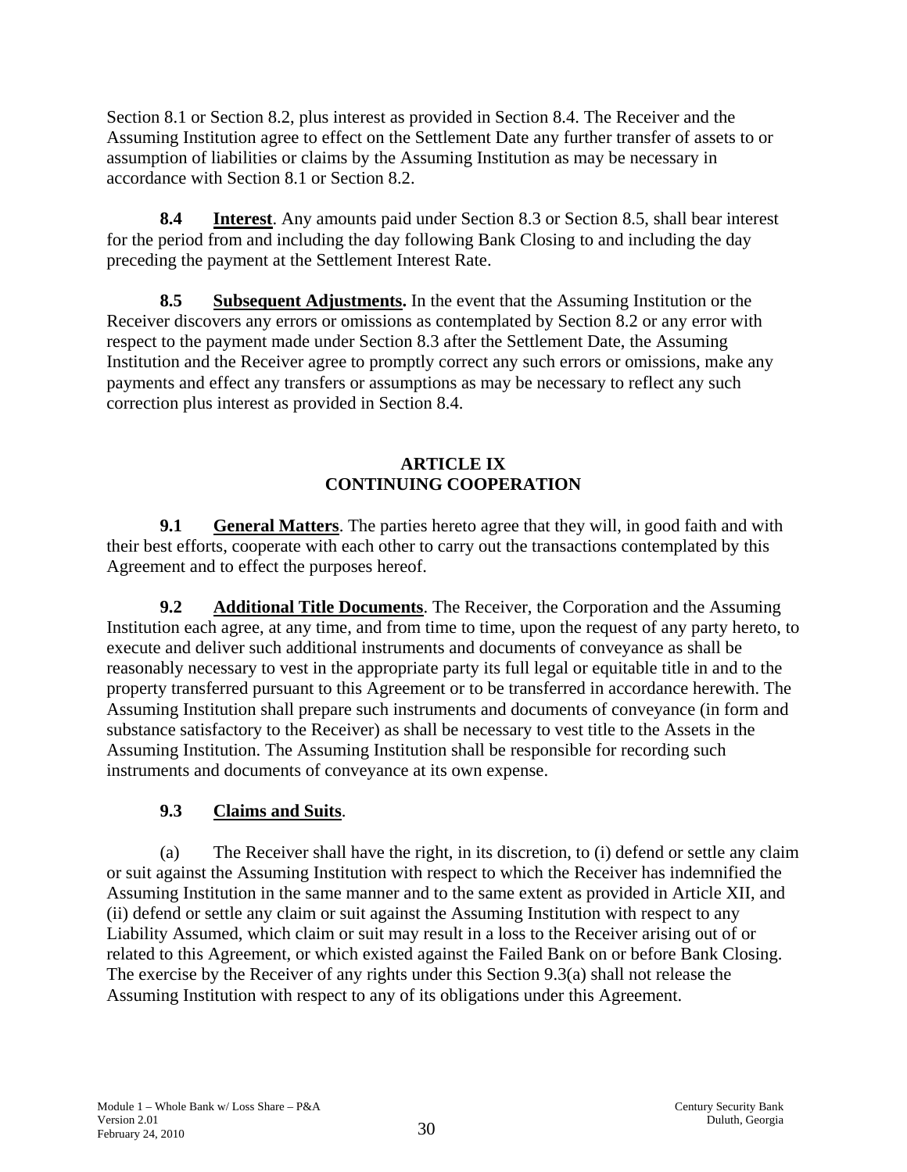Section 8.1 or Section 8.2, plus interest as provided in Section 8.4. The Receiver and the Assuming Institution agree to effect on the Settlement Date any further transfer of assets to or assumption of liabilities or claims by the Assuming Institution as may be necessary in accordance with Section 8.1 or Section 8.2.

**8.4 Interest**. Any amounts paid under Section 8.3 or Section 8.5, shall bear interest for the period from and including the day following Bank Closing to and including the day preceding the payment at the Settlement Interest Rate.

**8.5 Subsequent Adjustments.** In the event that the Assuming Institution or the Receiver discovers any errors or omissions as contemplated by Section 8.2 or any error with respect to the payment made under Section 8.3 after the Settlement Date, the Assuming Institution and the Receiver agree to promptly correct any such errors or omissions, make any payments and effect any transfers or assumptions as may be necessary to reflect any such correction plus interest as provided in Section 8.4.

## **ARTICLE IX CONTINUING COOPERATION**

**9.1** General Matters. The parties hereto agree that they will, in good faith and with their best efforts, cooperate with each other to carry out the transactions contemplated by this Agreement and to effect the purposes hereof.

**9.2 Additional Title Documents**. The Receiver, the Corporation and the Assuming Institution each agree, at any time, and from time to time, upon the request of any party hereto, to execute and deliver such additional instruments and documents of conveyance as shall be reasonably necessary to vest in the appropriate party its full legal or equitable title in and to the property transferred pursuant to this Agreement or to be transferred in accordance herewith. The Assuming Institution shall prepare such instruments and documents of conveyance (in form and substance satisfactory to the Receiver) as shall be necessary to vest title to the Assets in the Assuming Institution. The Assuming Institution shall be responsible for recording such instruments and documents of conveyance at its own expense.

# **9.3 Claims and Suits**.

(a) The Receiver shall have the right, in its discretion, to (i) defend or settle any claim or suit against the Assuming Institution with respect to which the Receiver has indemnified the Assuming Institution in the same manner and to the same extent as provided in Article XII, and (ii) defend or settle any claim or suit against the Assuming Institution with respect to any Liability Assumed, which claim or suit may result in a loss to the Receiver arising out of or related to this Agreement, or which existed against the Failed Bank on or before Bank Closing. The exercise by the Receiver of any rights under this Section 9.3(a) shall not release the Assuming Institution with respect to any of its obligations under this Agreement.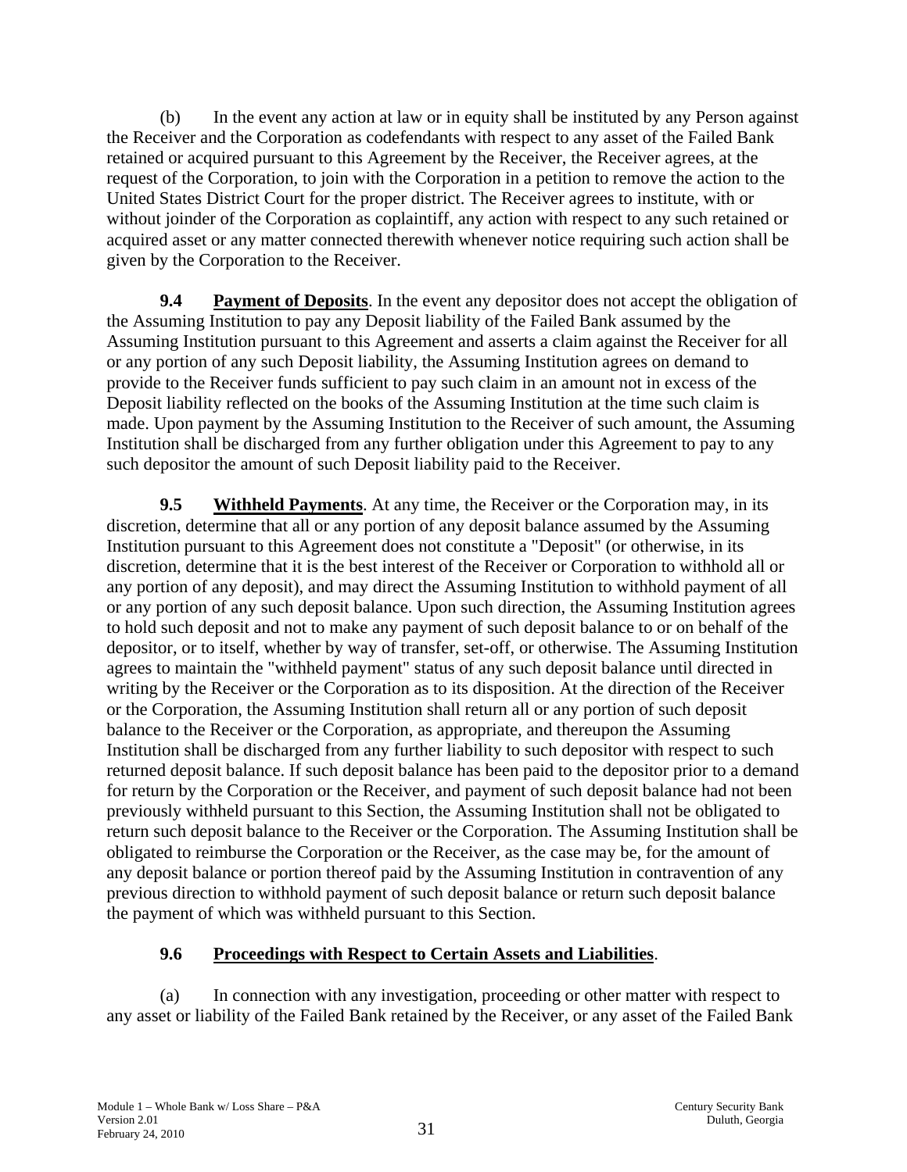(b) In the event any action at law or in equity shall be instituted by any Person against the Receiver and the Corporation as codefendants with respect to any asset of the Failed Bank retained or acquired pursuant to this Agreement by the Receiver, the Receiver agrees, at the request of the Corporation, to join with the Corporation in a petition to remove the action to the United States District Court for the proper district. The Receiver agrees to institute, with or without joinder of the Corporation as coplaintiff, any action with respect to any such retained or acquired asset or any matter connected therewith whenever notice requiring such action shall be given by the Corporation to the Receiver.

**9.4 Payment of Deposits**. In the event any depositor does not accept the obligation of the Assuming Institution to pay any Deposit liability of the Failed Bank assumed by the Assuming Institution pursuant to this Agreement and asserts a claim against the Receiver for all or any portion of any such Deposit liability, the Assuming Institution agrees on demand to provide to the Receiver funds sufficient to pay such claim in an amount not in excess of the Deposit liability reflected on the books of the Assuming Institution at the time such claim is made. Upon payment by the Assuming Institution to the Receiver of such amount, the Assuming Institution shall be discharged from any further obligation under this Agreement to pay to any such depositor the amount of such Deposit liability paid to the Receiver.

**9.5 Withheld Payments**. At any time, the Receiver or the Corporation may, in its discretion, determine that all or any portion of any deposit balance assumed by the Assuming Institution pursuant to this Agreement does not constitute a "Deposit" (or otherwise, in its discretion, determine that it is the best interest of the Receiver or Corporation to withhold all or any portion of any deposit), and may direct the Assuming Institution to withhold payment of all or any portion of any such deposit balance. Upon such direction, the Assuming Institution agrees to hold such deposit and not to make any payment of such deposit balance to or on behalf of the depositor, or to itself, whether by way of transfer, set-off, or otherwise. The Assuming Institution agrees to maintain the "withheld payment" status of any such deposit balance until directed in writing by the Receiver or the Corporation as to its disposition. At the direction of the Receiver or the Corporation, the Assuming Institution shall return all or any portion of such deposit balance to the Receiver or the Corporation, as appropriate, and thereupon the Assuming Institution shall be discharged from any further liability to such depositor with respect to such returned deposit balance. If such deposit balance has been paid to the depositor prior to a demand for return by the Corporation or the Receiver, and payment of such deposit balance had not been previously withheld pursuant to this Section, the Assuming Institution shall not be obligated to return such deposit balance to the Receiver or the Corporation. The Assuming Institution shall be obligated to reimburse the Corporation or the Receiver, as the case may be, for the amount of any deposit balance or portion thereof paid by the Assuming Institution in contravention of any previous direction to withhold payment of such deposit balance or return such deposit balance the payment of which was withheld pursuant to this Section.

## **9.6 Proceedings with Respect to Certain Assets and Liabilities**.

(a) In connection with any investigation, proceeding or other matter with respect to any asset or liability of the Failed Bank retained by the Receiver, or any asset of the Failed Bank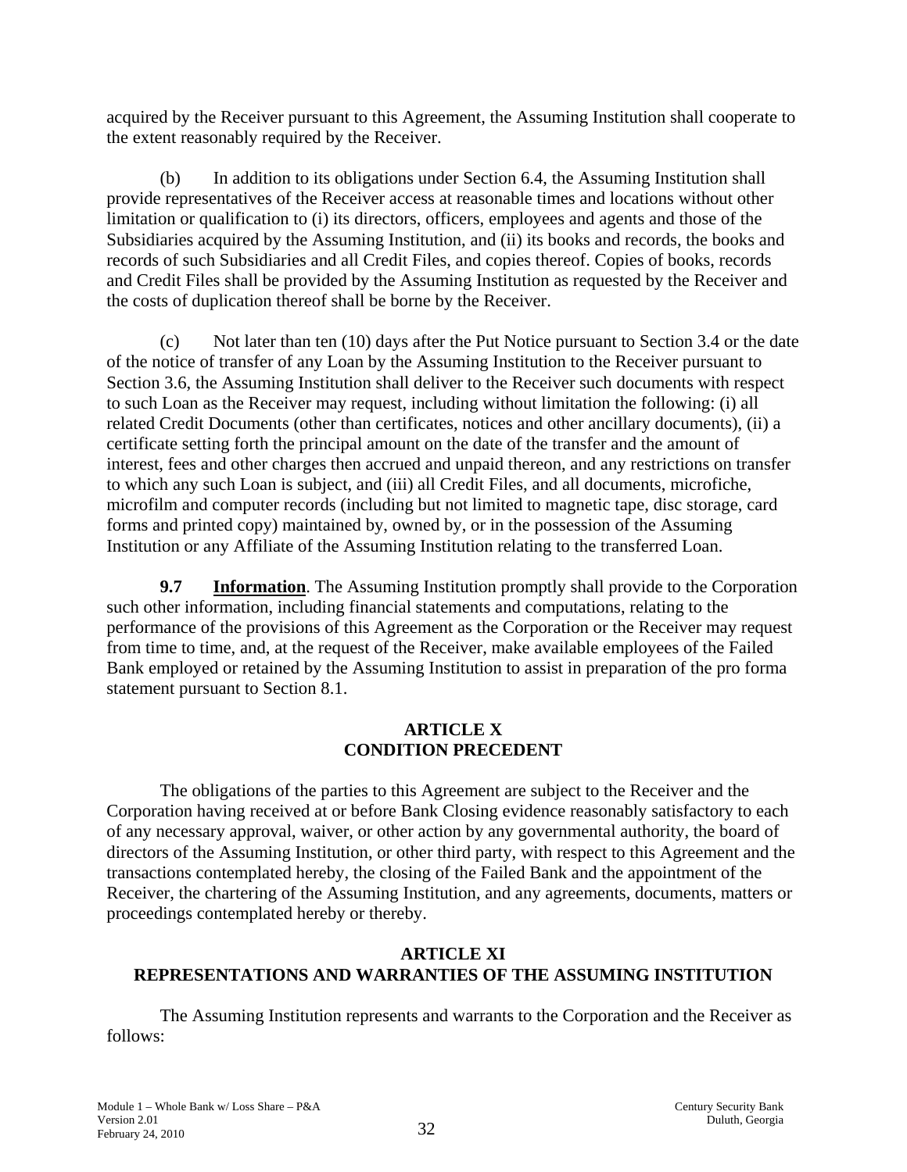acquired by the Receiver pursuant to this Agreement, the Assuming Institution shall cooperate to the extent reasonably required by the Receiver.

(b) In addition to its obligations under Section 6.4, the Assuming Institution shall provide representatives of the Receiver access at reasonable times and locations without other limitation or qualification to (i) its directors, officers, employees and agents and those of the Subsidiaries acquired by the Assuming Institution, and (ii) its books and records, the books and records of such Subsidiaries and all Credit Files, and copies thereof. Copies of books, records and Credit Files shall be provided by the Assuming Institution as requested by the Receiver and the costs of duplication thereof shall be borne by the Receiver.

(c) Not later than ten (10) days after the Put Notice pursuant to Section 3.4 or the date of the notice of transfer of any Loan by the Assuming Institution to the Receiver pursuant to Section 3.6, the Assuming Institution shall deliver to the Receiver such documents with respect to such Loan as the Receiver may request, including without limitation the following: (i) all related Credit Documents (other than certificates, notices and other ancillary documents), (ii) a certificate setting forth the principal amount on the date of the transfer and the amount of interest, fees and other charges then accrued and unpaid thereon, and any restrictions on transfer to which any such Loan is subject, and (iii) all Credit Files, and all documents, microfiche, microfilm and computer records (including but not limited to magnetic tape, disc storage, card forms and printed copy) maintained by, owned by, or in the possession of the Assuming Institution or any Affiliate of the Assuming Institution relating to the transferred Loan.

**9.7** Information. The Assuming Institution promptly shall provide to the Corporation such other information, including financial statements and computations, relating to the performance of the provisions of this Agreement as the Corporation or the Receiver may request from time to time, and, at the request of the Receiver, make available employees of the Failed Bank employed or retained by the Assuming Institution to assist in preparation of the pro forma statement pursuant to Section 8.1.

#### **ARTICLE X CONDITION PRECEDENT**

The obligations of the parties to this Agreement are subject to the Receiver and the Corporation having received at or before Bank Closing evidence reasonably satisfactory to each of any necessary approval, waiver, or other action by any governmental authority, the board of directors of the Assuming Institution, or other third party, with respect to this Agreement and the transactions contemplated hereby, the closing of the Failed Bank and the appointment of the Receiver, the chartering of the Assuming Institution, and any agreements, documents, matters or proceedings contemplated hereby or thereby.

### **ARTICLE XI REPRESENTATIONS AND WARRANTIES OF THE ASSUMING INSTITUTION**

The Assuming Institution represents and warrants to the Corporation and the Receiver as follows: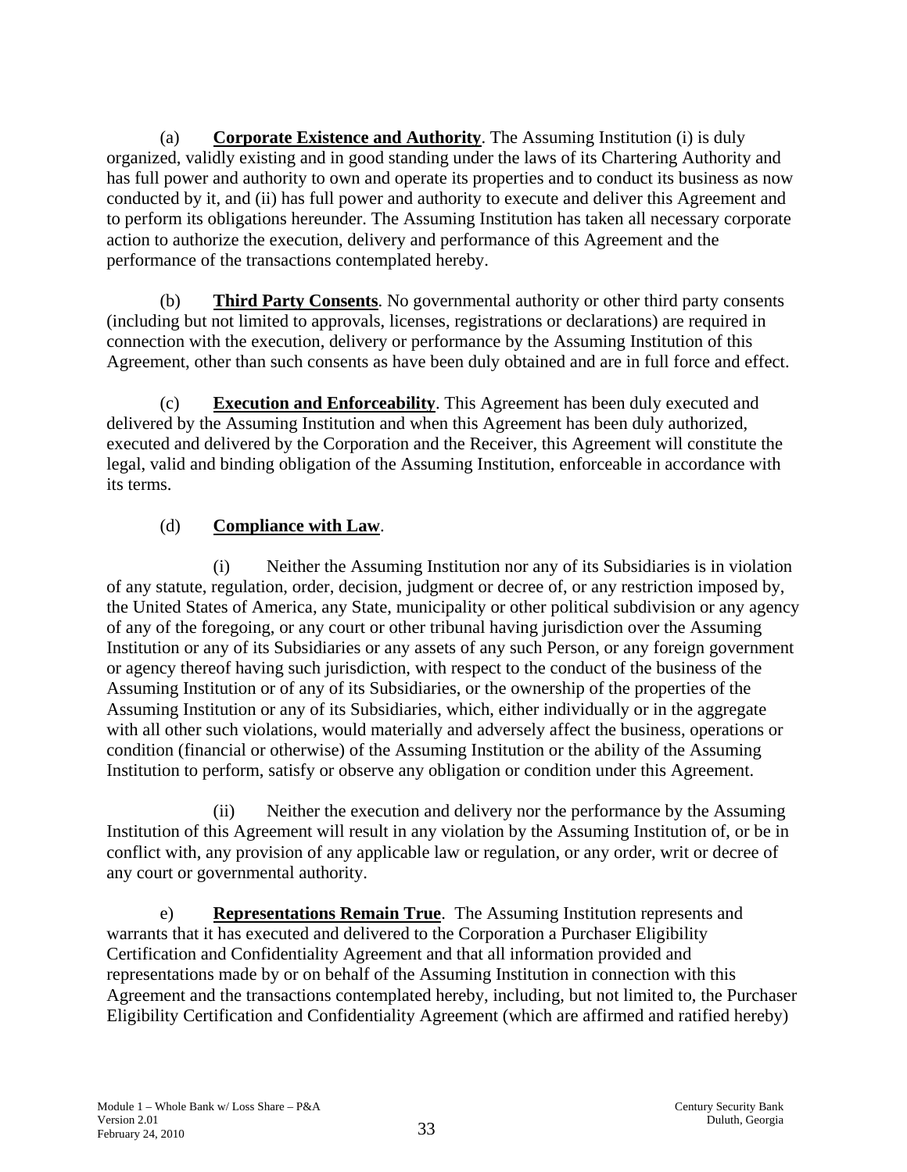(a) **Corporate Existence and Authority**. The Assuming Institution (i) is duly organized, validly existing and in good standing under the laws of its Chartering Authority and has full power and authority to own and operate its properties and to conduct its business as now conducted by it, and (ii) has full power and authority to execute and deliver this Agreement and to perform its obligations hereunder. The Assuming Institution has taken all necessary corporate action to authorize the execution, delivery and performance of this Agreement and the performance of the transactions contemplated hereby.

(b) **Third Party Consents**. No governmental authority or other third party consents (including but not limited to approvals, licenses, registrations or declarations) are required in connection with the execution, delivery or performance by the Assuming Institution of this Agreement, other than such consents as have been duly obtained and are in full force and effect.

(c) **Execution and Enforceability**. This Agreement has been duly executed and delivered by the Assuming Institution and when this Agreement has been duly authorized, executed and delivered by the Corporation and the Receiver, this Agreement will constitute the legal, valid and binding obligation of the Assuming Institution, enforceable in accordance with its terms.

# (d) **Compliance with Law**.

(i) Neither the Assuming Institution nor any of its Subsidiaries is in violation of any statute, regulation, order, decision, judgment or decree of, or any restriction imposed by, the United States of America, any State, municipality or other political subdivision or any agency of any of the foregoing, or any court or other tribunal having jurisdiction over the Assuming Institution or any of its Subsidiaries or any assets of any such Person, or any foreign government or agency thereof having such jurisdiction, with respect to the conduct of the business of the Assuming Institution or of any of its Subsidiaries, or the ownership of the properties of the Assuming Institution or any of its Subsidiaries, which, either individually or in the aggregate with all other such violations, would materially and adversely affect the business, operations or condition (financial or otherwise) of the Assuming Institution or the ability of the Assuming Institution to perform, satisfy or observe any obligation or condition under this Agreement.

(ii) Neither the execution and delivery nor the performance by the Assuming Institution of this Agreement will result in any violation by the Assuming Institution of, or be in conflict with, any provision of any applicable law or regulation, or any order, writ or decree of any court or governmental authority.

e) **Representations Remain True**. The Assuming Institution represents and warrants that it has executed and delivered to the Corporation a Purchaser Eligibility Certification and Confidentiality Agreement and that all information provided and representations made by or on behalf of the Assuming Institution in connection with this Agreement and the transactions contemplated hereby, including, but not limited to, the Purchaser Eligibility Certification and Confidentiality Agreement (which are affirmed and ratified hereby)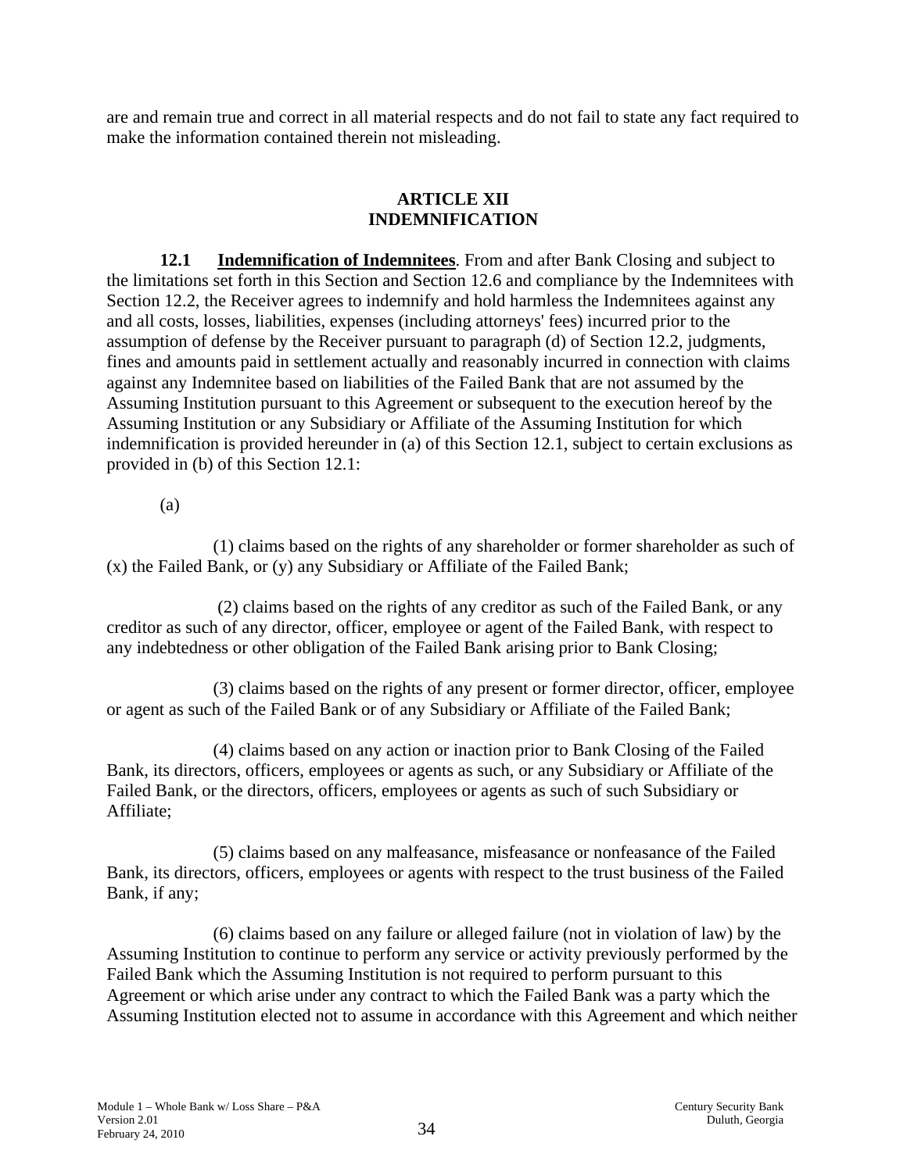are and remain true and correct in all material respects and do not fail to state any fact required to make the information contained therein not misleading.

# **ARTICLE XII INDEMNIFICATION**

**12.1 Indemnification of Indemnitees**. From and after Bank Closing and subject to the limitations set forth in this Section and Section 12.6 and compliance by the Indemnitees with Section 12.2, the Receiver agrees to indemnify and hold harmless the Indemnitees against any and all costs, losses, liabilities, expenses (including attorneys' fees) incurred prior to the assumption of defense by the Receiver pursuant to paragraph (d) of Section 12.2, judgments, fines and amounts paid in settlement actually and reasonably incurred in connection with claims against any Indemnitee based on liabilities of the Failed Bank that are not assumed by the Assuming Institution pursuant to this Agreement or subsequent to the execution hereof by the Assuming Institution or any Subsidiary or Affiliate of the Assuming Institution for which indemnification is provided hereunder in (a) of this Section 12.1, subject to certain exclusions as provided in (b) of this Section 12.1:

# (a)

(1) claims based on the rights of any shareholder or former shareholder as such of (x) the Failed Bank, or (y) any Subsidiary or Affiliate of the Failed Bank;

(2) claims based on the rights of any creditor as such of the Failed Bank, or any creditor as such of any director, officer, employee or agent of the Failed Bank, with respect to any indebtedness or other obligation of the Failed Bank arising prior to Bank Closing;

(3) claims based on the rights of any present or former director, officer, employee or agent as such of the Failed Bank or of any Subsidiary or Affiliate of the Failed Bank;

(4) claims based on any action or inaction prior to Bank Closing of the Failed Bank, its directors, officers, employees or agents as such, or any Subsidiary or Affiliate of the Failed Bank, or the directors, officers, employees or agents as such of such Subsidiary or Affiliate;

(5) claims based on any malfeasance, misfeasance or nonfeasance of the Failed Bank, its directors, officers, employees or agents with respect to the trust business of the Failed Bank, if any;

(6) claims based on any failure or alleged failure (not in violation of law) by the Assuming Institution to continue to perform any service or activity previously performed by the Failed Bank which the Assuming Institution is not required to perform pursuant to this Agreement or which arise under any contract to which the Failed Bank was a party which the Assuming Institution elected not to assume in accordance with this Agreement and which neither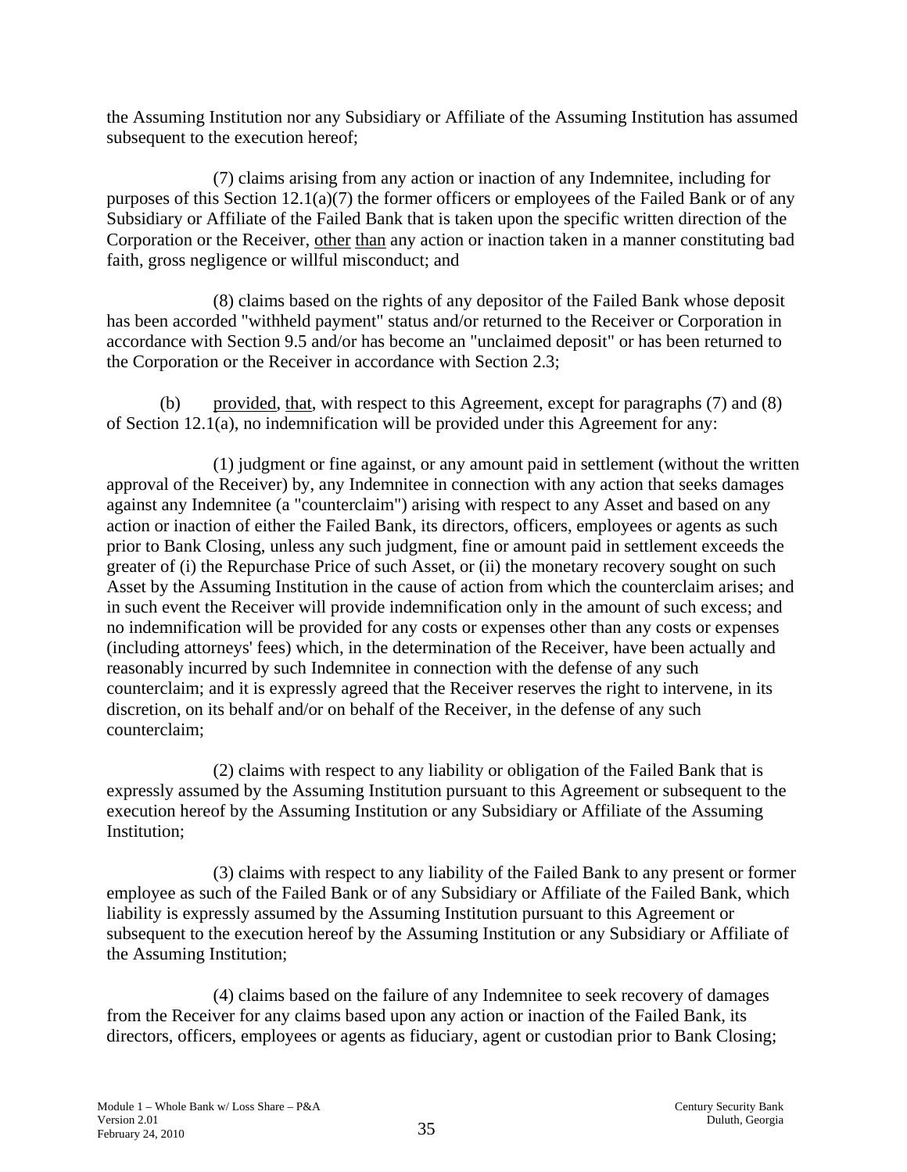the Assuming Institution nor any Subsidiary or Affiliate of the Assuming Institution has assumed subsequent to the execution hereof;

(7) claims arising from any action or inaction of any Indemnitee, including for purposes of this Section 12.1(a)(7) the former officers or employees of the Failed Bank or of any Subsidiary or Affiliate of the Failed Bank that is taken upon the specific written direction of the Corporation or the Receiver, other than any action or inaction taken in a manner constituting bad faith, gross negligence or willful misconduct; and

(8) claims based on the rights of any depositor of the Failed Bank whose deposit has been accorded "withheld payment" status and/or returned to the Receiver or Corporation in accordance with Section 9.5 and/or has become an "unclaimed deposit" or has been returned to the Corporation or the Receiver in accordance with Section 2.3;

(b) provided, that, with respect to this Agreement, except for paragraphs (7) and (8) of Section 12.1(a), no indemnification will be provided under this Agreement for any:

(1) judgment or fine against, or any amount paid in settlement (without the written approval of the Receiver) by, any Indemnitee in connection with any action that seeks damages against any Indemnitee (a "counterclaim") arising with respect to any Asset and based on any action or inaction of either the Failed Bank, its directors, officers, employees or agents as such prior to Bank Closing, unless any such judgment, fine or amount paid in settlement exceeds the greater of (i) the Repurchase Price of such Asset, or (ii) the monetary recovery sought on such Asset by the Assuming Institution in the cause of action from which the counterclaim arises; and in such event the Receiver will provide indemnification only in the amount of such excess; and no indemnification will be provided for any costs or expenses other than any costs or expenses (including attorneys' fees) which, in the determination of the Receiver, have been actually and reasonably incurred by such Indemnitee in connection with the defense of any such counterclaim; and it is expressly agreed that the Receiver reserves the right to intervene, in its discretion, on its behalf and/or on behalf of the Receiver, in the defense of any such counterclaim;

(2) claims with respect to any liability or obligation of the Failed Bank that is expressly assumed by the Assuming Institution pursuant to this Agreement or subsequent to the execution hereof by the Assuming Institution or any Subsidiary or Affiliate of the Assuming Institution;

(3) claims with respect to any liability of the Failed Bank to any present or former employee as such of the Failed Bank or of any Subsidiary or Affiliate of the Failed Bank, which liability is expressly assumed by the Assuming Institution pursuant to this Agreement or subsequent to the execution hereof by the Assuming Institution or any Subsidiary or Affiliate of the Assuming Institution;

(4) claims based on the failure of any Indemnitee to seek recovery of damages from the Receiver for any claims based upon any action or inaction of the Failed Bank, its directors, officers, employees or agents as fiduciary, agent or custodian prior to Bank Closing;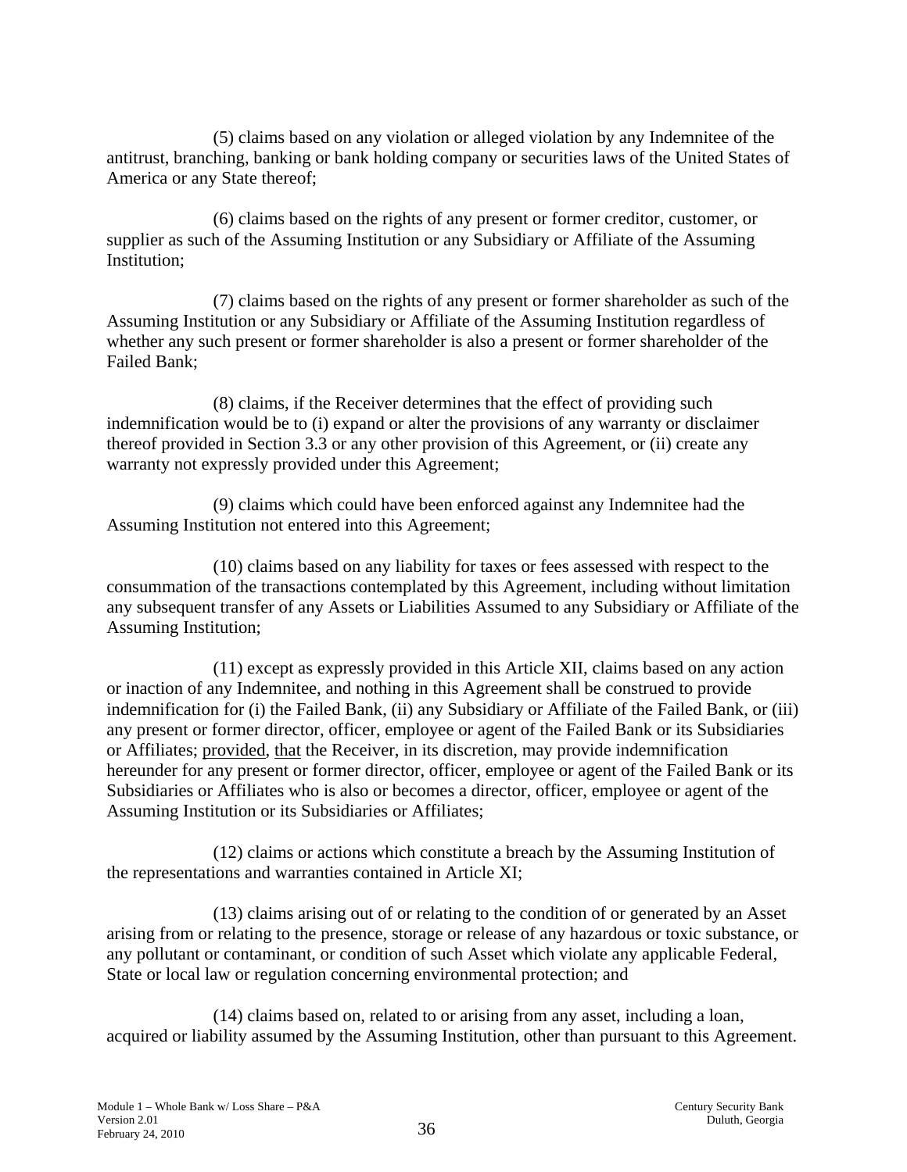(5) claims based on any violation or alleged violation by any Indemnitee of the antitrust, branching, banking or bank holding company or securities laws of the United States of America or any State thereof;

(6) claims based on the rights of any present or former creditor, customer, or supplier as such of the Assuming Institution or any Subsidiary or Affiliate of the Assuming Institution;

(7) claims based on the rights of any present or former shareholder as such of the Assuming Institution or any Subsidiary or Affiliate of the Assuming Institution regardless of whether any such present or former shareholder is also a present or former shareholder of the Failed Bank;

(8) claims, if the Receiver determines that the effect of providing such indemnification would be to (i) expand or alter the provisions of any warranty or disclaimer thereof provided in Section 3.3 or any other provision of this Agreement, or (ii) create any warranty not expressly provided under this Agreement;

(9) claims which could have been enforced against any Indemnitee had the Assuming Institution not entered into this Agreement;

(10) claims based on any liability for taxes or fees assessed with respect to the consummation of the transactions contemplated by this Agreement, including without limitation any subsequent transfer of any Assets or Liabilities Assumed to any Subsidiary or Affiliate of the Assuming Institution;

(11) except as expressly provided in this Article XII, claims based on any action or inaction of any Indemnitee, and nothing in this Agreement shall be construed to provide indemnification for (i) the Failed Bank, (ii) any Subsidiary or Affiliate of the Failed Bank, or (iii) any present or former director, officer, employee or agent of the Failed Bank or its Subsidiaries or Affiliates; provided, that the Receiver, in its discretion, may provide indemnification hereunder for any present or former director, officer, employee or agent of the Failed Bank or its Subsidiaries or Affiliates who is also or becomes a director, officer, employee or agent of the Assuming Institution or its Subsidiaries or Affiliates;

(12) claims or actions which constitute a breach by the Assuming Institution of the representations and warranties contained in Article XI;

(13) claims arising out of or relating to the condition of or generated by an Asset arising from or relating to the presence, storage or release of any hazardous or toxic substance, or any pollutant or contaminant, or condition of such Asset which violate any applicable Federal, State or local law or regulation concerning environmental protection; and

(14) claims based on, related to or arising from any asset, including a loan, acquired or liability assumed by the Assuming Institution, other than pursuant to this Agreement.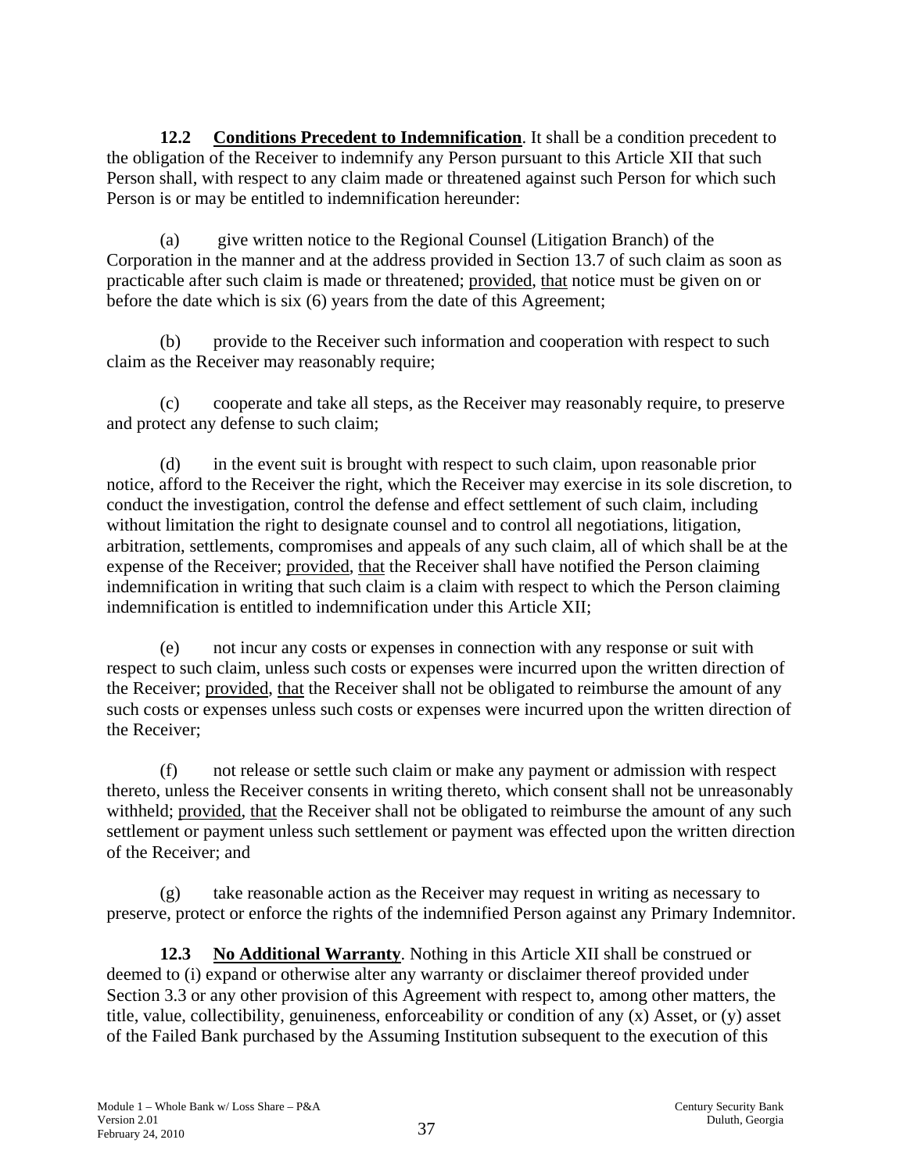**12.2** Conditions Precedent to Indemnification. It shall be a condition precedent to the obligation of the Receiver to indemnify any Person pursuant to this Article XII that such Person shall, with respect to any claim made or threatened against such Person for which such Person is or may be entitled to indemnification hereunder:

(a) give written notice to the Regional Counsel (Litigation Branch) of the Corporation in the manner and at the address provided in Section 13.7 of such claim as soon as practicable after such claim is made or threatened; provided, that notice must be given on or before the date which is six (6) years from the date of this Agreement;

(b) provide to the Receiver such information and cooperation with respect to such claim as the Receiver may reasonably require;

(c) cooperate and take all steps, as the Receiver may reasonably require, to preserve and protect any defense to such claim;

(d) in the event suit is brought with respect to such claim, upon reasonable prior notice, afford to the Receiver the right, which the Receiver may exercise in its sole discretion, to conduct the investigation, control the defense and effect settlement of such claim, including without limitation the right to designate counsel and to control all negotiations, litigation, arbitration, settlements, compromises and appeals of any such claim, all of which shall be at the expense of the Receiver; provided, that the Receiver shall have notified the Person claiming indemnification in writing that such claim is a claim with respect to which the Person claiming indemnification is entitled to indemnification under this Article XII;

(e) not incur any costs or expenses in connection with any response or suit with respect to such claim, unless such costs or expenses were incurred upon the written direction of the Receiver; provided, that the Receiver shall not be obligated to reimburse the amount of any such costs or expenses unless such costs or expenses were incurred upon the written direction of the Receiver;

(f) not release or settle such claim or make any payment or admission with respect thereto, unless the Receiver consents in writing thereto, which consent shall not be unreasonably withheld; provided, that the Receiver shall not be obligated to reimburse the amount of any such settlement or payment unless such settlement or payment was effected upon the written direction of the Receiver; and

(g) take reasonable action as the Receiver may request in writing as necessary to preserve, protect or enforce the rights of the indemnified Person against any Primary Indemnitor.

**12.3 No Additional Warranty**. Nothing in this Article XII shall be construed or deemed to (i) expand or otherwise alter any warranty or disclaimer thereof provided under Section 3.3 or any other provision of this Agreement with respect to, among other matters, the title, value, collectibility, genuineness, enforceability or condition of any (x) Asset, or (y) asset of the Failed Bank purchased by the Assuming Institution subsequent to the execution of this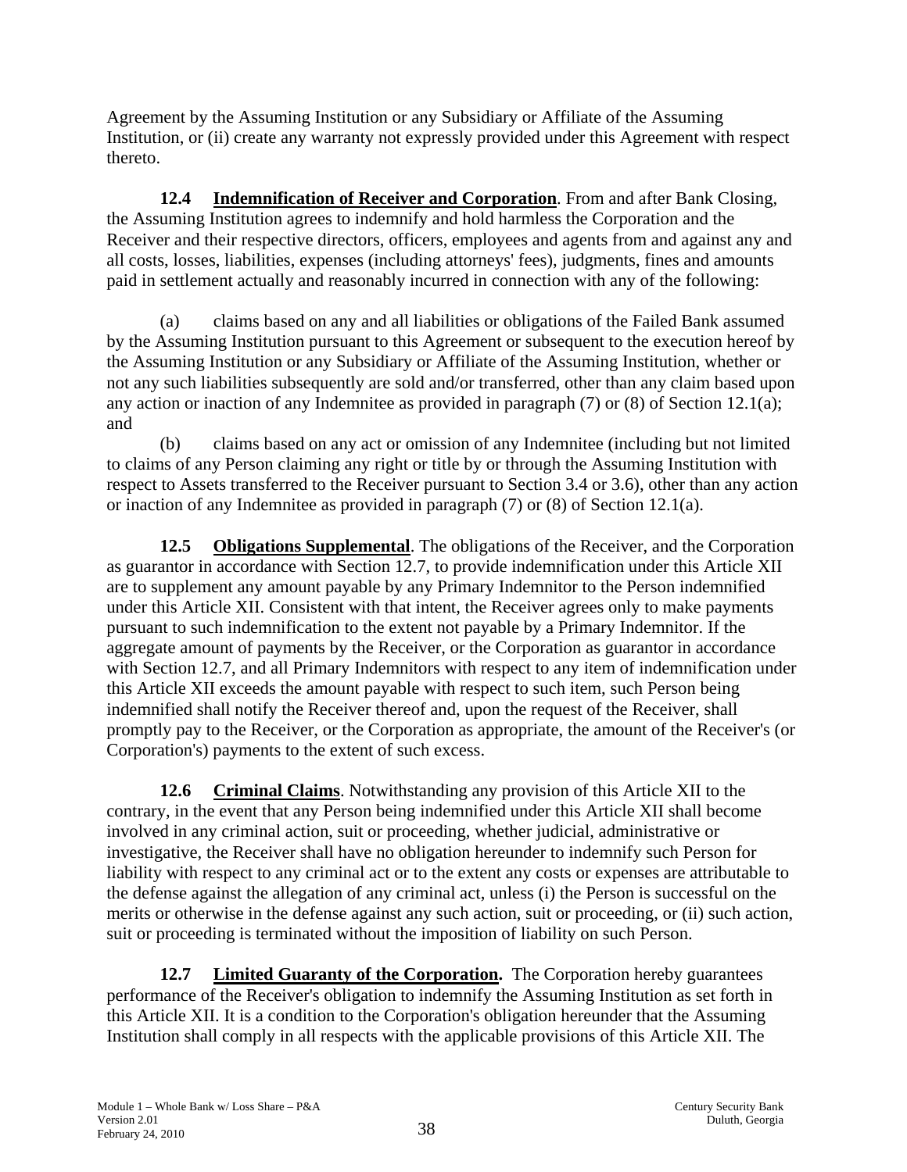Agreement by the Assuming Institution or any Subsidiary or Affiliate of the Assuming Institution, or (ii) create any warranty not expressly provided under this Agreement with respect thereto.

**12.4 Indemnification of Receiver and Corporation**. From and after Bank Closing, the Assuming Institution agrees to indemnify and hold harmless the Corporation and the Receiver and their respective directors, officers, employees and agents from and against any and all costs, losses, liabilities, expenses (including attorneys' fees), judgments, fines and amounts paid in settlement actually and reasonably incurred in connection with any of the following:

(a) claims based on any and all liabilities or obligations of the Failed Bank assumed by the Assuming Institution pursuant to this Agreement or subsequent to the execution hereof by the Assuming Institution or any Subsidiary or Affiliate of the Assuming Institution, whether or not any such liabilities subsequently are sold and/or transferred, other than any claim based upon any action or inaction of any Indemnitee as provided in paragraph (7) or (8) of Section 12.1(a); and

(b) claims based on any act or omission of any Indemnitee (including but not limited to claims of any Person claiming any right or title by or through the Assuming Institution with respect to Assets transferred to the Receiver pursuant to Section 3.4 or 3.6), other than any action or inaction of any Indemnitee as provided in paragraph (7) or (8) of Section 12.1(a).

**12.5 Obligations Supplemental**. The obligations of the Receiver, and the Corporation as guarantor in accordance with Section 12.7, to provide indemnification under this Article XII are to supplement any amount payable by any Primary Indemnitor to the Person indemnified under this Article XII. Consistent with that intent, the Receiver agrees only to make payments pursuant to such indemnification to the extent not payable by a Primary Indemnitor. If the aggregate amount of payments by the Receiver, or the Corporation as guarantor in accordance with Section 12.7, and all Primary Indemnitors with respect to any item of indemnification under this Article XII exceeds the amount payable with respect to such item, such Person being indemnified shall notify the Receiver thereof and, upon the request of the Receiver, shall promptly pay to the Receiver, or the Corporation as appropriate, the amount of the Receiver's (or Corporation's) payments to the extent of such excess.

**12.6 Criminal Claims**. Notwithstanding any provision of this Article XII to the contrary, in the event that any Person being indemnified under this Article XII shall become involved in any criminal action, suit or proceeding, whether judicial, administrative or investigative, the Receiver shall have no obligation hereunder to indemnify such Person for liability with respect to any criminal act or to the extent any costs or expenses are attributable to the defense against the allegation of any criminal act, unless (i) the Person is successful on the merits or otherwise in the defense against any such action, suit or proceeding, or (ii) such action, suit or proceeding is terminated without the imposition of liability on such Person.

**12.7** Limited Guaranty of the Corporation. The Corporation hereby guarantees performance of the Receiver's obligation to indemnify the Assuming Institution as set forth in this Article XII. It is a condition to the Corporation's obligation hereunder that the Assuming Institution shall comply in all respects with the applicable provisions of this Article XII. The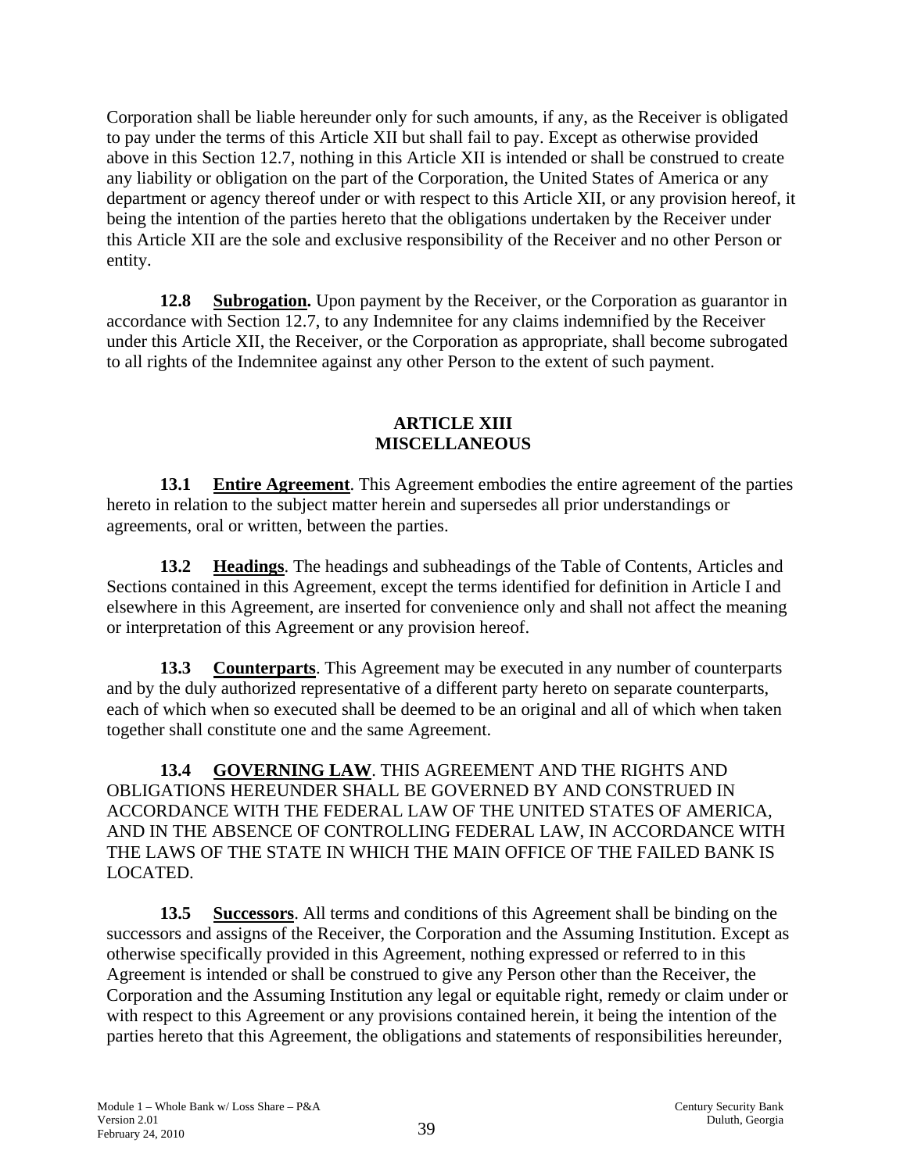Corporation shall be liable hereunder only for such amounts, if any, as the Receiver is obligated to pay under the terms of this Article XII but shall fail to pay. Except as otherwise provided above in this Section 12.7, nothing in this Article XII is intended or shall be construed to create any liability or obligation on the part of the Corporation, the United States of America or any department or agency thereof under or with respect to this Article XII, or any provision hereof, it being the intention of the parties hereto that the obligations undertaken by the Receiver under this Article XII are the sole and exclusive responsibility of the Receiver and no other Person or entity.

**12.8 Subrogation.** Upon payment by the Receiver, or the Corporation as guarantor in accordance with Section 12.7, to any Indemnitee for any claims indemnified by the Receiver under this Article XII, the Receiver, or the Corporation as appropriate, shall become subrogated to all rights of the Indemnitee against any other Person to the extent of such payment.

# **ARTICLE XIII MISCELLANEOUS**

**13.1 Entire Agreement**. This Agreement embodies the entire agreement of the parties hereto in relation to the subject matter herein and supersedes all prior understandings or agreements, oral or written, between the parties.

**13.2 Headings**. The headings and subheadings of the Table of Contents, Articles and Sections contained in this Agreement, except the terms identified for definition in Article I and elsewhere in this Agreement, are inserted for convenience only and shall not affect the meaning or interpretation of this Agreement or any provision hereof.

**13.3 Counterparts**. This Agreement may be executed in any number of counterparts and by the duly authorized representative of a different party hereto on separate counterparts, each of which when so executed shall be deemed to be an original and all of which when taken together shall constitute one and the same Agreement.

**13.4 GOVERNING LAW**. THIS AGREEMENT AND THE RIGHTS AND OBLIGATIONS HEREUNDER SHALL BE GOVERNED BY AND CONSTRUED IN ACCORDANCE WITH THE FEDERAL LAW OF THE UNITED STATES OF AMERICA, AND IN THE ABSENCE OF CONTROLLING FEDERAL LAW, IN ACCORDANCE WITH THE LAWS OF THE STATE IN WHICH THE MAIN OFFICE OF THE FAILED BANK IS LOCATED.

 **13.5 Successors**. All terms and conditions of this Agreement shall be binding on the successors and assigns of the Receiver, the Corporation and the Assuming Institution. Except as otherwise specifically provided in this Agreement, nothing expressed or referred to in this Agreement is intended or shall be construed to give any Person other than the Receiver, the Corporation and the Assuming Institution any legal or equitable right, remedy or claim under or with respect to this Agreement or any provisions contained herein, it being the intention of the parties hereto that this Agreement, the obligations and statements of responsibilities hereunder,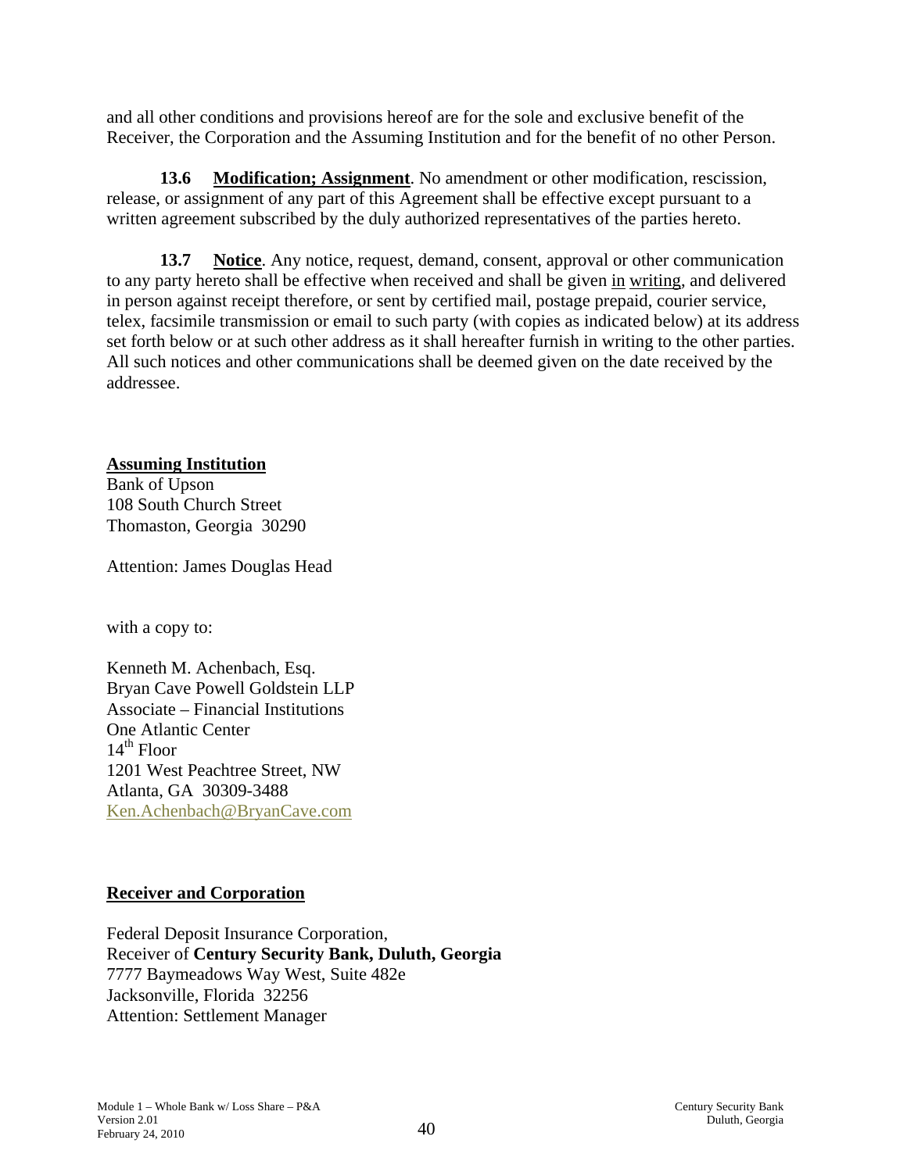and all other conditions and provisions hereof are for the sole and exclusive benefit of the Receiver, the Corporation and the Assuming Institution and for the benefit of no other Person.

**13.6 Modification; Assignment**. No amendment or other modification, rescission, release, or assignment of any part of this Agreement shall be effective except pursuant to a written agreement subscribed by the duly authorized representatives of the parties hereto.

**13.7 Notice**. Any notice, request, demand, consent, approval or other communication to any party hereto shall be effective when received and shall be given in writing, and delivered in person against receipt therefore, or sent by certified mail, postage prepaid, courier service, telex, facsimile transmission or email to such party (with copies as indicated below) at its address set forth below or at such other address as it shall hereafter furnish in writing to the other parties. All such notices and other communications shall be deemed given on the date received by the addressee.

# **Assuming Institution**

Bank of Upson 108 South Church Street Thomaston, Georgia 30290

Attention: James Douglas Head

with a copy to:

Kenneth M. Achenbach, Esq. Bryan Cave Powell Goldstein LLP Associate – Financial Institutions One Atlantic Center  $14^{\text{th}}$  Floor 1201 West Peachtree Street, NW Atlanta, GA 30309-3488 Ken.Achenbach@BryanCave.com

# **Receiver and Corporation**

Federal Deposit Insurance Corporation, Receiver of **Century Security Bank, Duluth, Georgia**  7777 Baymeadows Way West, Suite 482e Jacksonville, Florida 32256 Attention: Settlement Manager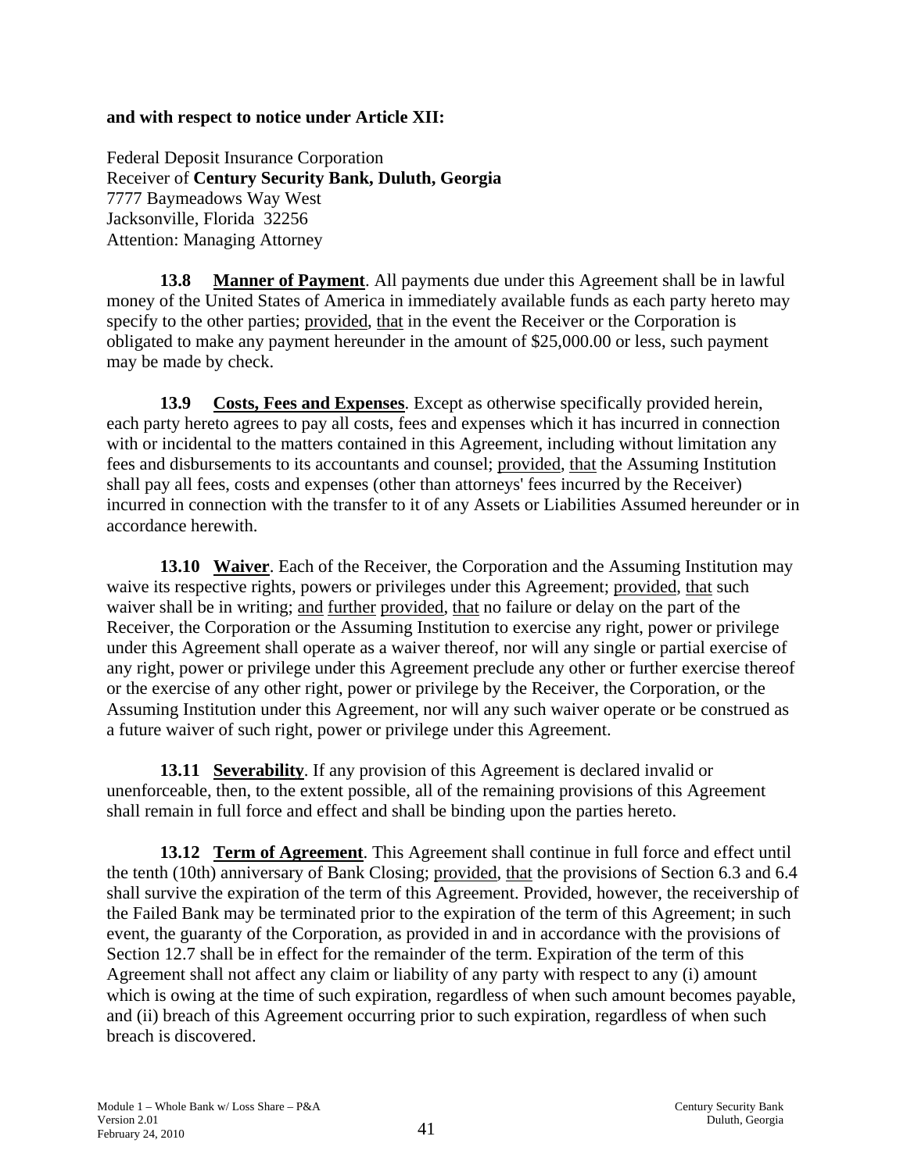### **and with respect to notice under Article XII:**

Federal Deposit Insurance Corporation Receiver of **Century Security Bank, Duluth, Georgia**  7777 Baymeadows Way West Jacksonville, Florida 32256 Attention: Managing Attorney

**13.8 Manner of Payment**. All payments due under this Agreement shall be in lawful money of the United States of America in immediately available funds as each party hereto may specify to the other parties; provided, that in the event the Receiver or the Corporation is obligated to make any payment hereunder in the amount of \$25,000.00 or less, such payment may be made by check.

**13.9 Costs, Fees and Expenses**. Except as otherwise specifically provided herein, each party hereto agrees to pay all costs, fees and expenses which it has incurred in connection with or incidental to the matters contained in this Agreement, including without limitation any fees and disbursements to its accountants and counsel; provided, that the Assuming Institution shall pay all fees, costs and expenses (other than attorneys' fees incurred by the Receiver) incurred in connection with the transfer to it of any Assets or Liabilities Assumed hereunder or in accordance herewith.

**13.10 Waiver**. Each of the Receiver, the Corporation and the Assuming Institution may waive its respective rights, powers or privileges under this Agreement; provided, that such waiver shall be in writing; and further provided, that no failure or delay on the part of the Receiver, the Corporation or the Assuming Institution to exercise any right, power or privilege under this Agreement shall operate as a waiver thereof, nor will any single or partial exercise of any right, power or privilege under this Agreement preclude any other or further exercise thereof or the exercise of any other right, power or privilege by the Receiver, the Corporation, or the Assuming Institution under this Agreement, nor will any such waiver operate or be construed as a future waiver of such right, power or privilege under this Agreement.

**13.11 Severability**. If any provision of this Agreement is declared invalid or unenforceable, then, to the extent possible, all of the remaining provisions of this Agreement shall remain in full force and effect and shall be binding upon the parties hereto.

**13.12 Term of Agreement**. This Agreement shall continue in full force and effect until the tenth (10th) anniversary of Bank Closing; provided, that the provisions of Section 6.3 and 6.4 shall survive the expiration of the term of this Agreement. Provided, however, the receivership of the Failed Bank may be terminated prior to the expiration of the term of this Agreement; in such event, the guaranty of the Corporation, as provided in and in accordance with the provisions of Section 12.7 shall be in effect for the remainder of the term. Expiration of the term of this Agreement shall not affect any claim or liability of any party with respect to any (i) amount which is owing at the time of such expiration, regardless of when such amount becomes payable, and (ii) breach of this Agreement occurring prior to such expiration, regardless of when such breach is discovered.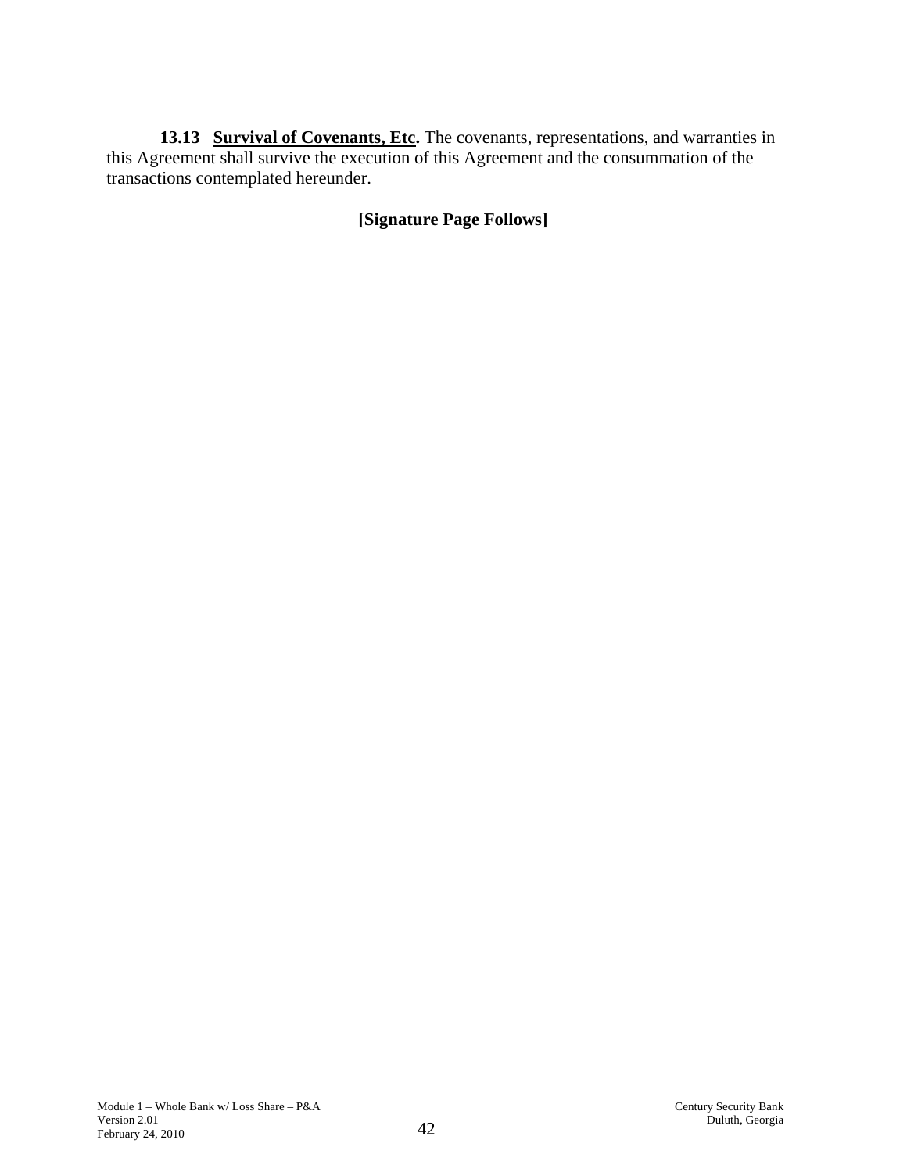**13.13 Survival of Covenants, Etc.** The covenants, representations, and warranties in this Agreement shall survive the execution of this Agreement and the consummation of the transactions contemplated hereunder.

# **[Signature Page Follows]**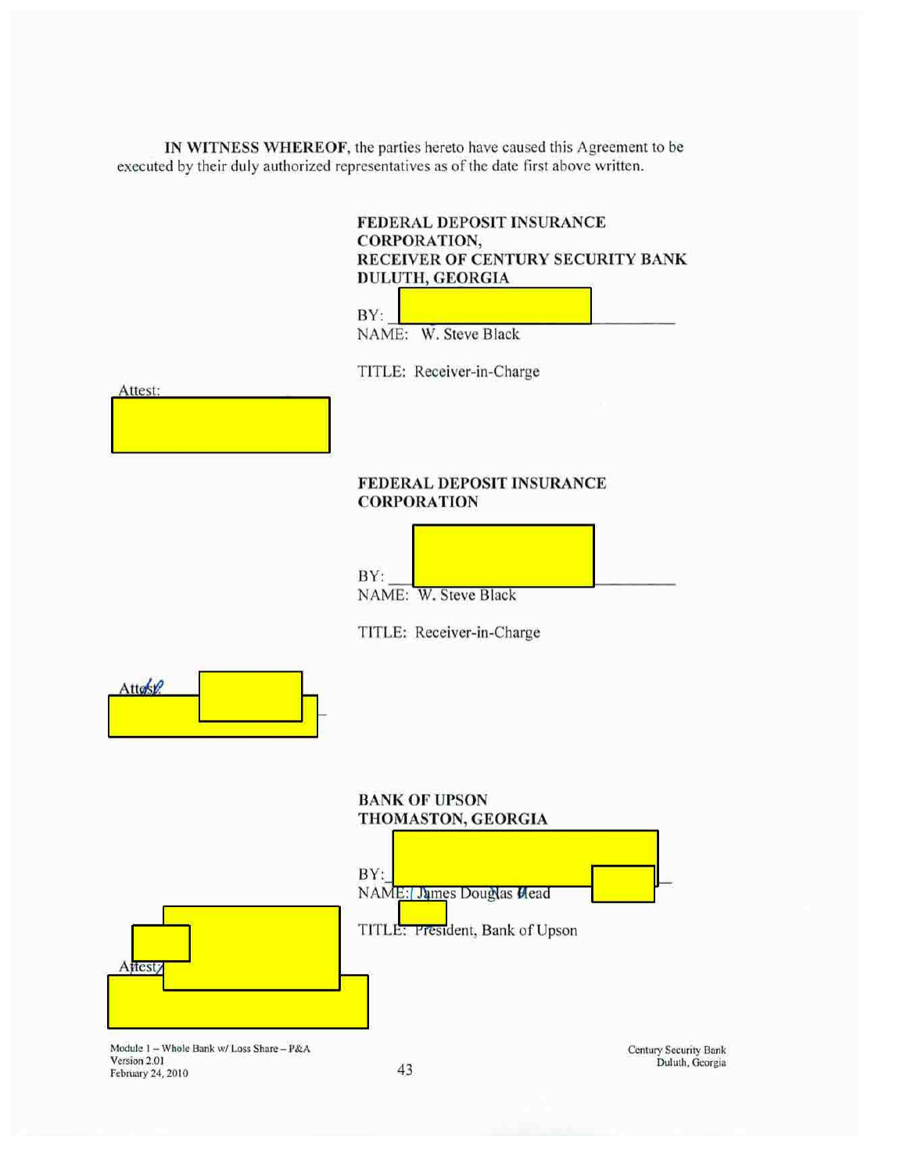IN WITNESS WHEREOF, the parties hereto have caused this Agreement to be executed by their duly authorized representatives as of the date first above written.

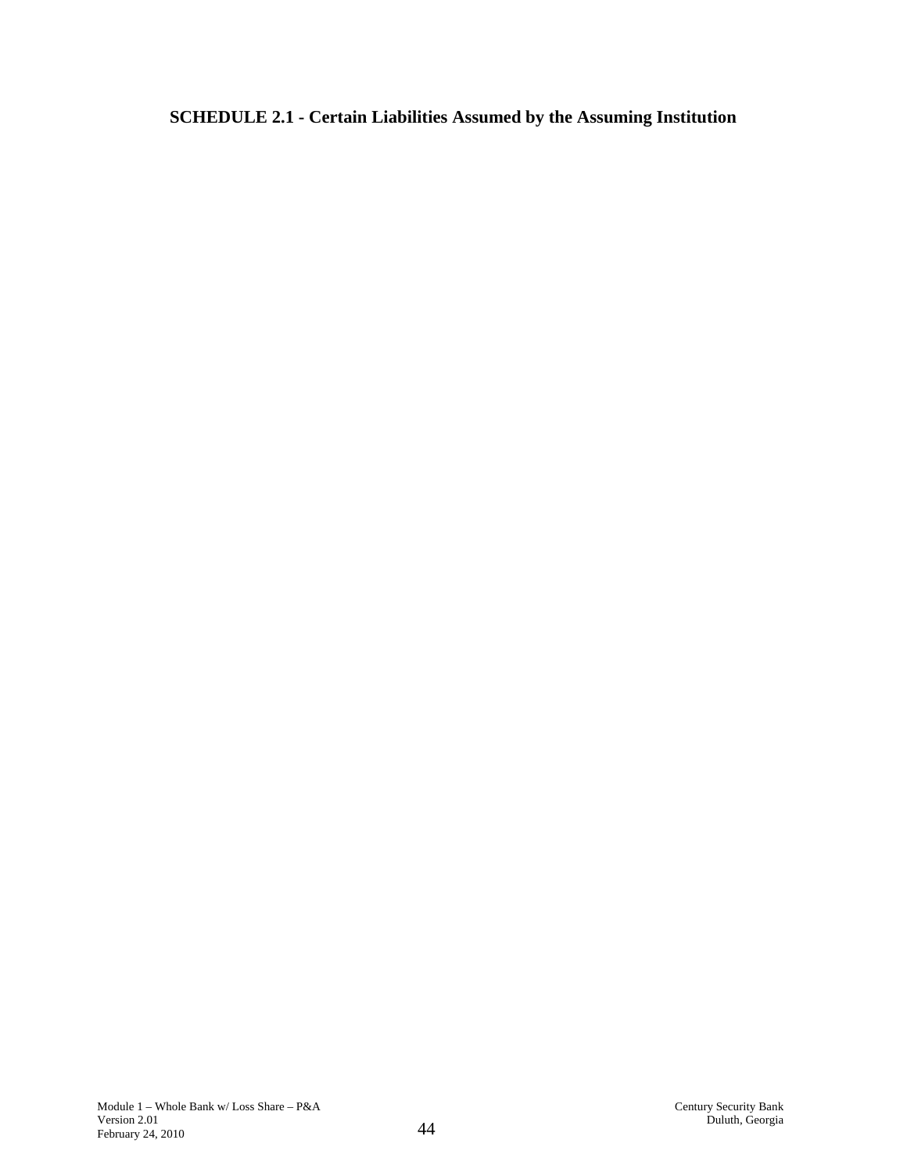**SCHEDULE 2.1 - Certain Liabilities Assumed by the Assuming Institution**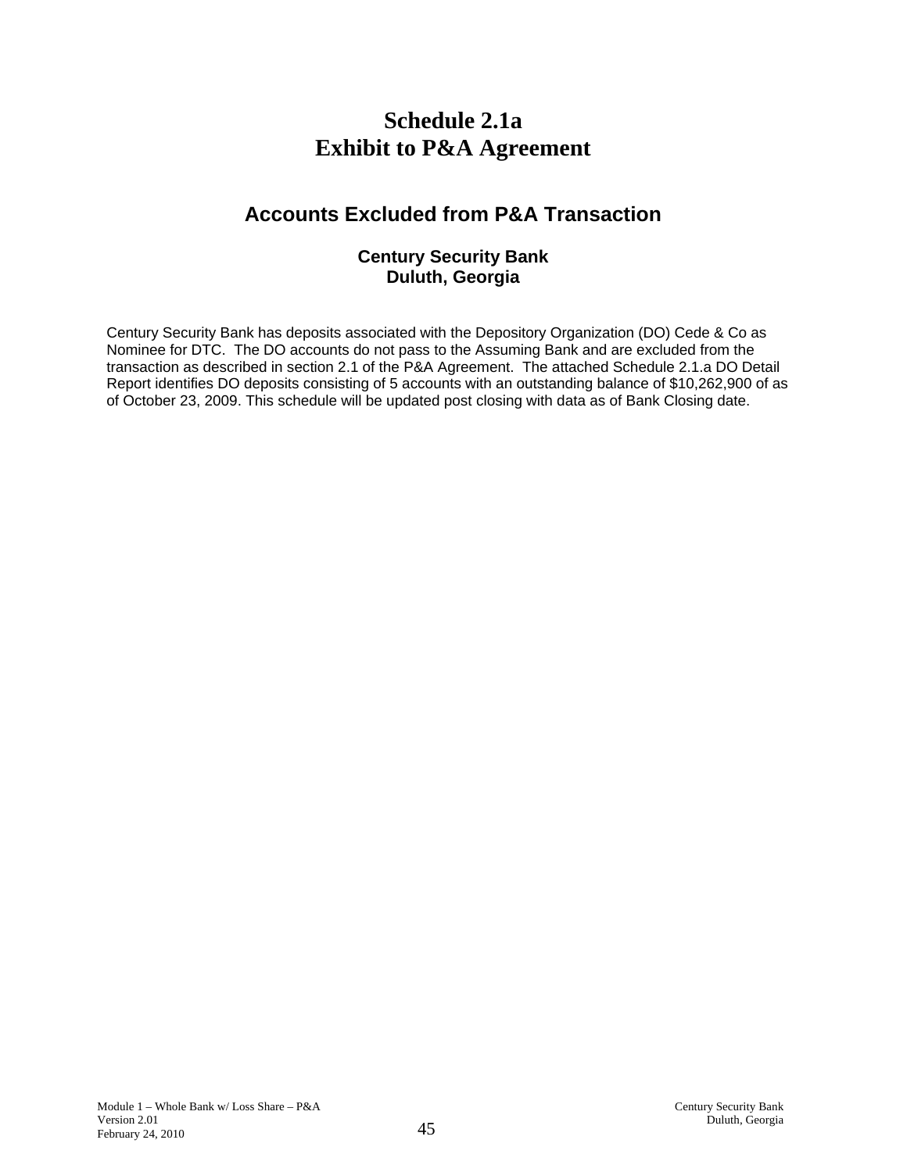# **Schedule 2.1a Exhibit to P&A Agreement**

# **Accounts Excluded from P&A Transaction**

# **Century Security Bank Duluth, Georgia**

Century Security Bank has deposits associated with the Depository Organization (DO) Cede & Co as Nominee for DTC. The DO accounts do not pass to the Assuming Bank and are excluded from the transaction as described in section 2.1 of the P&A Agreement. The attached Schedule 2.1.a DO Detail Report identifies DO deposits consisting of 5 accounts with an outstanding balance of \$10,262,900 of as of October 23, 2009. This schedule will be updated post closing with data as of Bank Closing date.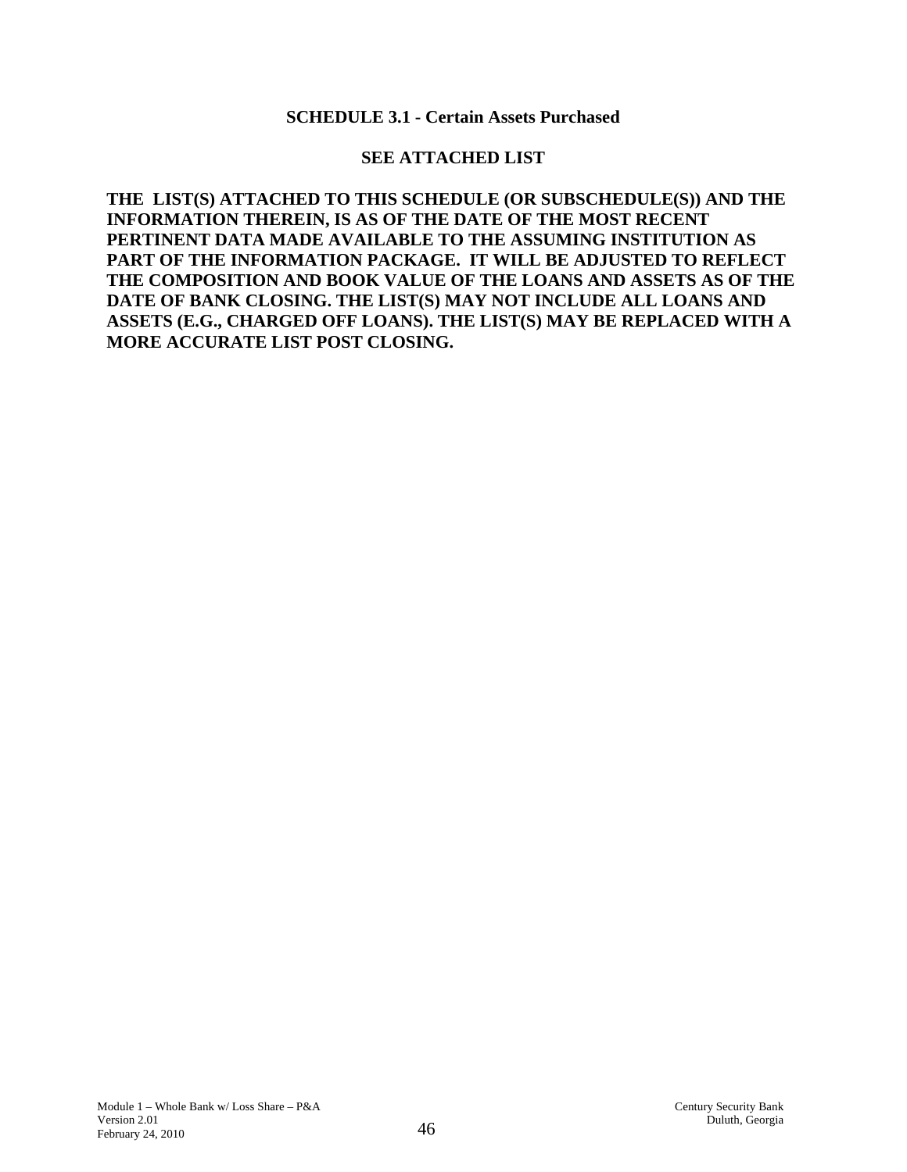#### **SCHEDULE 3.1 - Certain Assets Purchased**

#### **SEE ATTACHED LIST**

THE LIST(S) ATTACHED TO THIS SCHEDULE (OR SUBSCHEDULE(S)) AND THE **INFORMATION THEREIN, IS AS OF THE DATE OF THE MOST RECENT PERTINENT DATA MADE AVAILABLE TO THE ASSUMING INSTITUTION AS PART OF THE INFORMATION PACKAGE. IT WILL BE ADJUSTED TO REFLECT THE COMPOSITION AND BOOK VALUE OF THE LOANS AND ASSETS AS OF THE DATE OF BANK CLOSING. THE LIST(S) MAY NOT INCLUDE ALL LOANS AND ASSETS (E.G., CHARGED OFF LOANS). THE LIST(S) MAY BE REPLACED WITH A MORE ACCURATE LIST POST CLOSING.**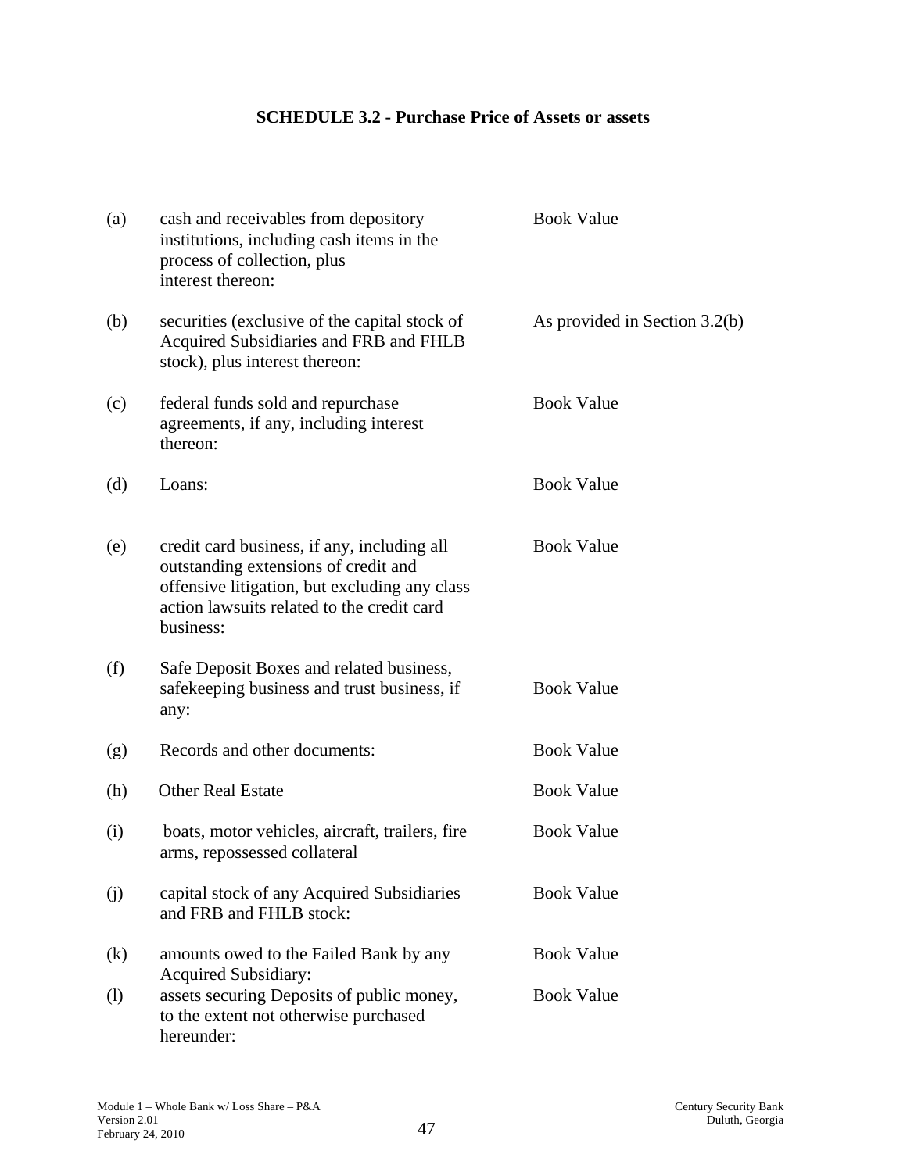# **SCHEDULE 3.2 - Purchase Price of Assets or assets**

| (a) | cash and receivables from depository<br>institutions, including cash items in the<br>process of collection, plus<br>interest thereon:                                                           | <b>Book Value</b>               |
|-----|-------------------------------------------------------------------------------------------------------------------------------------------------------------------------------------------------|---------------------------------|
| (b) | securities (exclusive of the capital stock of<br>Acquired Subsidiaries and FRB and FHLB<br>stock), plus interest thereon:                                                                       | As provided in Section $3.2(b)$ |
| (c) | federal funds sold and repurchase<br>agreements, if any, including interest<br>thereon:                                                                                                         | <b>Book Value</b>               |
| (d) | Loans:                                                                                                                                                                                          | <b>Book Value</b>               |
| (e) | credit card business, if any, including all<br>outstanding extensions of credit and<br>offensive litigation, but excluding any class<br>action lawsuits related to the credit card<br>business: | <b>Book Value</b>               |
| (f) | Safe Deposit Boxes and related business,<br>safekeeping business and trust business, if<br>any:                                                                                                 | <b>Book Value</b>               |
| (g) | Records and other documents:                                                                                                                                                                    | <b>Book Value</b>               |
| (h) | <b>Other Real Estate</b>                                                                                                                                                                        | <b>Book Value</b>               |
| (i) | boats, motor vehicles, aircraft, trailers, fire<br>arms, repossessed collateral                                                                                                                 | <b>Book Value</b>               |
| (j) | capital stock of any Acquired Subsidiaries<br>and FRB and FHLB stock:                                                                                                                           | <b>Book Value</b>               |
| (k) | amounts owed to the Failed Bank by any<br><b>Acquired Subsidiary:</b>                                                                                                                           | <b>Book Value</b>               |
| (1) | assets securing Deposits of public money,<br>to the extent not otherwise purchased<br>hereunder:                                                                                                | <b>Book Value</b>               |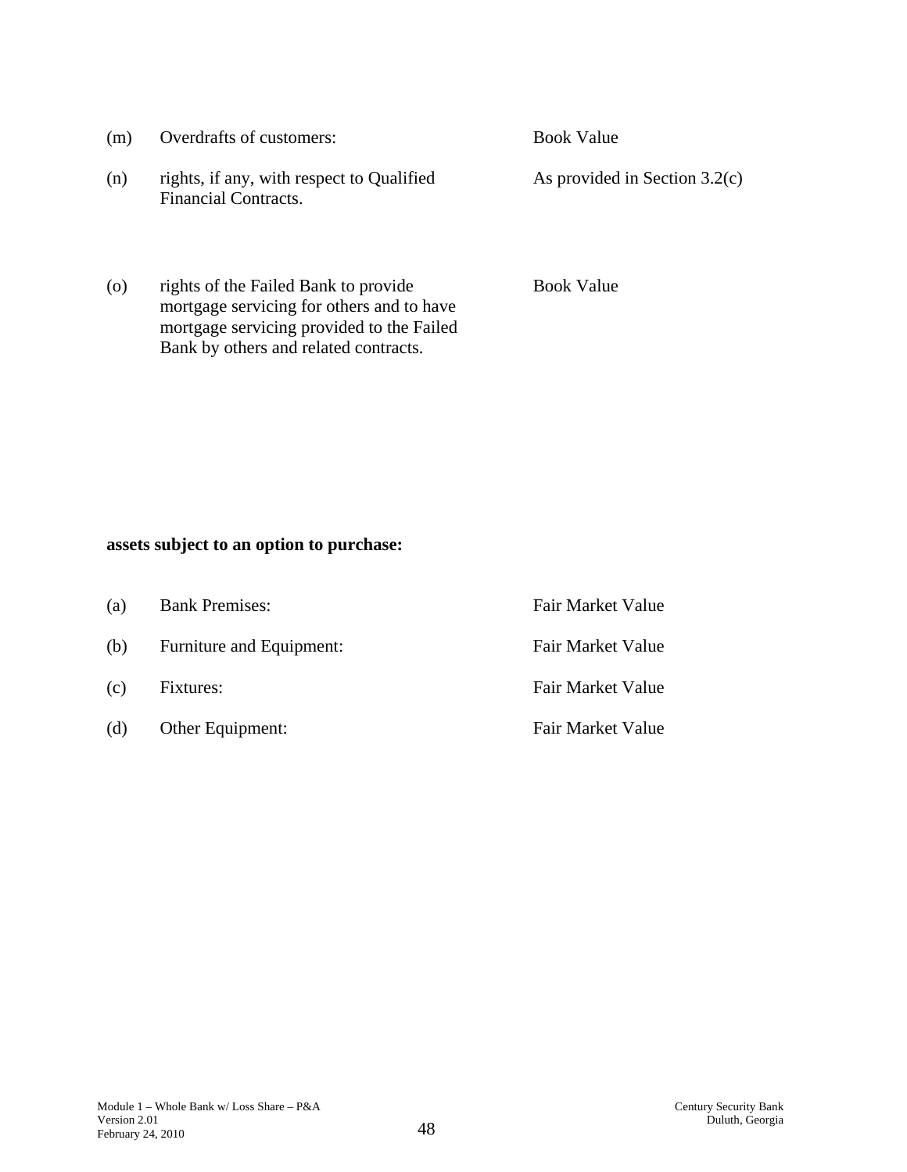- (m) Overdrafts of customers: Book Value
- (n) rights, if any, with respect to Qualified  $\qquad \qquad$  As provided in Section 3.2(c) Financial Contracts.
- (o) rights of the Failed Bank to provide Book Value mortgage servicing for others and to have mortgage servicing provided to the Failed Bank by others and related contracts.

# **assets subject to an option to purchase:**

| (a) | <b>Bank Premises:</b>    | Fair Market Value |
|-----|--------------------------|-------------------|
| (b) | Furniture and Equipment: | Fair Market Value |
| (c) | Fixtures:                | Fair Market Value |
| (d) | Other Equipment:         | Fair Market Value |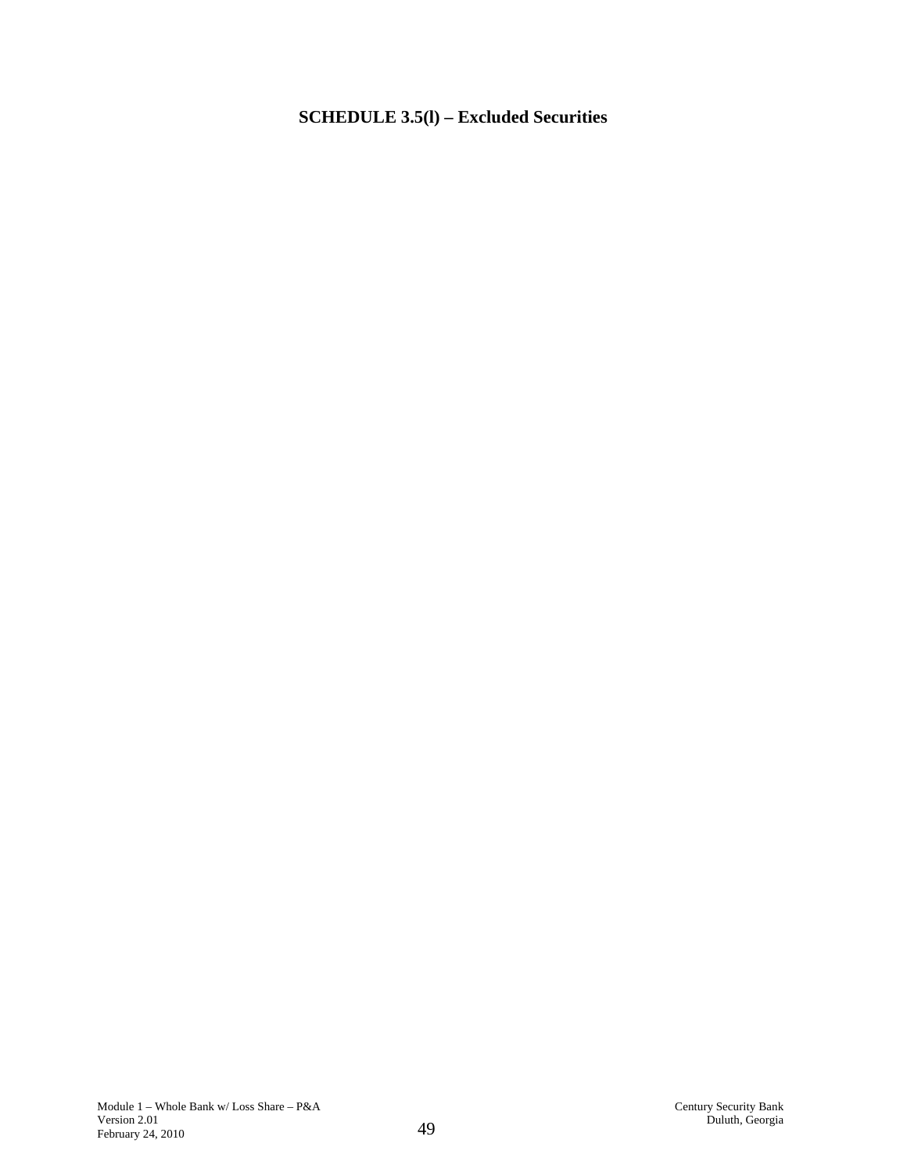# **SCHEDULE 3.5(l) – Excluded Securities**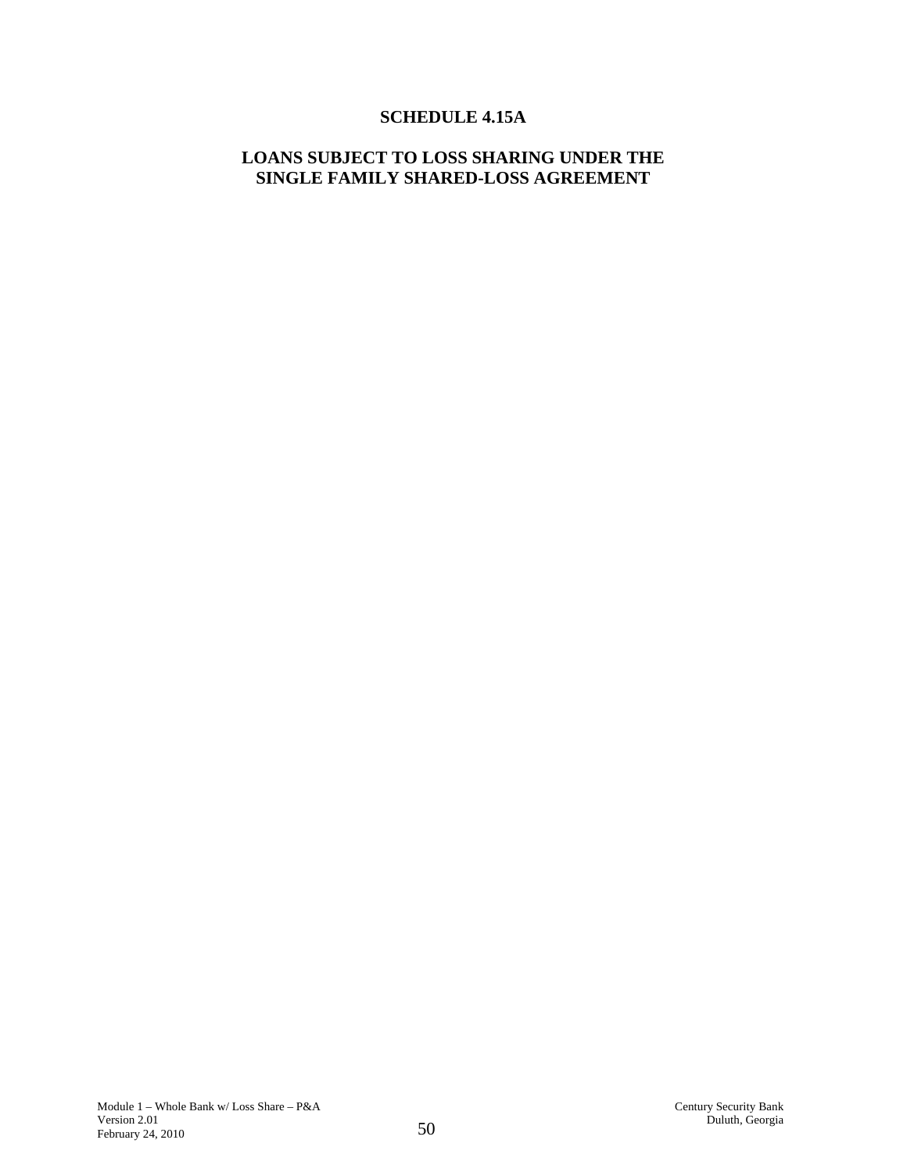# **SCHEDULE 4.15A**

# **LOANS SUBJECT TO LOSS SHARING UNDER THE SINGLE FAMILY SHARED-LOSS AGREEMENT**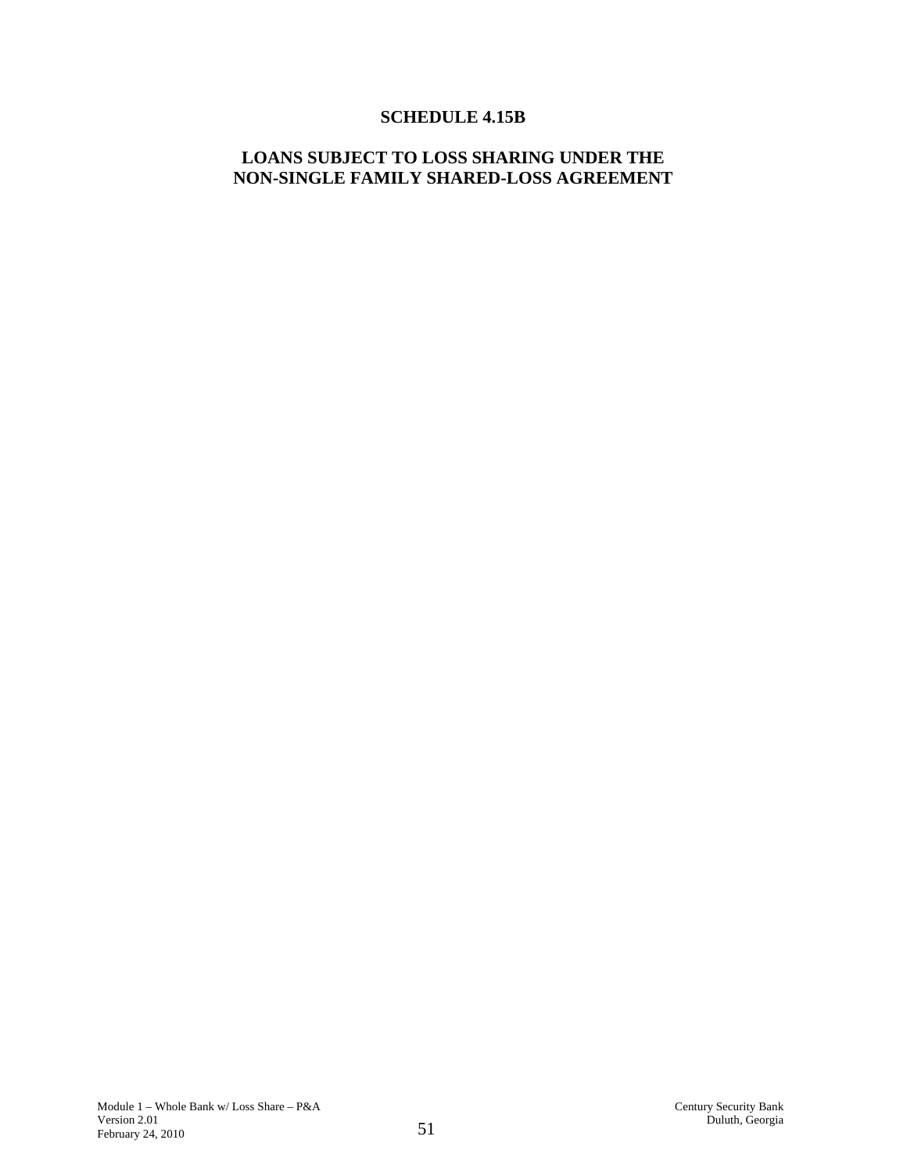# **SCHEDULE 4.15B**

# **LOANS SUBJECT TO LOSS SHARING UNDER THE NON-SINGLE FAMILY SHARED-LOSS AGREEMENT**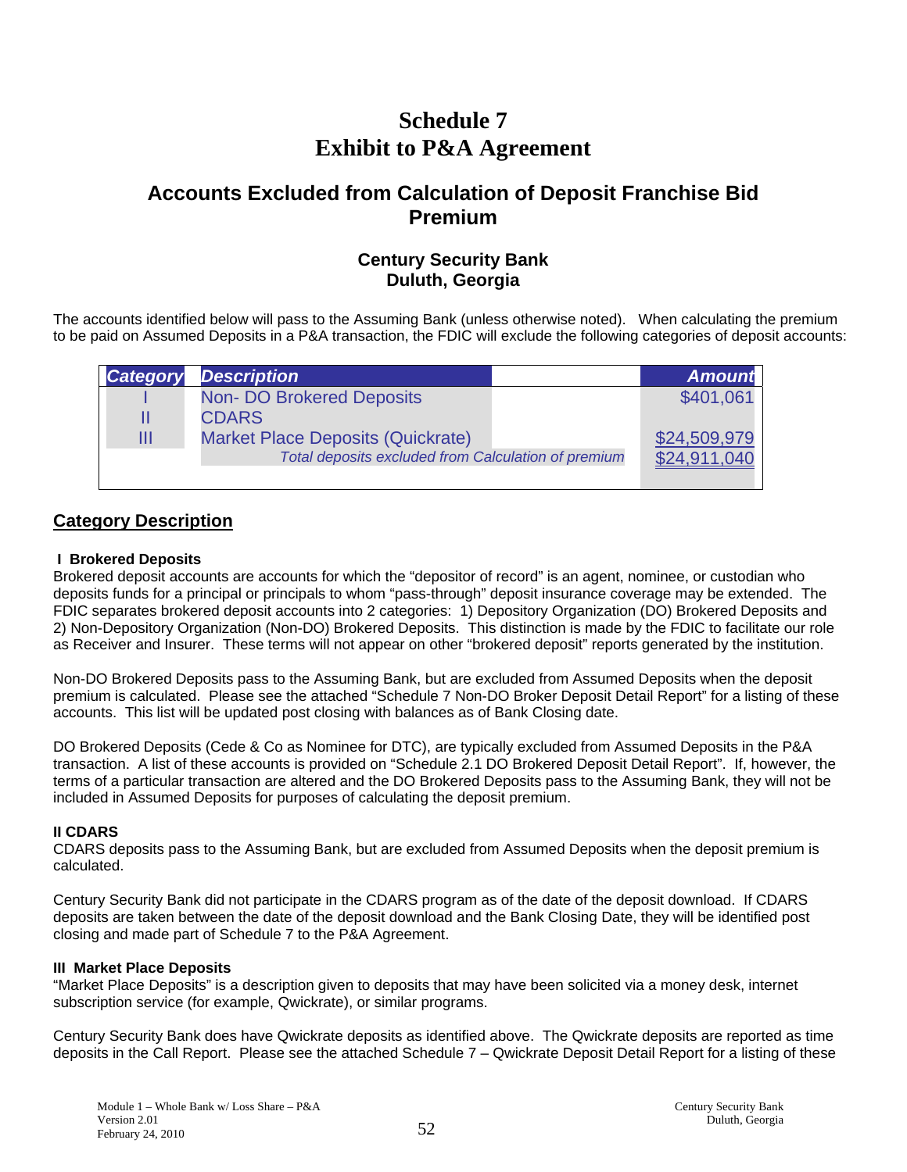# **Schedule 7 Exhibit to P&A Agreement**

# **Premium Accounts Excluded from Calculation of Deposit Franchise Bid**

# **Century Security Bank Duluth, Georgia**

The accounts identified below will pass to the Assuming Bank (unless otherwise noted). When calculating the premium to be paid on Assumed Deposits in a P&A transaction, the FDIC will exclude the following categories of deposit accounts:

| <b>Category</b> | <b>Description</b>                                  | <b>Amount</b> |
|-----------------|-----------------------------------------------------|---------------|
|                 | <b>Non-DO Brokered Deposits</b>                     | \$401,061     |
|                 | <b>CDARS</b>                                        |               |
| Ш               | <b>Market Place Deposits (Quickrate)</b>            | \$24,509,979  |
|                 | Total deposits excluded from Calculation of premium | \$24,911,040  |
|                 |                                                     |               |

# **Category Description**

#### **I Brokered Deposits**

Brokered deposit accounts are accounts for which the "depositor of record" is an agent, nominee, or custodian who deposits funds for a principal or principals to whom "pass-through" deposit insurance coverage may be extended. The FDIC separates brokered deposit accounts into 2 categories: 1) Depository Organization (DO) Brokered Deposits and 2) Non-Depository Organization (Non-DO) Brokered Deposits. This distinction is made by the FDIC to facilitate our role as Receiver and Insurer. These terms will not appear on other "brokered deposit" reports generated by the institution.

Non-DO Brokered Deposits pass to the Assuming Bank, but are excluded from Assumed Deposits when the deposit premium is calculated. Please see the attached "Schedule 7 Non-DO Broker Deposit Detail Report" for a listing of these accounts. This list will be updated post closing with balances as of Bank Closing date.

DO Brokered Deposits (Cede & Co as Nominee for DTC), are typically excluded from Assumed Deposits in the P&A transaction. A list of these accounts is provided on "Schedule 2.1 DO Brokered Deposit Detail Report". If, however, the terms of a particular transaction are altered and the DO Brokered Deposits pass to the Assuming Bank, they will not be included in Assumed Deposits for purposes of calculating the deposit premium.

#### **II CDARS**

CDARS deposits pass to the Assuming Bank, but are excluded from Assumed Deposits when the deposit premium is calculated.

Century Security Bank did not participate in the CDARS program as of the date of the deposit download. If CDARS deposits are taken between the date of the deposit download and the Bank Closing Date, they will be identified post closing and made part of Schedule 7 to the P&A Agreement.

#### **III Market Place Deposits**

"Market Place Deposits" is a description given to deposits that may have been solicited via a money desk, internet subscription service (for example, Qwickrate), or similar programs.

Century Security Bank does have Qwickrate deposits as identified above. The Qwickrate deposits are reported as time deposits in the Call Report. Please see the attached Schedule 7 – Qwickrate Deposit Detail Report for a listing of these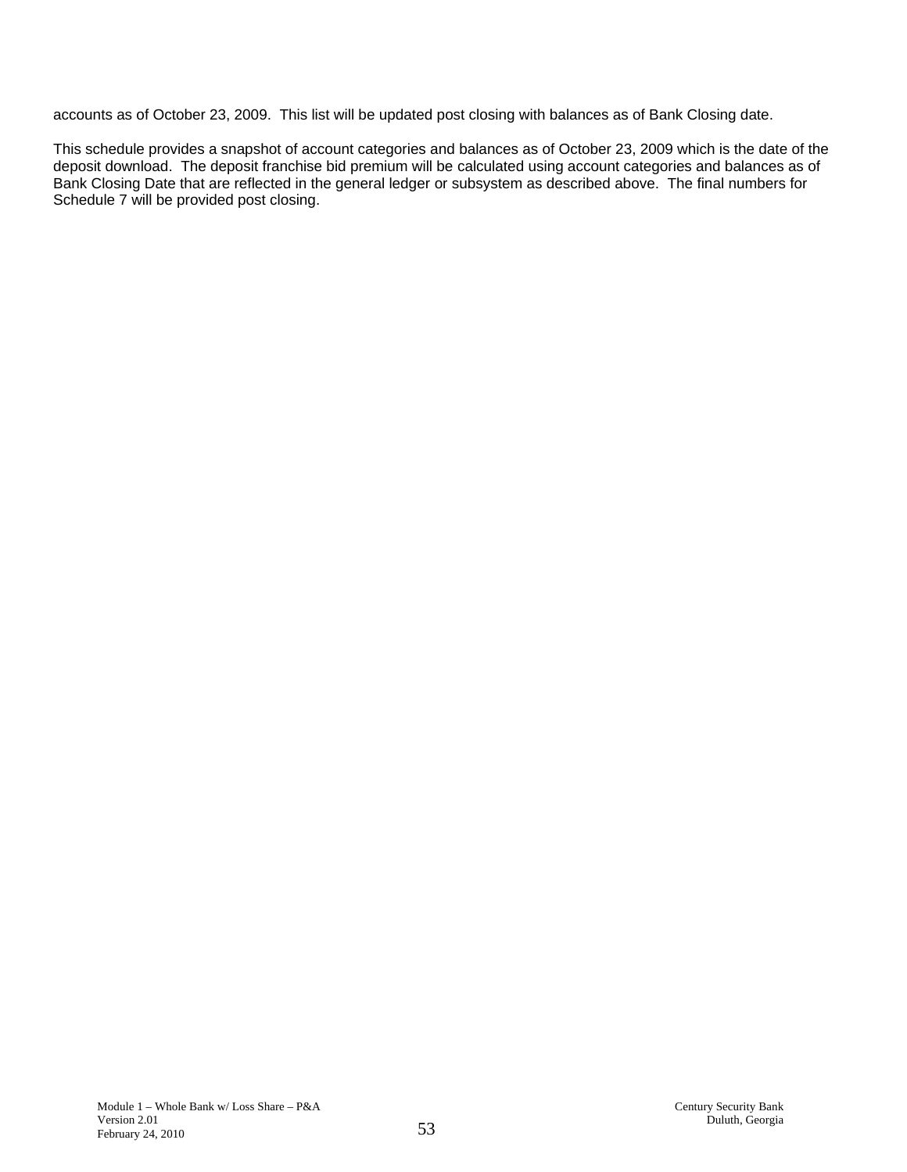accounts as of October 23, 2009. This list will be updated post closing with balances as of Bank Closing date.

This schedule provides a snapshot of account categories and balances as of October 23, 2009 which is the date of the deposit download. The deposit franchise bid premium will be calculated using account categories and balances as of Bank Closing Date that are reflected in the general ledger or subsystem as described above. The final numbers for Schedule 7 will be provided post closing.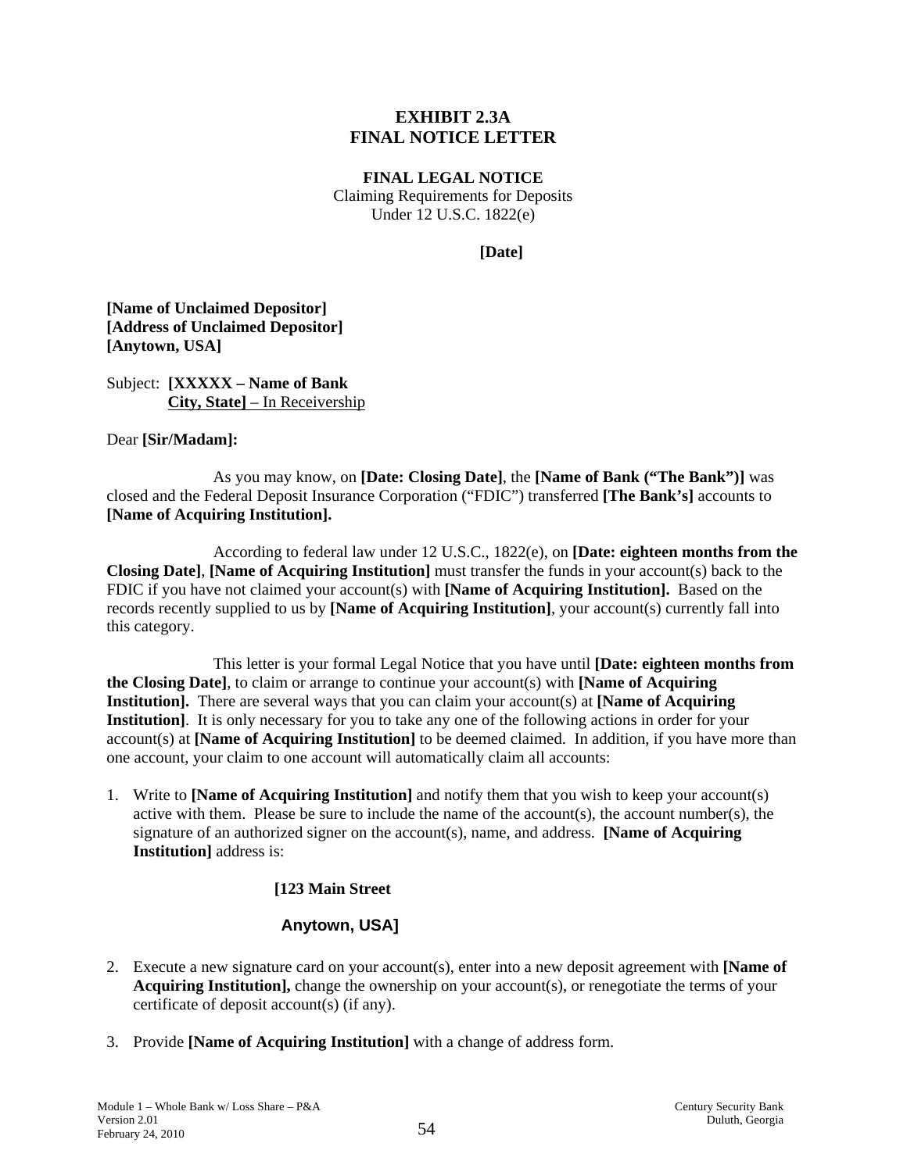### **EXHIBIT 2.3A FINAL NOTICE LETTER**

#### **FINAL LEGAL NOTICE**

Claiming Requirements for Deposits Under 12 U.S.C. 1822(e)

**[Date]** 

**[Name of Unclaimed Depositor] [Address of Unclaimed Depositor] [Anytown, USA]** 

Subject: **[XXXXX – Name of Bank City, State]** – In Receivership

Dear **[Sir/Madam]:** 

As you may know, on **[Date: Closing Date]**, the **[Name of Bank ("The Bank")]** was closed and the Federal Deposit Insurance Corporation ("FDIC") transferred **[The Bank's]** accounts to **[Name of Acquiring Institution].** 

According to federal law under 12 U.S.C., 1822(e), on **[Date: eighteen months from the Closing Date]**, **[Name of Acquiring Institution]** must transfer the funds in your account(s) back to the FDIC if you have not claimed your account(s) with **[Name of Acquiring Institution].** Based on the records recently supplied to us by **[Name of Acquiring Institution]**, your account(s) currently fall into this category.

This letter is your formal Legal Notice that you have until **[Date: eighteen months from the Closing Date]**, to claim or arrange to continue your account(s) with **[Name of Acquiring Institution].** There are several ways that you can claim your account(s) at **[Name of Acquiring Institution]**. It is only necessary for you to take any one of the following actions in order for your account(s) at **[Name of Acquiring Institution]** to be deemed claimed. In addition, if you have more than one account, your claim to one account will automatically claim all accounts:

1. Write to **[Name of Acquiring Institution**] and notify them that you wish to keep your account(s) active with them. Please be sure to include the name of the account(s), the account number(s), the signature of an authorized signer on the account(s), name, and address. **[Name of Acquiring Institution]** address is:

#### **[123 Main Street**

# **Anytown, USA]**

- 2. Execute a new signature card on your account(s), enter into a new deposit agreement with **[Name of Acquiring Institution],** change the ownership on your account(s), or renegotiate the terms of your certificate of deposit account(s) (if any).
- 3. Provide **[Name of Acquiring Institution]** with a change of address form.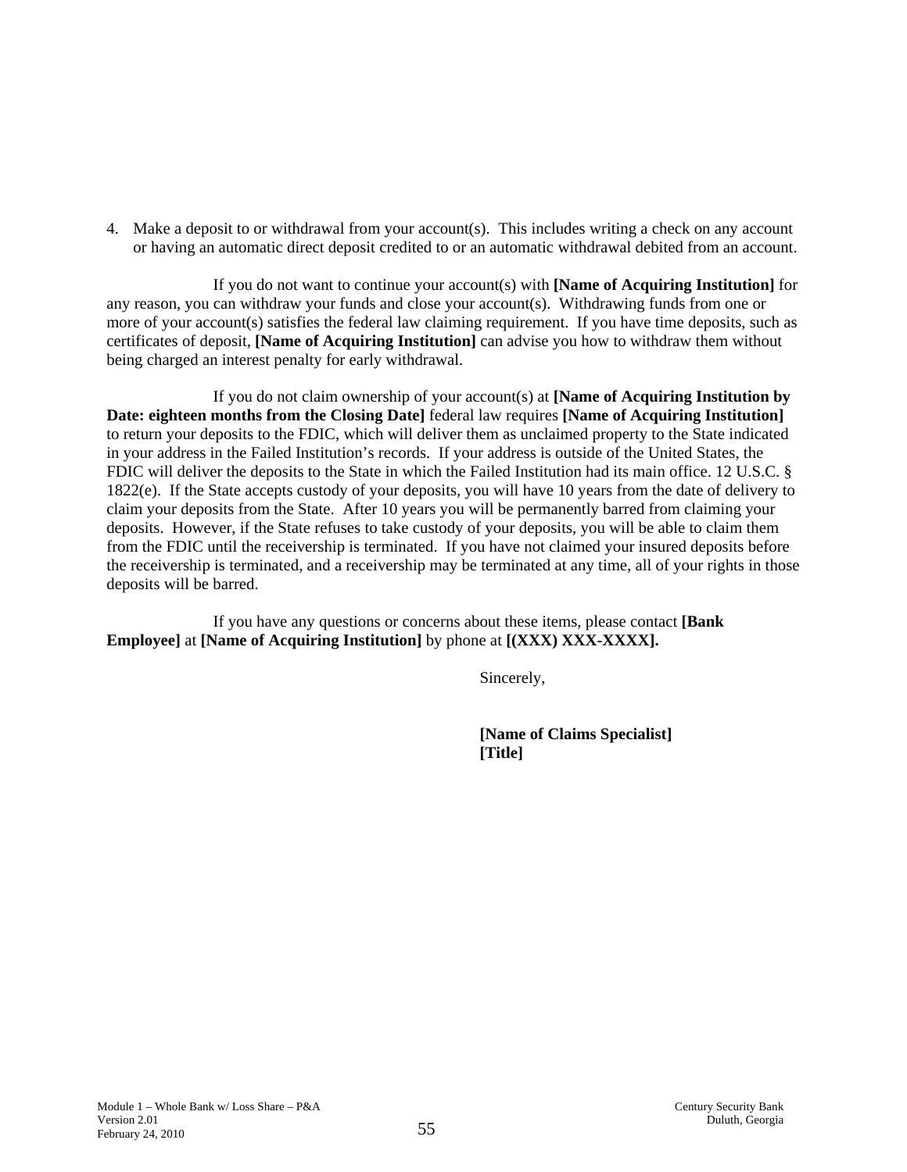4. Make a deposit to or withdrawal from your account(s). This includes writing a check on any account or having an automatic direct deposit credited to or an automatic withdrawal debited from an account.

If you do not want to continue your account(s) with **[Name of Acquiring Institution]** for any reason, you can withdraw your funds and close your account(s). Withdrawing funds from one or more of your account(s) satisfies the federal law claiming requirement. If you have time deposits, such as certificates of deposit, **[Name of Acquiring Institution]** can advise you how to withdraw them without being charged an interest penalty for early withdrawal.

If you do not claim ownership of your account(s) at **[Name of Acquiring Institution by Date: eighteen months from the Closing Date]** federal law requires **[Name of Acquiring Institution]**  to return your deposits to the FDIC, which will deliver them as unclaimed property to the State indicated in your address in the Failed Institution's records. If your address is outside of the United States, the FDIC will deliver the deposits to the State in which the Failed Institution had its main office. 12 U.S.C. § 1822(e). If the State accepts custody of your deposits, you will have 10 years from the date of delivery to claim your deposits from the State. After 10 years you will be permanently barred from claiming your deposits. However, if the State refuses to take custody of your deposits, you will be able to claim them from the FDIC until the receivership is terminated. If you have not claimed your insured deposits before the receivership is terminated, and a receivership may be terminated at any time, all of your rights in those deposits will be barred.

If you have any questions or concerns about these items, please contact **[Bank Employee]** at **[Name of Acquiring Institution]** by phone at **[(XXX) XXX-XXXX].** 

Sincerely,

**[Name of Claims Specialist] [Title]**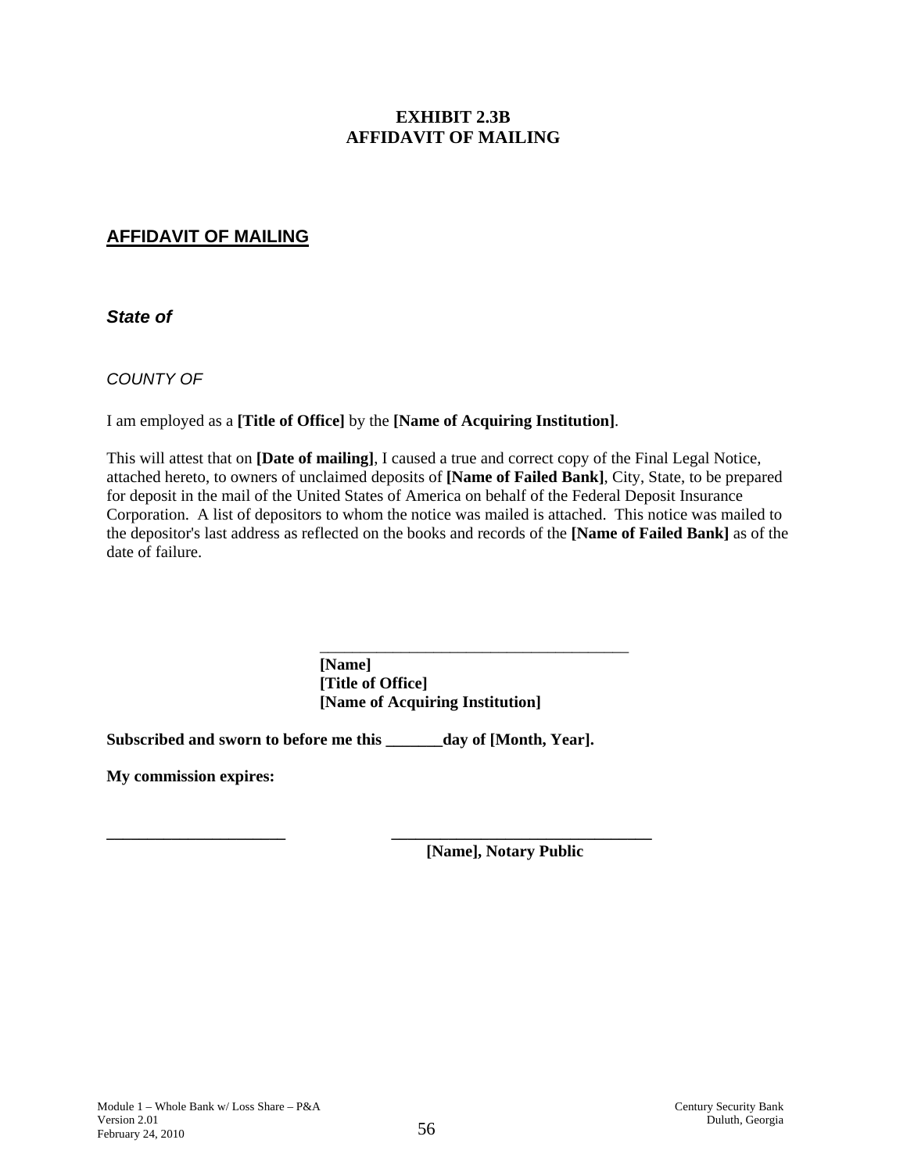# **EXHIBIT 2.3B AFFIDAVIT OF MAILING**

# **AFFIDAVIT OF MAILING**

*State of* 

*COUNTY OF* 

I am employed as a **[Title of Office]** by the **[Name of Acquiring Institution]**.

This will attest that on **[Date of mailing]**, I caused a true and correct copy of the Final Legal Notice, attached hereto, to owners of unclaimed deposits of **[Name of Failed Bank]**, City, State, to be prepared for deposit in the mail of the United States of America on behalf of the Federal Deposit Insurance Corporation. A list of depositors to whom the notice was mailed is attached. This notice was mailed to the depositor's last address as reflected on the books and records of the **[Name of Failed Bank]** as of the date of failure.

 $\overline{\phantom{a}}$  , and the contract of the contract of the contract of the contract of the contract of the contract of the contract of the contract of the contract of the contract of the contract of the contract of the contrac **[Name] [Title of Office] [Name of Acquiring Institution]** 

**Subscribed and sworn to before me this \_\_\_\_\_\_\_day of [Month, Year].** 

**My commission expires:** 

**\_\_\_\_\_\_\_\_\_\_\_\_\_\_\_\_\_\_\_\_\_\_ \_\_\_\_\_\_\_\_\_\_\_\_\_\_\_\_\_\_\_\_\_\_\_\_\_\_\_\_\_\_\_\_ [Name], Notary Public**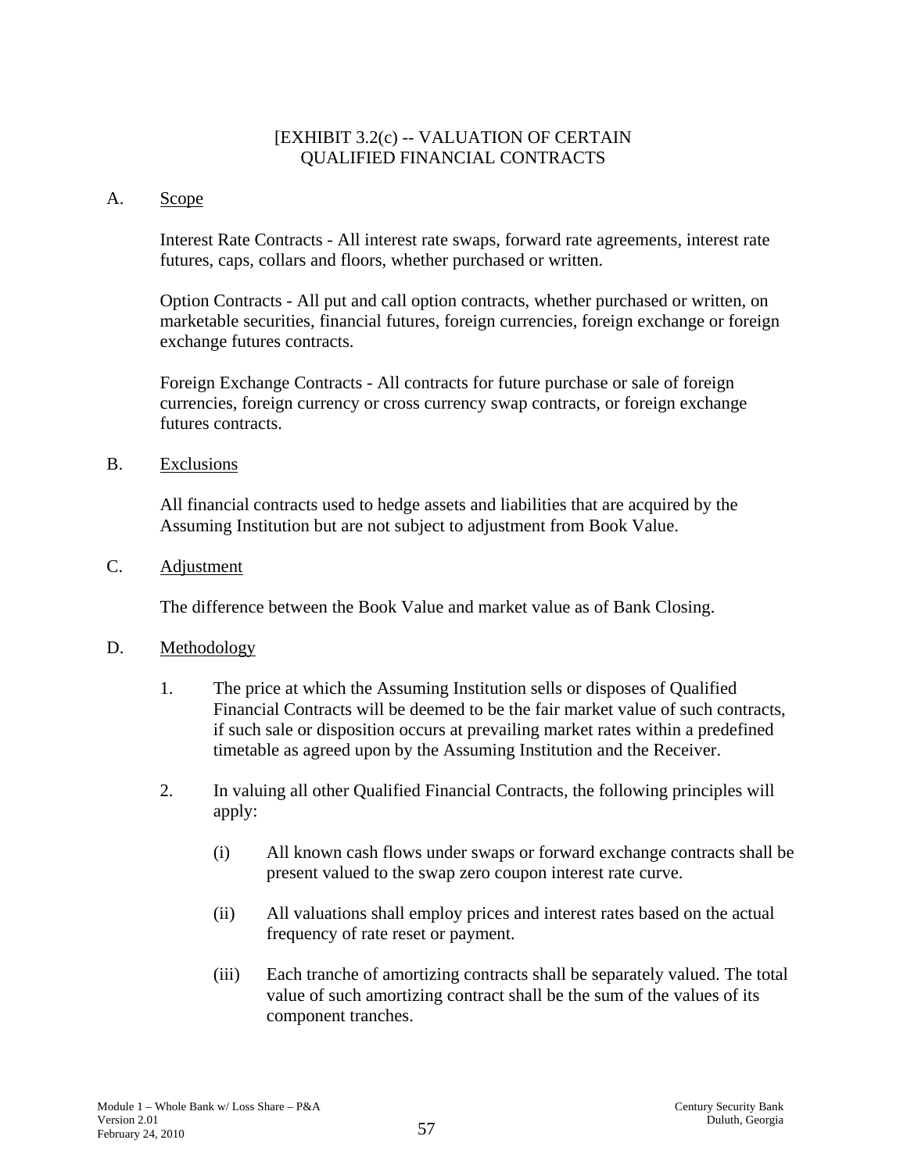# [EXHIBIT 3.2(c) -- VALUATION OF CERTAIN QUALIFIED FINANCIAL CONTRACTS

#### A. Scope

Interest Rate Contracts - All interest rate swaps, forward rate agreements, interest rate futures, caps, collars and floors, whether purchased or written.

Option Contracts - All put and call option contracts, whether purchased or written, on marketable securities, financial futures, foreign currencies, foreign exchange or foreign exchange futures contracts.

Foreign Exchange Contracts - All contracts for future purchase or sale of foreign currencies, foreign currency or cross currency swap contracts, or foreign exchange futures contracts.

### B. Exclusions

All financial contracts used to hedge assets and liabilities that are acquired by the Assuming Institution but are not subject to adjustment from Book Value.

### C. Adjustment

The difference between the Book Value and market value as of Bank Closing.

# D. Methodology

- 1. The price at which the Assuming Institution sells or disposes of Qualified Financial Contracts will be deemed to be the fair market value of such contracts, if such sale or disposition occurs at prevailing market rates within a predefined timetable as agreed upon by the Assuming Institution and the Receiver.
- 2. In valuing all other Qualified Financial Contracts, the following principles will apply:
	- (i) All known cash flows under swaps or forward exchange contracts shall be present valued to the swap zero coupon interest rate curve.
	- (ii) All valuations shall employ prices and interest rates based on the actual frequency of rate reset or payment.
	- (iii) Each tranche of amortizing contracts shall be separately valued. The total value of such amortizing contract shall be the sum of the values of its component tranches.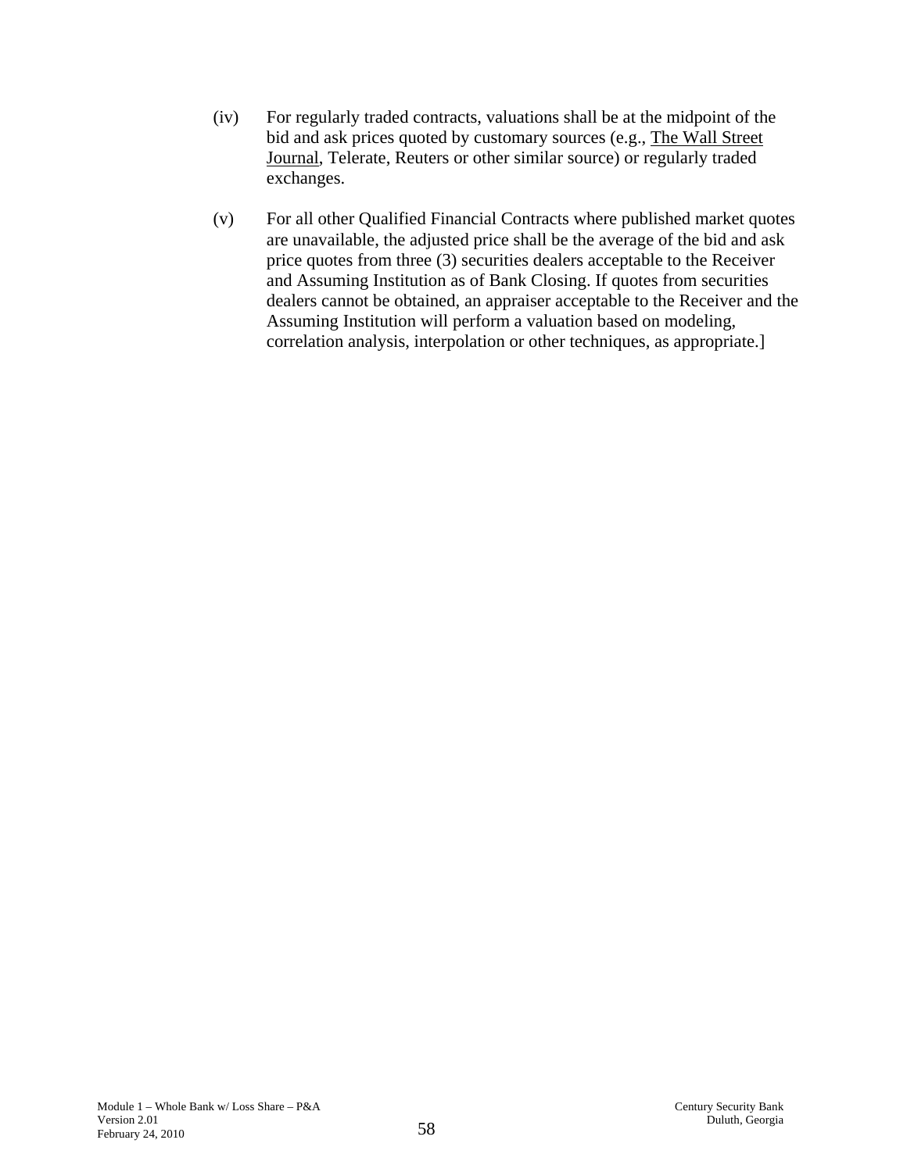- (iv) For regularly traded contracts, valuations shall be at the midpoint of the bid and ask prices quoted by customary sources (e.g., The Wall Street Journal, Telerate, Reuters or other similar source) or regularly traded exchanges.
- (v) For all other Qualified Financial Contracts where published market quotes are unavailable, the adjusted price shall be the average of the bid and ask price quotes from three (3) securities dealers acceptable to the Receiver and Assuming Institution as of Bank Closing. If quotes from securities dealers cannot be obtained, an appraiser acceptable to the Receiver and the Assuming Institution will perform a valuation based on modeling, correlation analysis, interpolation or other techniques, as appropriate.]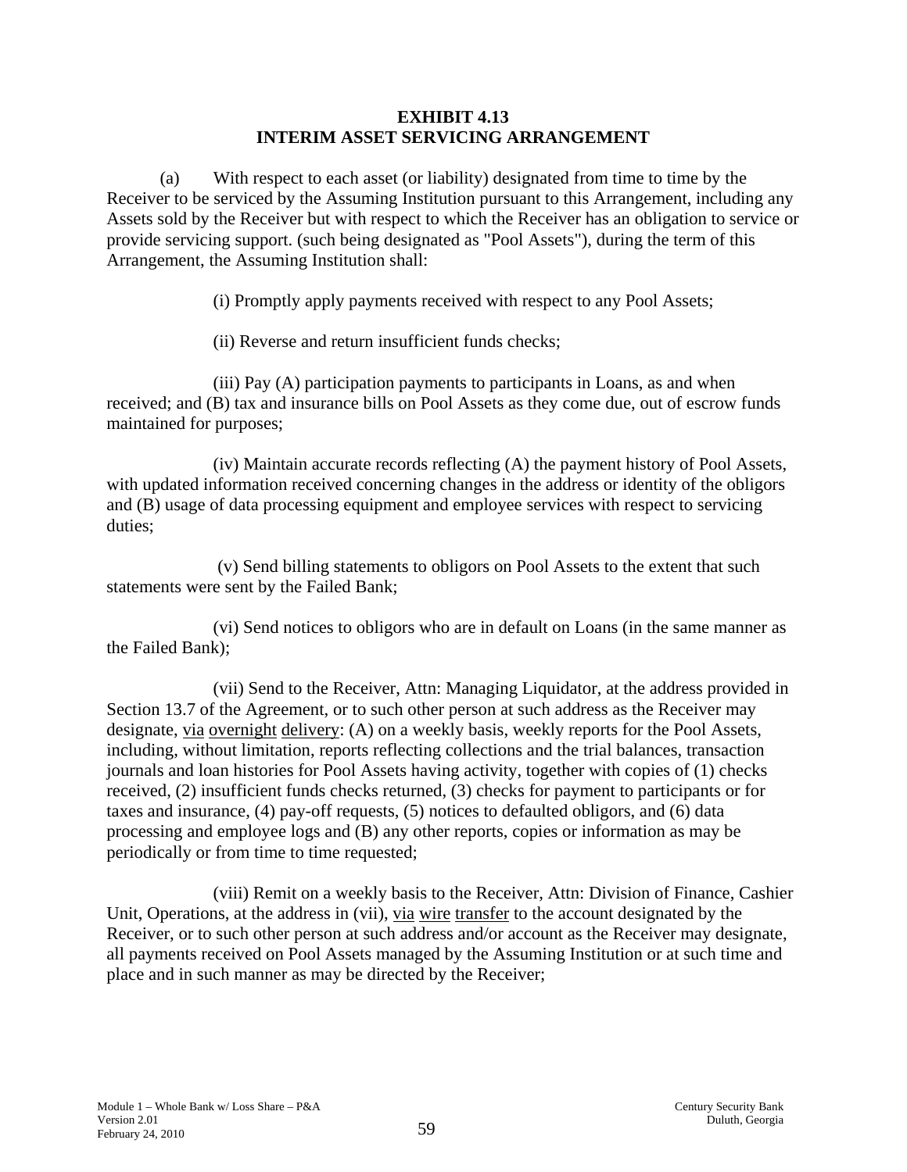#### **EXHIBIT 4.13 INTERIM ASSET SERVICING ARRANGEMENT**

(a) With respect to each asset (or liability) designated from time to time by the Receiver to be serviced by the Assuming Institution pursuant to this Arrangement, including any Assets sold by the Receiver but with respect to which the Receiver has an obligation to service or provide servicing support. (such being designated as "Pool Assets"), during the term of this Arrangement, the Assuming Institution shall:

(i) Promptly apply payments received with respect to any Pool Assets;

(ii) Reverse and return insufficient funds checks;

(iii) Pay (A) participation payments to participants in Loans, as and when received; and (B) tax and insurance bills on Pool Assets as they come due, out of escrow funds maintained for purposes;

(iv) Maintain accurate records reflecting (A) the payment history of Pool Assets, with updated information received concerning changes in the address or identity of the obligors and (B) usage of data processing equipment and employee services with respect to servicing duties;

 (v) Send billing statements to obligors on Pool Assets to the extent that such statements were sent by the Failed Bank;

(vi) Send notices to obligors who are in default on Loans (in the same manner as the Failed Bank);

(vii) Send to the Receiver, Attn: Managing Liquidator, at the address provided in Section 13.7 of the Agreement, or to such other person at such address as the Receiver may designate, via overnight delivery: (A) on a weekly basis, weekly reports for the Pool Assets, including, without limitation, reports reflecting collections and the trial balances, transaction journals and loan histories for Pool Assets having activity, together with copies of (1) checks received, (2) insufficient funds checks returned, (3) checks for payment to participants or for taxes and insurance, (4) pay-off requests, (5) notices to defaulted obligors, and (6) data processing and employee logs and (B) any other reports, copies or information as may be periodically or from time to time requested;

(viii) Remit on a weekly basis to the Receiver, Attn: Division of Finance, Cashier Unit, Operations, at the address in (vii), via wire transfer to the account designated by the Receiver, or to such other person at such address and/or account as the Receiver may designate, all payments received on Pool Assets managed by the Assuming Institution or at such time and place and in such manner as may be directed by the Receiver;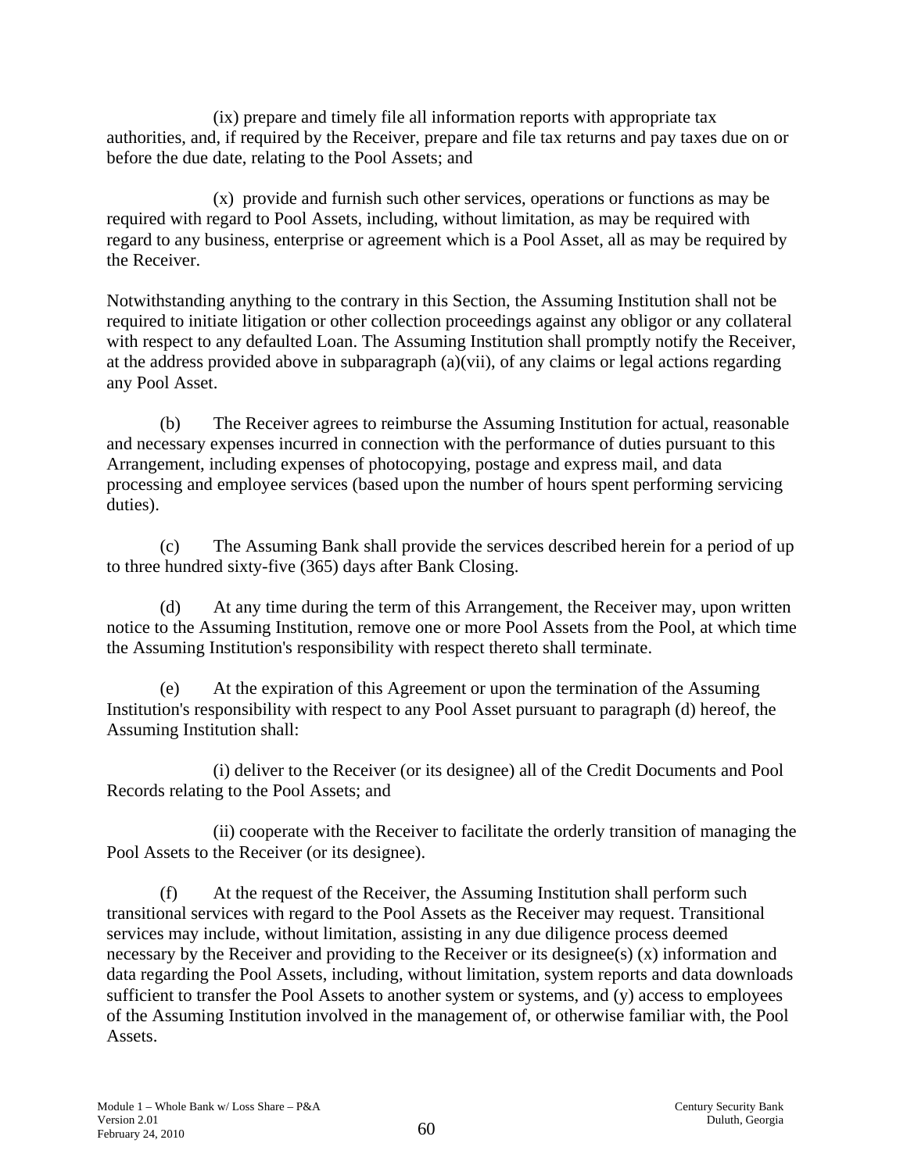(ix) prepare and timely file all information reports with appropriate tax authorities, and, if required by the Receiver, prepare and file tax returns and pay taxes due on or before the due date, relating to the Pool Assets; and

(x) provide and furnish such other services, operations or functions as may be required with regard to Pool Assets, including, without limitation, as may be required with regard to any business, enterprise or agreement which is a Pool Asset, all as may be required by the Receiver.

Notwithstanding anything to the contrary in this Section, the Assuming Institution shall not be required to initiate litigation or other collection proceedings against any obligor or any collateral with respect to any defaulted Loan. The Assuming Institution shall promptly notify the Receiver, at the address provided above in subparagraph (a)(vii), of any claims or legal actions regarding any Pool Asset.

(b) The Receiver agrees to reimburse the Assuming Institution for actual, reasonable and necessary expenses incurred in connection with the performance of duties pursuant to this Arrangement, including expenses of photocopying, postage and express mail, and data processing and employee services (based upon the number of hours spent performing servicing duties).

(c) The Assuming Bank shall provide the services described herein for a period of up to three hundred sixty-five (365) days after Bank Closing.

(d) At any time during the term of this Arrangement, the Receiver may, upon written notice to the Assuming Institution, remove one or more Pool Assets from the Pool, at which time the Assuming Institution's responsibility with respect thereto shall terminate.

(e) At the expiration of this Agreement or upon the termination of the Assuming Institution's responsibility with respect to any Pool Asset pursuant to paragraph (d) hereof, the Assuming Institution shall:

(i) deliver to the Receiver (or its designee) all of the Credit Documents and Pool Records relating to the Pool Assets; and

(ii) cooperate with the Receiver to facilitate the orderly transition of managing the Pool Assets to the Receiver (or its designee).

(f) At the request of the Receiver, the Assuming Institution shall perform such transitional services with regard to the Pool Assets as the Receiver may request. Transitional services may include, without limitation, assisting in any due diligence process deemed necessary by the Receiver and providing to the Receiver or its designee(s) (x) information and data regarding the Pool Assets, including, without limitation, system reports and data downloads sufficient to transfer the Pool Assets to another system or systems, and (y) access to employees of the Assuming Institution involved in the management of, or otherwise familiar with, the Pool Assets.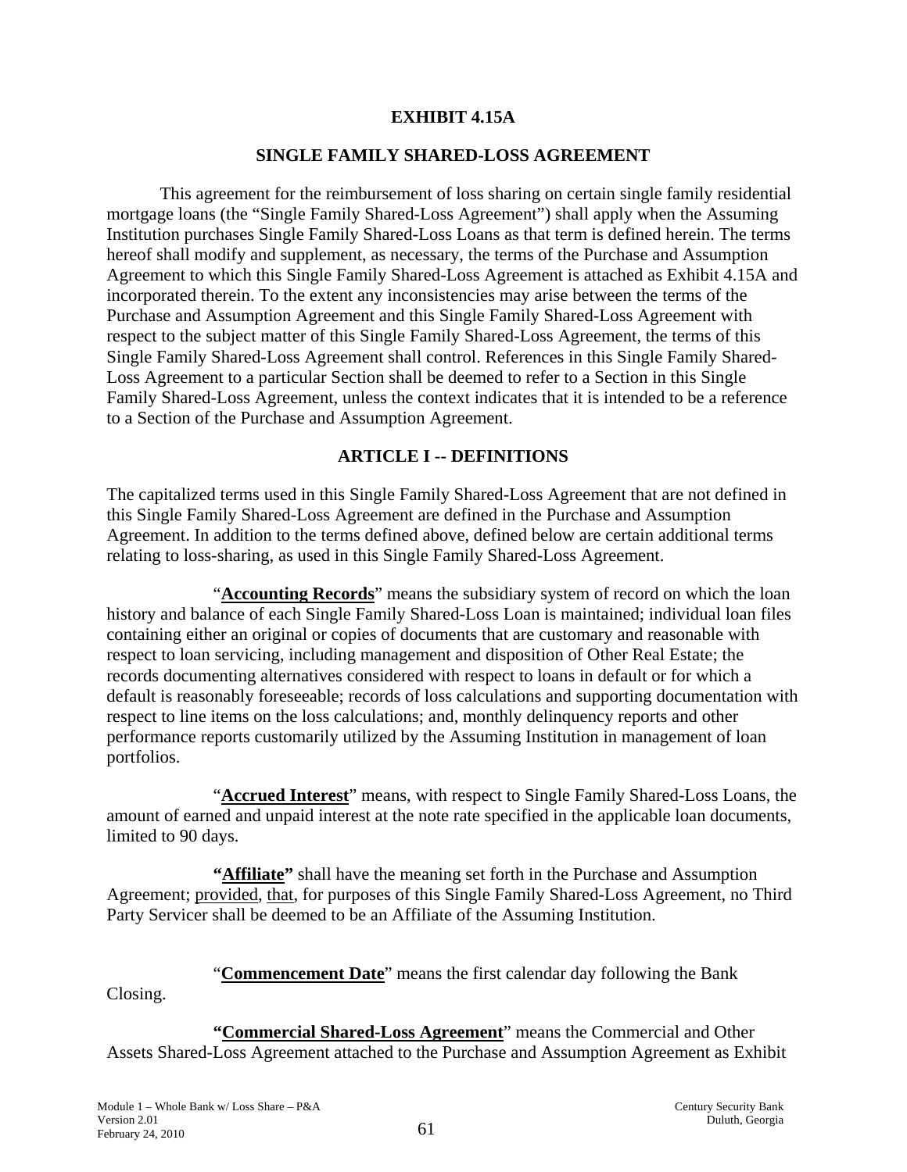#### **EXHIBIT 4.15A**

#### **SINGLE FAMILY SHARED-LOSS AGREEMENT**

This agreement for the reimbursement of loss sharing on certain single family residential mortgage loans (the "Single Family Shared-Loss Agreement") shall apply when the Assuming Institution purchases Single Family Shared-Loss Loans as that term is defined herein. The terms hereof shall modify and supplement, as necessary, the terms of the Purchase and Assumption Agreement to which this Single Family Shared-Loss Agreement is attached as Exhibit 4.15A and incorporated therein. To the extent any inconsistencies may arise between the terms of the Purchase and Assumption Agreement and this Single Family Shared-Loss Agreement with respect to the subject matter of this Single Family Shared-Loss Agreement, the terms of this Single Family Shared-Loss Agreement shall control. References in this Single Family Shared-Loss Agreement to a particular Section shall be deemed to refer to a Section in this Single Family Shared-Loss Agreement, unless the context indicates that it is intended to be a reference to a Section of the Purchase and Assumption Agreement.

### **ARTICLE I -- DEFINITIONS**

The capitalized terms used in this Single Family Shared-Loss Agreement that are not defined in this Single Family Shared-Loss Agreement are defined in the Purchase and Assumption Agreement. In addition to the terms defined above, defined below are certain additional terms relating to loss-sharing, as used in this Single Family Shared-Loss Agreement.

"**Accounting Records**" means the subsidiary system of record on which the loan history and balance of each Single Family Shared-Loss Loan is maintained; individual loan files containing either an original or copies of documents that are customary and reasonable with respect to loan servicing, including management and disposition of Other Real Estate; the records documenting alternatives considered with respect to loans in default or for which a default is reasonably foreseeable; records of loss calculations and supporting documentation with respect to line items on the loss calculations; and, monthly delinquency reports and other performance reports customarily utilized by the Assuming Institution in management of loan portfolios.

"**Accrued Interest**" means, with respect to Single Family Shared-Loss Loans, the amount of earned and unpaid interest at the note rate specified in the applicable loan documents, limited to 90 days.

**"Affiliate"** shall have the meaning set forth in the Purchase and Assumption Agreement; provided, that, for purposes of this Single Family Shared-Loss Agreement, no Third Party Servicer shall be deemed to be an Affiliate of the Assuming Institution.

"**Commencement Date**" means the first calendar day following the Bank

Closing.

**"Commercial Shared-Loss Agreement**" means the Commercial and Other Assets Shared-Loss Agreement attached to the Purchase and Assumption Agreement as Exhibit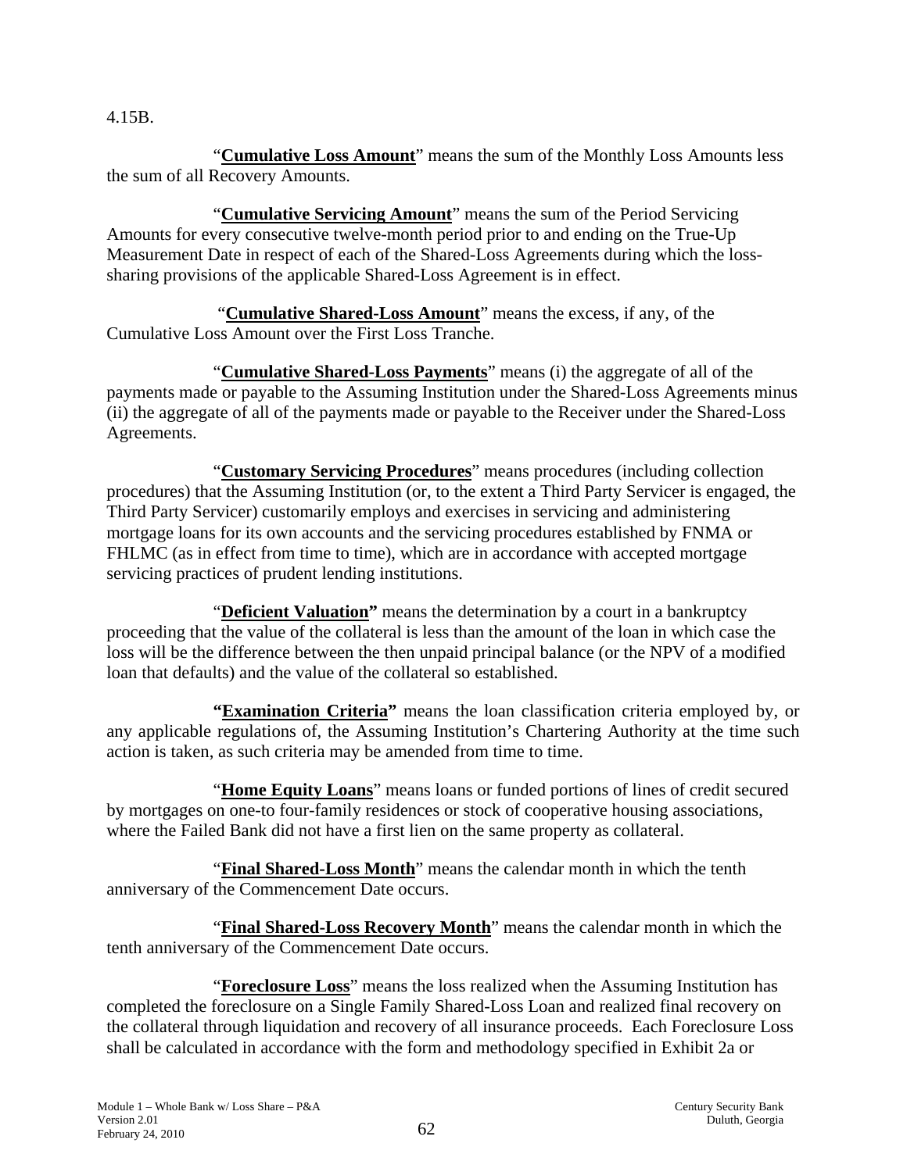4.15B.

"**Cumulative Loss Amount**" means the sum of the Monthly Loss Amounts less the sum of all Recovery Amounts.

"**Cumulative Servicing Amount**" means the sum of the Period Servicing Amounts for every consecutive twelve-month period prior to and ending on the True-Up Measurement Date in respect of each of the Shared-Loss Agreements during which the losssharing provisions of the applicable Shared-Loss Agreement is in effect.

"**Cumulative Shared-Loss Amount**" means the excess, if any, of the Cumulative Loss Amount over the First Loss Tranche.

"**Cumulative Shared-Loss Payments**" means (i) the aggregate of all of the payments made or payable to the Assuming Institution under the Shared-Loss Agreements minus (ii) the aggregate of all of the payments made or payable to the Receiver under the Shared-Loss Agreements.

"**Customary Servicing Procedures**" means procedures (including collection procedures) that the Assuming Institution (or, to the extent a Third Party Servicer is engaged, the Third Party Servicer) customarily employs and exercises in servicing and administering mortgage loans for its own accounts and the servicing procedures established by FNMA or FHLMC (as in effect from time to time), which are in accordance with accepted mortgage servicing practices of prudent lending institutions.

"**Deficient Valuation"** means the determination by a court in a bankruptcy proceeding that the value of the collateral is less than the amount of the loan in which case the loss will be the difference between the then unpaid principal balance (or the NPV of a modified loan that defaults) and the value of the collateral so established.

**"Examination Criteria"** means the loan classification criteria employed by, or any applicable regulations of, the Assuming Institution's Chartering Authority at the time such action is taken, as such criteria may be amended from time to time.

"**Home Equity Loans**" means loans or funded portions of lines of credit secured by mortgages on one-to four-family residences or stock of cooperative housing associations, where the Failed Bank did not have a first lien on the same property as collateral.

"**Final Shared-Loss Month**" means the calendar month in which the tenth anniversary of the Commencement Date occurs.

"**Final Shared-Loss Recovery Month**" means the calendar month in which the tenth anniversary of the Commencement Date occurs.

"**Foreclosure Loss**" means the loss realized when the Assuming Institution has completed the foreclosure on a Single Family Shared-Loss Loan and realized final recovery on the collateral through liquidation and recovery of all insurance proceeds. Each Foreclosure Loss shall be calculated in accordance with the form and methodology specified in Exhibit 2a or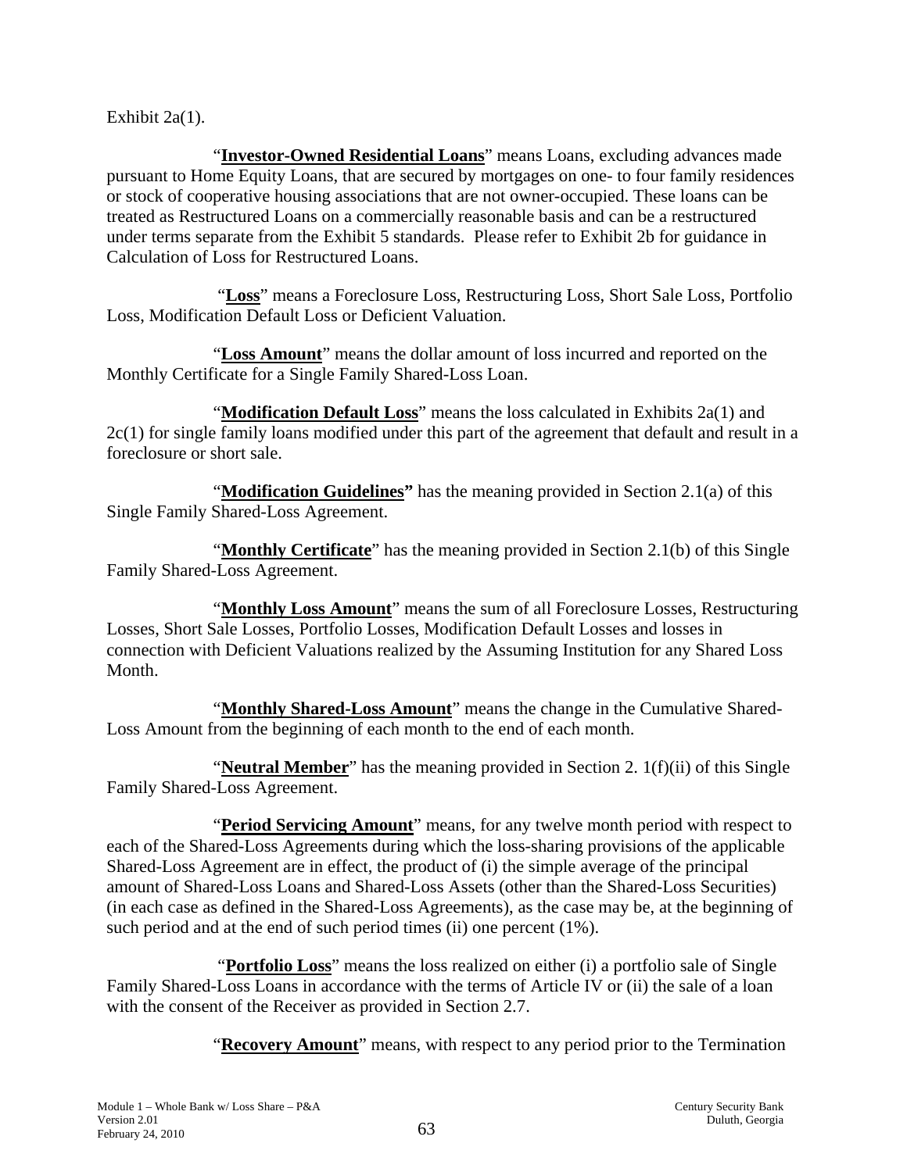Exhibit 2a(1).

"**Investor-Owned Residential Loans**" means Loans, excluding advances made pursuant to Home Equity Loans, that are secured by mortgages on one- to four family residences or stock of cooperative housing associations that are not owner-occupied. These loans can be treated as Restructured Loans on a commercially reasonable basis and can be a restructured under terms separate from the Exhibit 5 standards. Please refer to Exhibit 2b for guidance in Calculation of Loss for Restructured Loans.

"**Loss**" means a Foreclosure Loss, Restructuring Loss, Short Sale Loss, Portfolio Loss, Modification Default Loss or Deficient Valuation.

"**Loss Amount**" means the dollar amount of loss incurred and reported on the Monthly Certificate for a Single Family Shared-Loss Loan.

"**Modification Default Loss**" means the loss calculated in Exhibits 2a(1) and 2c(1) for single family loans modified under this part of the agreement that default and result in a foreclosure or short sale.

"**Modification Guidelines"** has the meaning provided in Section 2.1(a) of this Single Family Shared-Loss Agreement.

"**Monthly Certificate**" has the meaning provided in Section 2.1(b) of this Single Family Shared-Loss Agreement.

"**Monthly Loss Amount**" means the sum of all Foreclosure Losses, Restructuring Losses, Short Sale Losses, Portfolio Losses, Modification Default Losses and losses in connection with Deficient Valuations realized by the Assuming Institution for any Shared Loss Month.

"**Monthly Shared-Loss Amount**" means the change in the Cumulative Shared-Loss Amount from the beginning of each month to the end of each month.

"**Neutral Member**" has the meaning provided in Section 2. 1(f)(ii) of this Single Family Shared-Loss Agreement.

"**Period Servicing Amount**" means, for any twelve month period with respect to each of the Shared-Loss Agreements during which the loss-sharing provisions of the applicable Shared-Loss Agreement are in effect, the product of (i) the simple average of the principal amount of Shared-Loss Loans and Shared-Loss Assets (other than the Shared-Loss Securities) (in each case as defined in the Shared-Loss Agreements), as the case may be, at the beginning of such period and at the end of such period times (ii) one percent (1%).

"**Portfolio Loss**" means the loss realized on either (i) a portfolio sale of Single Family Shared-Loss Loans in accordance with the terms of Article IV or (ii) the sale of a loan with the consent of the Receiver as provided in Section 2.7.

"**Recovery Amount**" means, with respect to any period prior to the Termination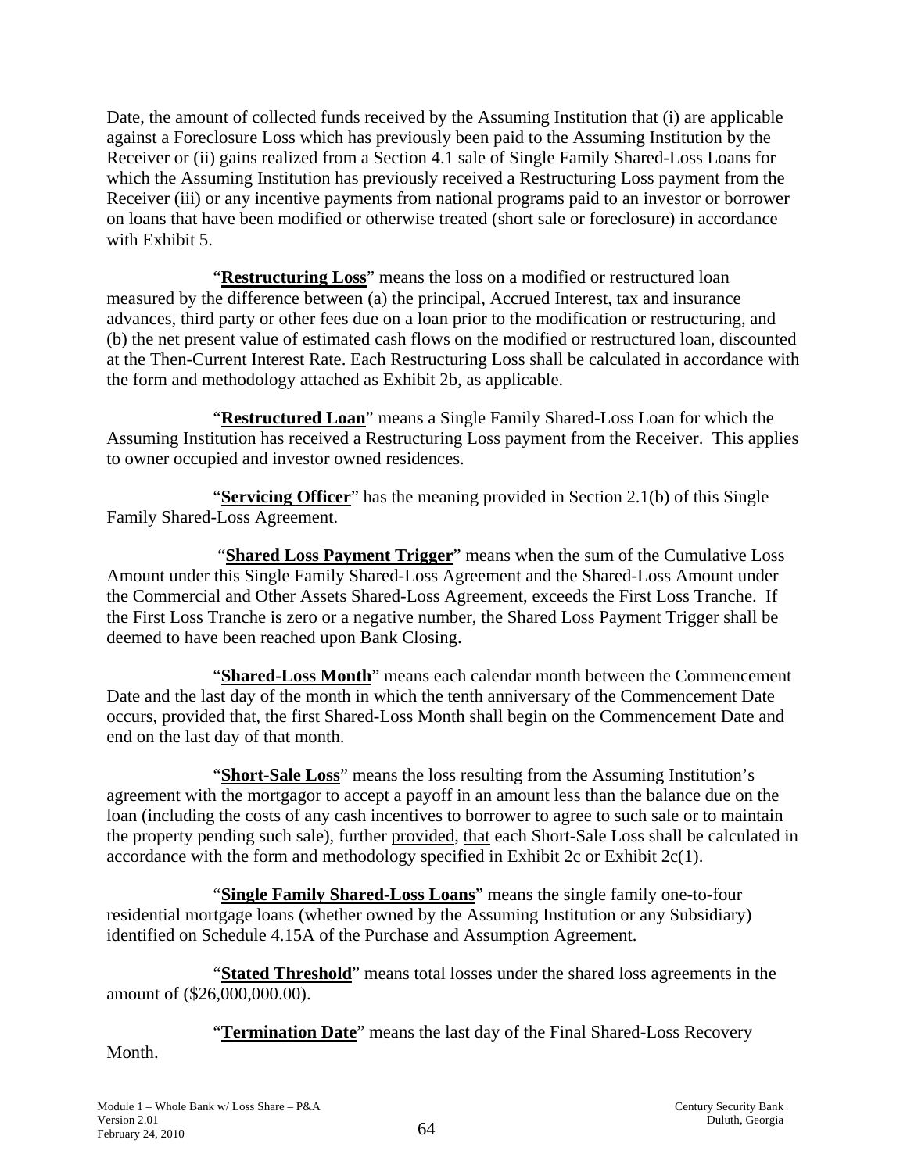Date, the amount of collected funds received by the Assuming Institution that (i) are applicable against a Foreclosure Loss which has previously been paid to the Assuming Institution by the Receiver or (ii) gains realized from a Section 4.1 sale of Single Family Shared-Loss Loans for which the Assuming Institution has previously received a Restructuring Loss payment from the Receiver (iii) or any incentive payments from national programs paid to an investor or borrower on loans that have been modified or otherwise treated (short sale or foreclosure) in accordance with Exhibit 5.

"**Restructuring Loss**" means the loss on a modified or restructured loan measured by the difference between (a) the principal, Accrued Interest, tax and insurance advances, third party or other fees due on a loan prior to the modification or restructuring, and (b) the net present value of estimated cash flows on the modified or restructured loan, discounted at the Then-Current Interest Rate. Each Restructuring Loss shall be calculated in accordance with the form and methodology attached as Exhibit 2b, as applicable.

"**Restructured Loan**" means a Single Family Shared-Loss Loan for which the Assuming Institution has received a Restructuring Loss payment from the Receiver. This applies to owner occupied and investor owned residences.

"**Servicing Officer**" has the meaning provided in Section 2.1(b) of this Single Family Shared-Loss Agreement.

"**Shared Loss Payment Trigger**" means when the sum of the Cumulative Loss Amount under this Single Family Shared-Loss Agreement and the Shared-Loss Amount under the Commercial and Other Assets Shared-Loss Agreement, exceeds the First Loss Tranche. If the First Loss Tranche is zero or a negative number, the Shared Loss Payment Trigger shall be deemed to have been reached upon Bank Closing.

"**Shared-Loss Month**" means each calendar month between the Commencement Date and the last day of the month in which the tenth anniversary of the Commencement Date occurs, provided that, the first Shared-Loss Month shall begin on the Commencement Date and end on the last day of that month.

"**Short-Sale Loss**" means the loss resulting from the Assuming Institution's agreement with the mortgagor to accept a payoff in an amount less than the balance due on the loan (including the costs of any cash incentives to borrower to agree to such sale or to maintain the property pending such sale), further provided, that each Short-Sale Loss shall be calculated in accordance with the form and methodology specified in Exhibit 2c or Exhibit  $2c(1)$ .

"**Single Family Shared-Loss Loans**" means the single family one-to-four residential mortgage loans (whether owned by the Assuming Institution or any Subsidiary) identified on Schedule 4.15A of the Purchase and Assumption Agreement.

"**Stated Threshold**" means total losses under the shared loss agreements in the amount of (\$26,000,000.00).

"**Termination Date**" means the last day of the Final Shared-Loss Recovery Month.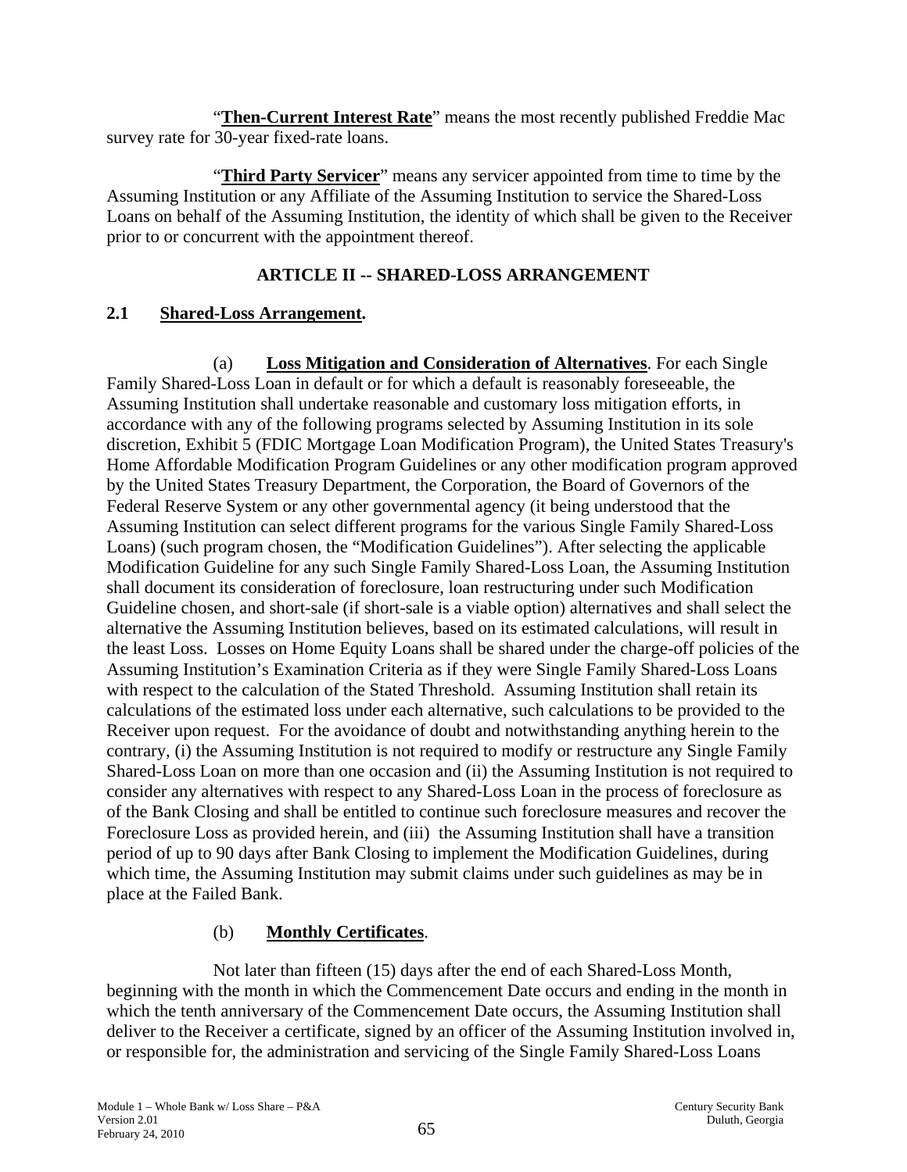"**Then-Current Interest Rate**" means the most recently published Freddie Mac survey rate for 30-year fixed-rate loans.

"**Third Party Servicer**" means any servicer appointed from time to time by the Assuming Institution or any Affiliate of the Assuming Institution to service the Shared-Loss Loans on behalf of the Assuming Institution, the identity of which shall be given to the Receiver prior to or concurrent with the appointment thereof.

# **ARTICLE II -- SHARED-LOSS ARRANGEMENT**

# **2.1 Shared-Loss Arrangement.**

place at the Failed Bank.<br>(b) **Monthly Certificates**. (a) **Loss Mitigation and Consideration of Alternatives**. For each Single Family Shared-Loss Loan in default or for which a default is reasonably foreseeable, the Assuming Institution shall undertake reasonable and customary loss mitigation efforts, in accordance with any of the following programs selected by Assuming Institution in its sole discretion, Exhibit 5 (FDIC Mortgage Loan Modification Program), the United States Treasury's Home Affordable Modification Program Guidelines or any other modification program approved by the United States Treasury Department, the Corporation, the Board of Governors of the Federal Reserve System or any other governmental agency (it being understood that the Assuming Institution can select different programs for the various Single Family Shared-Loss Loans) (such program chosen, the "Modification Guidelines"). After selecting the applicable Modification Guideline for any such Single Family Shared-Loss Loan, the Assuming Institution shall document its consideration of foreclosure, loan restructuring under such Modification Guideline chosen, and short-sale (if short-sale is a viable option) alternatives and shall select the alternative the Assuming Institution believes, based on its estimated calculations, will result in the least Loss. Losses on Home Equity Loans shall be shared under the charge-off policies of the Assuming Institution's Examination Criteria as if they were Single Family Shared-Loss Loans with respect to the calculation of the Stated Threshold. Assuming Institution shall retain its calculations of the estimated loss under each alternative, such calculations to be provided to the Receiver upon request. For the avoidance of doubt and notwithstanding anything herein to the contrary, (i) the Assuming Institution is not required to modify or restructure any Single Family Shared-Loss Loan on more than one occasion and (ii) the Assuming Institution is not required to consider any alternatives with respect to any Shared-Loss Loan in the process of foreclosure as of the Bank Closing and shall be entitled to continue such foreclosure measures and recover the Foreclosure Loss as provided herein, and (iii) the Assuming Institution shall have a transition period of up to 90 days after Bank Closing to implement the Modification Guidelines, during which time, the Assuming Institution may submit claims under such guidelines as may be in

Not later than fifteen (15) days after the end of each Shared-Loss Month, beginning with the month in which the Commencement Date occurs and ending in the month in which the tenth anniversary of the Commencement Date occurs, the Assuming Institution shall deliver to the Receiver a certificate, signed by an officer of the Assuming Institution involved in, or responsible for, the administration and servicing of the Single Family Shared-Loss Loans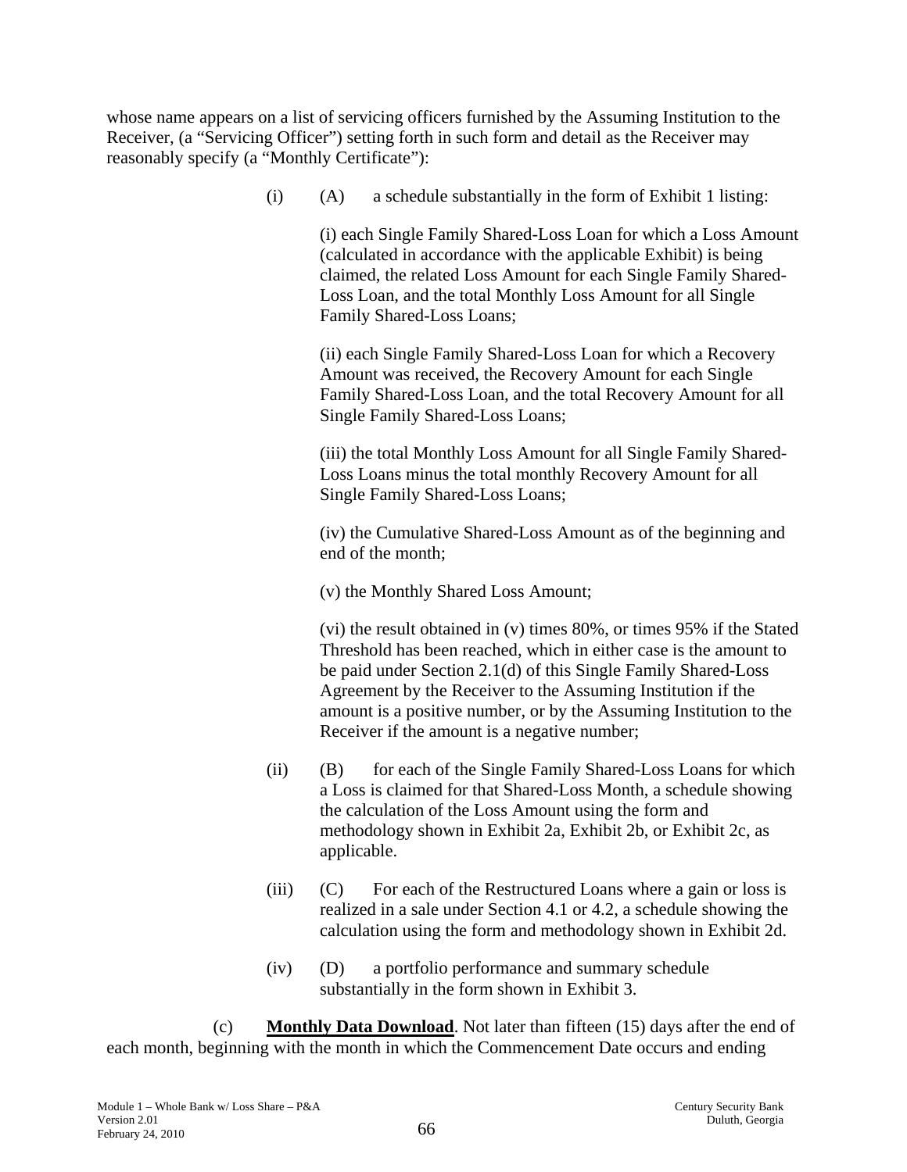whose name appears on a list of servicing officers furnished by the Assuming Institution to the Receiver, (a "Servicing Officer") setting forth in such form and detail as the Receiver may reasonably specify (a "Monthly Certificate"):

 $(i)$  (A) a schedule substantially in the form of Exhibit 1 listing:

(i) each Single Family Shared-Loss Loan for which a Loss Amount (calculated in accordance with the applicable Exhibit) is being claimed, the related Loss Amount for each Single Family Shared-Loss Loan, and the total Monthly Loss Amount for all Single Family Shared-Loss Loans;

(ii) each Single Family Shared-Loss Loan for which a Recovery Amount was received, the Recovery Amount for each Single Family Shared-Loss Loan, and the total Recovery Amount for all Single Family Shared-Loss Loans;

(iii) the total Monthly Loss Amount for all Single Family Shared-Loss Loans minus the total monthly Recovery Amount for all Single Family Shared-Loss Loans;

(iv) the Cumulative Shared-Loss Amount as of the beginning and end of the month;

(v) the Monthly Shared Loss Amount;

(vi) the result obtained in (v) times 80%, or times 95% if the Stated Threshold has been reached, which in either case is the amount to be paid under Section 2.1(d) of this Single Family Shared-Loss Agreement by the Receiver to the Assuming Institution if the amount is a positive number, or by the Assuming Institution to the Receiver if the amount is a negative number;

- (ii) (B) for each of the Single Family Shared-Loss Loans for which a Loss is claimed for that Shared-Loss Month, a schedule showing the calculation of the Loss Amount using the form and methodology shown in Exhibit 2a, Exhibit 2b, or Exhibit 2c, as applicable.
- (iii)  $(C)$  For each of the Restructured Loans where a gain or loss is realized in a sale under Section 4.1 or 4.2, a schedule showing the calculation using the form and methodology shown in Exhibit 2d.
- (iv) (D) a portfolio performance and summary schedule substantially in the form shown in Exhibit 3.

(c) **Monthly Data Download**. Not later than fifteen (15) days after the end of each month, beginning with the month in which the Commencement Date occurs and ending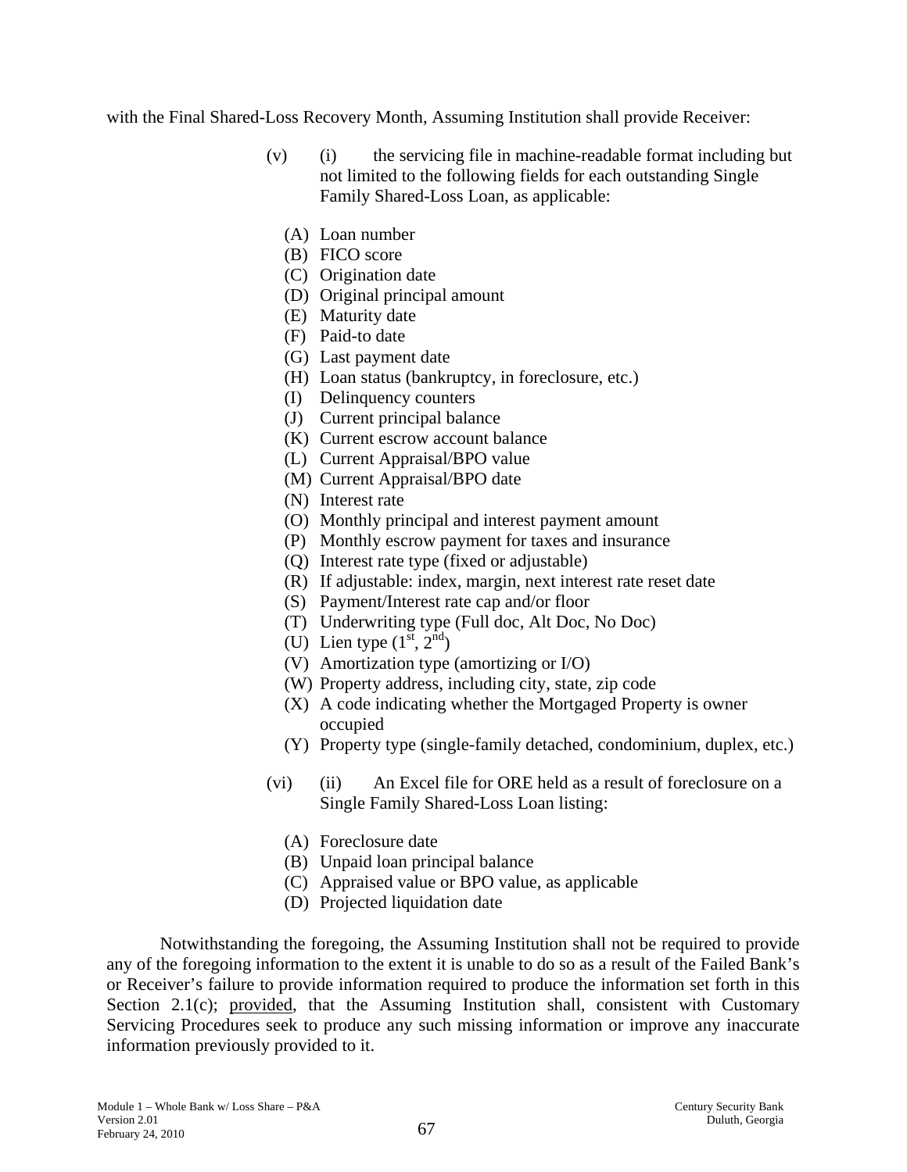with the Final Shared-Loss Recovery Month, Assuming Institution shall provide Receiver:

- $(v)$  (i) the servicing file in machine-readable format including but not limited to the following fields for each outstanding Single Family Shared-Loss Loan, as applicable:
	- (A) Loan number
	- (B) FICO score
	- (C) Origination date
	- (D) Original principal amount
	- (E) Maturity date
	- (F) Paid-to date
	- (G) Last payment date
	- (H) Loan status (bankruptcy, in foreclosure, etc.)
	- (I) Delinquency counters
	- (J) Current principal balance
	- (K) Current escrow account balance
	- (L) Current Appraisal/BPO value
	- (M) Current Appraisal/BPO date
	- (N) Interest rate
	- (O) Monthly principal and interest payment amount
	- (P) Monthly escrow payment for taxes and insurance
	- (Q) Interest rate type (fixed or adjustable)
	- (R) If adjustable: index, margin, next interest rate reset date
	- (S) Payment/Interest rate cap and/or floor
	- (T) Underwriting type (Full doc, Alt Doc, No Doc)
	- (U) Lien type  $(1<sup>st</sup>, 2<sup>nd</sup>)$
	- (V) Amortization type (amortizing or I/O)
	- (W) Property address, including city, state, zip code
	- (X) A code indicating whether the Mortgaged Property is owner occupied
	- (Y) Property type (single-family detached, condominium, duplex, etc.)
- (vi) (ii) An Excel file for ORE held as a result of foreclosure on a Single Family Shared-Loss Loan listing:
	- (A) Foreclosure date
	- (B) Unpaid loan principal balance
	- (C) Appraised value or BPO value, as applicable
	- (D) Projected liquidation date

Notwithstanding the foregoing, the Assuming Institution shall not be required to provide any of the foregoing information to the extent it is unable to do so as a result of the Failed Bank's or Receiver's failure to provide information required to produce the information set forth in this Section 2.1(c); provided, that the Assuming Institution shall, consistent with Customary Servicing Procedures seek to produce any such missing information or improve any inaccurate information previously provided to it.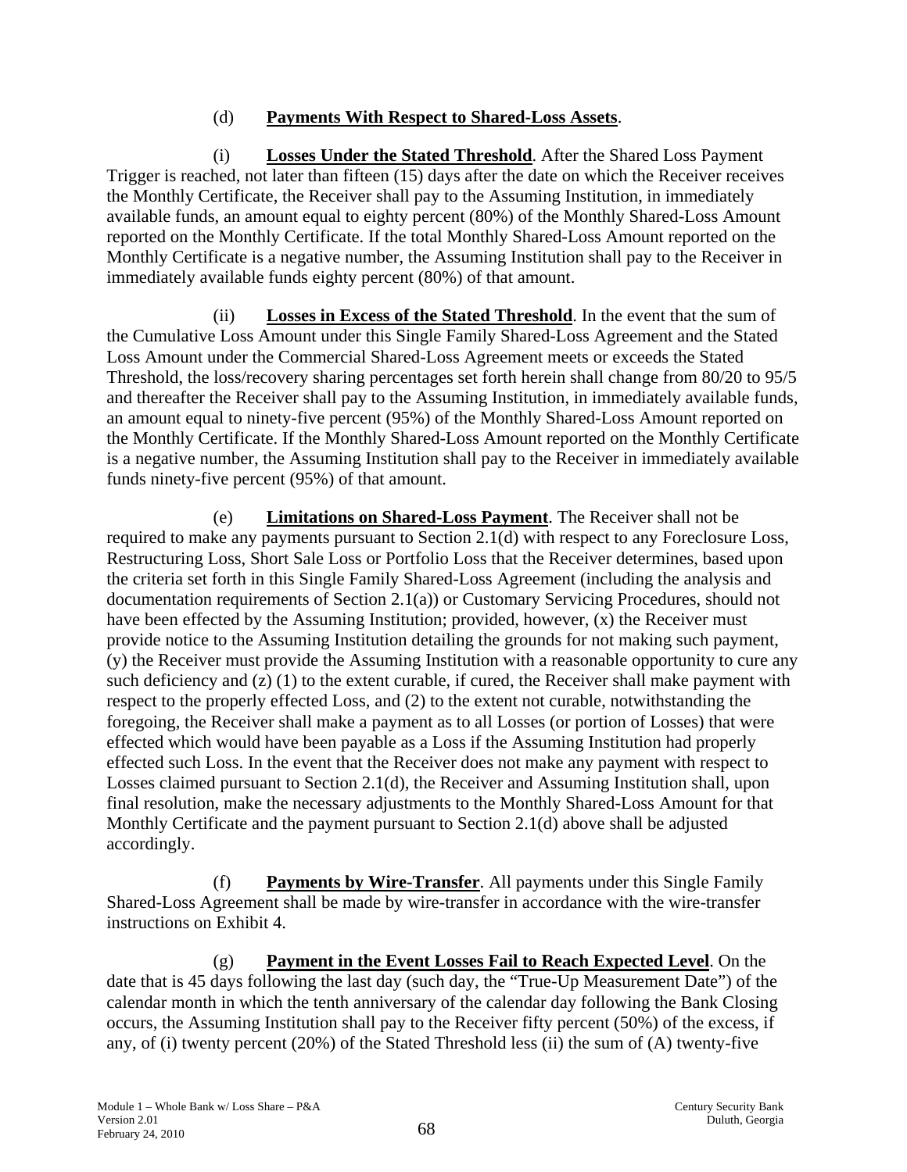# (d) **Payments With Respect to Shared-Loss Assets**.

(i) **Losses Under the Stated Threshold**. After the Shared Loss Payment Trigger is reached, not later than fifteen (15) days after the date on which the Receiver receives the Monthly Certificate, the Receiver shall pay to the Assuming Institution, in immediately available funds, an amount equal to eighty percent (80%) of the Monthly Shared-Loss Amount reported on the Monthly Certificate. If the total Monthly Shared-Loss Amount reported on the Monthly Certificate is a negative number, the Assuming Institution shall pay to the Receiver in immediately available funds eighty percent (80%) of that amount.

(ii) **Losses in Excess of the Stated Threshold**. In the event that the sum of the Cumulative Loss Amount under this Single Family Shared-Loss Agreement and the Stated Loss Amount under the Commercial Shared-Loss Agreement meets or exceeds the Stated Threshold, the loss/recovery sharing percentages set forth herein shall change from 80/20 to 95/5 and thereafter the Receiver shall pay to the Assuming Institution, in immediately available funds, an amount equal to ninety-five percent (95%) of the Monthly Shared-Loss Amount reported on the Monthly Certificate. If the Monthly Shared-Loss Amount reported on the Monthly Certificate is a negative number, the Assuming Institution shall pay to the Receiver in immediately available funds ninety-five percent (95%) of that amount.

(e) **Limitations on Shared-Loss Payment**. The Receiver shall not be required to make any payments pursuant to Section 2.1(d) with respect to any Foreclosure Loss, Restructuring Loss, Short Sale Loss or Portfolio Loss that the Receiver determines, based upon the criteria set forth in this Single Family Shared-Loss Agreement (including the analysis and documentation requirements of Section 2.1(a)) or Customary Servicing Procedures, should not have been effected by the Assuming Institution; provided, however, (x) the Receiver must provide notice to the Assuming Institution detailing the grounds for not making such payment, (y) the Receiver must provide the Assuming Institution with a reasonable opportunity to cure any such deficiency and  $(z)$  (1) to the extent curable, if cured, the Receiver shall make payment with respect to the properly effected Loss, and (2) to the extent not curable, notwithstanding the foregoing, the Receiver shall make a payment as to all Losses (or portion of Losses) that were effected which would have been payable as a Loss if the Assuming Institution had properly effected such Loss. In the event that the Receiver does not make any payment with respect to Losses claimed pursuant to Section 2.1(d), the Receiver and Assuming Institution shall, upon final resolution, make the necessary adjustments to the Monthly Shared-Loss Amount for that Monthly Certificate and the payment pursuant to Section 2.1(d) above shall be adjusted accordingly.

(f) **Payments by Wire-Transfer**. All payments under this Single Family Shared-Loss Agreement shall be made by wire-transfer in accordance with the wire-transfer instructions on Exhibit 4.

 (g) **Payment in the Event Losses Fail to Reach Expected Level**. On the date that is 45 days following the last day (such day, the "True-Up Measurement Date") of the calendar month in which the tenth anniversary of the calendar day following the Bank Closing occurs, the Assuming Institution shall pay to the Receiver fifty percent (50%) of the excess, if any, of (i) twenty percent (20%) of the Stated Threshold less (ii) the sum of (A) twenty-five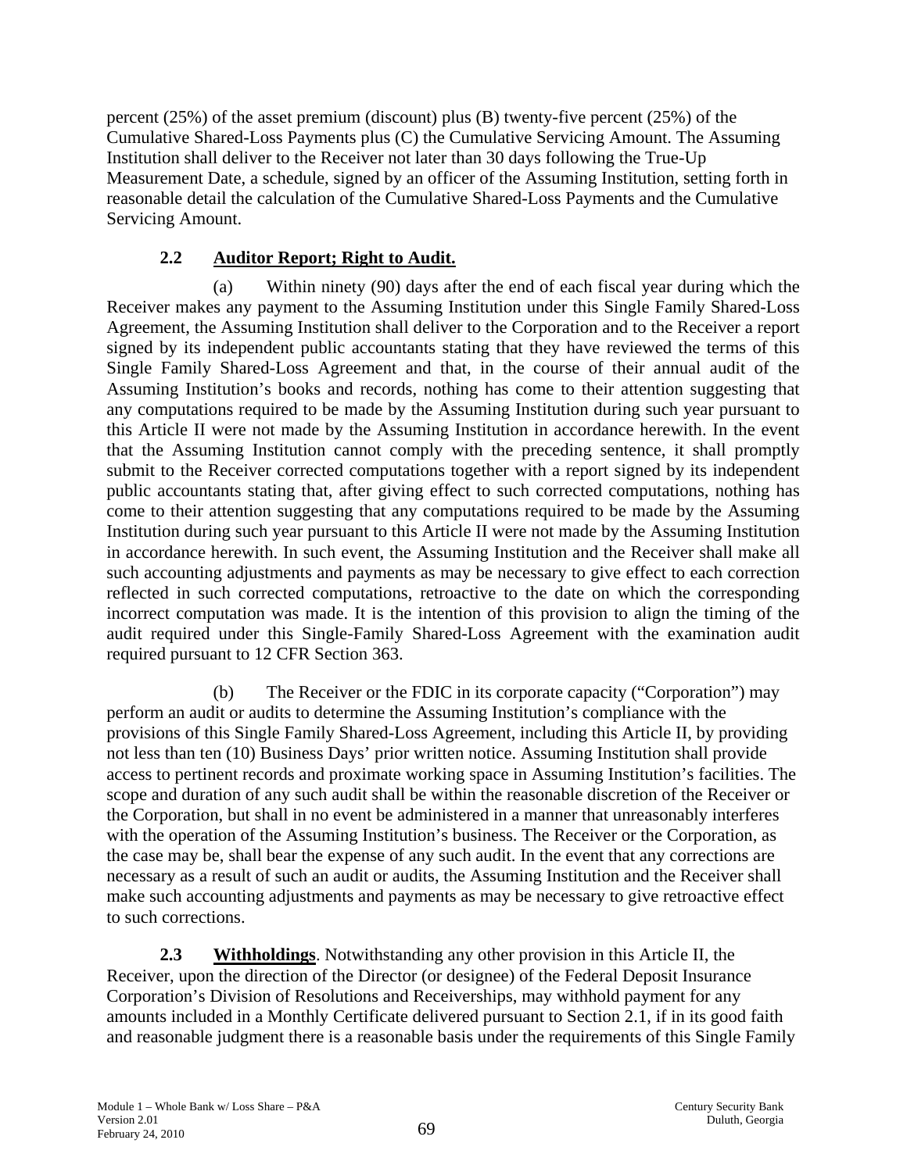percent (25%) of the asset premium (discount) plus (B) twenty-five percent (25%) of the Cumulative Shared-Loss Payments plus (C) the Cumulative Servicing Amount. The Assuming Institution shall deliver to the Receiver not later than 30 days following the True-Up Measurement Date, a schedule, signed by an officer of the Assuming Institution, setting forth in reasonable detail the calculation of the Cumulative Shared-Loss Payments and the Cumulative Servicing Amount.

## **2.2 Auditor Report; Right to Audit.**

(a) Within ninety (90) days after the end of each fiscal year during which the Receiver makes any payment to the Assuming Institution under this Single Family Shared-Loss Agreement, the Assuming Institution shall deliver to the Corporation and to the Receiver a report signed by its independent public accountants stating that they have reviewed the terms of this Single Family Shared-Loss Agreement and that, in the course of their annual audit of the Assuming Institution's books and records, nothing has come to their attention suggesting that any computations required to be made by the Assuming Institution during such year pursuant to this Article II were not made by the Assuming Institution in accordance herewith. In the event that the Assuming Institution cannot comply with the preceding sentence, it shall promptly submit to the Receiver corrected computations together with a report signed by its independent public accountants stating that, after giving effect to such corrected computations, nothing has come to their attention suggesting that any computations required to be made by the Assuming Institution during such year pursuant to this Article II were not made by the Assuming Institution in accordance herewith. In such event, the Assuming Institution and the Receiver shall make all such accounting adjustments and payments as may be necessary to give effect to each correction reflected in such corrected computations, retroactive to the date on which the corresponding incorrect computation was made. It is the intention of this provision to align the timing of the audit required under this Single-Family Shared-Loss Agreement with the examination audit required pursuant to 12 CFR Section 363.

(b) The Receiver or the FDIC in its corporate capacity ("Corporation") may perform an audit or audits to determine the Assuming Institution's compliance with the provisions of this Single Family Shared-Loss Agreement, including this Article II, by providing not less than ten (10) Business Days' prior written notice. Assuming Institution shall provide access to pertinent records and proximate working space in Assuming Institution's facilities. The scope and duration of any such audit shall be within the reasonable discretion of the Receiver or the Corporation, but shall in no event be administered in a manner that unreasonably interferes with the operation of the Assuming Institution's business. The Receiver or the Corporation, as the case may be, shall bear the expense of any such audit. In the event that any corrections are necessary as a result of such an audit or audits, the Assuming Institution and the Receiver shall make such accounting adjustments and payments as may be necessary to give retroactive effect to such corrections.

**2.3 Withholdings**. Notwithstanding any other provision in this Article II, the Receiver, upon the direction of the Director (or designee) of the Federal Deposit Insurance Corporation's Division of Resolutions and Receiverships, may withhold payment for any amounts included in a Monthly Certificate delivered pursuant to Section 2.1, if in its good faith and reasonable judgment there is a reasonable basis under the requirements of this Single Family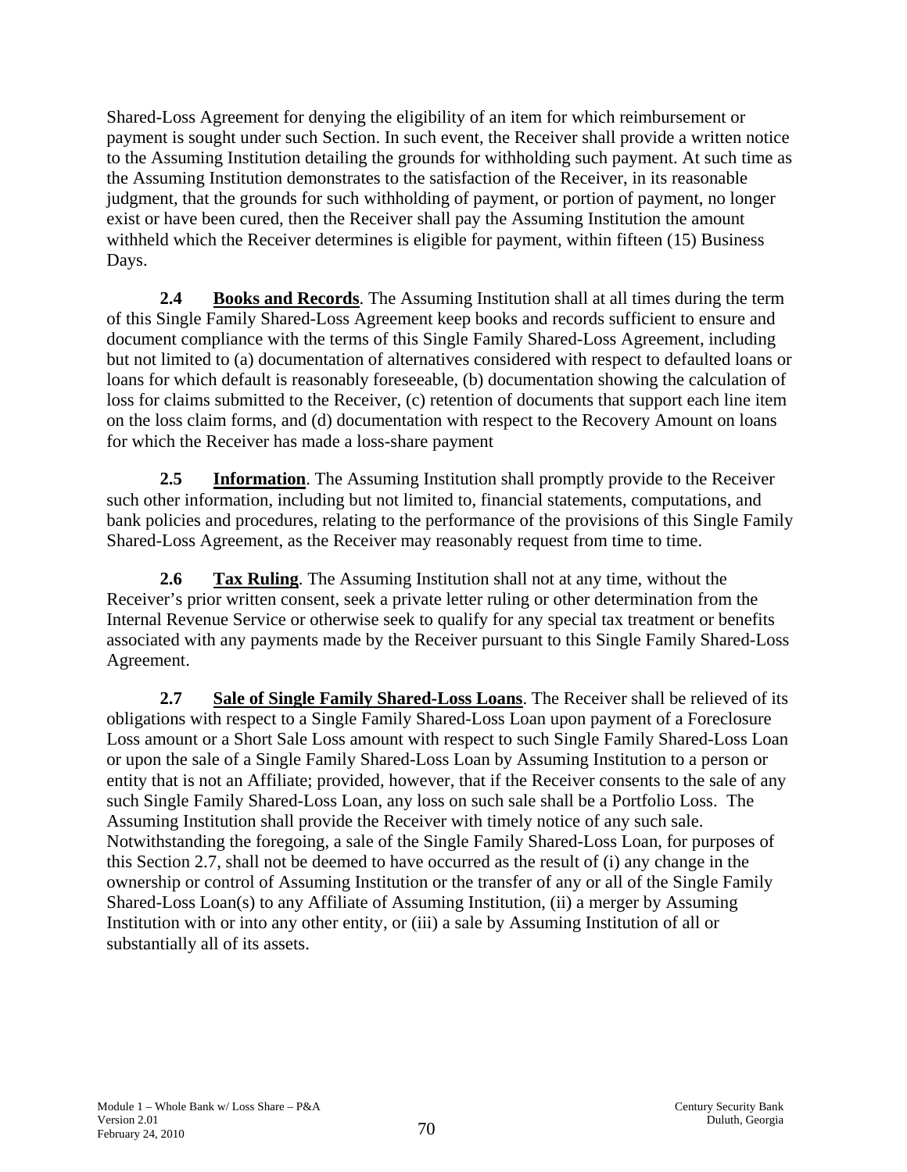Shared-Loss Agreement for denying the eligibility of an item for which reimbursement or payment is sought under such Section. In such event, the Receiver shall provide a written notice to the Assuming Institution detailing the grounds for withholding such payment. At such time as the Assuming Institution demonstrates to the satisfaction of the Receiver, in its reasonable judgment, that the grounds for such withholding of payment, or portion of payment, no longer exist or have been cured, then the Receiver shall pay the Assuming Institution the amount withheld which the Receiver determines is eligible for payment, within fifteen (15) Business Days.

**2.4 Books and Records**. The Assuming Institution shall at all times during the term of this Single Family Shared-Loss Agreement keep books and records sufficient to ensure and document compliance with the terms of this Single Family Shared-Loss Agreement, including but not limited to (a) documentation of alternatives considered with respect to defaulted loans or loans for which default is reasonably foreseeable, (b) documentation showing the calculation of loss for claims submitted to the Receiver, (c) retention of documents that support each line item on the loss claim forms, and (d) documentation with respect to the Recovery Amount on loans for which the Receiver has made a loss-share payment

**2.5 Information**. The Assuming Institution shall promptly provide to the Receiver such other information, including but not limited to, financial statements, computations, and bank policies and procedures, relating to the performance of the provisions of this Single Family Shared-Loss Agreement, as the Receiver may reasonably request from time to time.

**2.6 Tax Ruling**. The Assuming Institution shall not at any time, without the Receiver's prior written consent, seek a private letter ruling or other determination from the Internal Revenue Service or otherwise seek to qualify for any special tax treatment or benefits associated with any payments made by the Receiver pursuant to this Single Family Shared-Loss Agreement.

**2.7 Sale of Single Family Shared-Loss Loans**. The Receiver shall be relieved of its obligations with respect to a Single Family Shared-Loss Loan upon payment of a Foreclosure Loss amount or a Short Sale Loss amount with respect to such Single Family Shared-Loss Loan or upon the sale of a Single Family Shared-Loss Loan by Assuming Institution to a person or entity that is not an Affiliate; provided, however, that if the Receiver consents to the sale of any such Single Family Shared-Loss Loan, any loss on such sale shall be a Portfolio Loss. The Assuming Institution shall provide the Receiver with timely notice of any such sale. Notwithstanding the foregoing, a sale of the Single Family Shared-Loss Loan, for purposes of this Section 2.7, shall not be deemed to have occurred as the result of (i) any change in the ownership or control of Assuming Institution or the transfer of any or all of the Single Family Shared-Loss Loan(s) to any Affiliate of Assuming Institution, (ii) a merger by Assuming Institution with or into any other entity, or (iii) a sale by Assuming Institution of all or substantially all of its assets.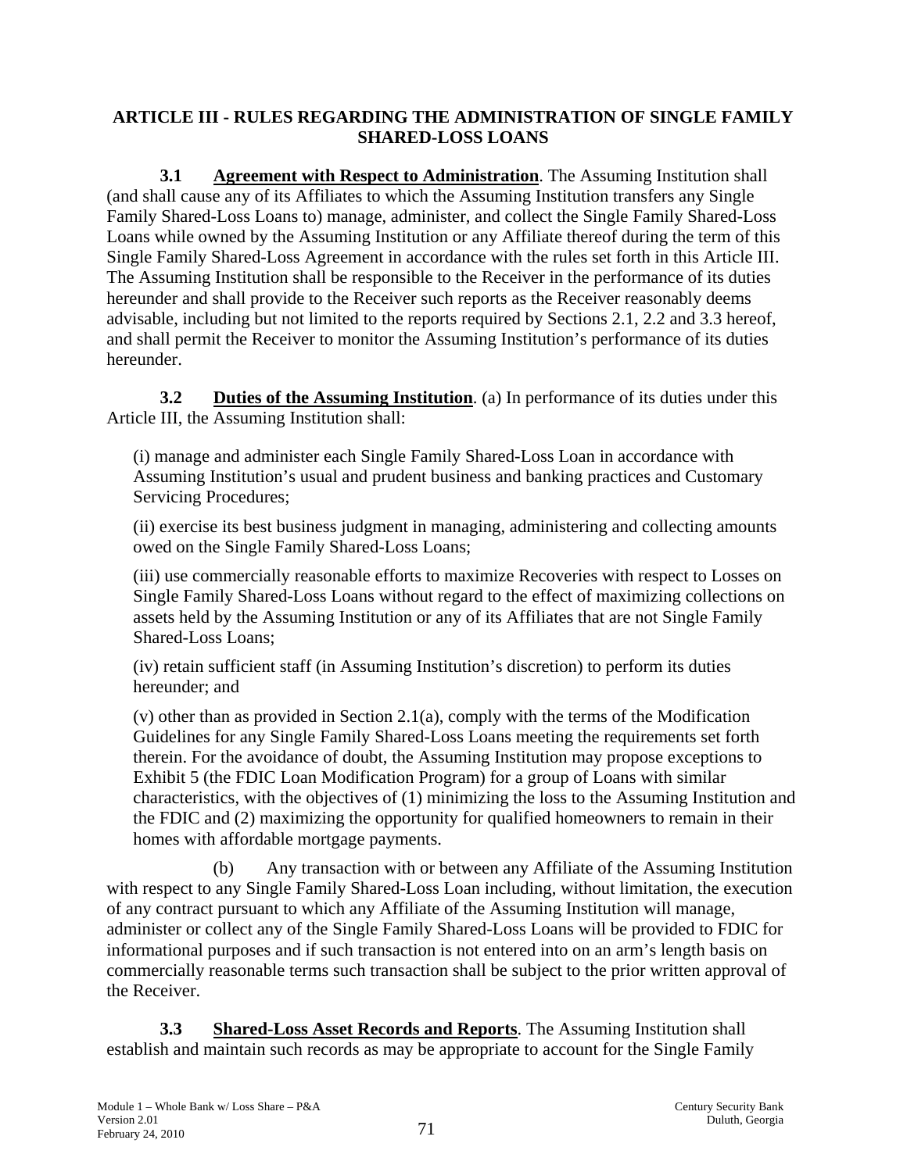## **ARTICLE III - RULES REGARDING THE ADMINISTRATION OF SINGLE FAMILY SHARED-LOSS LOANS**

**3.1 Agreement with Respect to Administration**. The Assuming Institution shall (and shall cause any of its Affiliates to which the Assuming Institution transfers any Single Family Shared-Loss Loans to) manage, administer, and collect the Single Family Shared-Loss Loans while owned by the Assuming Institution or any Affiliate thereof during the term of this Single Family Shared-Loss Agreement in accordance with the rules set forth in this Article III. The Assuming Institution shall be responsible to the Receiver in the performance of its duties hereunder and shall provide to the Receiver such reports as the Receiver reasonably deems advisable, including but not limited to the reports required by Sections 2.1, 2.2 and 3.3 hereof, and shall permit the Receiver to monitor the Assuming Institution's performance of its duties hereunder.

**3.2 Duties of the Assuming Institution**. (a) In performance of its duties under this Article III, the Assuming Institution shall:

(i) manage and administer each Single Family Shared-Loss Loan in accordance with Assuming Institution's usual and prudent business and banking practices and Customary Servicing Procedures;

(ii) exercise its best business judgment in managing, administering and collecting amounts owed on the Single Family Shared-Loss Loans;

(iii) use commercially reasonable efforts to maximize Recoveries with respect to Losses on Single Family Shared-Loss Loans without regard to the effect of maximizing collections on assets held by the Assuming Institution or any of its Affiliates that are not Single Family Shared-Loss Loans;

(iv) retain sufficient staff (in Assuming Institution's discretion) to perform its duties hereunder; and

(v) other than as provided in Section 2.1(a), comply with the terms of the Modification Guidelines for any Single Family Shared-Loss Loans meeting the requirements set forth therein. For the avoidance of doubt, the Assuming Institution may propose exceptions to Exhibit 5 (the FDIC Loan Modification Program) for a group of Loans with similar characteristics, with the objectives of (1) minimizing the loss to the Assuming Institution and the FDIC and (2) maximizing the opportunity for qualified homeowners to remain in their homes with affordable mortgage payments.

(b) Any transaction with or between any Affiliate of the Assuming Institution with respect to any Single Family Shared-Loss Loan including, without limitation, the execution of any contract pursuant to which any Affiliate of the Assuming Institution will manage, administer or collect any of the Single Family Shared-Loss Loans will be provided to FDIC for informational purposes and if such transaction is not entered into on an arm's length basis on commercially reasonable terms such transaction shall be subject to the prior written approval of the Receiver.

**3.3 Shared-Loss Asset Records and Reports**. The Assuming Institution shall establish and maintain such records as may be appropriate to account for the Single Family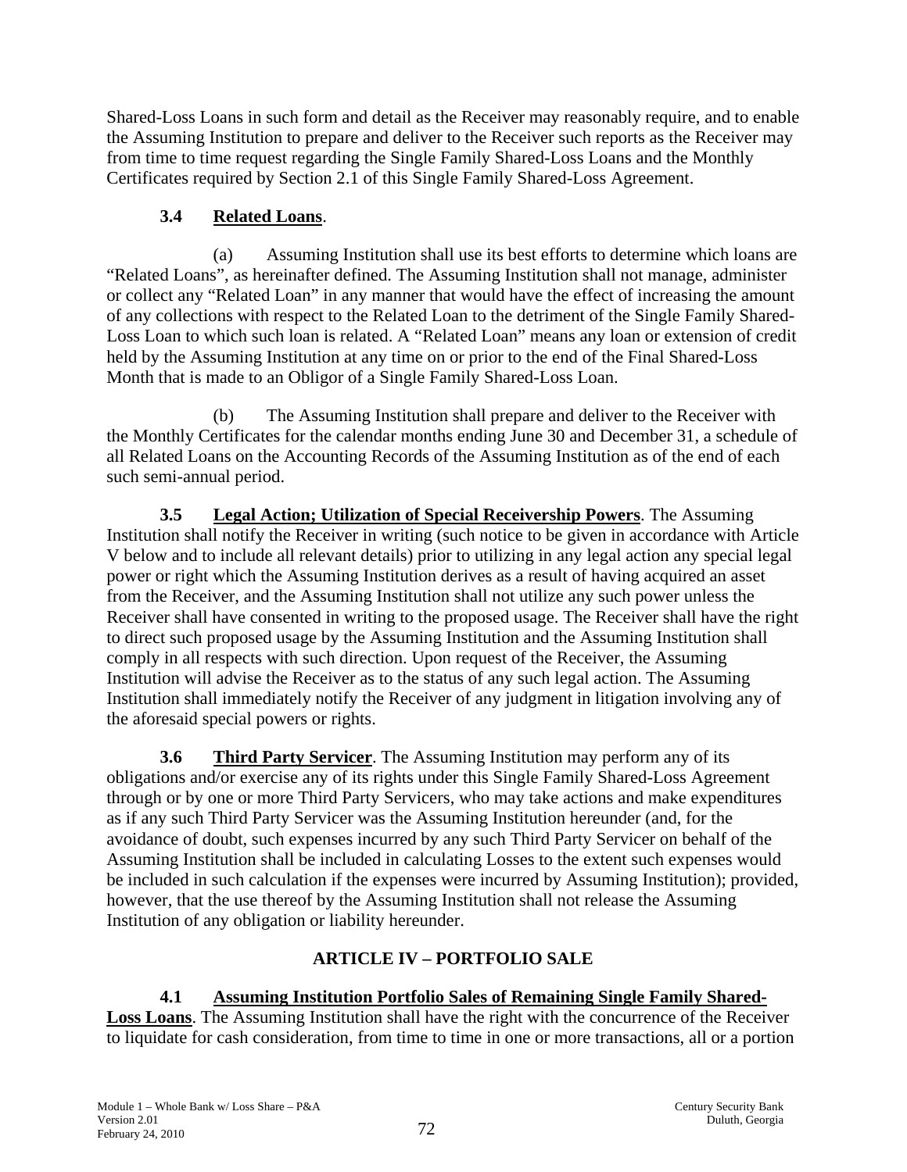Shared-Loss Loans in such form and detail as the Receiver may reasonably require, and to enable the Assuming Institution to prepare and deliver to the Receiver such reports as the Receiver may from time to time request regarding the Single Family Shared-Loss Loans and the Monthly Certificates required by Section 2.1 of this Single Family Shared-Loss Agreement.

# **3.4 Related Loans**.

(a) Assuming Institution shall use its best efforts to determine which loans are "Related Loans", as hereinafter defined. The Assuming Institution shall not manage, administer or collect any "Related Loan" in any manner that would have the effect of increasing the amount of any collections with respect to the Related Loan to the detriment of the Single Family Shared-Loss Loan to which such loan is related. A "Related Loan" means any loan or extension of credit held by the Assuming Institution at any time on or prior to the end of the Final Shared-Loss Month that is made to an Obligor of a Single Family Shared-Loss Loan.

(b) The Assuming Institution shall prepare and deliver to the Receiver with the Monthly Certificates for the calendar months ending June 30 and December 31, a schedule of all Related Loans on the Accounting Records of the Assuming Institution as of the end of each such semi-annual period.

**3.5 Legal Action; Utilization of Special Receivership Powers**. The Assuming Institution shall notify the Receiver in writing (such notice to be given in accordance with Article V below and to include all relevant details) prior to utilizing in any legal action any special legal power or right which the Assuming Institution derives as a result of having acquired an asset from the Receiver, and the Assuming Institution shall not utilize any such power unless the Receiver shall have consented in writing to the proposed usage. The Receiver shall have the right to direct such proposed usage by the Assuming Institution and the Assuming Institution shall comply in all respects with such direction. Upon request of the Receiver, the Assuming Institution will advise the Receiver as to the status of any such legal action. The Assuming Institution shall immediately notify the Receiver of any judgment in litigation involving any of the aforesaid special powers or rights.

**3.6 Third Party Servicer**. The Assuming Institution may perform any of its obligations and/or exercise any of its rights under this Single Family Shared-Loss Agreement through or by one or more Third Party Servicers, who may take actions and make expenditures as if any such Third Party Servicer was the Assuming Institution hereunder (and, for the avoidance of doubt, such expenses incurred by any such Third Party Servicer on behalf of the Assuming Institution shall be included in calculating Losses to the extent such expenses would be included in such calculation if the expenses were incurred by Assuming Institution); provided, however, that the use thereof by the Assuming Institution shall not release the Assuming Institution of any obligation or liability hereunder.

# **ARTICLE IV – PORTFOLIO SALE**

# **4.1 Assuming Institution Portfolio Sales of Remaining Single Family Shared-**

**Loss Loans**. The Assuming Institution shall have the right with the concurrence of the Receiver to liquidate for cash consideration, from time to time in one or more transactions, all or a portion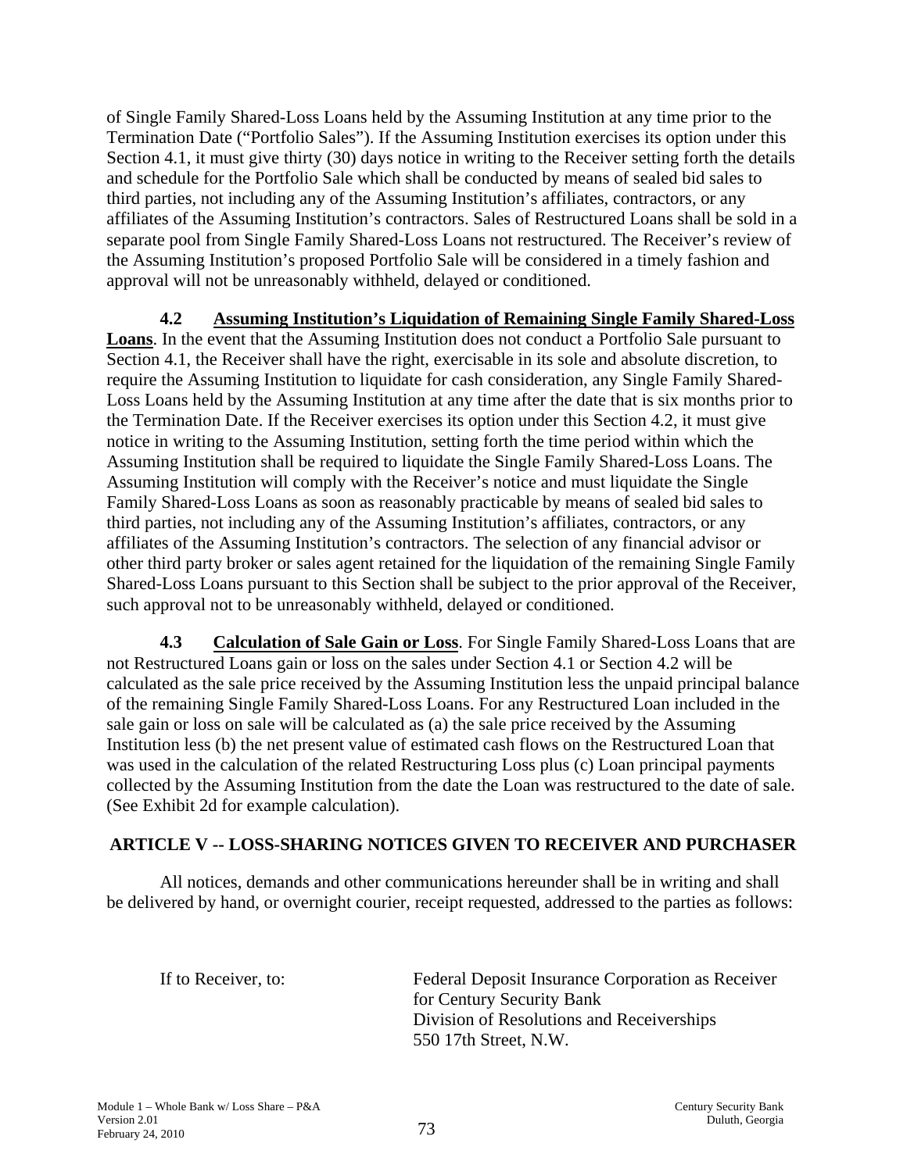of Single Family Shared-Loss Loans held by the Assuming Institution at any time prior to the Termination Date ("Portfolio Sales"). If the Assuming Institution exercises its option under this Section 4.1, it must give thirty (30) days notice in writing to the Receiver setting forth the details and schedule for the Portfolio Sale which shall be conducted by means of sealed bid sales to third parties, not including any of the Assuming Institution's affiliates, contractors, or any affiliates of the Assuming Institution's contractors. Sales of Restructured Loans shall be sold in a separate pool from Single Family Shared-Loss Loans not restructured. The Receiver's review of the Assuming Institution's proposed Portfolio Sale will be considered in a timely fashion and approval will not be unreasonably withheld, delayed or conditioned.

**4.2 Assuming Institution's Liquidation of Remaining Single Family Shared-Loss Loans**. In the event that the Assuming Institution does not conduct a Portfolio Sale pursuant to Section 4.1, the Receiver shall have the right, exercisable in its sole and absolute discretion, to require the Assuming Institution to liquidate for cash consideration, any Single Family Shared-Loss Loans held by the Assuming Institution at any time after the date that is six months prior to the Termination Date. If the Receiver exercises its option under this Section 4.2, it must give notice in writing to the Assuming Institution, setting forth the time period within which the Assuming Institution shall be required to liquidate the Single Family Shared-Loss Loans. The Assuming Institution will comply with the Receiver's notice and must liquidate the Single Family Shared-Loss Loans as soon as reasonably practicable by means of sealed bid sales to third parties, not including any of the Assuming Institution's affiliates, contractors, or any affiliates of the Assuming Institution's contractors. The selection of any financial advisor or other third party broker or sales agent retained for the liquidation of the remaining Single Family Shared-Loss Loans pursuant to this Section shall be subject to the prior approval of the Receiver, such approval not to be unreasonably withheld, delayed or conditioned.

**4.3 Calculation of Sale Gain or Loss**. For Single Family Shared-Loss Loans that are not Restructured Loans gain or loss on the sales under Section 4.1 or Section 4.2 will be calculated as the sale price received by the Assuming Institution less the unpaid principal balance of the remaining Single Family Shared-Loss Loans. For any Restructured Loan included in the sale gain or loss on sale will be calculated as (a) the sale price received by the Assuming Institution less (b) the net present value of estimated cash flows on the Restructured Loan that was used in the calculation of the related Restructuring Loss plus (c) Loan principal payments collected by the Assuming Institution from the date the Loan was restructured to the date of sale. (See Exhibit 2d for example calculation).

## **ARTICLE V -- LOSS-SHARING NOTICES GIVEN TO RECEIVER AND PURCHASER**

All notices, demands and other communications hereunder shall be in writing and shall be delivered by hand, or overnight courier, receipt requested, addressed to the parties as follows:

If to Receiver, to: Federal Deposit Insurance Corporation as Receiver for Century Security Bank Division of Resolutions and Receiverships 550 17th Street, N.W.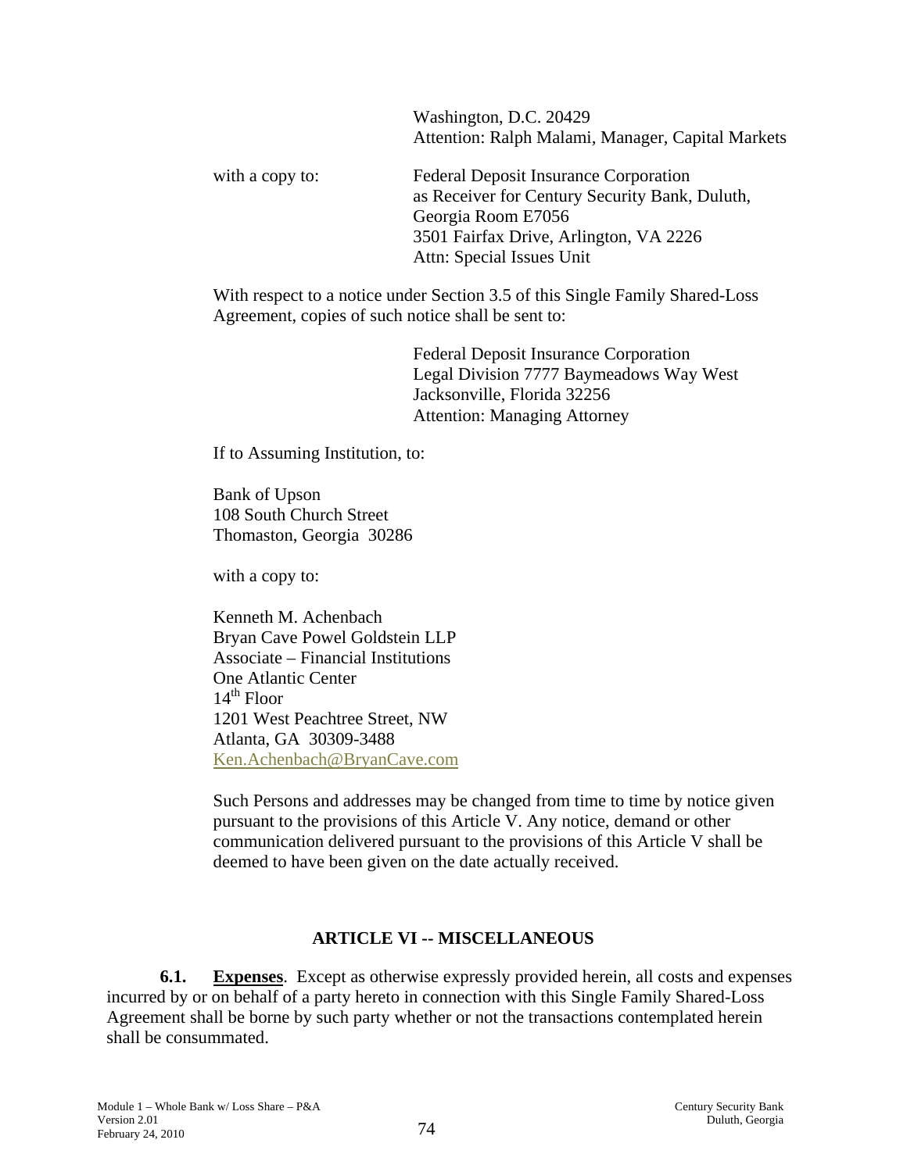Washington, D.C. 20429 Attention: Ralph Malami, Manager, Capital Markets

with a copy to: Federal Deposit Insurance Corporation as Receiver for Century Security Bank, Duluth, Georgia Room E7056 3501 Fairfax Drive, Arlington, VA 2226 Attn: Special Issues Unit

With respect to a notice under Section 3.5 of this Single Family Shared-Loss Agreement, copies of such notice shall be sent to:

> Federal Deposit Insurance Corporation Legal Division 7777 Baymeadows Way West Jacksonville, Florida 32256 Attention: Managing Attorney

If to Assuming Institution, to:

Bank of Upson 108 South Church Street Thomaston, Georgia 30286

with a copy to:

Kenneth M. Achenbach Bryan Cave Powel Goldstein LLP Associate – Financial Institutions One Atlantic Center  $14<sup>th</sup>$  Floor 1201 West Peachtree Street, NW Atlanta, GA 30309-3488 Ken.Achenbach@BryanCave.com

Such Persons and addresses may be changed from time to time by notice given pursuant to the provisions of this Article V. Any notice, demand or other communication delivered pursuant to the provisions of this Article V shall be deemed to have been given on the date actually received.

#### **ARTICLE VI -- MISCELLANEOUS**

**6.1. Expenses**. Except as otherwise expressly provided herein, all costs and expenses incurred by or on behalf of a party hereto in connection with this Single Family Shared-Loss Agreement shall be borne by such party whether or not the transactions contemplated herein shall be consummated.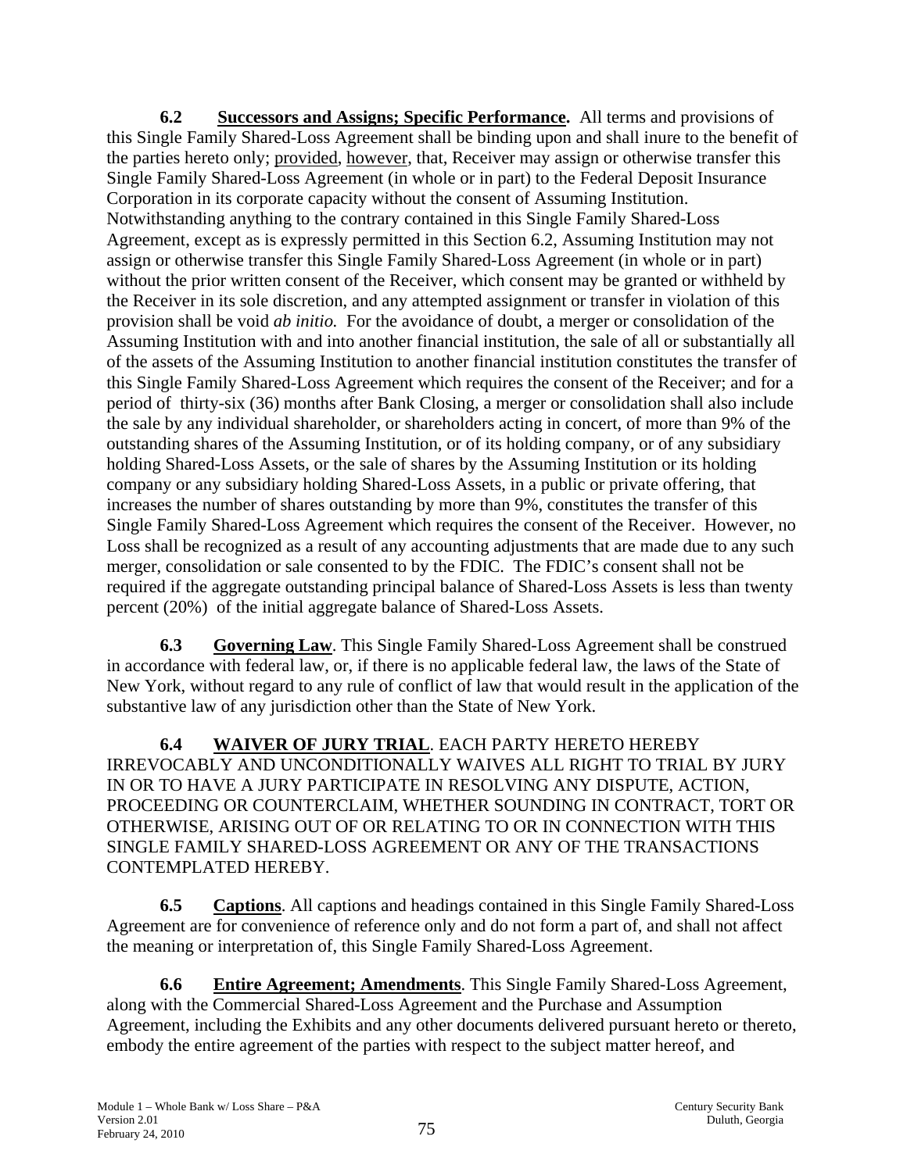**6.2 Successors and Assigns; Specific Performance.** All terms and provisions of this Single Family Shared-Loss Agreement shall be binding upon and shall inure to the benefit of the parties hereto only; provided, however, that, Receiver may assign or otherwise transfer this Single Family Shared-Loss Agreement (in whole or in part) to the Federal Deposit Insurance Corporation in its corporate capacity without the consent of Assuming Institution. Notwithstanding anything to the contrary contained in this Single Family Shared-Loss Agreement, except as is expressly permitted in this Section 6.2, Assuming Institution may not assign or otherwise transfer this Single Family Shared-Loss Agreement (in whole or in part) without the prior written consent of the Receiver, which consent may be granted or withheld by the Receiver in its sole discretion, and any attempted assignment or transfer in violation of this provision shall be void *ab initio.* For the avoidance of doubt, a merger or consolidation of the Assuming Institution with and into another financial institution, the sale of all or substantially all of the assets of the Assuming Institution to another financial institution constitutes the transfer of this Single Family Shared-Loss Agreement which requires the consent of the Receiver; and for a period of thirty-six (36) months after Bank Closing, a merger or consolidation shall also include the sale by any individual shareholder, or shareholders acting in concert, of more than 9% of the outstanding shares of the Assuming Institution, or of its holding company, or of any subsidiary holding Shared-Loss Assets, or the sale of shares by the Assuming Institution or its holding company or any subsidiary holding Shared-Loss Assets, in a public or private offering, that increases the number of shares outstanding by more than 9%, constitutes the transfer of this Single Family Shared-Loss Agreement which requires the consent of the Receiver. However, no Loss shall be recognized as a result of any accounting adjustments that are made due to any such merger, consolidation or sale consented to by the FDIC. The FDIC's consent shall not be required if the aggregate outstanding principal balance of Shared-Loss Assets is less than twenty percent (20%) of the initial aggregate balance of Shared-Loss Assets.

**6.3 Governing Law**. This Single Family Shared-Loss Agreement shall be construed in accordance with federal law, or, if there is no applicable federal law, the laws of the State of New York, without regard to any rule of conflict of law that would result in the application of the substantive law of any jurisdiction other than the State of New York.

**6.4 WAIVER OF JURY TRIAL**. EACH PARTY HERETO HEREBY IRREVOCABLY AND UNCONDITIONALLY WAIVES ALL RIGHT TO TRIAL BY JURY IN OR TO HAVE A JURY PARTICIPATE IN RESOLVING ANY DISPUTE, ACTION, PROCEEDING OR COUNTERCLAIM, WHETHER SOUNDING IN CONTRACT, TORT OR OTHERWISE, ARISING OUT OF OR RELATING TO OR IN CONNECTION WITH THIS SINGLE FAMILY SHARED-LOSS AGREEMENT OR ANY OF THE TRANSACTIONS CONTEMPLATED HEREBY.

**6.5 Captions**. All captions and headings contained in this Single Family Shared-Loss Agreement are for convenience of reference only and do not form a part of, and shall not affect the meaning or interpretation of, this Single Family Shared-Loss Agreement.

**6.6 Entire Agreement; Amendments**. This Single Family Shared-Loss Agreement, along with the Commercial Shared-Loss Agreement and the Purchase and Assumption Agreement, including the Exhibits and any other documents delivered pursuant hereto or thereto, embody the entire agreement of the parties with respect to the subject matter hereof, and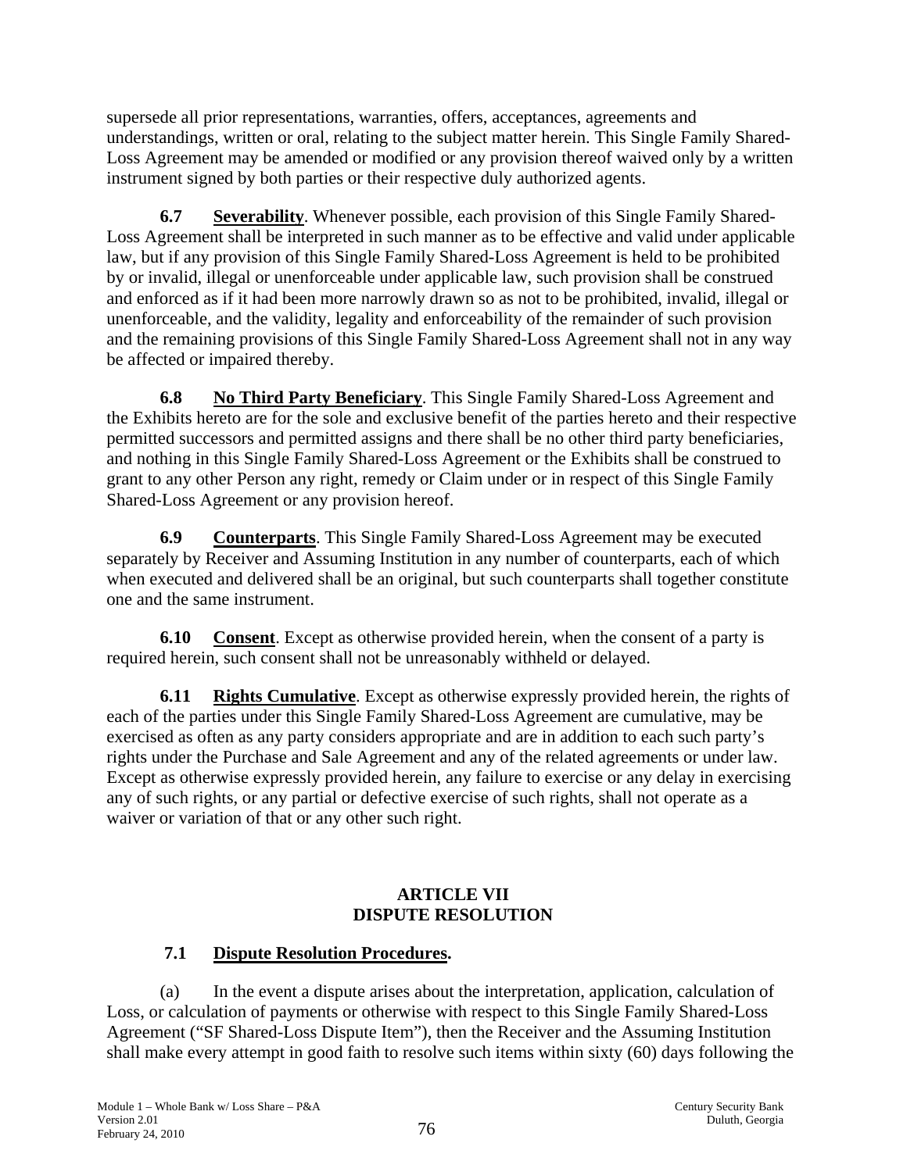supersede all prior representations, warranties, offers, acceptances, agreements and understandings, written or oral, relating to the subject matter herein. This Single Family Shared-Loss Agreement may be amended or modified or any provision thereof waived only by a written instrument signed by both parties or their respective duly authorized agents.

**6.7 Severability**. Whenever possible, each provision of this Single Family Shared-Loss Agreement shall be interpreted in such manner as to be effective and valid under applicable law, but if any provision of this Single Family Shared-Loss Agreement is held to be prohibited by or invalid, illegal or unenforceable under applicable law, such provision shall be construed and enforced as if it had been more narrowly drawn so as not to be prohibited, invalid, illegal or unenforceable, and the validity, legality and enforceability of the remainder of such provision and the remaining provisions of this Single Family Shared-Loss Agreement shall not in any way be affected or impaired thereby.

**6.8 No Third Party Beneficiary.** This Single Family Shared-Loss Agreement and the Exhibits hereto are for the sole and exclusive benefit of the parties hereto and their respective permitted successors and permitted assigns and there shall be no other third party beneficiaries, and nothing in this Single Family Shared-Loss Agreement or the Exhibits shall be construed to grant to any other Person any right, remedy or Claim under or in respect of this Single Family Shared-Loss Agreement or any provision hereof.

**6.9 Counterparts**. This Single Family Shared-Loss Agreement may be executed separately by Receiver and Assuming Institution in any number of counterparts, each of which when executed and delivered shall be an original, but such counterparts shall together constitute one and the same instrument.

**6.10** Consent. Except as otherwise provided herein, when the consent of a party is required herein, such consent shall not be unreasonably withheld or delayed.

**6.11 Rights Cumulative**. Except as otherwise expressly provided herein, the rights of each of the parties under this Single Family Shared-Loss Agreement are cumulative, may be exercised as often as any party considers appropriate and are in addition to each such party's rights under the Purchase and Sale Agreement and any of the related agreements or under law. Except as otherwise expressly provided herein, any failure to exercise or any delay in exercising any of such rights, or any partial or defective exercise of such rights, shall not operate as a waiver or variation of that or any other such right.

## **ARTICLE VII DISPUTE RESOLUTION**

# **7.1 Dispute Resolution Procedures.**

(a) In the event a dispute arises about the interpretation, application, calculation of Loss, or calculation of payments or otherwise with respect to this Single Family Shared-Loss Agreement ("SF Shared-Loss Dispute Item"), then the Receiver and the Assuming Institution shall make every attempt in good faith to resolve such items within sixty (60) days following the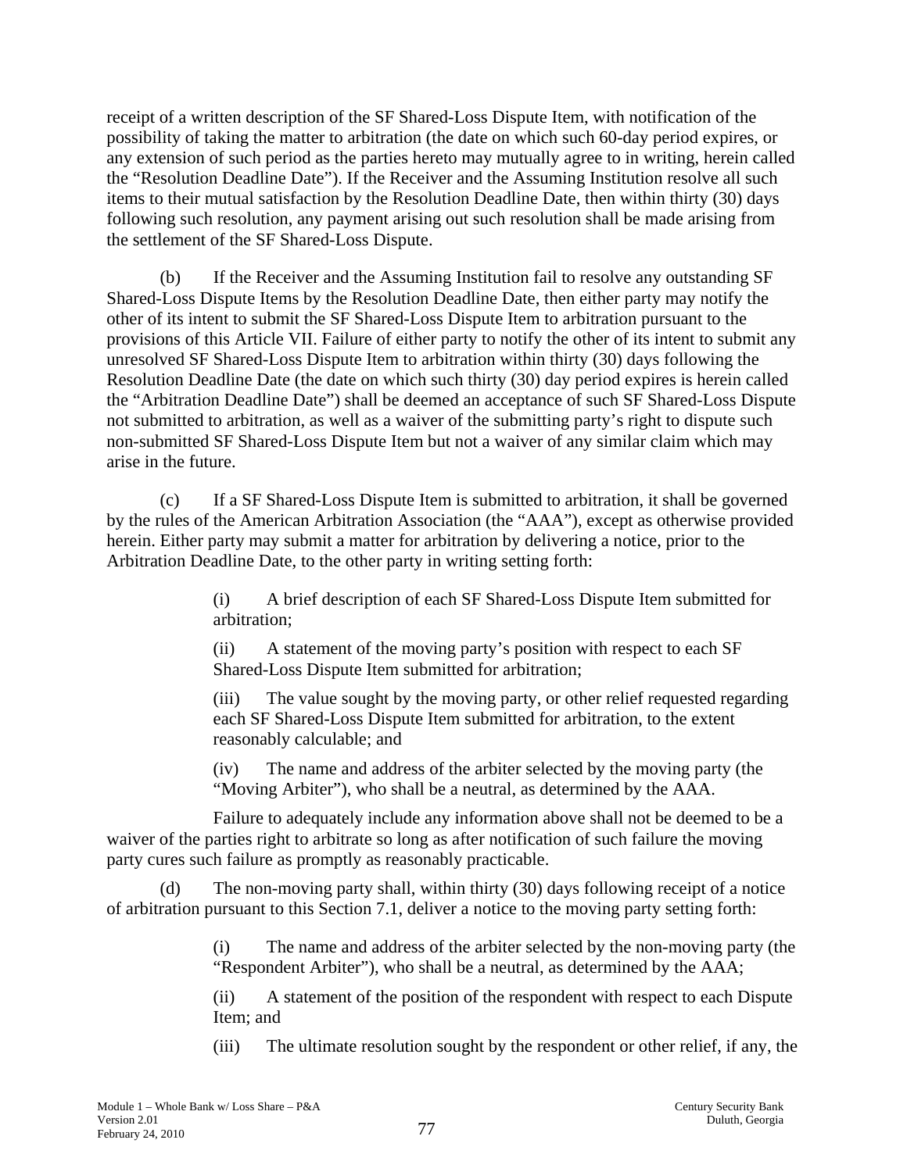receipt of a written description of the SF Shared-Loss Dispute Item, with notification of the possibility of taking the matter to arbitration (the date on which such 60-day period expires, or any extension of such period as the parties hereto may mutually agree to in writing, herein called the "Resolution Deadline Date"). If the Receiver and the Assuming Institution resolve all such items to their mutual satisfaction by the Resolution Deadline Date, then within thirty (30) days following such resolution, any payment arising out such resolution shall be made arising from the settlement of the SF Shared-Loss Dispute.

(b) If the Receiver and the Assuming Institution fail to resolve any outstanding SF Shared-Loss Dispute Items by the Resolution Deadline Date, then either party may notify the other of its intent to submit the SF Shared-Loss Dispute Item to arbitration pursuant to the provisions of this Article VII. Failure of either party to notify the other of its intent to submit any unresolved SF Shared-Loss Dispute Item to arbitration within thirty (30) days following the Resolution Deadline Date (the date on which such thirty (30) day period expires is herein called the "Arbitration Deadline Date") shall be deemed an acceptance of such SF Shared-Loss Dispute not submitted to arbitration, as well as a waiver of the submitting party's right to dispute such non-submitted SF Shared-Loss Dispute Item but not a waiver of any similar claim which may arise in the future.

(c) If a SF Shared-Loss Dispute Item is submitted to arbitration, it shall be governed by the rules of the American Arbitration Association (the "AAA"), except as otherwise provided herein. Either party may submit a matter for arbitration by delivering a notice, prior to the Arbitration Deadline Date, to the other party in writing setting forth:

> (i) A brief description of each SF Shared-Loss Dispute Item submitted for arbitration;

(ii) A statement of the moving party's position with respect to each SF Shared-Loss Dispute Item submitted for arbitration;

(iii) The value sought by the moving party, or other relief requested regarding each SF Shared-Loss Dispute Item submitted for arbitration, to the extent reasonably calculable; and

(iv) The name and address of the arbiter selected by the moving party (the "Moving Arbiter"), who shall be a neutral, as determined by the AAA.

Failure to adequately include any information above shall not be deemed to be a waiver of the parties right to arbitrate so long as after notification of such failure the moving party cures such failure as promptly as reasonably practicable.

(d) The non-moving party shall, within thirty (30) days following receipt of a notice of arbitration pursuant to this Section 7.1, deliver a notice to the moving party setting forth:

> (i) The name and address of the arbiter selected by the non-moving party (the "Respondent Arbiter"), who shall be a neutral, as determined by the AAA;

> (ii) A statement of the position of the respondent with respect to each Dispute Item; and

> (iii) The ultimate resolution sought by the respondent or other relief, if any, the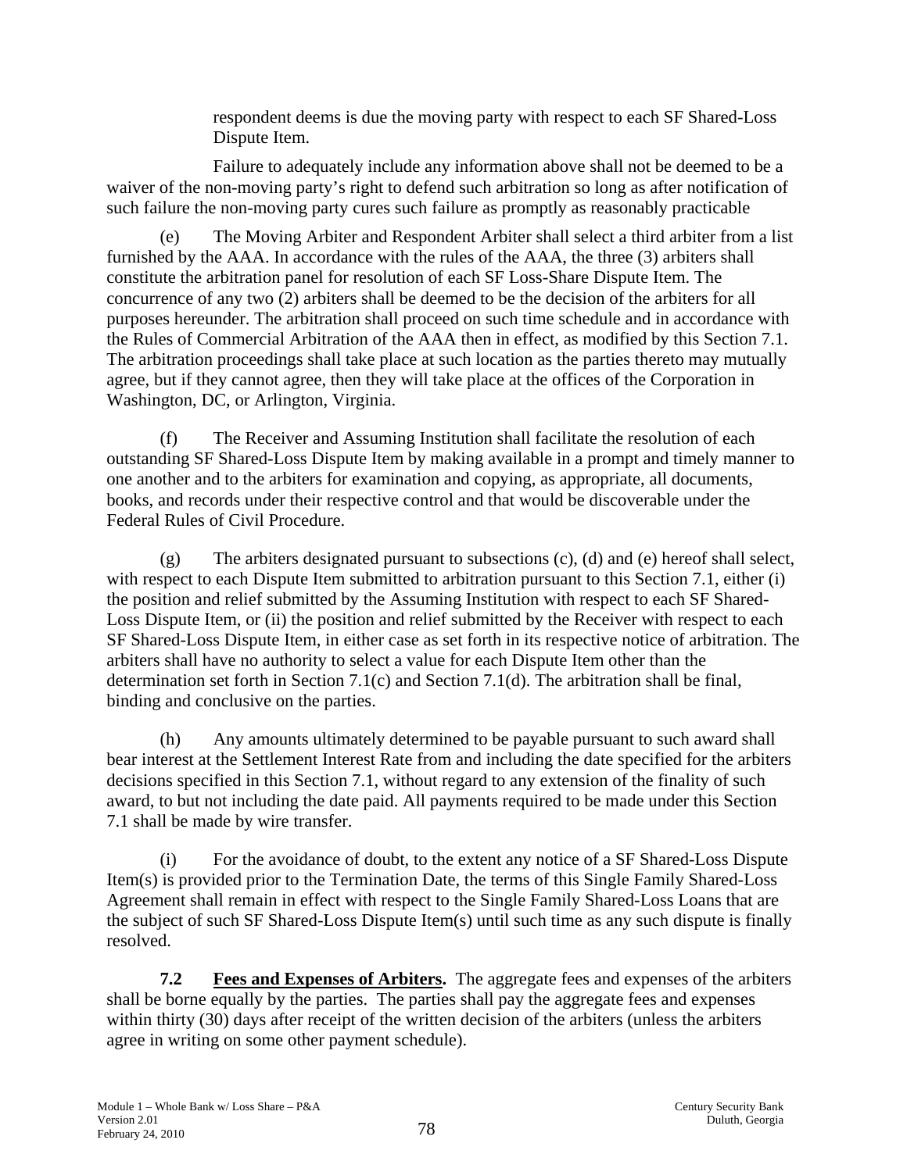respondent deems is due the moving party with respect to each SF Shared-Loss Dispute Item.

Failure to adequately include any information above shall not be deemed to be a waiver of the non-moving party's right to defend such arbitration so long as after notification of such failure the non-moving party cures such failure as promptly as reasonably practicable

(e) The Moving Arbiter and Respondent Arbiter shall select a third arbiter from a list furnished by the AAA. In accordance with the rules of the AAA, the three (3) arbiters shall constitute the arbitration panel for resolution of each SF Loss-Share Dispute Item. The concurrence of any two (2) arbiters shall be deemed to be the decision of the arbiters for all purposes hereunder. The arbitration shall proceed on such time schedule and in accordance with the Rules of Commercial Arbitration of the AAA then in effect, as modified by this Section 7.1. The arbitration proceedings shall take place at such location as the parties thereto may mutually agree, but if they cannot agree, then they will take place at the offices of the Corporation in Washington, DC, or Arlington, Virginia.

(f) The Receiver and Assuming Institution shall facilitate the resolution of each outstanding SF Shared-Loss Dispute Item by making available in a prompt and timely manner to one another and to the arbiters for examination and copying, as appropriate, all documents, books, and records under their respective control and that would be discoverable under the Federal Rules of Civil Procedure.

 $(g)$  The arbiters designated pursuant to subsections  $(c)$ ,  $(d)$  and  $(e)$  hereof shall select, with respect to each Dispute Item submitted to arbitration pursuant to this Section 7.1, either (i) the position and relief submitted by the Assuming Institution with respect to each SF Shared-Loss Dispute Item, or (ii) the position and relief submitted by the Receiver with respect to each SF Shared-Loss Dispute Item, in either case as set forth in its respective notice of arbitration. The arbiters shall have no authority to select a value for each Dispute Item other than the determination set forth in Section 7.1(c) and Section 7.1(d). The arbitration shall be final, binding and conclusive on the parties.

(h) Any amounts ultimately determined to be payable pursuant to such award shall bear interest at the Settlement Interest Rate from and including the date specified for the arbiters decisions specified in this Section 7.1, without regard to any extension of the finality of such award, to but not including the date paid. All payments required to be made under this Section 7.1 shall be made by wire transfer.

(i) For the avoidance of doubt, to the extent any notice of a SF Shared-Loss Dispute Item(s) is provided prior to the Termination Date, the terms of this Single Family Shared-Loss Agreement shall remain in effect with respect to the Single Family Shared-Loss Loans that are the subject of such SF Shared-Loss Dispute Item(s) until such time as any such dispute is finally resolved.

**7.2 Fees and Expenses of Arbiters.** The aggregate fees and expenses of the arbiters shall be borne equally by the parties. The parties shall pay the aggregate fees and expenses within thirty (30) days after receipt of the written decision of the arbiters (unless the arbiters agree in writing on some other payment schedule).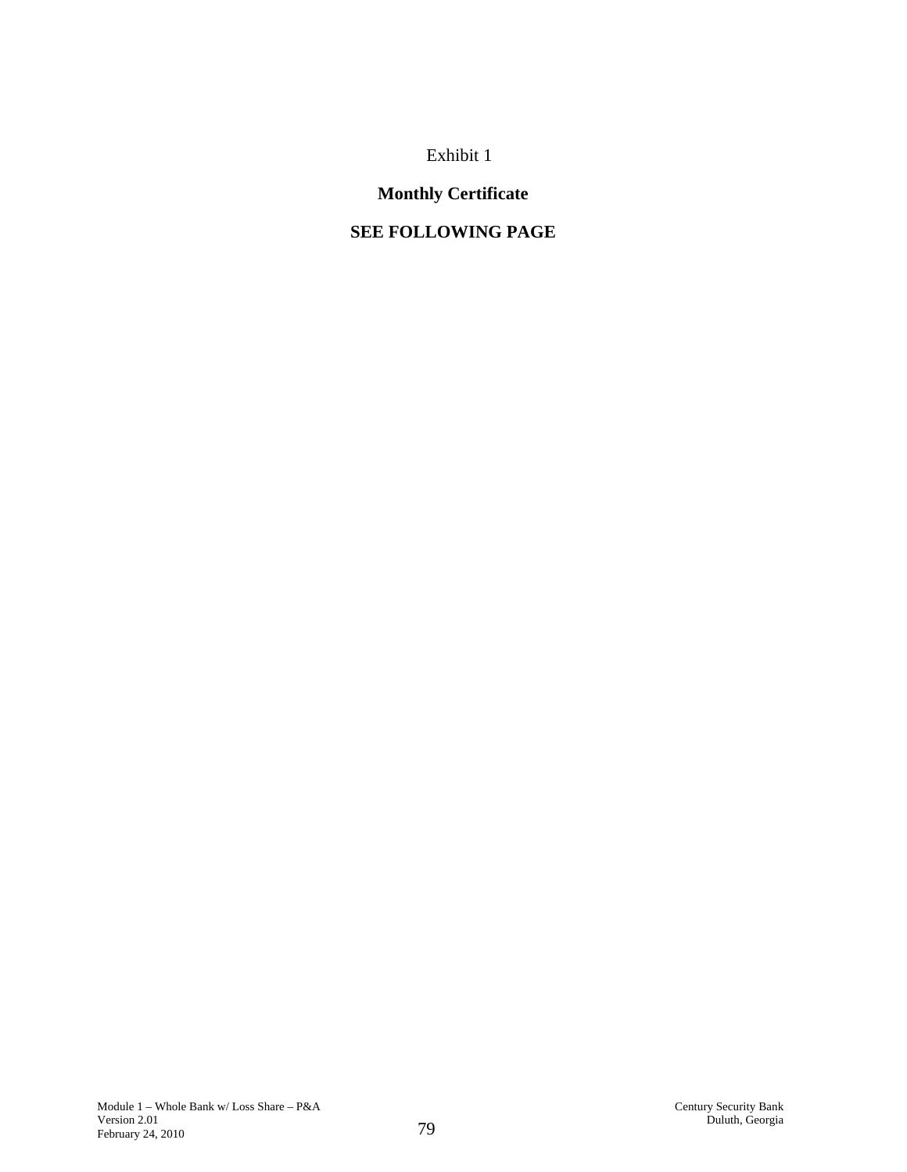Exhibit 1

## **Monthly Certificate**

# **SEE FOLLOWING PAGE**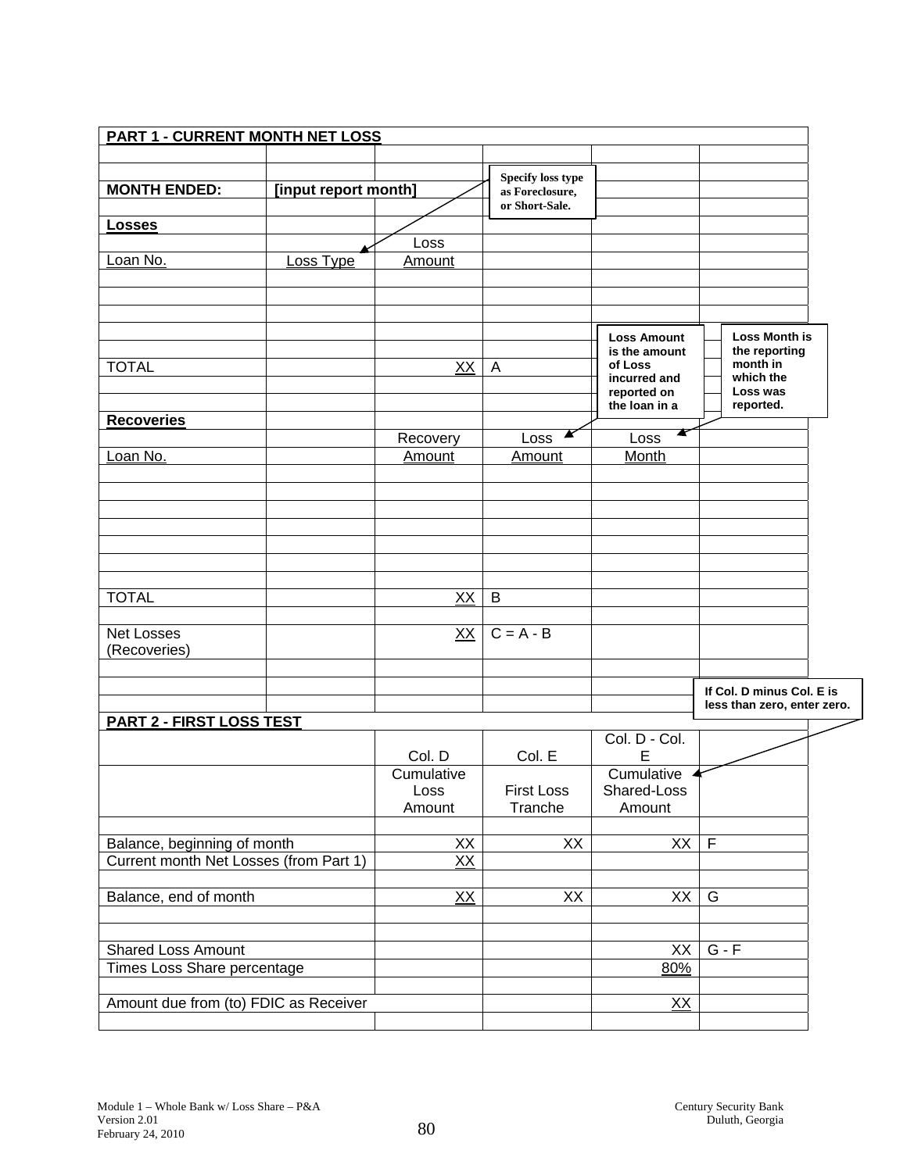| <b>PART 1 - CURRENT MONTH NET LOSS</b> |                      |                      |                                   |                         |                             |
|----------------------------------------|----------------------|----------------------|-----------------------------------|-------------------------|-----------------------------|
|                                        |                      |                      |                                   |                         |                             |
|                                        |                      |                      | Specify loss type                 |                         |                             |
| <b>MONTH ENDED:</b>                    | [input report month] |                      | as Foreclosure,<br>or Short-Sale. |                         |                             |
| <b>Losses</b>                          |                      |                      |                                   |                         |                             |
|                                        |                      | Loss                 |                                   |                         |                             |
| Loan No.                               | Loss Type            | Amount               |                                   |                         |                             |
|                                        |                      |                      |                                   |                         |                             |
|                                        |                      |                      |                                   |                         |                             |
|                                        |                      |                      |                                   |                         |                             |
|                                        |                      |                      |                                   | <b>Loss Amount</b>      | <b>Loss Month is</b>        |
|                                        |                      |                      |                                   | is the amount           | the reporting               |
| <b>TOTAL</b>                           |                      | XX                   | A                                 | of Loss<br>incurred and | month in<br>which the       |
|                                        |                      |                      |                                   | reported on             | Loss was                    |
|                                        |                      |                      |                                   | the loan in a           | reported.                   |
| <b>Recoveries</b>                      |                      |                      | $Loss \nightharpoonup$            | ×                       |                             |
| Loan No.                               |                      | Recovery<br>Amount   | Amount                            | Loss<br>Month           |                             |
|                                        |                      |                      |                                   |                         |                             |
|                                        |                      |                      |                                   |                         |                             |
|                                        |                      |                      |                                   |                         |                             |
|                                        |                      |                      |                                   |                         |                             |
|                                        |                      |                      |                                   |                         |                             |
|                                        |                      |                      |                                   |                         |                             |
|                                        |                      |                      |                                   |                         |                             |
| <b>TOTAL</b>                           |                      | XX                   | $\mathsf B$                       |                         |                             |
|                                        |                      |                      |                                   |                         |                             |
| <b>Net Losses</b>                      |                      | XX                   | $C = A - B$                       |                         |                             |
| (Recoveries)                           |                      |                      |                                   |                         |                             |
|                                        |                      |                      |                                   |                         |                             |
|                                        |                      |                      |                                   |                         | If Col. D minus Col. E is   |
|                                        |                      |                      |                                   |                         | less than zero, enter zero. |
| <b>PART 2 - FIRST LOSS TEST</b>        |                      |                      |                                   |                         |                             |
|                                        |                      |                      |                                   | Col. D - Col.           |                             |
|                                        |                      | Col. D<br>Cumulative | Col. E                            | Е<br>Cumulative         |                             |
|                                        |                      | Loss                 | <b>First Loss</b>                 | Shared-Loss             |                             |
|                                        |                      | Amount               | Tranche                           | Amount                  |                             |
|                                        |                      |                      |                                   |                         |                             |
| Balance, beginning of month            |                      | XX                   | XX                                | XX                      | $\mathsf F$                 |
| Current month Net Losses (from Part 1) |                      | XX                   |                                   |                         |                             |
|                                        |                      |                      |                                   |                         |                             |
| Balance, end of month                  |                      | XX                   | XX                                | XX                      | G                           |
|                                        |                      |                      |                                   |                         |                             |
|                                        |                      |                      |                                   |                         |                             |
| Shared Loss Amount                     |                      |                      |                                   | XX                      | $G - F$                     |
| Times Loss Share percentage            |                      |                      |                                   | 80%                     |                             |
|                                        |                      |                      |                                   |                         |                             |
| Amount due from (to) FDIC as Receiver  |                      |                      |                                   | XX                      |                             |
|                                        |                      |                      |                                   |                         |                             |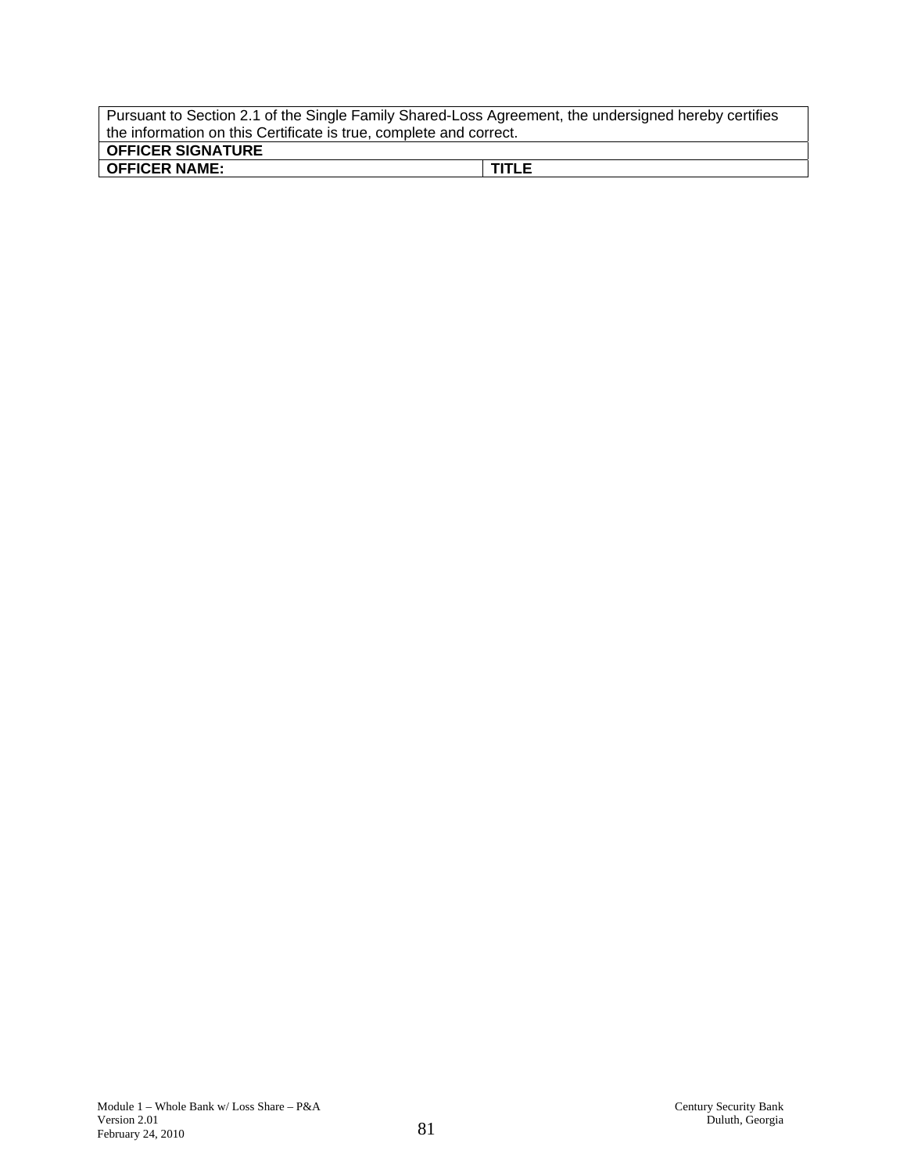| Pursuant to Section 2.1 of the Single Family Shared-Loss Agreement, the undersigned hereby certifies |  |  |  |  |
|------------------------------------------------------------------------------------------------------|--|--|--|--|
| the information on this Certificate is true, complete and correct.                                   |  |  |  |  |
| <b>OFFICER SIGNATURE</b>                                                                             |  |  |  |  |
| <b>TITLE</b><br><b>OFFICER NAME:</b>                                                                 |  |  |  |  |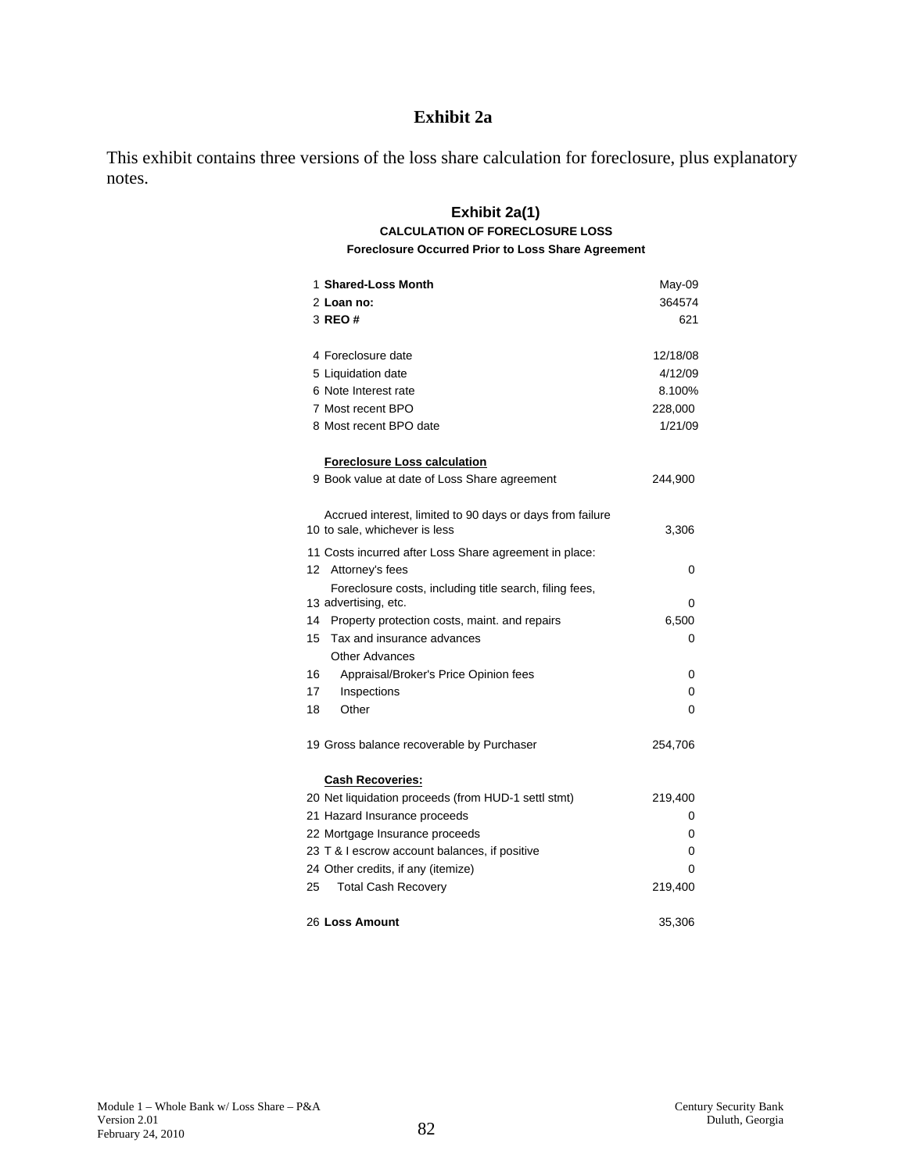#### **Exhibit 2a**

This exhibit contains three versions of the loss share calculation for foreclosure, plus explanatory notes.

#### **Exhibit 2a(1) CALCULATION OF FORECLOSURE LOSS Foreclosure Occurred Prior to Loss Share Agreement**

|    | 1 Shared-Loss Month<br>2 Loan no:<br>3 REO #                                               | May-09<br>364574<br>621 |
|----|--------------------------------------------------------------------------------------------|-------------------------|
|    | 4 Foreclosure date                                                                         | 12/18/08                |
|    | 5 Liquidation date                                                                         | 4/12/09                 |
|    | 6 Note Interest rate                                                                       | 8.100%                  |
|    | 7 Most recent BPO                                                                          | 228,000                 |
|    | 8 Most recent BPO date                                                                     | 1/21/09                 |
|    | <b>Foreclosure Loss calculation</b>                                                        |                         |
|    | 9 Book value at date of Loss Share agreement                                               | 244,900                 |
|    | Accrued interest, limited to 90 days or days from failure<br>10 to sale, whichever is less | 3,306                   |
|    | 11 Costs incurred after Loss Share agreement in place:                                     |                         |
| 12 | Attorney's fees                                                                            | 0                       |
|    | Foreclosure costs, including title search, filing fees,                                    |                         |
|    | 13 advertising, etc.                                                                       | 0                       |
| 14 | Property protection costs, maint. and repairs                                              | 6,500                   |
| 15 | Tax and insurance advances                                                                 | 0                       |
|    | <b>Other Advances</b>                                                                      |                         |
| 16 | Appraisal/Broker's Price Opinion fees                                                      | 0                       |
| 17 | Inspections                                                                                | 0                       |
| 18 | Other                                                                                      | 0                       |
|    | 19 Gross balance recoverable by Purchaser                                                  | 254,706                 |
|    | <b>Cash Recoveries:</b>                                                                    |                         |
|    | 20 Net liquidation proceeds (from HUD-1 settl stmt)                                        | 219,400                 |
|    | 21 Hazard Insurance proceeds                                                               | 0                       |
|    | 22 Mortgage Insurance proceeds                                                             | 0                       |
|    | 23 T & I escrow account balances, if positive                                              | 0                       |
|    | 24 Other credits, if any (itemize)                                                         | 0                       |
| 25 | <b>Total Cash Recovery</b>                                                                 | 219,400                 |
|    | <b>26 Loss Amount</b>                                                                      | 35,306                  |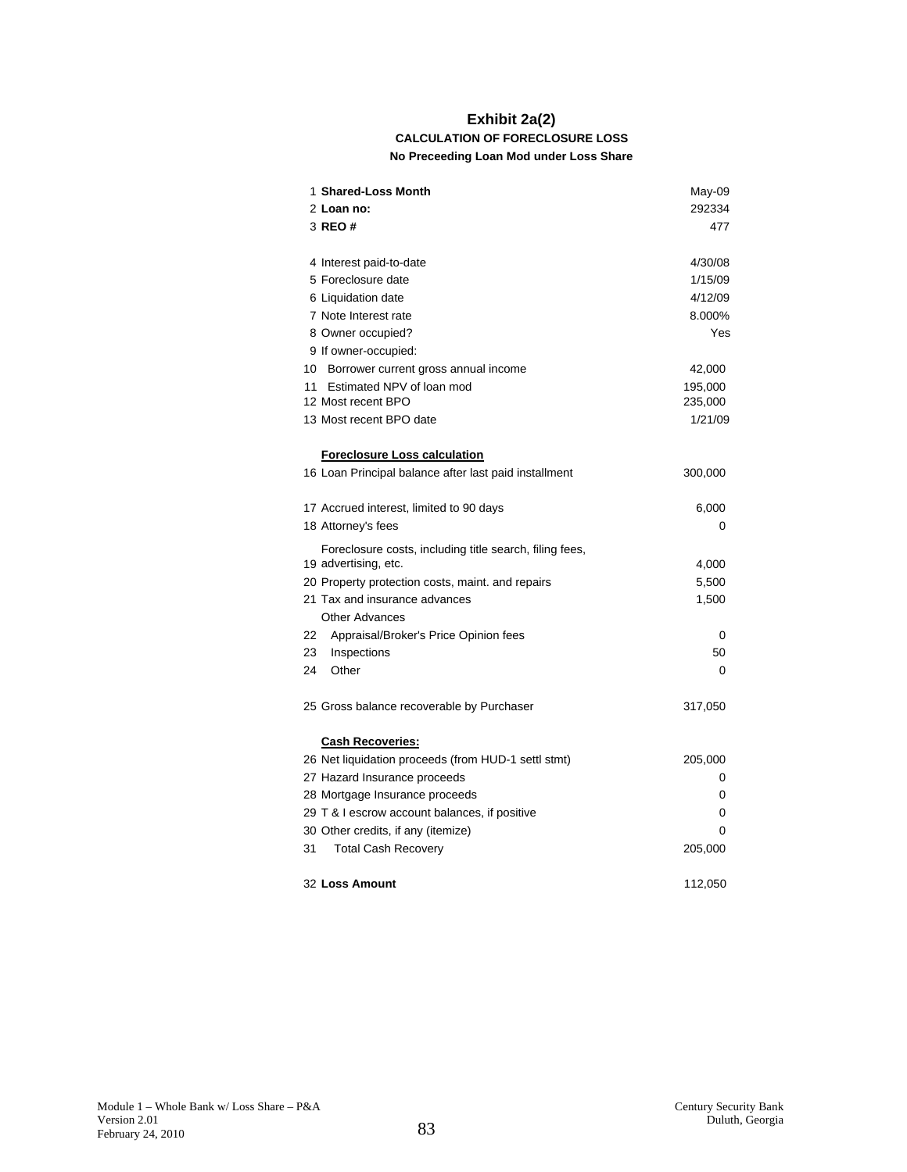#### **Exhibit 2a(2)**

#### **CALCULATION OF FORECLOSURE LOSS**

#### **No Preceeding Loan Mod under Loss Share**

| 1 Shared-Loss Month                                                             | May-09  |
|---------------------------------------------------------------------------------|---------|
| 2 Loan no:                                                                      | 292334  |
| 3 REO #                                                                         | 477     |
| 4 Interest paid-to-date                                                         | 4/30/08 |
| 5 Foreclosure date                                                              | 1/15/09 |
| 6 Liquidation date                                                              | 4/12/09 |
| 7 Note Interest rate                                                            | 8.000%  |
| 8 Owner occupied?                                                               | Yes     |
| 9 If owner-occupied:                                                            |         |
| 10<br>Borrower current gross annual income                                      | 42,000  |
| 11<br>Estimated NPV of loan mod                                                 | 195,000 |
| 12 Most recent BPO                                                              | 235,000 |
| 13 Most recent BPO date                                                         | 1/21/09 |
| <b>Foreclosure Loss calculation</b>                                             |         |
| 16 Loan Principal balance after last paid installment                           | 300,000 |
| 17 Accrued interest, limited to 90 days                                         | 6,000   |
| 18 Attorney's fees                                                              | 0       |
| Foreclosure costs, including title search, filing fees,<br>19 advertising, etc. | 4,000   |
| 20 Property protection costs, maint. and repairs                                | 5,500   |
| 21 Tax and insurance advances                                                   | 1,500   |
| <b>Other Advances</b>                                                           |         |
| 22<br>Appraisal/Broker's Price Opinion fees                                     | 0       |
| 23<br>Inspections                                                               | 50      |
| 24<br>Other                                                                     | 0       |
| 25 Gross balance recoverable by Purchaser                                       | 317,050 |
| <b>Cash Recoveries:</b>                                                         |         |
| 26 Net liquidation proceeds (from HUD-1 settl stmt)                             | 205,000 |
| 27 Hazard Insurance proceeds                                                    | 0       |
| 28 Mortgage Insurance proceeds                                                  | 0       |
| 29 T & I escrow account balances, if positive                                   | 0       |
| 30 Other credits, if any (itemize)                                              | 0       |
| 31<br><b>Total Cash Recovery</b>                                                | 205,000 |
| 32 Loss Amount                                                                  | 112,050 |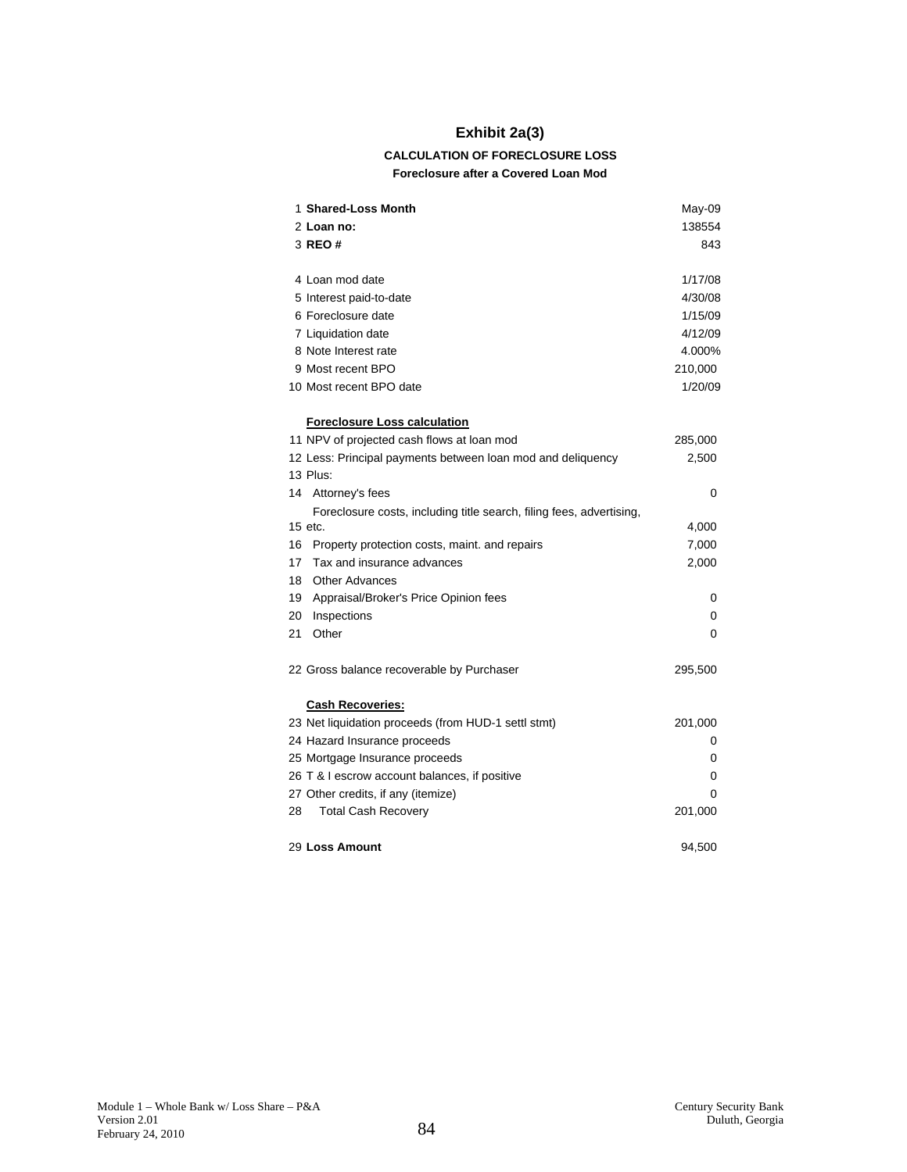## **Exhibit 2a(3)**

#### **CALCULATION OF FORECLOSURE LOSS Foreclosure after a Covered Loan Mod**

| 1 Shared-Loss Month                                                  | May-09   |
|----------------------------------------------------------------------|----------|
| 2 Loan no:                                                           | 138554   |
| 3 REO #                                                              | 843      |
|                                                                      |          |
| 4 Loan mod date                                                      | 1/17/08  |
| 5 Interest paid-to-date                                              | 4/30/08  |
| 6 Foreclosure date                                                   | 1/15/09  |
| 7 Liquidation date                                                   | 4/12/09  |
| 8 Note Interest rate                                                 | 4.000%   |
| 9 Most recent BPO                                                    | 210,000  |
| 10 Most recent BPO date                                              | 1/20/09  |
|                                                                      |          |
| <b>Foreclosure Loss calculation</b>                                  |          |
| 11 NPV of projected cash flows at loan mod                           | 285,000  |
| 12 Less: Principal payments between loan mod and deliquency          | 2,500    |
| 13 Plus:                                                             |          |
| 14<br>Attorney's fees                                                | 0        |
| Foreclosure costs, including title search, filing fees, advertising, |          |
| 15 etc.                                                              | 4,000    |
| 16<br>Property protection costs, maint. and repairs                  | 7,000    |
| 17<br>Tax and insurance advances                                     | 2,000    |
| 18<br><b>Other Advances</b>                                          |          |
| 19<br>Appraisal/Broker's Price Opinion fees                          | 0        |
| 20<br>Inspections                                                    | 0        |
| 21<br>Other                                                          | $\Omega$ |
|                                                                      |          |
| 22 Gross balance recoverable by Purchaser                            | 295,500  |
|                                                                      |          |
| <b>Cash Recoveries:</b>                                              |          |
| 23 Net liquidation proceeds (from HUD-1 settl stmt)                  | 201,000  |
| 24 Hazard Insurance proceeds                                         | 0        |
| 25 Mortgage Insurance proceeds                                       | 0        |
| 26 T & I escrow account balances, if positive                        | 0        |
| 27 Other credits, if any (itemize)                                   | 0        |
| 28<br><b>Total Cash Recovery</b>                                     | 201,000  |
|                                                                      |          |
| 29 Loss Amount                                                       | 94,500   |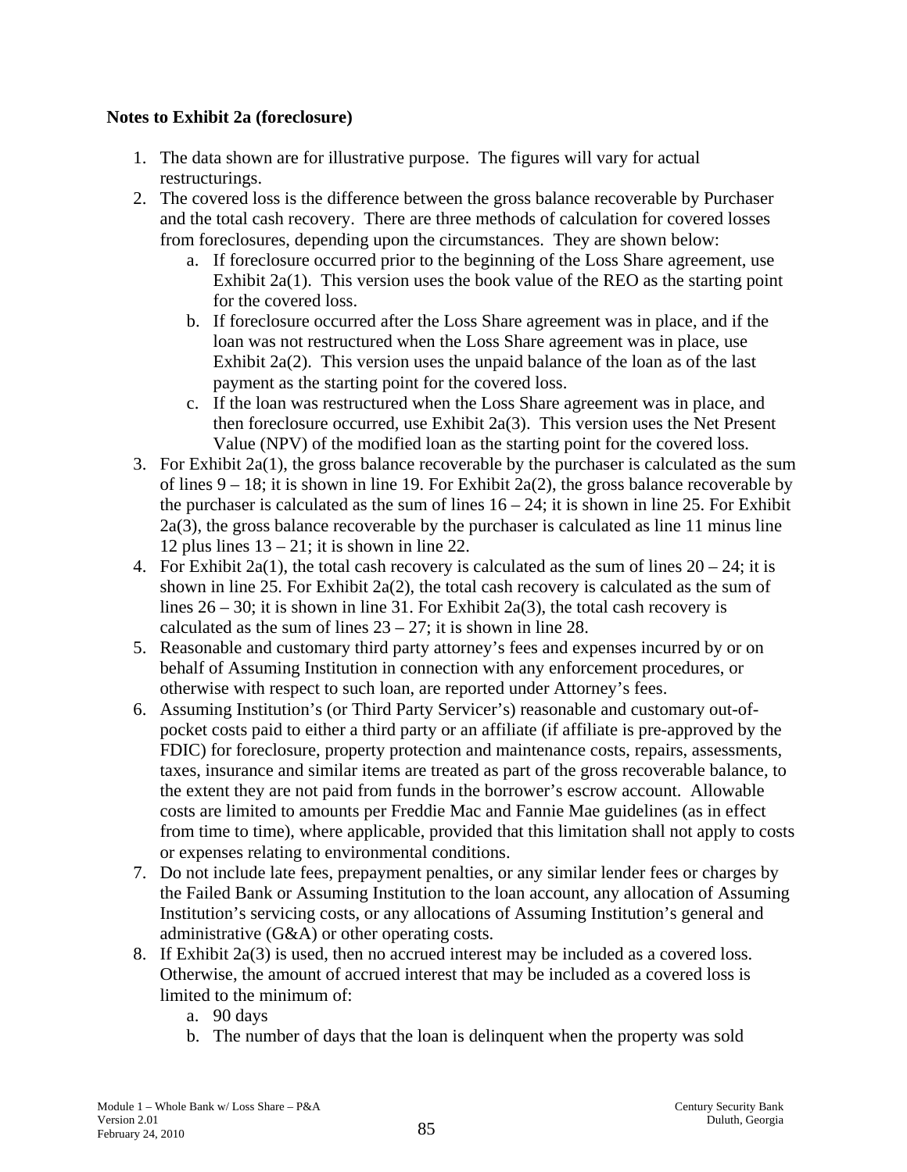## **Notes to Exhibit 2a (foreclosure)**

- 1. The data shown are for illustrative purpose. The figures will vary for actual restructurings.
- 2. The covered loss is the difference between the gross balance recoverable by Purchaser and the total cash recovery. There are three methods of calculation for covered losses from foreclosures, depending upon the circumstances. They are shown below:
	- a. If foreclosure occurred prior to the beginning of the Loss Share agreement, use Exhibit 2a(1). This version uses the book value of the REO as the starting point for the covered loss.
	- b. If foreclosure occurred after the Loss Share agreement was in place, and if the loan was not restructured when the Loss Share agreement was in place, use Exhibit 2a(2). This version uses the unpaid balance of the loan as of the last payment as the starting point for the covered loss.
	- c. If the loan was restructured when the Loss Share agreement was in place, and then foreclosure occurred, use Exhibit 2a(3). This version uses the Net Present Value (NPV) of the modified loan as the starting point for the covered loss.
- 3. For Exhibit  $2a(1)$ , the gross balance recoverable by the purchaser is calculated as the sum of lines  $9 - 18$ ; it is shown in line 19. For Exhibit 2a(2), the gross balance recoverable by the purchaser is calculated as the sum of lines  $16 - 24$ ; it is shown in line 25. For Exhibit 2a(3), the gross balance recoverable by the purchaser is calculated as line 11 minus line 12 plus lines  $13 - 21$ ; it is shown in line 22.
- 4. For Exhibit 2a(1), the total cash recovery is calculated as the sum of lines  $20 24$ ; it is shown in line 25. For Exhibit 2a(2), the total cash recovery is calculated as the sum of lines  $26 - 30$ ; it is shown in line 31. For Exhibit 2a(3), the total cash recovery is calculated as the sum of lines  $23 - 27$ ; it is shown in line 28.
- 5. Reasonable and customary third party attorney's fees and expenses incurred by or on behalf of Assuming Institution in connection with any enforcement procedures, or otherwise with respect to such loan, are reported under Attorney's fees.
- 6. Assuming Institution's (or Third Party Servicer's) reasonable and customary out-ofpocket costs paid to either a third party or an affiliate (if affiliate is pre-approved by the FDIC) for foreclosure, property protection and maintenance costs, repairs, assessments, taxes, insurance and similar items are treated as part of the gross recoverable balance, to the extent they are not paid from funds in the borrower's escrow account. Allowable costs are limited to amounts per Freddie Mac and Fannie Mae guidelines (as in effect from time to time), where applicable, provided that this limitation shall not apply to costs or expenses relating to environmental conditions.
- 7. Do not include late fees, prepayment penalties, or any similar lender fees or charges by the Failed Bank or Assuming Institution to the loan account, any allocation of Assuming Institution's servicing costs, or any allocations of Assuming Institution's general and administrative (G&A) or other operating costs.
- 8. If Exhibit  $2a(3)$  is used, then no accrued interest may be included as a covered loss. Otherwise, the amount of accrued interest that may be included as a covered loss is limited to the minimum of:
	- a. 90 days
	- b. The number of days that the loan is delinquent when the property was sold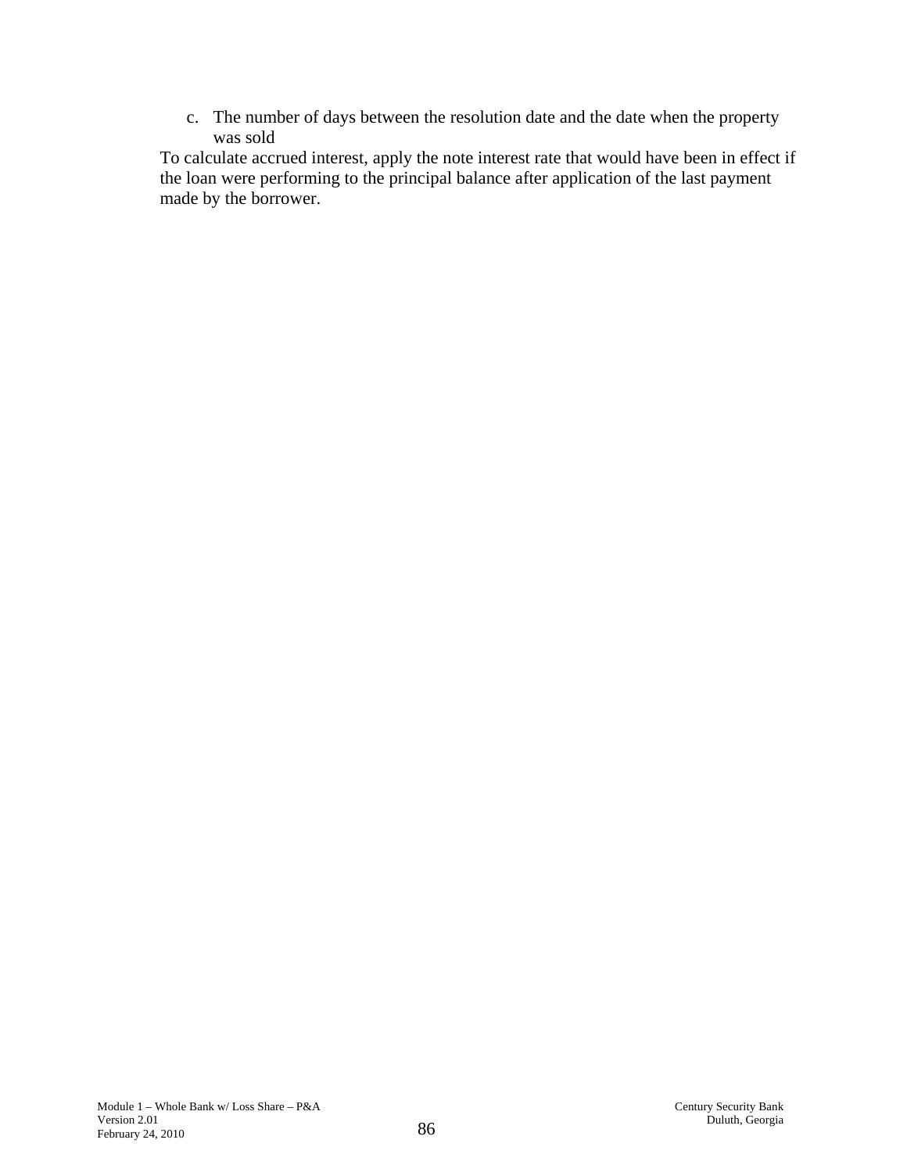c. The number of days between the resolution date and the date when the property was sold

To calculate accrued interest, apply the note interest rate that would have been in effect if the loan were performing to the principal balance after application of the last payment made by the borrower.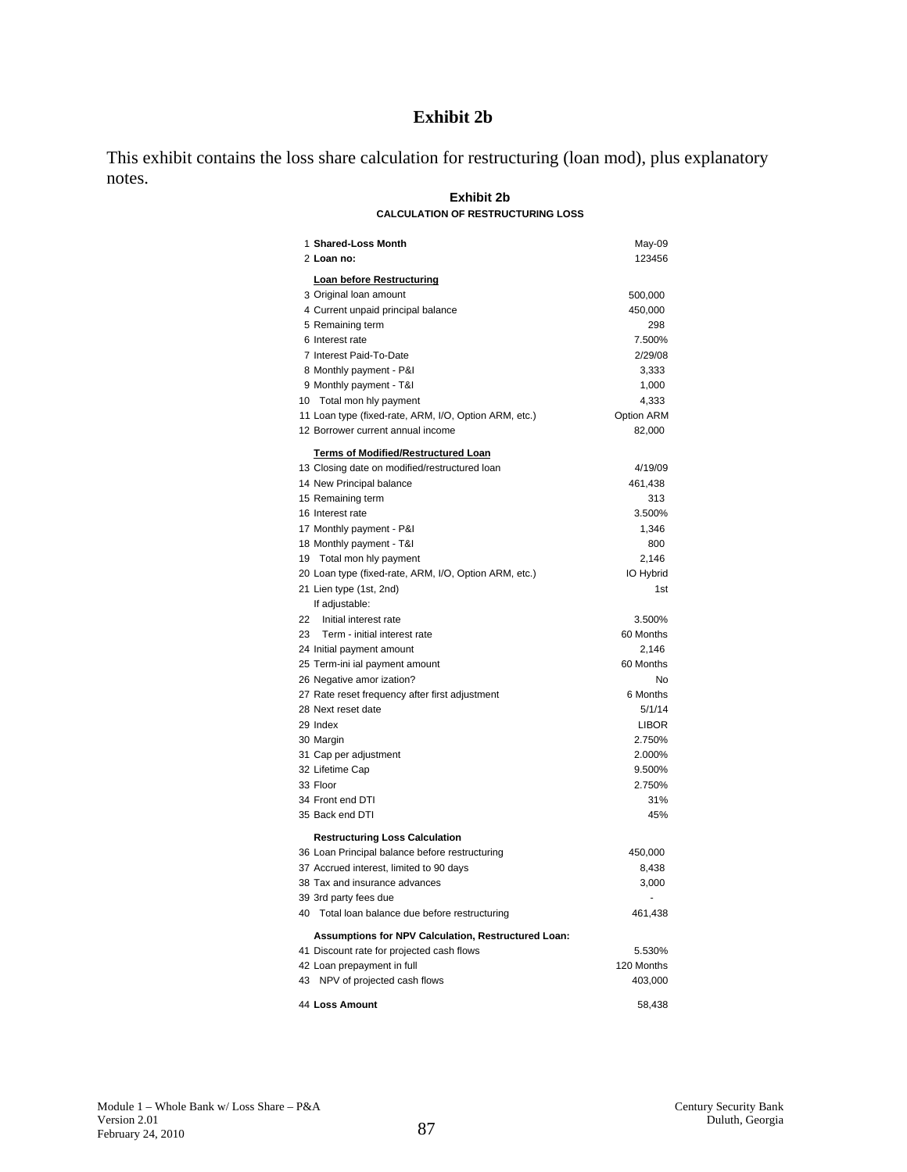#### **Exhibit 2b**

This exhibit contains the loss share calculation for restructuring (loan mod), plus explanatory notes.

#### **Exhibit 2b CALCULATION OF RESTRUCTURING LOSS**

|    | 1 Shared-Loss Month                                                                       | May-09            |
|----|-------------------------------------------------------------------------------------------|-------------------|
|    | 2 Loan no:                                                                                | 123456            |
|    | <b>Loan before Restructuring</b>                                                          |                   |
|    | 3 Original loan amount                                                                    | 500,000           |
|    | 4 Current unpaid principal balance                                                        | 450,000           |
|    | 5 Remaining term                                                                          | 298               |
|    | 6 Interest rate                                                                           | 7.500%            |
|    | 7 Interest Paid-To-Date                                                                   | 2/29/08           |
|    | 8 Monthly payment - P&I                                                                   | 3,333             |
|    | 9 Monthly payment - T&I                                                                   | 1,000             |
|    | 10 Total mon hly payment                                                                  | 4,333             |
|    | 11 Loan type (fixed-rate, ARM, I/O, Option ARM, etc.)                                     | <b>Option ARM</b> |
|    | 12 Borrower current annual income                                                         | 82,000            |
|    |                                                                                           |                   |
|    | Terms of Modified/Restructured Loan<br>13 Closing date on modified/restructured loan      | 4/19/09           |
|    | 14 New Principal balance                                                                  | 461,438           |
|    | 15 Remaining term                                                                         | 313               |
|    | 16 Interest rate                                                                          | 3.500%            |
|    | 17 Monthly payment - P&I                                                                  | 1,346             |
|    | 18 Monthly payment - T&I                                                                  | 800               |
|    | 19 Total mon hly payment                                                                  | 2,146             |
|    | 20 Loan type (fixed-rate, ARM, I/O, Option ARM, etc.)                                     | IO Hybrid         |
|    | 21 Lien type (1st, 2nd)                                                                   | 1st               |
|    | If adjustable:                                                                            |                   |
| 22 | Initial interest rate                                                                     | 3.500%            |
| 23 | Term - initial interest rate                                                              | 60 Months         |
|    | 24 Initial payment amount                                                                 | 2,146             |
|    | 25 Term-ini ial payment amount                                                            | 60 Months         |
|    | 26 Negative amor ization?                                                                 | No                |
|    | 27 Rate reset frequency after first adjustment                                            | 6 Months          |
|    | 28 Next reset date                                                                        | 5/1/14            |
|    | 29 Index                                                                                  | LIBOR             |
|    | 30 Margin                                                                                 | 2.750%            |
|    | 31 Cap per adjustment                                                                     | 2.000%            |
|    | 32 Lifetime Cap                                                                           | 9.500%            |
|    | 33 Floor                                                                                  | 2.750%            |
|    | 34 Front end DTI                                                                          | 31%               |
|    | 35 Back end DTI                                                                           | 45%               |
|    |                                                                                           |                   |
|    | <b>Restructuring Loss Calculation</b>                                                     |                   |
|    | 36 Loan Principal balance before restructuring<br>37 Accrued interest, limited to 90 days | 450,000<br>8,438  |
|    | 38 Tax and insurance advances                                                             | 3,000             |
|    | 39 3rd party fees due                                                                     | L,                |
|    | 40 Total loan balance due before restructuring                                            | 461,438           |
|    |                                                                                           |                   |
|    | Assumptions for NPV Calculation, Restructured Loan:                                       |                   |
|    | 41 Discount rate for projected cash flows                                                 | 5.530%            |
|    | 42 Loan prepayment in full                                                                | 120 Months        |
|    | 43 NPV of projected cash flows                                                            | 403,000           |
|    | 44 Loss Amount                                                                            | 58.438            |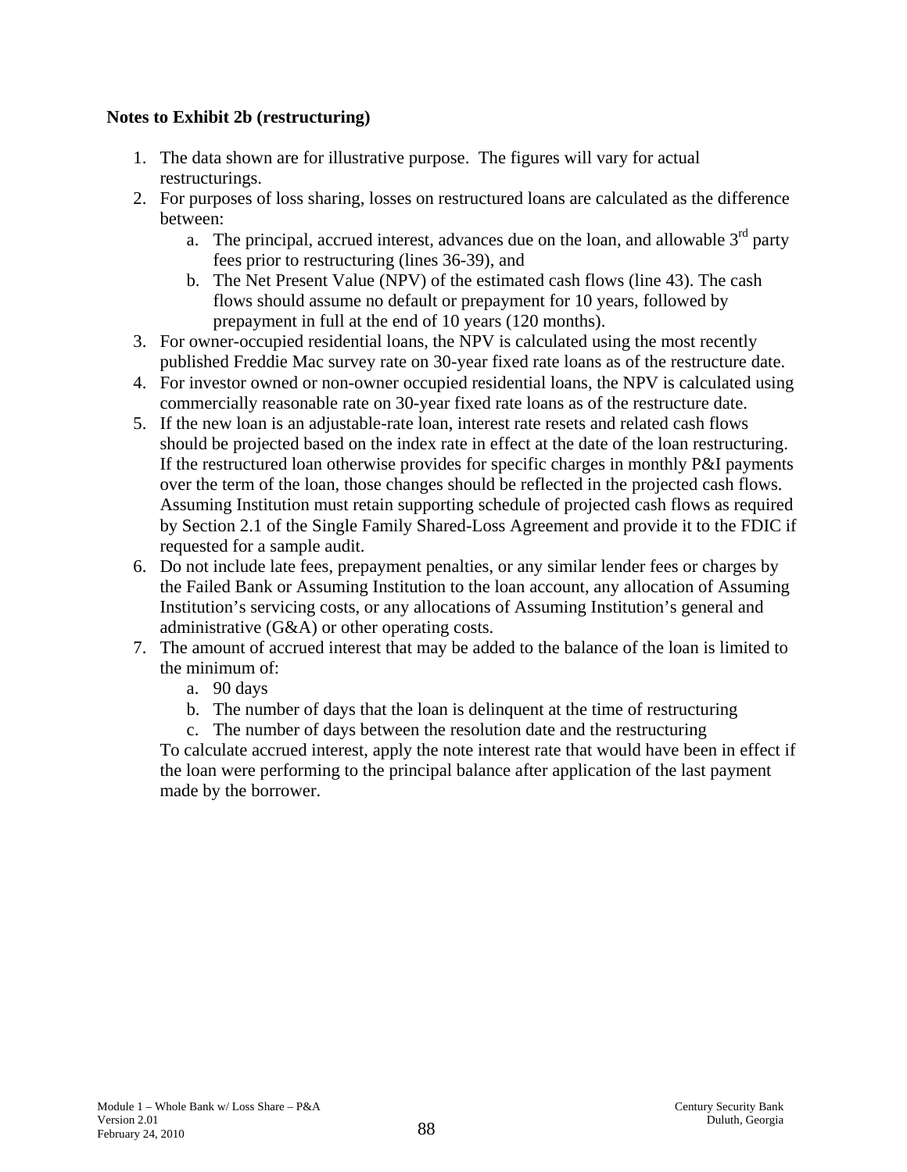### **Notes to Exhibit 2b (restructuring)**

- 1. The data shown are for illustrative purpose. The figures will vary for actual restructurings.
- 2. For purposes of loss sharing, losses on restructured loans are calculated as the difference between:
	- a. The principal, accrued interest, advances due on the loan, and allowable  $3<sup>rd</sup>$  party fees prior to restructuring (lines 36-39), and
	- b. The Net Present Value (NPV) of the estimated cash flows (line 43). The cash flows should assume no default or prepayment for 10 years, followed by prepayment in full at the end of 10 years (120 months).
- 3. For owner-occupied residential loans, the NPV is calculated using the most recently published Freddie Mac survey rate on 30-year fixed rate loans as of the restructure date.
- 4. For investor owned or non-owner occupied residential loans, the NPV is calculated using commercially reasonable rate on 30-year fixed rate loans as of the restructure date.
- 5. If the new loan is an adjustable-rate loan, interest rate resets and related cash flows should be projected based on the index rate in effect at the date of the loan restructuring. If the restructured loan otherwise provides for specific charges in monthly P&I payments over the term of the loan, those changes should be reflected in the projected cash flows. Assuming Institution must retain supporting schedule of projected cash flows as required by Section 2.1 of the Single Family Shared-Loss Agreement and provide it to the FDIC if requested for a sample audit.
- 6. Do not include late fees, prepayment penalties, or any similar lender fees or charges by the Failed Bank or Assuming Institution to the loan account, any allocation of Assuming Institution's servicing costs, or any allocations of Assuming Institution's general and administrative (G&A) or other operating costs.
- 7. The amount of accrued interest that may be added to the balance of the loan is limited to the minimum of:
	- a. 90 days
	- b. The number of days that the loan is delinquent at the time of restructuring

c. The number of days between the resolution date and the restructuring To calculate accrued interest, apply the note interest rate that would have been in effect if the loan were performing to the principal balance after application of the last payment made by the borrower.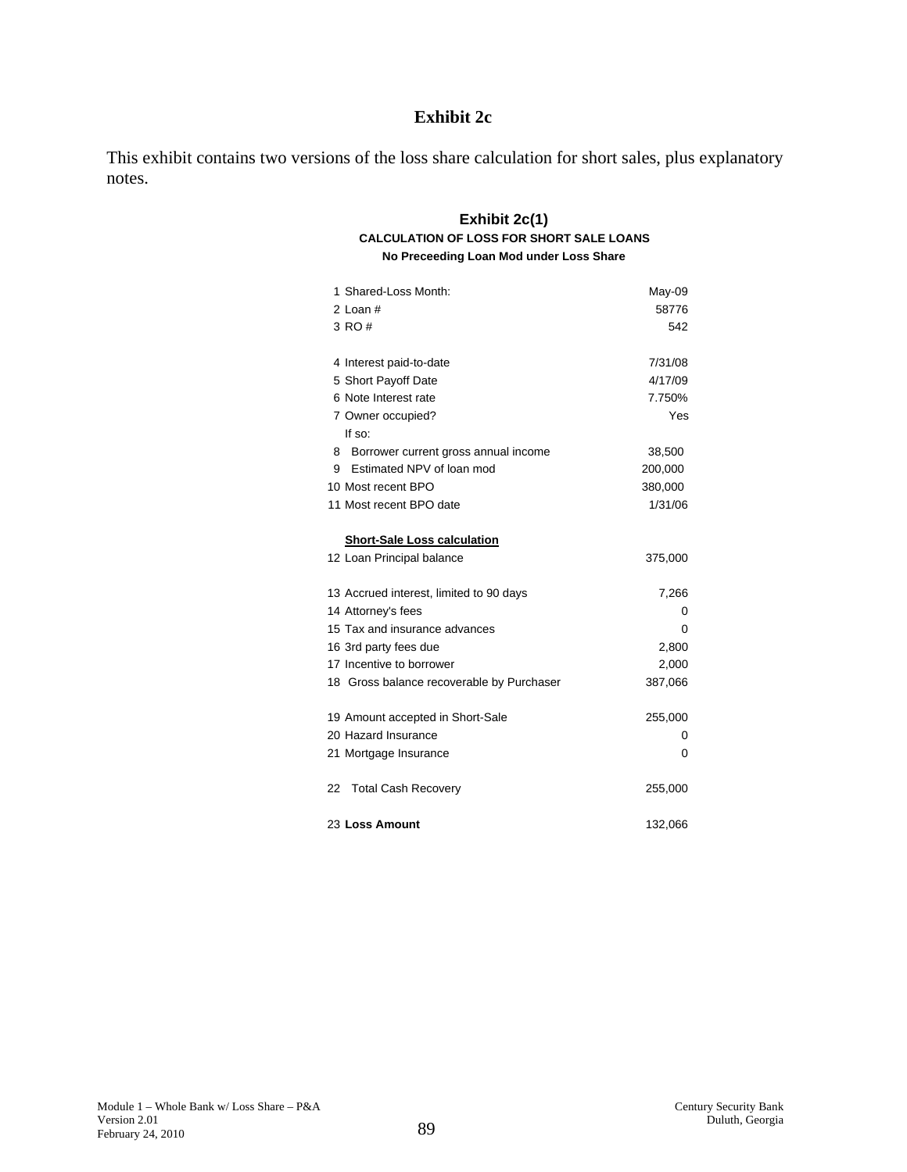#### **Exhibit 2c**

This exhibit contains two versions of the loss share calculation for short sales, plus explanatory notes.

#### **Exhibit 2c(1) CALCULATION OF LOSS FOR SHORT SALE LOANS No Preceeding Loan Mod under Loss Share**

| 1 Shared-Loss Month:                      | May-09  |
|-------------------------------------------|---------|
| 2 Loan #                                  | 58776   |
| 3 RO #                                    | 542     |
|                                           |         |
| 4 Interest paid-to-date                   | 7/31/08 |
| 5 Short Payoff Date                       | 4/17/09 |
| 6 Note Interest rate                      | 7.750%  |
| 7 Owner occupied?                         | Yes     |
| If so:                                    |         |
| Borrower current gross annual income<br>8 | 38,500  |
| Estimated NPV of loan mod<br>9            | 200,000 |
| 10 Most recent BPO                        | 380,000 |
| 11 Most recent BPO date                   | 1/31/06 |
|                                           |         |
| <b>Short-Sale Loss calculation</b>        |         |
| 12 Loan Principal balance                 | 375,000 |
|                                           |         |
| 13 Accrued interest, limited to 90 days   | 7,266   |
| 14 Attorney's fees                        | 0       |
| 15 Tax and insurance advances             | 0       |
| 16 3rd party fees due                     | 2,800   |
| 17 Incentive to borrower                  | 2,000   |
| 18 Gross balance recoverable by Purchaser | 387,066 |
|                                           |         |
| 19 Amount accepted in Short-Sale          | 255,000 |
| 20 Hazard Insurance                       | 0       |
| 21 Mortgage Insurance                     | 0       |
|                                           |         |
| 22 Total Cash Recovery                    | 255,000 |
|                                           |         |
| 23 Loss Amount                            | 132,066 |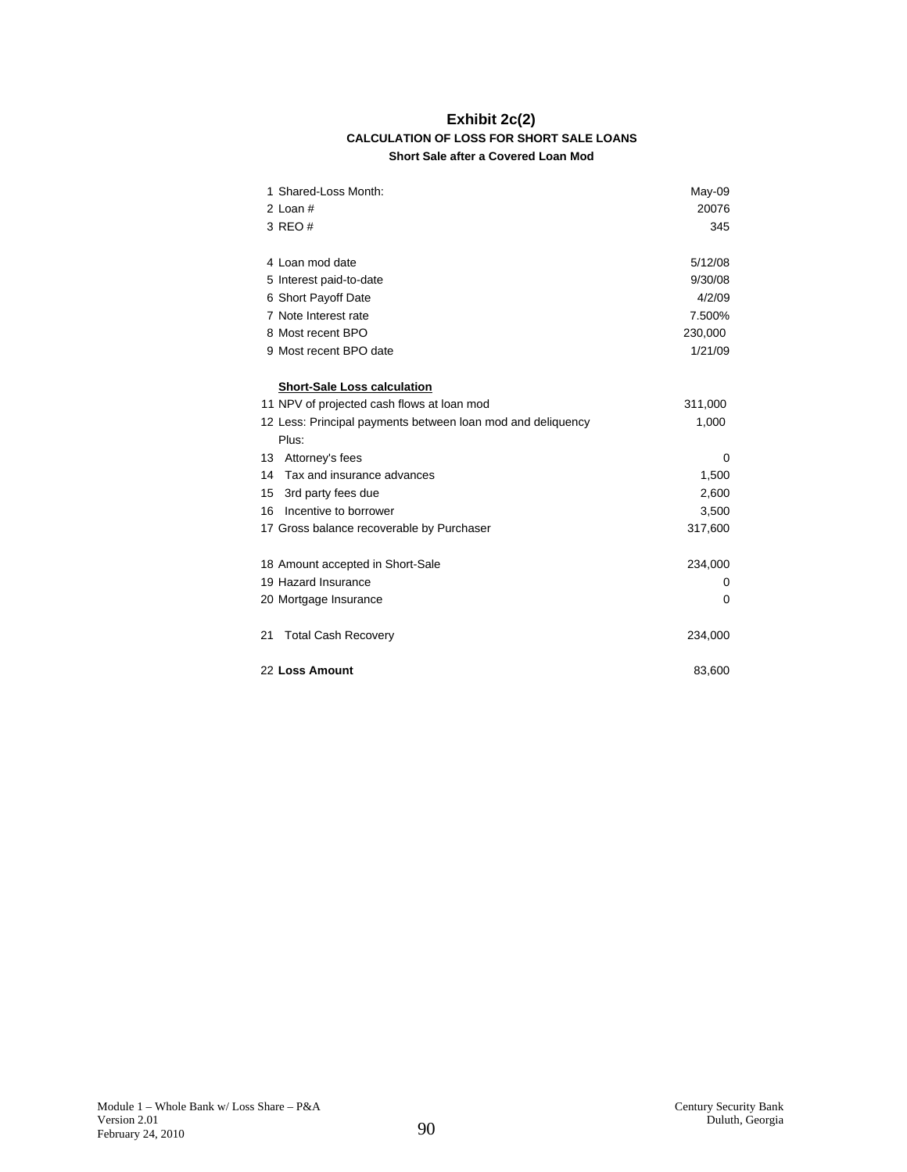#### **Exhibit 2c(2) CALCULATION OF LOSS FOR SHORT SALE LOANS Short Sale after a Covered Loan Mod**

| 1 Shared-Loss Month:                                        | May-09   |
|-------------------------------------------------------------|----------|
| 2 Loan $#$                                                  | 20076    |
| 3 REO #                                                     | 345      |
|                                                             |          |
| 4 Loan mod date                                             | 5/12/08  |
| 5 Interest paid-to-date                                     | 9/30/08  |
| 6 Short Payoff Date                                         | 4/2/09   |
| 7 Note Interest rate                                        | 7.500%   |
| 8 Most recent BPO                                           | 230,000  |
| 9 Most recent BPO date                                      | 1/21/09  |
|                                                             |          |
| <b>Short-Sale Loss calculation</b>                          |          |
| 11 NPV of projected cash flows at loan mod                  | 311,000  |
| 12 Less: Principal payments between loan mod and deliquency | 1,000    |
| Plus:                                                       |          |
| Attorney's fees<br>13                                       | $\Omega$ |
| Tax and insurance advances<br>14                            | 1,500    |
| 3rd party fees due<br>15                                    | 2,600    |
| Incentive to borrower<br>16                                 | 3,500    |
| 17 Gross balance recoverable by Purchaser                   | 317,600  |
|                                                             |          |
| 18 Amount accepted in Short-Sale                            | 234,000  |
| 19 Hazard Insurance                                         | 0        |
| 20 Mortgage Insurance                                       | 0        |
|                                                             |          |
| <b>Total Cash Recovery</b><br>21                            | 234,000  |
|                                                             |          |
| 22 Loss Amount                                              | 83,600   |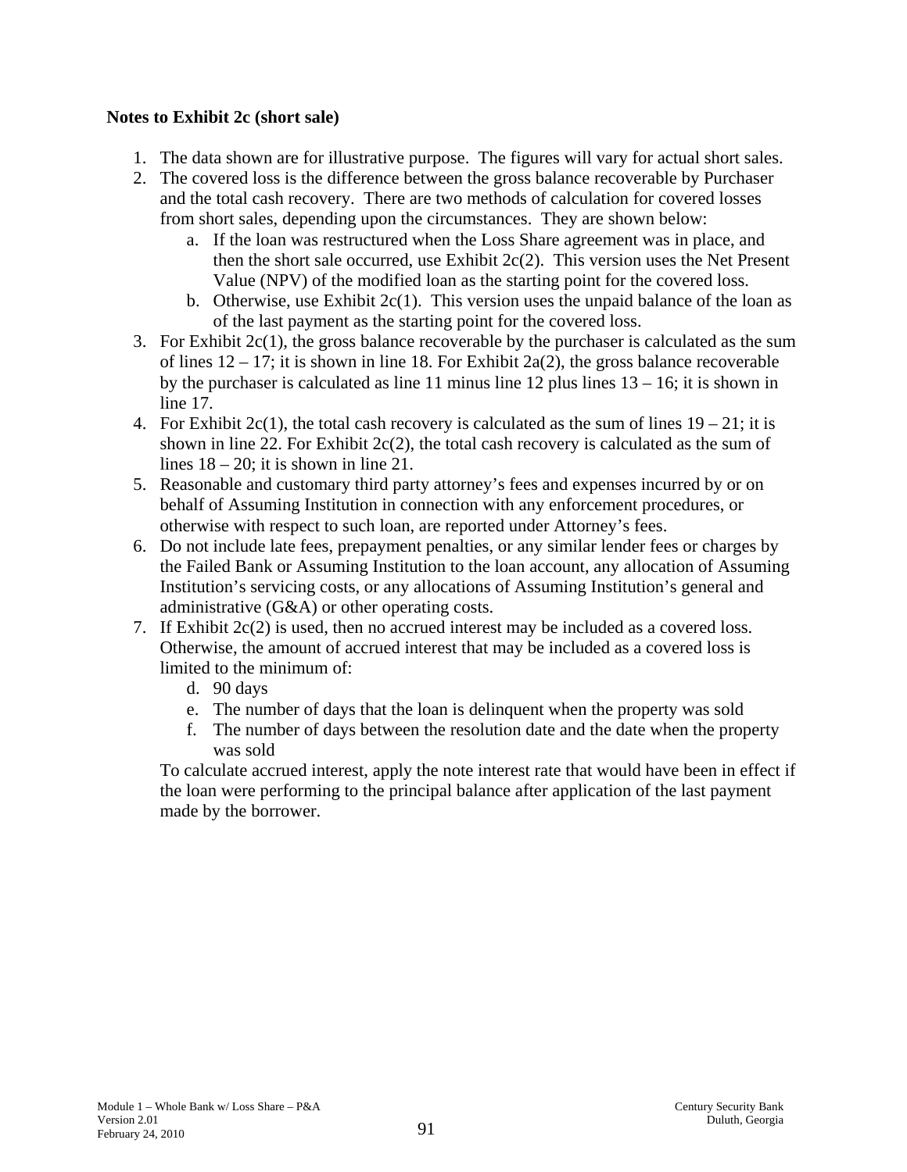## **Notes to Exhibit 2c (short sale)**

- 1. The data shown are for illustrative purpose. The figures will vary for actual short sales.
- 2. The covered loss is the difference between the gross balance recoverable by Purchaser and the total cash recovery. There are two methods of calculation for covered losses from short sales, depending upon the circumstances. They are shown below:
	- a. If the loan was restructured when the Loss Share agreement was in place, and then the short sale occurred, use Exhibit  $2c(2)$ . This version uses the Net Present Value (NPV) of the modified loan as the starting point for the covered loss.
	- b. Otherwise, use Exhibit  $2c(1)$ . This version uses the unpaid balance of the loan as of the last payment as the starting point for the covered loss.
- 3. For Exhibit  $2c(1)$ , the gross balance recoverable by the purchaser is calculated as the sum of lines  $12 - 17$ ; it is shown in line 18. For Exhibit 2a(2), the gross balance recoverable by the purchaser is calculated as line 11 minus line 12 plus lines 13 – 16; it is shown in line 17.
- 4. For Exhibit 2c(1), the total cash recovery is calculated as the sum of lines  $19 21$ ; it is shown in line 22. For Exhibit  $2c(2)$ , the total cash recovery is calculated as the sum of lines  $18 - 20$ ; it is shown in line 21.
- 5. Reasonable and customary third party attorney's fees and expenses incurred by or on behalf of Assuming Institution in connection with any enforcement procedures, or otherwise with respect to such loan, are reported under Attorney's fees.
- 6. Do not include late fees, prepayment penalties, or any similar lender fees or charges by the Failed Bank or Assuming Institution to the loan account, any allocation of Assuming Institution's servicing costs, or any allocations of Assuming Institution's general and administrative (G&A) or other operating costs.
- 7. If Exhibit  $2c(2)$  is used, then no accrued interest may be included as a covered loss. Otherwise, the amount of accrued interest that may be included as a covered loss is limited to the minimum of:
	- d. 90 days
	- e. The number of days that the loan is delinquent when the property was sold
	- f. The number of days between the resolution date and the date when the property was sold

To calculate accrued interest, apply the note interest rate that would have been in effect if the loan were performing to the principal balance after application of the last payment made by the borrower.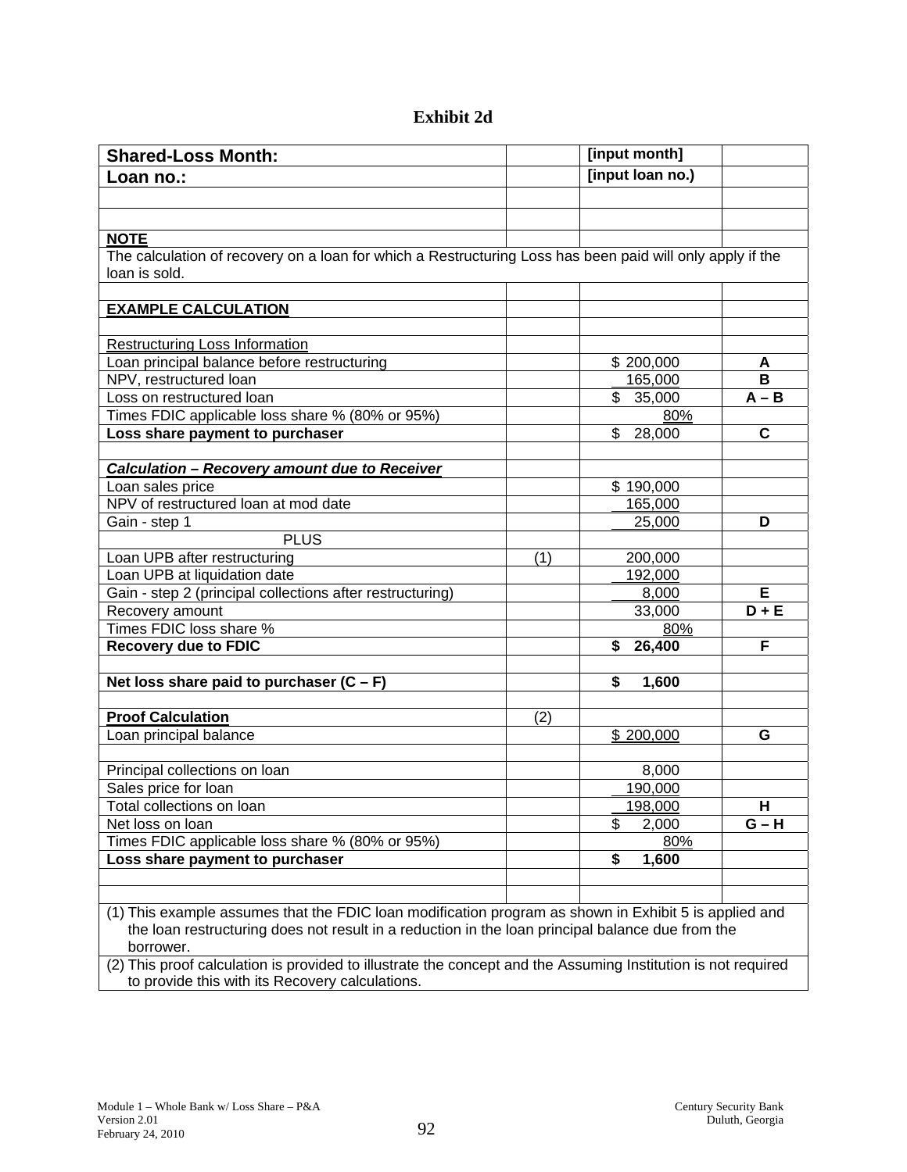## **Exhibit 2d**

| <b>Shared-Loss Month:</b>                                                                                     |     |                  |         |
|---------------------------------------------------------------------------------------------------------------|-----|------------------|---------|
| Loan no.:                                                                                                     |     | [input loan no.) |         |
|                                                                                                               |     |                  |         |
|                                                                                                               |     |                  |         |
| <b>NOTE</b>                                                                                                   |     |                  |         |
| The calculation of recovery on a loan for which a Restructuring Loss has been paid will only apply if the     |     |                  |         |
| loan is sold.                                                                                                 |     |                  |         |
|                                                                                                               |     |                  |         |
| <b>EXAMPLE CALCULATION</b>                                                                                    |     |                  |         |
|                                                                                                               |     |                  |         |
| <b>Restructuring Loss Information</b>                                                                         |     |                  |         |
| Loan principal balance before restructuring                                                                   |     | \$200,000        | A       |
| NPV, restructured loan                                                                                        |     | 165,000          | B       |
| Loss on restructured loan                                                                                     |     | \$35,000         | $A - B$ |
| Times FDIC applicable loss share % (80% or 95%)                                                               |     | 80%              |         |
| Loss share payment to purchaser                                                                               |     | \$28,000         | C       |
|                                                                                                               |     |                  |         |
| Calculation - Recovery amount due to Receiver                                                                 |     |                  |         |
| Loan sales price                                                                                              |     | \$190,000        |         |
| NPV of restructured loan at mod date                                                                          |     | 165,000          |         |
| Gain - step 1                                                                                                 |     | 25,000           | D       |
| <b>PLUS</b>                                                                                                   |     |                  |         |
| Loan UPB after restructuring                                                                                  | (1) | 200,000          |         |
| Loan UPB at liquidation date                                                                                  |     | 192,000          |         |
| Gain - step 2 (principal collections after restructuring)                                                     |     | 8,000            | Е       |
| Recovery amount                                                                                               |     | 33,000           | $D + E$ |
| Times FDIC loss share %                                                                                       |     | 80%              |         |
| <b>Recovery due to FDIC</b>                                                                                   |     | \$26,400         | F       |
|                                                                                                               |     |                  |         |
| Net loss share paid to purchaser $(C - F)$                                                                    |     | \$<br>1,600      |         |
|                                                                                                               |     |                  |         |
| <b>Proof Calculation</b><br>Loan principal balance                                                            | (2) | \$200,000        | G       |
|                                                                                                               |     |                  |         |
| Principal collections on loan                                                                                 |     | 8,000            |         |
| Sales price for loan                                                                                          |     | 190,000          |         |
| Total collections on loan                                                                                     |     | 198,000          | H       |
| Net loss on loan                                                                                              |     | \$<br>2,000      | G – H   |
| Times FDIC applicable loss share % (80% or 95%)                                                               |     | 80%              |         |
| Loss share payment to purchaser                                                                               |     | 1,600<br>\$      |         |
|                                                                                                               |     |                  |         |
|                                                                                                               |     |                  |         |
| (1) This example assumes that the FDIC loan modification program as shown in Exhibit 5 is applied and         |     |                  |         |
| the loan restructuring does not result in a reduction in the loan principal balance due from the              |     |                  |         |
| borrower.                                                                                                     |     |                  |         |
| (2) This proof calculation is provided to illustrate the concept and the Assuming Institution is not required |     |                  |         |
| to provide this with its Recovery calculations.                                                               |     |                  |         |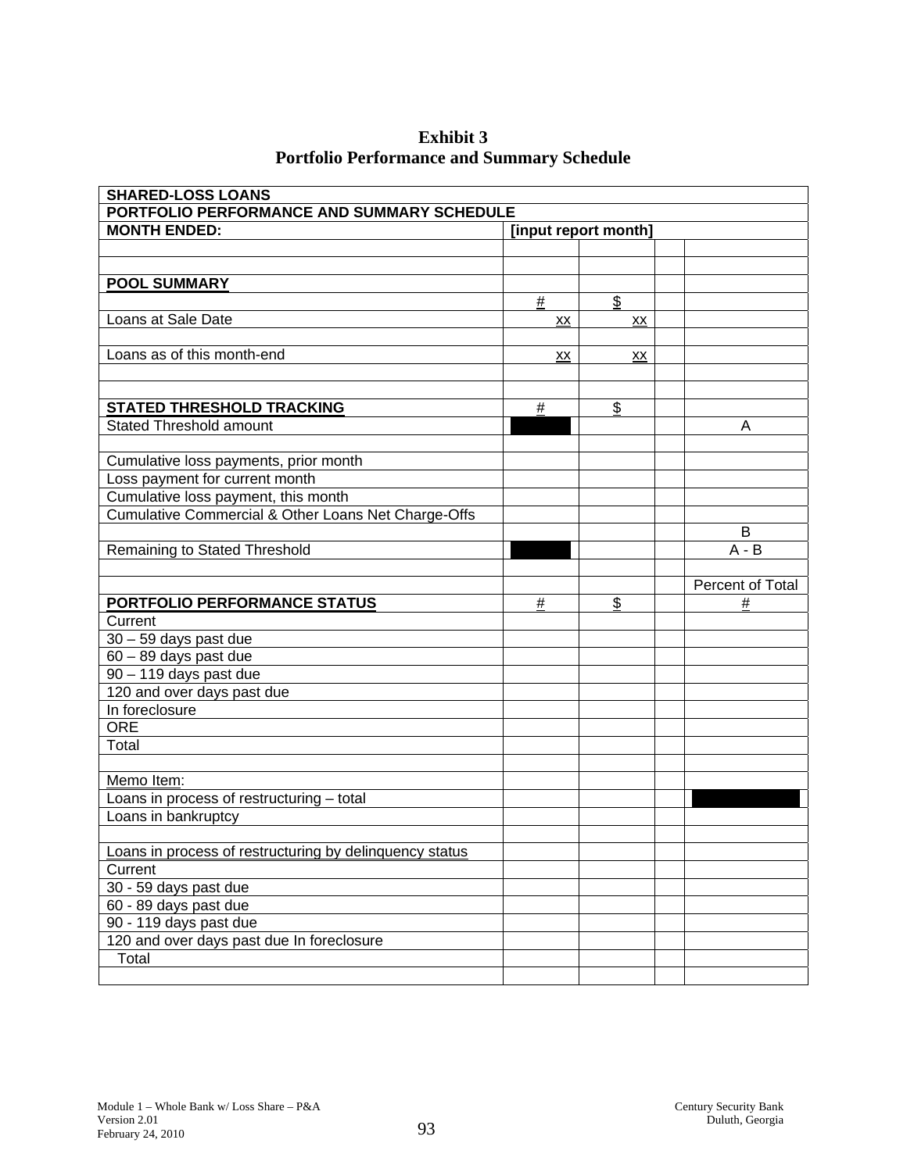| <b>SHARED-LOSS LOANS</b><br>PORTFOLIO PERFORMANCE AND SUMMARY SCHEDULE |                      |    |                         |  |
|------------------------------------------------------------------------|----------------------|----|-------------------------|--|
| <b>MONTH ENDED:</b>                                                    | [input report month] |    |                         |  |
|                                                                        |                      |    |                         |  |
|                                                                        |                      |    |                         |  |
| <b>POOL SUMMARY</b>                                                    |                      |    |                         |  |
|                                                                        | $\#$                 | \$ |                         |  |
| Loans at Sale Date                                                     | XX                   | XX |                         |  |
|                                                                        |                      |    |                         |  |
| Loans as of this month-end                                             | XX                   | XX |                         |  |
| <b>STATED THRESHOLD TRACKING</b>                                       | $\#$                 | \$ |                         |  |
| <b>Stated Threshold amount</b>                                         |                      |    | A                       |  |
| Cumulative loss payments, prior month                                  |                      |    |                         |  |
| Loss payment for current month                                         |                      |    |                         |  |
| Cumulative loss payment, this month                                    |                      |    |                         |  |
| Cumulative Commercial & Other Loans Net Charge-Offs                    |                      |    |                         |  |
|                                                                        |                      |    | B                       |  |
| Remaining to Stated Threshold                                          |                      |    | $A - B$                 |  |
|                                                                        |                      |    |                         |  |
|                                                                        |                      |    | <b>Percent of Total</b> |  |
| <b>PORTFOLIO PERFORMANCE STATUS</b>                                    | $\#$                 | \$ | $\#$                    |  |
| Current                                                                |                      |    |                         |  |
| $30 - 59$ days past due                                                |                      |    |                         |  |
| $60 - 89$ days past due                                                |                      |    |                         |  |
| $90 - 119$ days past due                                               |                      |    |                         |  |
| 120 and over days past due                                             |                      |    |                         |  |
| In foreclosure                                                         |                      |    |                         |  |
| <b>ORE</b>                                                             |                      |    |                         |  |
| Total                                                                  |                      |    |                         |  |
|                                                                        |                      |    |                         |  |
| Memo Item:                                                             |                      |    |                         |  |
| Loans in process of restructuring - total                              |                      |    |                         |  |
| Loans in bankruptcy                                                    |                      |    |                         |  |
|                                                                        |                      |    |                         |  |
| Loans in process of restructuring by delinquency status                |                      |    |                         |  |
| Current                                                                |                      |    |                         |  |
| 30 - 59 days past due                                                  |                      |    |                         |  |
| 60 - 89 days past due                                                  |                      |    |                         |  |
| 90 - 119 days past due<br>120 and over days past due In foreclosure    |                      |    |                         |  |
| Total                                                                  |                      |    |                         |  |
|                                                                        |                      |    |                         |  |
|                                                                        |                      |    |                         |  |

## **Exhibit 3 Portfolio Performance and Summary Schedule**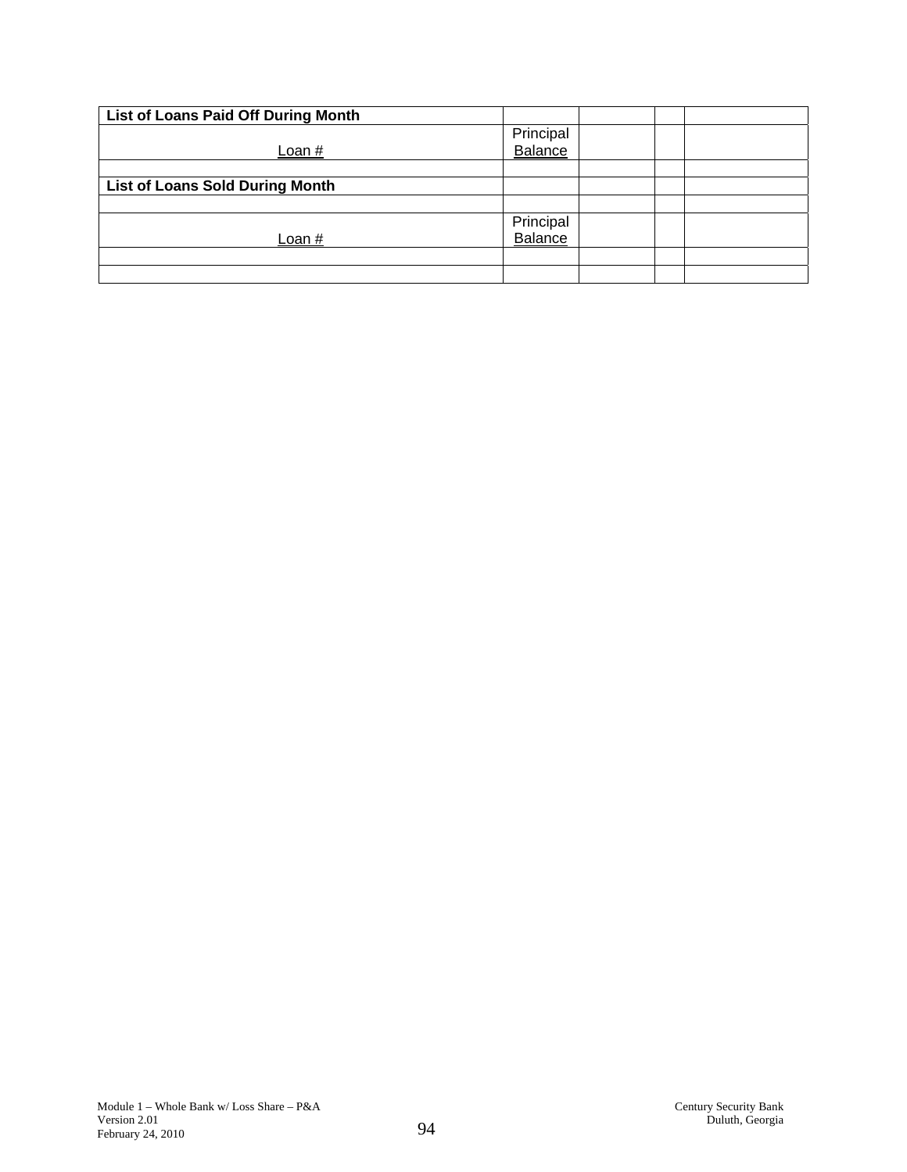| List of Loans Paid Off During Month    |                      |  |  |
|----------------------------------------|----------------------|--|--|
|                                        | Principal            |  |  |
| Loan #                                 | Balance              |  |  |
|                                        |                      |  |  |
| <b>List of Loans Sold During Month</b> |                      |  |  |
|                                        |                      |  |  |
|                                        | Principal<br>Balance |  |  |
| Loan #                                 |                      |  |  |
|                                        |                      |  |  |
|                                        |                      |  |  |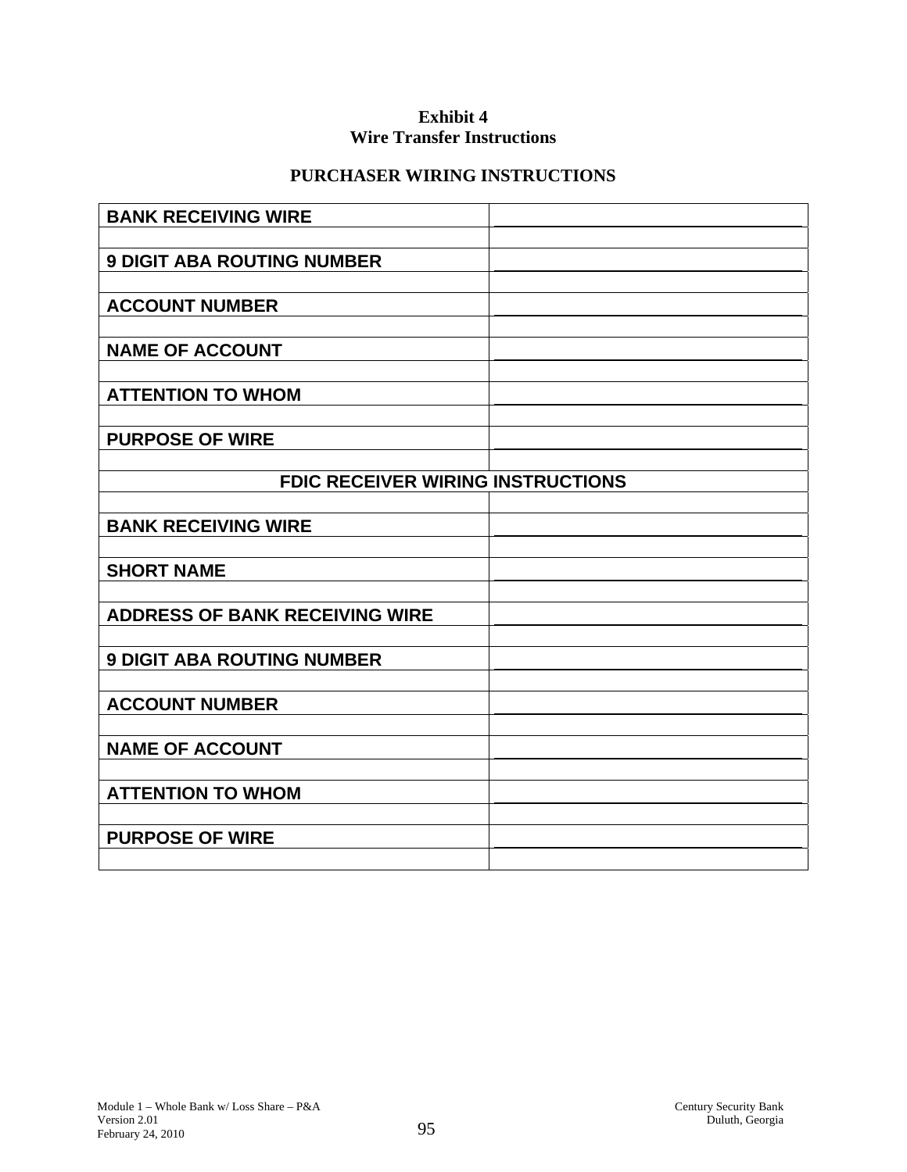## **Exhibit 4 Wire Transfer Instructions**

## **PURCHASER WIRING INSTRUCTIONS**

| <b>BANK RECEIVING WIRE</b>            |  |
|---------------------------------------|--|
|                                       |  |
| <b>9 DIGIT ABA ROUTING NUMBER</b>     |  |
|                                       |  |
| <b>ACCOUNT NUMBER</b>                 |  |
| <b>NAME OF ACCOUNT</b>                |  |
|                                       |  |
| <b>ATTENTION TO WHOM</b>              |  |
|                                       |  |
| <b>PURPOSE OF WIRE</b>                |  |
|                                       |  |
| FDIC RECEIVER WIRING INSTRUCTIONS     |  |
| <b>BANK RECEIVING WIRE</b>            |  |
|                                       |  |
| <b>SHORT NAME</b>                     |  |
|                                       |  |
| <b>ADDRESS OF BANK RECEIVING WIRE</b> |  |
|                                       |  |
| <b>9 DIGIT ABA ROUTING NUMBER</b>     |  |
| <b>ACCOUNT NUMBER</b>                 |  |
|                                       |  |
| <b>NAME OF ACCOUNT</b>                |  |
|                                       |  |
| <b>ATTENTION TO WHOM</b>              |  |
|                                       |  |
| <b>PURPOSE OF WIRE</b>                |  |
|                                       |  |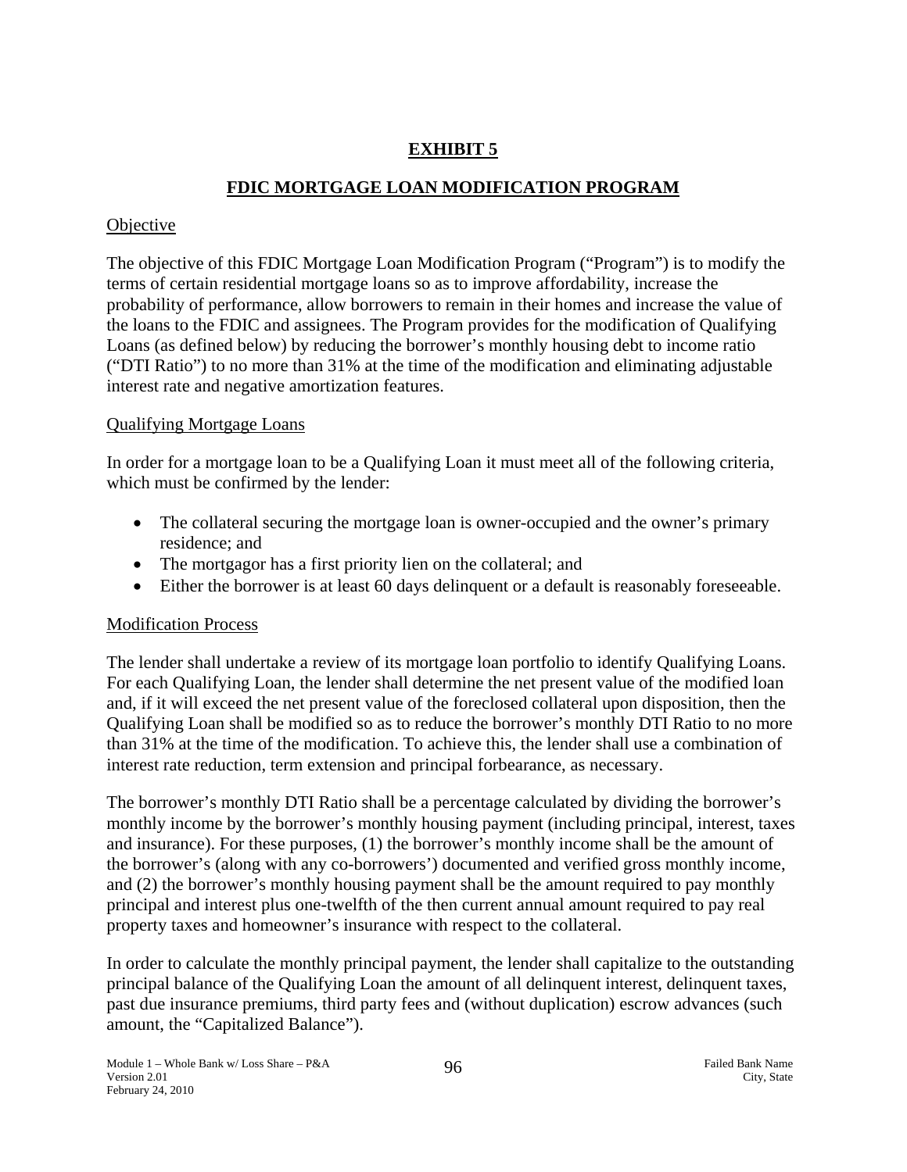## **EXHIBIT 5**

# **FDIC MORTGAGE LOAN MODIFICATION PROGRAM**

## **Objective**

The objective of this FDIC Mortgage Loan Modification Program ("Program") is to modify the terms of certain residential mortgage loans so as to improve affordability, increase the probability of performance, allow borrowers to remain in their homes and increase the value of the loans to the FDIC and assignees. The Program provides for the modification of Qualifying Loans (as defined below) by reducing the borrower's monthly housing debt to income ratio ("DTI Ratio") to no more than 31% at the time of the modification and eliminating adjustable interest rate and negative amortization features.

## Qualifying Mortgage Loans

In order for a mortgage loan to be a Qualifying Loan it must meet all of the following criteria, which must be confirmed by the lender:

- The collateral securing the mortgage loan is owner-occupied and the owner's primary residence; and
- The mortgagor has a first priority lien on the collateral; and
- Either the borrower is at least 60 days delinquent or a default is reasonably foreseeable.

### Modification Process

The lender shall undertake a review of its mortgage loan portfolio to identify Qualifying Loans. For each Qualifying Loan, the lender shall determine the net present value of the modified loan and, if it will exceed the net present value of the foreclosed collateral upon disposition, then the Qualifying Loan shall be modified so as to reduce the borrower's monthly DTI Ratio to no more than 31% at the time of the modification. To achieve this, the lender shall use a combination of interest rate reduction, term extension and principal forbearance, as necessary.

The borrower's monthly DTI Ratio shall be a percentage calculated by dividing the borrower's monthly income by the borrower's monthly housing payment (including principal, interest, taxes and insurance). For these purposes, (1) the borrower's monthly income shall be the amount of the borrower's (along with any co-borrowers') documented and verified gross monthly income, and (2) the borrower's monthly housing payment shall be the amount required to pay monthly principal and interest plus one-twelfth of the then current annual amount required to pay real property taxes and homeowner's insurance with respect to the collateral.

In order to calculate the monthly principal payment, the lender shall capitalize to the outstanding principal balance of the Qualifying Loan the amount of all delinquent interest, delinquent taxes, past due insurance premiums, third party fees and (without duplication) escrow advances (such amount, the "Capitalized Balance").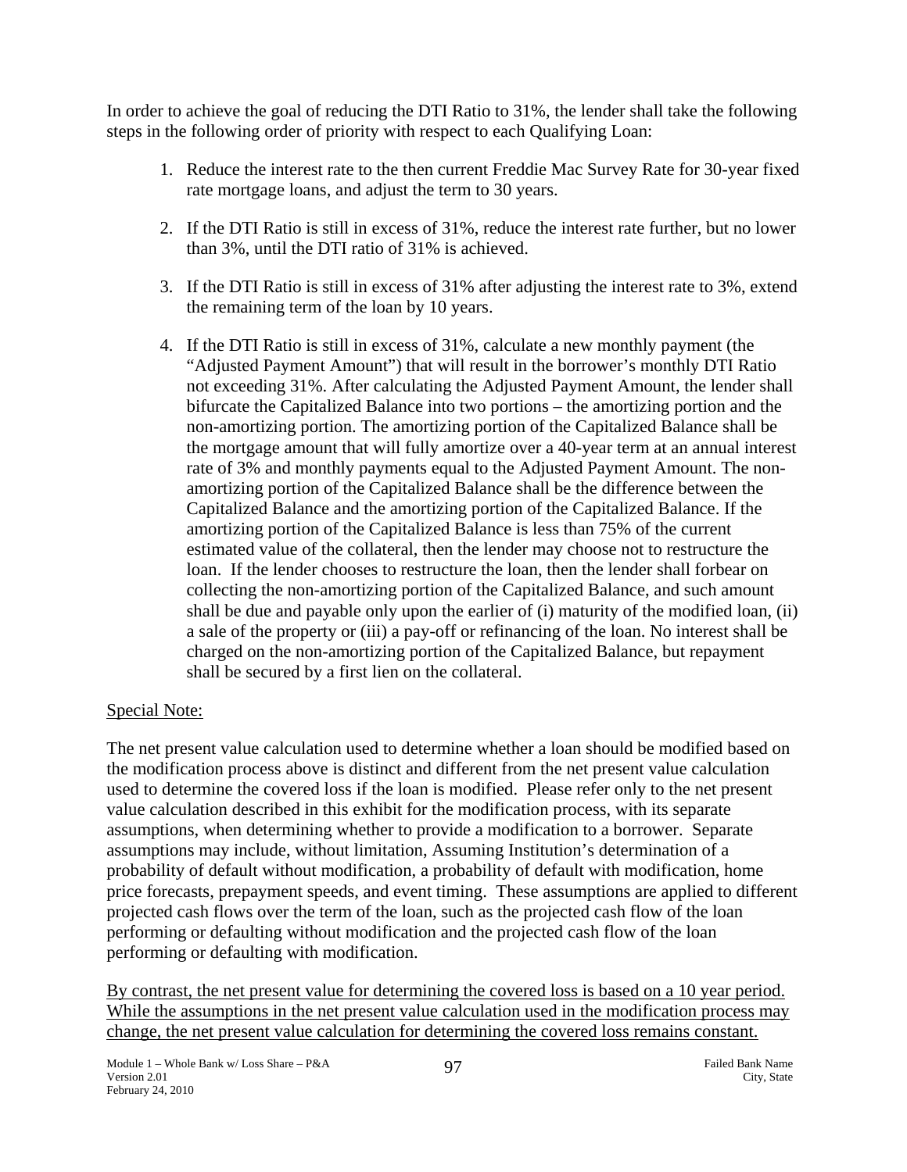In order to achieve the goal of reducing the DTI Ratio to 31%, the lender shall take the following steps in the following order of priority with respect to each Qualifying Loan:

- 1. Reduce the interest rate to the then current Freddie Mac Survey Rate for 30-year fixed rate mortgage loans, and adjust the term to 30 years.
- 2. If the DTI Ratio is still in excess of 31%, reduce the interest rate further, but no lower than 3%, until the DTI ratio of 31% is achieved.
- 3. If the DTI Ratio is still in excess of 31% after adjusting the interest rate to 3%, extend the remaining term of the loan by 10 years.
- 4. If the DTI Ratio is still in excess of 31%, calculate a new monthly payment (the "Adjusted Payment Amount") that will result in the borrower's monthly DTI Ratio not exceeding 31%. After calculating the Adjusted Payment Amount, the lender shall bifurcate the Capitalized Balance into two portions – the amortizing portion and the non-amortizing portion. The amortizing portion of the Capitalized Balance shall be the mortgage amount that will fully amortize over a 40-year term at an annual interest rate of 3% and monthly payments equal to the Adjusted Payment Amount. The nonamortizing portion of the Capitalized Balance shall be the difference between the Capitalized Balance and the amortizing portion of the Capitalized Balance. If the amortizing portion of the Capitalized Balance is less than 75% of the current estimated value of the collateral, then the lender may choose not to restructure the loan. If the lender chooses to restructure the loan, then the lender shall forbear on collecting the non-amortizing portion of the Capitalized Balance, and such amount shall be due and payable only upon the earlier of (i) maturity of the modified loan, (ii) a sale of the property or (iii) a pay-off or refinancing of the loan. No interest shall be charged on the non-amortizing portion of the Capitalized Balance, but repayment shall be secured by a first lien on the collateral.

### Special Note:

The net present value calculation used to determine whether a loan should be modified based on the modification process above is distinct and different from the net present value calculation used to determine the covered loss if the loan is modified. Please refer only to the net present value calculation described in this exhibit for the modification process, with its separate assumptions, when determining whether to provide a modification to a borrower. Separate assumptions may include, without limitation, Assuming Institution's determination of a probability of default without modification, a probability of default with modification, home price forecasts, prepayment speeds, and event timing. These assumptions are applied to different projected cash flows over the term of the loan, such as the projected cash flow of the loan performing or defaulting without modification and the projected cash flow of the loan performing or defaulting with modification.

change, the net present value calculation for determining the covered loss remains constant.<br>
Module 1 – Whole Bank w/ Loss Share – P&A 97 Failed Bank Name City, State By contrast, the net present value for determining the covered loss is based on a 10 year period. While the assumptions in the net present value calculation used in the modification process may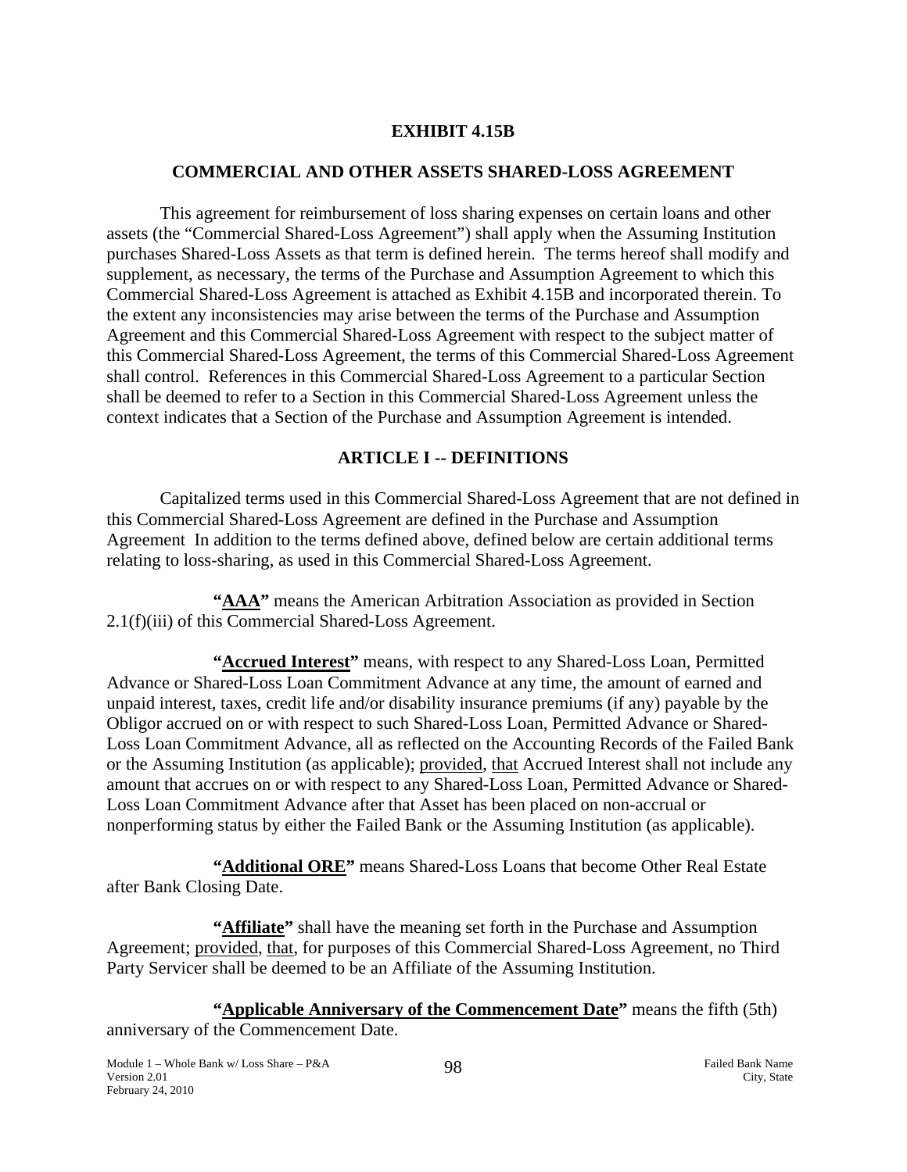#### **EXHIBIT 4.15B**

#### **COMMERCIAL AND OTHER ASSETS SHARED-LOSS AGREEMENT**

This agreement for reimbursement of loss sharing expenses on certain loans and other assets (the "Commercial Shared-Loss Agreement") shall apply when the Assuming Institution purchases Shared-Loss Assets as that term is defined herein. The terms hereof shall modify and supplement, as necessary, the terms of the Purchase and Assumption Agreement to which this Commercial Shared-Loss Agreement is attached as Exhibit 4.15B and incorporated therein. To the extent any inconsistencies may arise between the terms of the Purchase and Assumption Agreement and this Commercial Shared-Loss Agreement with respect to the subject matter of this Commercial Shared-Loss Agreement, the terms of this Commercial Shared-Loss Agreement shall control. References in this Commercial Shared-Loss Agreement to a particular Section shall be deemed to refer to a Section in this Commercial Shared-Loss Agreement unless the context indicates that a Section of the Purchase and Assumption Agreement is intended.

#### **ARTICLE I -- DEFINITIONS**

Capitalized terms used in this Commercial Shared-Loss Agreement that are not defined in this Commercial Shared-Loss Agreement are defined in the Purchase and Assumption Agreement In addition to the terms defined above, defined below are certain additional terms relating to loss-sharing, as used in this Commercial Shared-Loss Agreement.

**"AAA"** means the American Arbitration Association as provided in Section 2.1(f)(iii) of this Commercial Shared-Loss Agreement.

**"Accrued Interest"** means, with respect to any Shared-Loss Loan, Permitted Advance or Shared-Loss Loan Commitment Advance at any time, the amount of earned and unpaid interest, taxes, credit life and/or disability insurance premiums (if any) payable by the Obligor accrued on or with respect to such Shared-Loss Loan, Permitted Advance or Shared-Loss Loan Commitment Advance, all as reflected on the Accounting Records of the Failed Bank or the Assuming Institution (as applicable); provided, that Accrued Interest shall not include any amount that accrues on or with respect to any Shared-Loss Loan, Permitted Advance or Shared-Loss Loan Commitment Advance after that Asset has been placed on non-accrual or nonperforming status by either the Failed Bank or the Assuming Institution (as applicable).

"**Additional ORE**" means Shared-Loss Loans that become Other Real Estate after Bank Closing Date.

"**Affiliate**" shall have the meaning set forth in the Purchase and Assumption Agreement; provided, that, for purposes of this Commercial Shared-Loss Agreement, no Third Party Servicer shall be deemed to be an Affiliate of the Assuming Institution.

**Examplicable Anniversary of the Commencement Date**" means the fifth (5th) anniversary of the Commencement Date.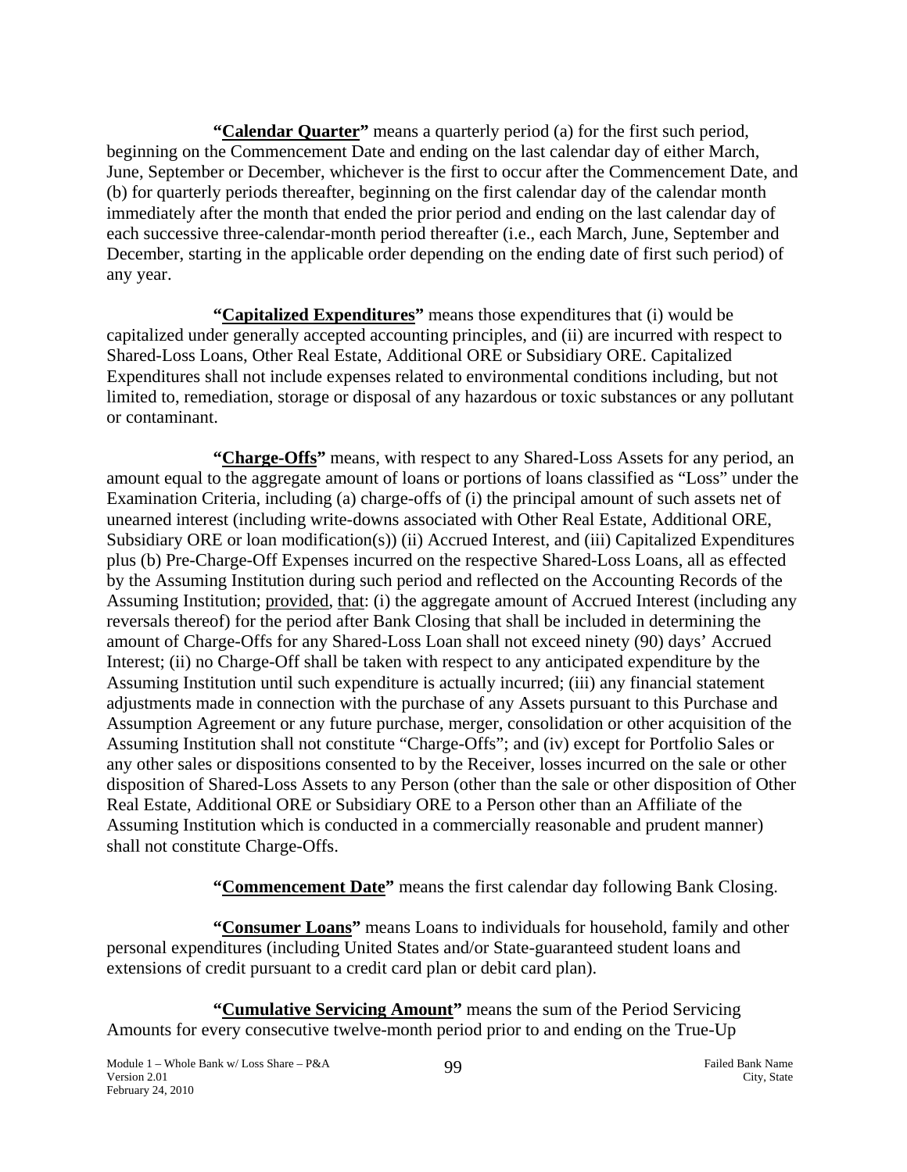**"Calendar Quarter"** means a quarterly period (a) for the first such period, beginning on the Commencement Date and ending on the last calendar day of either March, June, September or December, whichever is the first to occur after the Commencement Date, and (b) for quarterly periods thereafter, beginning on the first calendar day of the calendar month immediately after the month that ended the prior period and ending on the last calendar day of each successive three-calendar-month period thereafter (i.e., each March, June, September and December, starting in the applicable order depending on the ending date of first such period) of any year.

**"Capitalized Expenditures"** means those expenditures that (i) would be capitalized under generally accepted accounting principles, and (ii) are incurred with respect to Shared-Loss Loans, Other Real Estate, Additional ORE or Subsidiary ORE. Capitalized Expenditures shall not include expenses related to environmental conditions including, but not limited to, remediation, storage or disposal of any hazardous or toxic substances or any pollutant or contaminant.

**"Charge-Offs"** means, with respect to any Shared-Loss Assets for any period, an amount equal to the aggregate amount of loans or portions of loans classified as "Loss" under the Examination Criteria, including (a) charge-offs of (i) the principal amount of such assets net of unearned interest (including write-downs associated with Other Real Estate, Additional ORE, Subsidiary ORE or loan modification(s)) (ii) Accrued Interest, and (iii) Capitalized Expenditures plus (b) Pre-Charge-Off Expenses incurred on the respective Shared-Loss Loans, all as effected by the Assuming Institution during such period and reflected on the Accounting Records of the Assuming Institution; provided, that: (i) the aggregate amount of Accrued Interest (including any reversals thereof) for the period after Bank Closing that shall be included in determining the amount of Charge-Offs for any Shared-Loss Loan shall not exceed ninety (90) days' Accrued Interest; (ii) no Charge-Off shall be taken with respect to any anticipated expenditure by the Assuming Institution until such expenditure is actually incurred; (iii) any financial statement adjustments made in connection with the purchase of any Assets pursuant to this Purchase and Assumption Agreement or any future purchase, merger, consolidation or other acquisition of the Assuming Institution shall not constitute "Charge-Offs"; and (iv) except for Portfolio Sales or any other sales or dispositions consented to by the Receiver, losses incurred on the sale or other disposition of Shared-Loss Assets to any Person (other than the sale or other disposition of Other Real Estate, Additional ORE or Subsidiary ORE to a Person other than an Affiliate of the Assuming Institution which is conducted in a commercially reasonable and prudent manner) shall not constitute Charge-Offs.

**"Commencement Date"** means the first calendar day following Bank Closing.

**"Consumer Loans"** means Loans to individuals for household, family and other personal expenditures (including United States and/or State-guaranteed student loans and extensions of credit pursuant to a credit card plan or debit card plan).

**"Cumulative Servicing Amount"** means the sum of the Period Servicing Amounts for every consecutive twelve-month period prior to and ending on the True-Up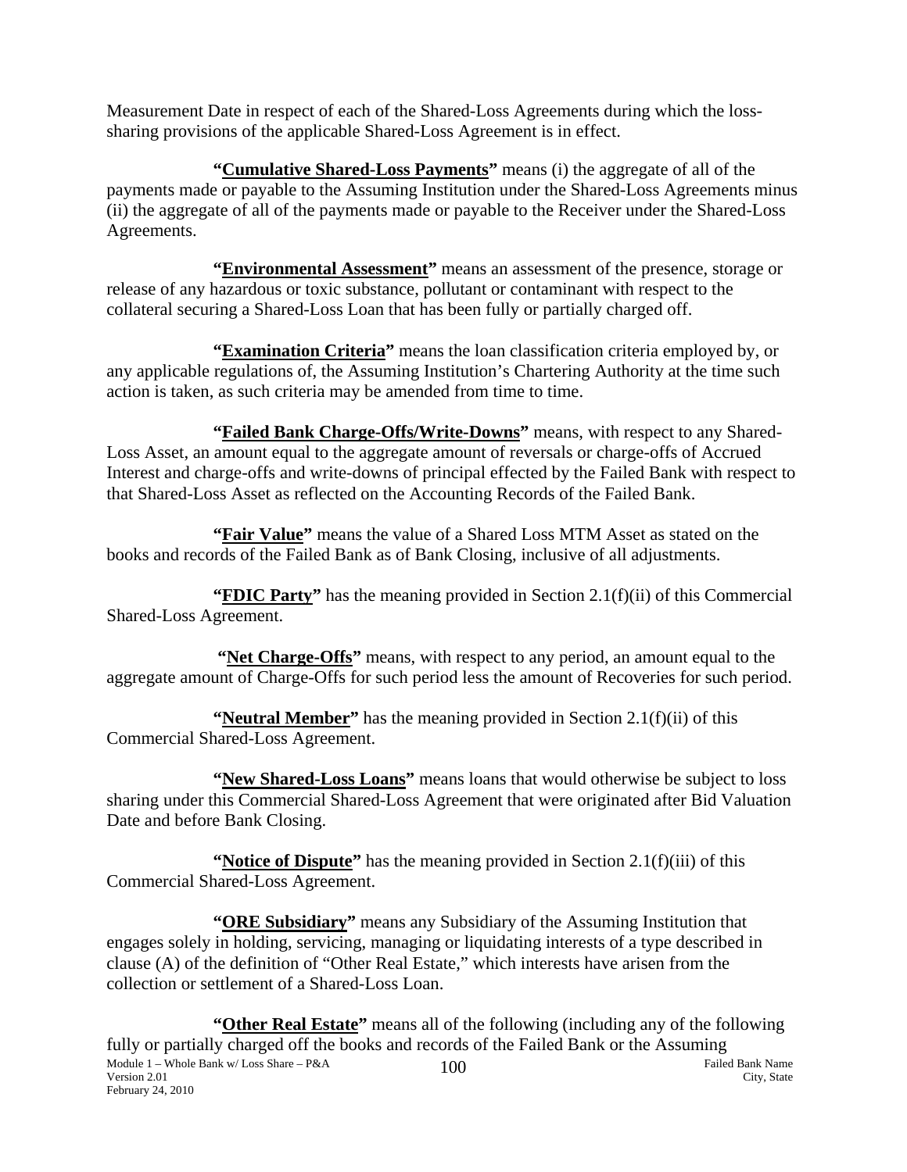Measurement Date in respect of each of the Shared-Loss Agreements during which the losssharing provisions of the applicable Shared-Loss Agreement is in effect.

**"Cumulative Shared-Loss Payments"** means (i) the aggregate of all of the payments made or payable to the Assuming Institution under the Shared-Loss Agreements minus (ii) the aggregate of all of the payments made or payable to the Receiver under the Shared-Loss Agreements.

**"Environmental Assessment"** means an assessment of the presence, storage or release of any hazardous or toxic substance, pollutant or contaminant with respect to the collateral securing a Shared-Loss Loan that has been fully or partially charged off.

**"Examination Criteria"** means the loan classification criteria employed by, or any applicable regulations of, the Assuming Institution's Chartering Authority at the time such action is taken, as such criteria may be amended from time to time.

**"Failed Bank Charge-Offs/Write-Downs"** means, with respect to any Shared-Loss Asset, an amount equal to the aggregate amount of reversals or charge-offs of Accrued Interest and charge-offs and write-downs of principal effected by the Failed Bank with respect to that Shared-Loss Asset as reflected on the Accounting Records of the Failed Bank.

**"Fair Value"** means the value of a Shared Loss MTM Asset as stated on the books and records of the Failed Bank as of Bank Closing, inclusive of all adjustments.

**"FDIC Party"** has the meaning provided in Section 2.1(f)(ii) of this Commercial Shared-Loss Agreement.

**"Net Charge-Offs"** means, with respect to any period, an amount equal to the aggregate amount of Charge-Offs for such period less the amount of Recoveries for such period.

 Commercial Shared-Loss Agreement. **"Neutral Member"** has the meaning provided in Section 2.1(f)(ii) of this

**"New Shared-Loss Loans"** means loans that would otherwise be subject to loss sharing under this Commercial Shared-Loss Agreement that were originated after Bid Valuation Date and before Bank Closing.

**"Notice of Dispute"** has the meaning provided in Section 2.1(f)(iii) of this Commercial Shared-Loss Agreement.

**"ORE Subsidiary"** means any Subsidiary of the Assuming Institution that engages solely in holding, servicing, managing or liquidating interests of a type described in clause (A) of the definition of "Other Real Estate," which interests have arisen from the collection or settlement of a Shared-Loss Loan.

**"Other Real Estate"** means all of the following (including any of the following fully or partially charged off the books and records of the Failed Bank or the Assuming Module 1 – Whole Bank w/ Loss Share – P&A  $\begin{array}{c} 100 \\ 100 \end{array}$  Failed Bank Name City, State February 24, 2010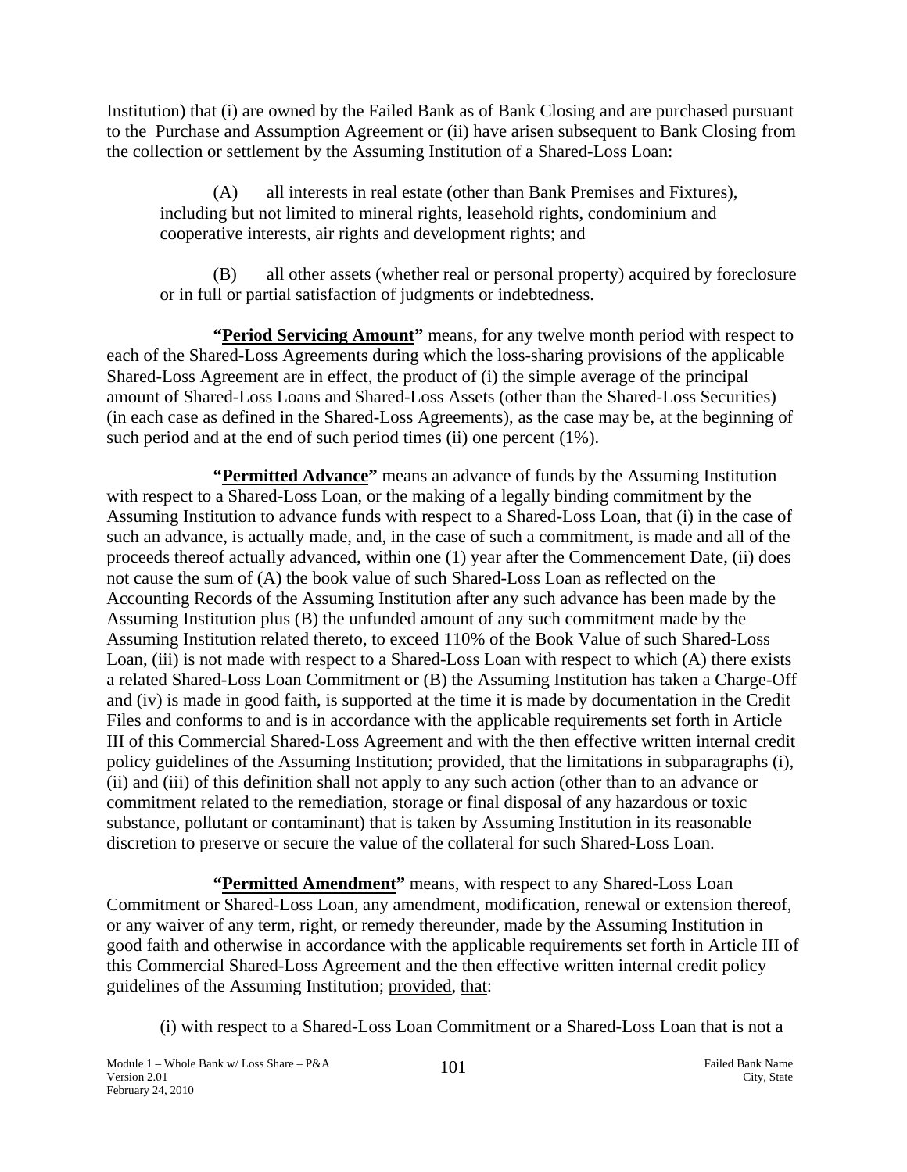Institution) that (i) are owned by the Failed Bank as of Bank Closing and are purchased pursuant to the Purchase and Assumption Agreement or (ii) have arisen subsequent to Bank Closing from the collection or settlement by the Assuming Institution of a Shared-Loss Loan:

(A) all interests in real estate (other than Bank Premises and Fixtures), including but not limited to mineral rights, leasehold rights, condominium and cooperative interests, air rights and development rights; and

(B) all other assets (whether real or personal property) acquired by foreclosure or in full or partial satisfaction of judgments or indebtedness.

**"Period Servicing Amount"** means, for any twelve month period with respect to each of the Shared-Loss Agreements during which the loss-sharing provisions of the applicable Shared-Loss Agreement are in effect, the product of (i) the simple average of the principal amount of Shared-Loss Loans and Shared-Loss Assets (other than the Shared-Loss Securities) (in each case as defined in the Shared-Loss Agreements), as the case may be, at the beginning of such period and at the end of such period times (ii) one percent (1%).

**"Permitted Advance"** means an advance of funds by the Assuming Institution with respect to a Shared-Loss Loan, or the making of a legally binding commitment by the Assuming Institution to advance funds with respect to a Shared-Loss Loan, that (i) in the case of such an advance, is actually made, and, in the case of such a commitment, is made and all of the proceeds thereof actually advanced, within one (1) year after the Commencement Date, (ii) does not cause the sum of (A) the book value of such Shared-Loss Loan as reflected on the Accounting Records of the Assuming Institution after any such advance has been made by the Assuming Institution plus (B) the unfunded amount of any such commitment made by the Assuming Institution related thereto, to exceed 110% of the Book Value of such Shared-Loss Loan, (iii) is not made with respect to a Shared-Loss Loan with respect to which (A) there exists a related Shared-Loss Loan Commitment or (B) the Assuming Institution has taken a Charge-Off and (iv) is made in good faith, is supported at the time it is made by documentation in the Credit Files and conforms to and is in accordance with the applicable requirements set forth in Article III of this Commercial Shared-Loss Agreement and with the then effective written internal credit policy guidelines of the Assuming Institution; provided, that the limitations in subparagraphs (i), (ii) and (iii) of this definition shall not apply to any such action (other than to an advance or commitment related to the remediation, storage or final disposal of any hazardous or toxic substance, pollutant or contaminant) that is taken by Assuming Institution in its reasonable discretion to preserve or secure the value of the collateral for such Shared-Loss Loan.

**"Permitted Amendment"** means, with respect to any Shared-Loss Loan Commitment or Shared-Loss Loan, any amendment, modification, renewal or extension thereof, or any waiver of any term, right, or remedy thereunder, made by the Assuming Institution in good faith and otherwise in accordance with the applicable requirements set forth in Article III of this Commercial Shared-Loss Agreement and the then effective written internal credit policy guidelines of the Assuming Institution; provided, that:

(i) with respect to a Shared-Loss Loan Commitment or a Shared-Loss Loan that is not a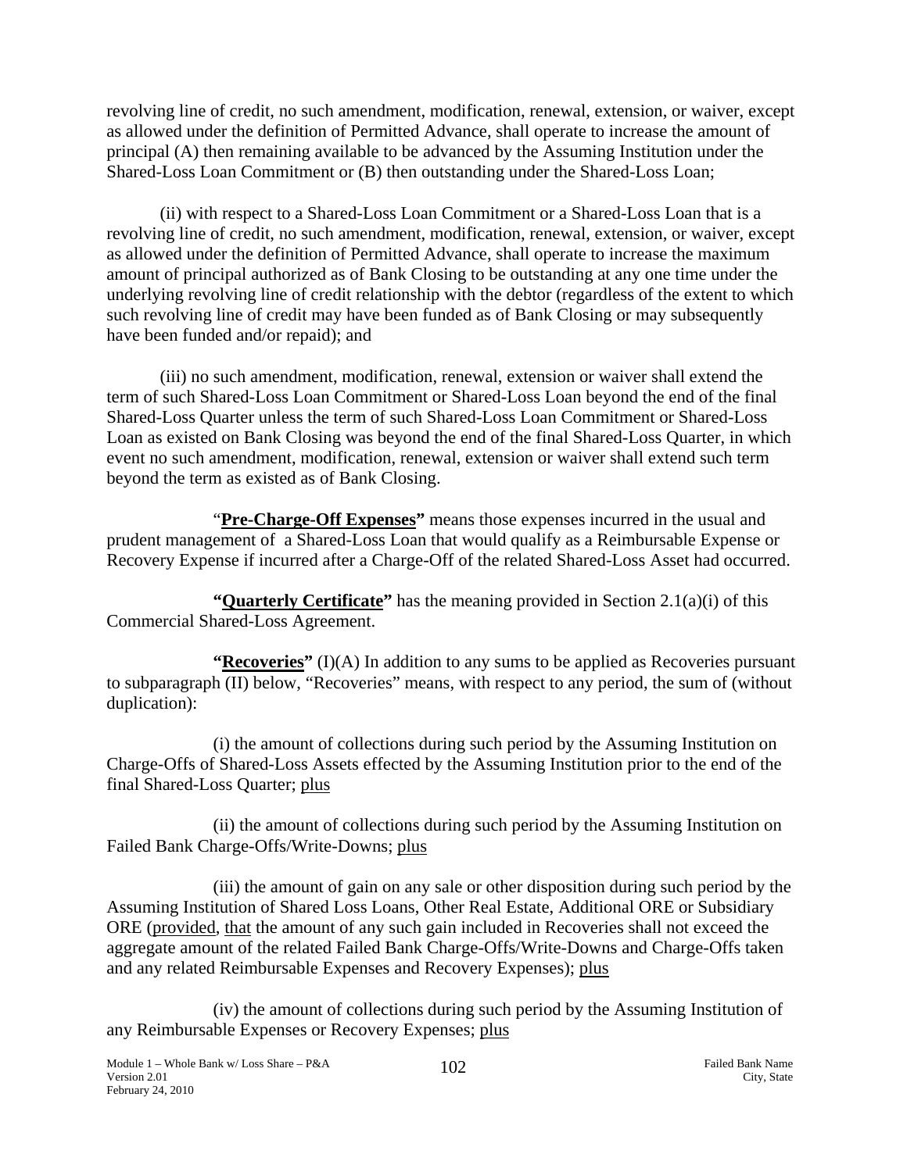revolving line of credit, no such amendment, modification, renewal, extension, or waiver, except as allowed under the definition of Permitted Advance, shall operate to increase the amount of principal (A) then remaining available to be advanced by the Assuming Institution under the Shared-Loss Loan Commitment or (B) then outstanding under the Shared-Loss Loan;

(ii) with respect to a Shared-Loss Loan Commitment or a Shared-Loss Loan that is a revolving line of credit, no such amendment, modification, renewal, extension, or waiver, except as allowed under the definition of Permitted Advance, shall operate to increase the maximum amount of principal authorized as of Bank Closing to be outstanding at any one time under the underlying revolving line of credit relationship with the debtor (regardless of the extent to which such revolving line of credit may have been funded as of Bank Closing or may subsequently have been funded and/or repaid); and

(iii) no such amendment, modification, renewal, extension or waiver shall extend the term of such Shared-Loss Loan Commitment or Shared-Loss Loan beyond the end of the final Shared-Loss Quarter unless the term of such Shared-Loss Loan Commitment or Shared-Loss Loan as existed on Bank Closing was beyond the end of the final Shared-Loss Quarter, in which event no such amendment, modification, renewal, extension or waiver shall extend such term beyond the term as existed as of Bank Closing.

"**Pre-Charge-Off Expenses"** means those expenses incurred in the usual and prudent management of a Shared-Loss Loan that would qualify as a Reimbursable Expense or Recovery Expense if incurred after a Charge-Off of the related Shared-Loss Asset had occurred.

**"Quarterly Certificate"** has the meaning provided in Section 2.1(a)(i) of this Commercial Shared-Loss Agreement.

**"Recoveries"** (I)(A) In addition to any sums to be applied as Recoveries pursuant to subparagraph (II) below, "Recoveries" means, with respect to any period, the sum of (without duplication):

final Shared-Loss Quarter; plus (i) the amount of collections during such period by the Assuming Institution on Charge-Offs of Shared-Loss Assets effected by the Assuming Institution prior to the end of the

(ii) the amount of collections during such period by the Assuming Institution on Failed Bank Charge-Offs/Write-Downs; plus

(iii) the amount of gain on any sale or other disposition during such period by the Assuming Institution of Shared Loss Loans, Other Real Estate, Additional ORE or Subsidiary ORE (provided, that the amount of any such gain included in Recoveries shall not exceed the aggregate amount of the related Failed Bank Charge-Offs/Write-Downs and Charge-Offs taken and any related Reimbursable Expenses and Recovery Expenses); plus

(iv) the amount of collections during such period by the Assuming Institution of any Reimbursable Expenses or Recovery Expenses; plus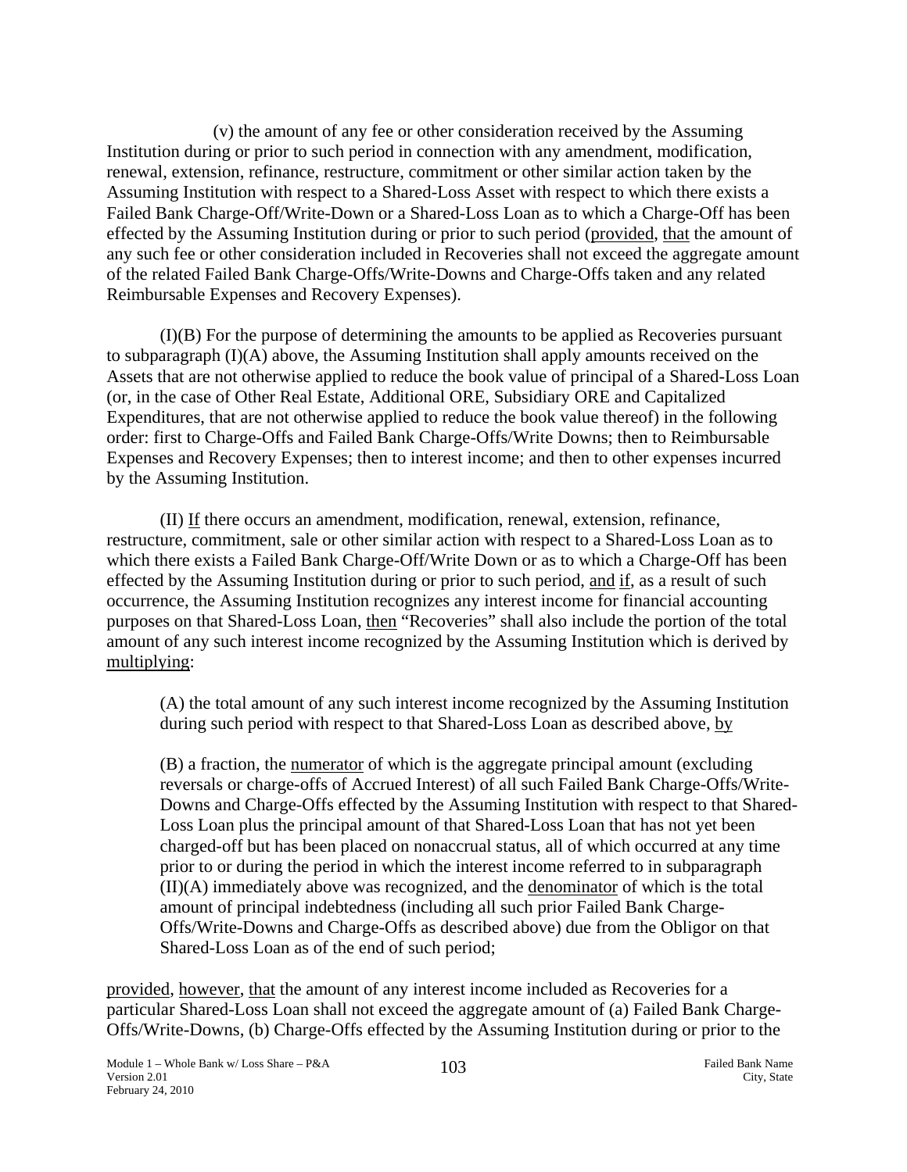(v) the amount of any fee or other consideration received by the Assuming Institution during or prior to such period in connection with any amendment, modification, renewal, extension, refinance, restructure, commitment or other similar action taken by the Assuming Institution with respect to a Shared-Loss Asset with respect to which there exists a Failed Bank Charge-Off/Write-Down or a Shared-Loss Loan as to which a Charge-Off has been effected by the Assuming Institution during or prior to such period (provided, that the amount of any such fee or other consideration included in Recoveries shall not exceed the aggregate amount of the related Failed Bank Charge-Offs/Write-Downs and Charge-Offs taken and any related Reimbursable Expenses and Recovery Expenses).

(I)(B) For the purpose of determining the amounts to be applied as Recoveries pursuant to subparagraph  $(I)(A)$  above, the Assuming Institution shall apply amounts received on the Assets that are not otherwise applied to reduce the book value of principal of a Shared-Loss Loan (or, in the case of Other Real Estate, Additional ORE, Subsidiary ORE and Capitalized Expenditures, that are not otherwise applied to reduce the book value thereof) in the following order: first to Charge-Offs and Failed Bank Charge-Offs/Write Downs; then to Reimbursable Expenses and Recovery Expenses; then to interest income; and then to other expenses incurred by the Assuming Institution.

(II) If there occurs an amendment, modification, renewal, extension, refinance, restructure, commitment, sale or other similar action with respect to a Shared-Loss Loan as to which there exists a Failed Bank Charge-Off/Write Down or as to which a Charge-Off has been effected by the Assuming Institution during or prior to such period, and if, as a result of such occurrence, the Assuming Institution recognizes any interest income for financial accounting purposes on that Shared-Loss Loan, then "Recoveries" shall also include the portion of the total amount of any such interest income recognized by the Assuming Institution which is derived by multiplying:

(A) the total amount of any such interest income recognized by the Assuming Institution during such period with respect to that Shared-Loss Loan as described above, by

(B) a fraction, the numerator of which is the aggregate principal amount (excluding reversals or charge-offs of Accrued Interest) of all such Failed Bank Charge-Offs/Write-Downs and Charge-Offs effected by the Assuming Institution with respect to that Shared-Loss Loan plus the principal amount of that Shared-Loss Loan that has not yet been charged-off but has been placed on nonaccrual status, all of which occurred at any time prior to or during the period in which the interest income referred to in subparagraph (II)(A) immediately above was recognized, and the denominator of which is the total amount of principal indebtedness (including all such prior Failed Bank Charge-Offs/Write-Downs and Charge-Offs as described above) due from the Obligor on that Shared-Loss Loan as of the end of such period;

provided, however, that the amount of any interest income included as Recoveries for a particular Shared-Loss Loan shall not exceed the aggregate amount of (a) Failed Bank Charge-Offs/Write-Downs, (b) Charge-Offs effected by the Assuming Institution during or prior to the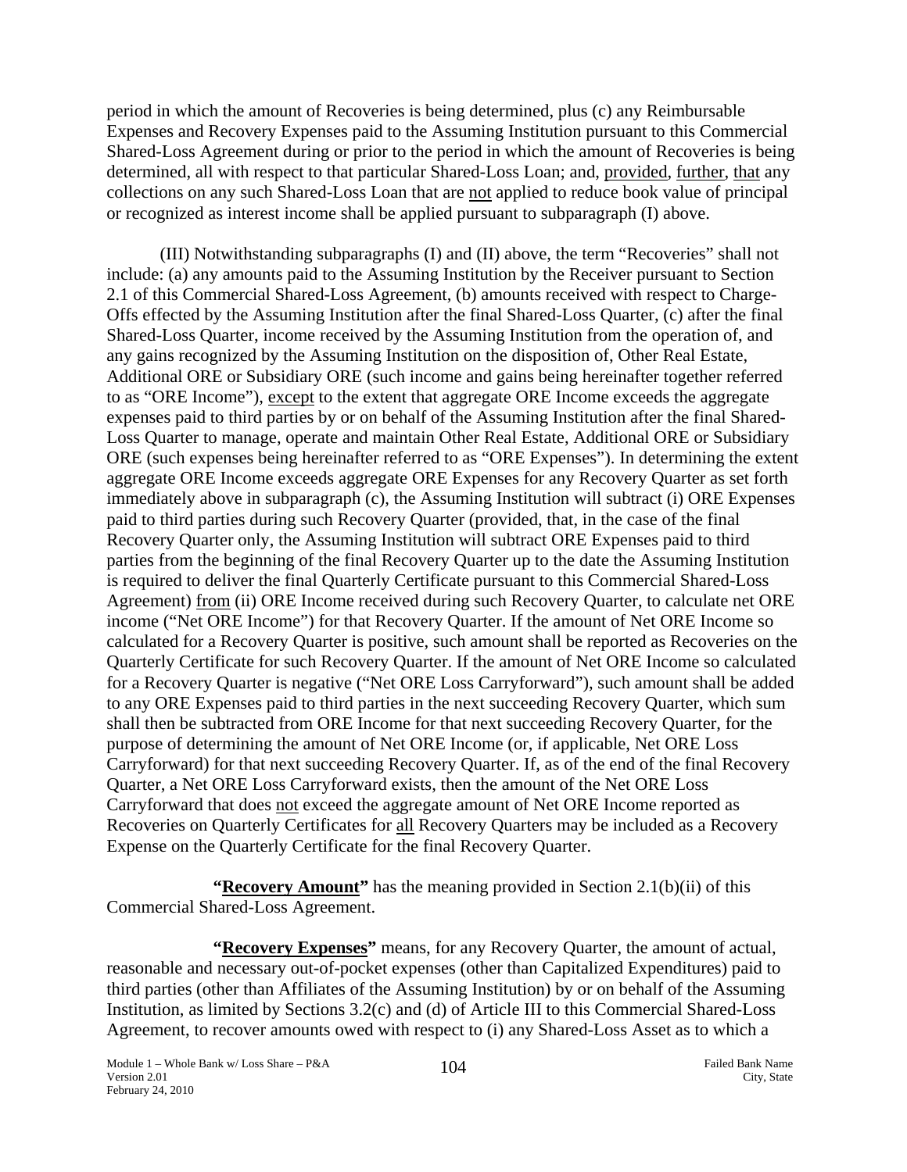period in which the amount of Recoveries is being determined, plus (c) any Reimbursable Expenses and Recovery Expenses paid to the Assuming Institution pursuant to this Commercial Shared-Loss Agreement during or prior to the period in which the amount of Recoveries is being determined, all with respect to that particular Shared-Loss Loan; and, provided, further, that any collections on any such Shared-Loss Loan that are not applied to reduce book value of principal or recognized as interest income shall be applied pursuant to subparagraph (I) above.

(III) Notwithstanding subparagraphs (I) and (II) above, the term "Recoveries" shall not include: (a) any amounts paid to the Assuming Institution by the Receiver pursuant to Section 2.1 of this Commercial Shared-Loss Agreement, (b) amounts received with respect to Charge-Offs effected by the Assuming Institution after the final Shared-Loss Quarter, (c) after the final Shared-Loss Quarter, income received by the Assuming Institution from the operation of, and any gains recognized by the Assuming Institution on the disposition of, Other Real Estate, Additional ORE or Subsidiary ORE (such income and gains being hereinafter together referred to as "ORE Income"), except to the extent that aggregate ORE Income exceeds the aggregate expenses paid to third parties by or on behalf of the Assuming Institution after the final Shared-Loss Quarter to manage, operate and maintain Other Real Estate, Additional ORE or Subsidiary ORE (such expenses being hereinafter referred to as "ORE Expenses"). In determining the extent aggregate ORE Income exceeds aggregate ORE Expenses for any Recovery Quarter as set forth immediately above in subparagraph (c), the Assuming Institution will subtract (i) ORE Expenses paid to third parties during such Recovery Quarter (provided, that, in the case of the final Recovery Quarter only, the Assuming Institution will subtract ORE Expenses paid to third parties from the beginning of the final Recovery Quarter up to the date the Assuming Institution is required to deliver the final Quarterly Certificate pursuant to this Commercial Shared-Loss Agreement) from (ii) ORE Income received during such Recovery Quarter, to calculate net ORE income ("Net ORE Income") for that Recovery Quarter. If the amount of Net ORE Income so calculated for a Recovery Quarter is positive, such amount shall be reported as Recoveries on the Quarterly Certificate for such Recovery Quarter. If the amount of Net ORE Income so calculated for a Recovery Quarter is negative ("Net ORE Loss Carryforward"), such amount shall be added to any ORE Expenses paid to third parties in the next succeeding Recovery Quarter, which sum shall then be subtracted from ORE Income for that next succeeding Recovery Quarter, for the purpose of determining the amount of Net ORE Income (or, if applicable, Net ORE Loss Carryforward) for that next succeeding Recovery Quarter. If, as of the end of the final Recovery Quarter, a Net ORE Loss Carryforward exists, then the amount of the Net ORE Loss Carryforward that does not exceed the aggregate amount of Net ORE Income reported as Recoveries on Quarterly Certificates for all Recovery Quarters may be included as a Recovery Expense on the Quarterly Certificate for the final Recovery Quarter.

**"Recovery Amount"** has the meaning provided in Section 2.1(b)(ii) of this Commercial Shared-Loss Agreement.

**"Recovery Expenses"** means, for any Recovery Quarter, the amount of actual, reasonable and necessary out-of-pocket expenses (other than Capitalized Expenditures) paid to third parties (other than Affiliates of the Assuming Institution) by or on behalf of the Assuming Institution, as limited by Sections 3.2(c) and (d) of Article III to this Commercial Shared-Loss Agreement, to recover amounts owed with respect to (i) any Shared-Loss Asset as to which a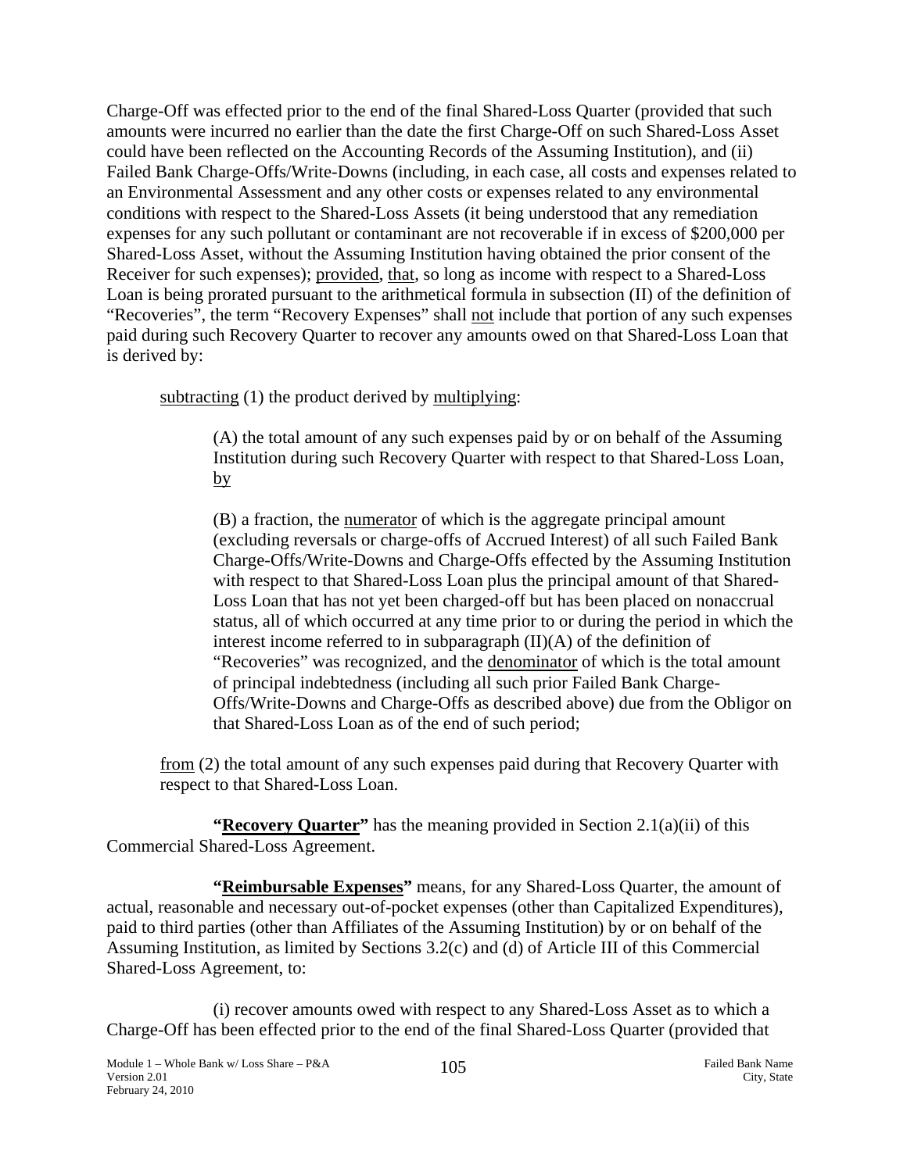Charge-Off was effected prior to the end of the final Shared-Loss Quarter (provided that such amounts were incurred no earlier than the date the first Charge-Off on such Shared-Loss Asset could have been reflected on the Accounting Records of the Assuming Institution), and (ii) Failed Bank Charge-Offs/Write-Downs (including, in each case, all costs and expenses related to an Environmental Assessment and any other costs or expenses related to any environmental conditions with respect to the Shared-Loss Assets (it being understood that any remediation expenses for any such pollutant or contaminant are not recoverable if in excess of \$200,000 per Shared-Loss Asset, without the Assuming Institution having obtained the prior consent of the Receiver for such expenses); provided, that, so long as income with respect to a Shared-Loss Loan is being prorated pursuant to the arithmetical formula in subsection (II) of the definition of "Recoveries", the term "Recovery Expenses" shall not include that portion of any such expenses paid during such Recovery Quarter to recover any amounts owed on that Shared-Loss Loan that is derived by:

subtracting (1) the product derived by multiplying:

(A) the total amount of any such expenses paid by or on behalf of the Assuming Institution during such Recovery Quarter with respect to that Shared-Loss Loan, by

(B) a fraction, the numerator of which is the aggregate principal amount (excluding reversals or charge-offs of Accrued Interest) of all such Failed Bank Charge-Offs/Write-Downs and Charge-Offs effected by the Assuming Institution with respect to that Shared-Loss Loan plus the principal amount of that Shared-Loss Loan that has not yet been charged-off but has been placed on nonaccrual status, all of which occurred at any time prior to or during the period in which the interest income referred to in subparagraph (II)(A) of the definition of "Recoveries" was recognized, and the denominator of which is the total amount of principal indebtedness (including all such prior Failed Bank Charge-Offs/Write-Downs and Charge-Offs as described above) due from the Obligor on that Shared-Loss Loan as of the end of such period;

from (2) the total amount of any such expenses paid during that Recovery Quarter with respect to that Shared-Loss Loan.

**"Recovery Quarter"** has the meaning provided in Section 2.1(a)(ii) of this Commercial Shared-Loss Agreement.

**"Reimbursable Expenses"** means, for any Shared-Loss Quarter, the amount of actual, reasonable and necessary out-of-pocket expenses (other than Capitalized Expenditures), paid to third parties (other than Affiliates of the Assuming Institution) by or on behalf of the Assuming Institution, as limited by Sections 3.2(c) and (d) of Article III of this Commercial Shared-Loss Agreement, to:

(i) recover amounts owed with respect to any Shared-Loss Asset as to which a Charge-Off has been effected prior to the end of the final Shared-Loss Quarter (provided that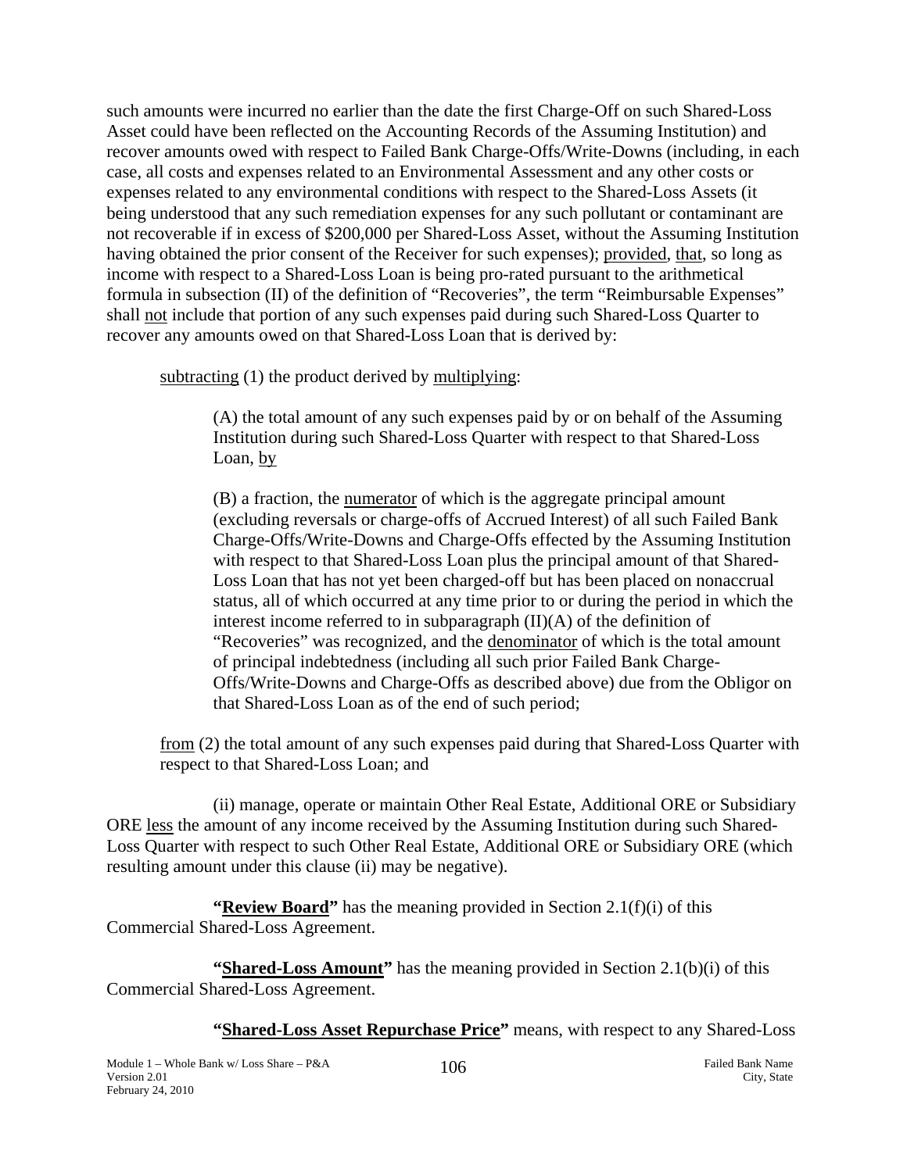such amounts were incurred no earlier than the date the first Charge-Off on such Shared-Loss Asset could have been reflected on the Accounting Records of the Assuming Institution) and recover amounts owed with respect to Failed Bank Charge-Offs/Write-Downs (including, in each case, all costs and expenses related to an Environmental Assessment and any other costs or expenses related to any environmental conditions with respect to the Shared-Loss Assets (it being understood that any such remediation expenses for any such pollutant or contaminant are not recoverable if in excess of \$200,000 per Shared-Loss Asset, without the Assuming Institution having obtained the prior consent of the Receiver for such expenses); provided, that, so long as income with respect to a Shared-Loss Loan is being pro-rated pursuant to the arithmetical formula in subsection (II) of the definition of "Recoveries", the term "Reimbursable Expenses" shall not include that portion of any such expenses paid during such Shared-Loss Quarter to recover any amounts owed on that Shared-Loss Loan that is derived by:

subtracting (1) the product derived by multiplying:

(A) the total amount of any such expenses paid by or on behalf of the Assuming Institution during such Shared-Loss Quarter with respect to that Shared-Loss Loan, by

(B) a fraction, the numerator of which is the aggregate principal amount (excluding reversals or charge-offs of Accrued Interest) of all such Failed Bank Charge-Offs/Write-Downs and Charge-Offs effected by the Assuming Institution with respect to that Shared-Loss Loan plus the principal amount of that Shared-Loss Loan that has not yet been charged-off but has been placed on nonaccrual status, all of which occurred at any time prior to or during the period in which the interest income referred to in subparagraph  $(II)(A)$  of the definition of "Recoveries" was recognized, and the denominator of which is the total amount of principal indebtedness (including all such prior Failed Bank Charge-Offs/Write-Downs and Charge-Offs as described above) due from the Obligor on that Shared-Loss Loan as of the end of such period;

from (2) the total amount of any such expenses paid during that Shared-Loss Quarter with respect to that Shared-Loss Loan; and

(ii) manage, operate or maintain Other Real Estate, Additional ORE or Subsidiary ORE less the amount of any income received by the Assuming Institution during such Shared-Loss Quarter with respect to such Other Real Estate, Additional ORE or Subsidiary ORE (which resulting amount under this clause (ii) may be negative).

**"Review Board"** has the meaning provided in Section 2.1(f)(i) of this Commercial Shared-Loss Agreement.

"Shared-Loss Amount" has the meaning provided in Section 2.1(b)(i) of this Commercial Shared-Loss Agreement.

**"Shared-Loss Asset Repurchase Price"** means, with respect to any Shared-Loss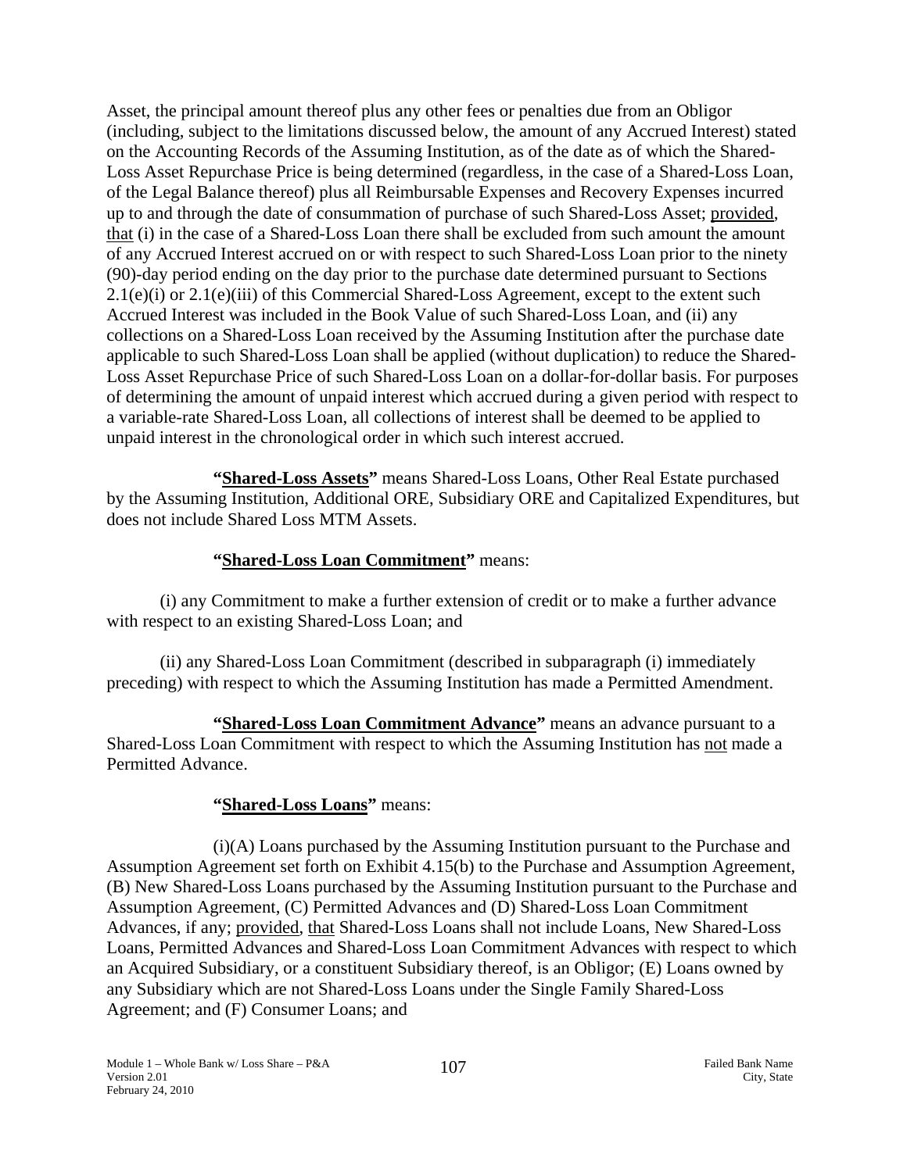Asset, the principal amount thereof plus any other fees or penalties due from an Obligor (including, subject to the limitations discussed below, the amount of any Accrued Interest) stated on the Accounting Records of the Assuming Institution, as of the date as of which the Shared-Loss Asset Repurchase Price is being determined (regardless, in the case of a Shared-Loss Loan, of the Legal Balance thereof) plus all Reimbursable Expenses and Recovery Expenses incurred up to and through the date of consummation of purchase of such Shared-Loss Asset; provided, that (i) in the case of a Shared-Loss Loan there shall be excluded from such amount the amount of any Accrued Interest accrued on or with respect to such Shared-Loss Loan prior to the ninety (90)-day period ending on the day prior to the purchase date determined pursuant to Sections 2.1(e)(i) or 2.1(e)(iii) of this Commercial Shared-Loss Agreement, except to the extent such Accrued Interest was included in the Book Value of such Shared-Loss Loan, and (ii) any collections on a Shared-Loss Loan received by the Assuming Institution after the purchase date applicable to such Shared-Loss Loan shall be applied (without duplication) to reduce the Shared-Loss Asset Repurchase Price of such Shared-Loss Loan on a dollar-for-dollar basis. For purposes of determining the amount of unpaid interest which accrued during a given period with respect to a variable-rate Shared-Loss Loan, all collections of interest shall be deemed to be applied to unpaid interest in the chronological order in which such interest accrued.

**"Shared-Loss Assets"** means Shared-Loss Loans, Other Real Estate purchased by the Assuming Institution, Additional ORE, Subsidiary ORE and Capitalized Expenditures, but does not include Shared Loss MTM Assets.

## **"Shared-Loss Loan Commitment"** means:

(i) any Commitment to make a further extension of credit or to make a further advance with respect to an existing Shared-Loss Loan; and

(ii) any Shared-Loss Loan Commitment (described in subparagraph (i) immediately preceding) with respect to which the Assuming Institution has made a Permitted Amendment.

**"Shared-Loss Loan Commitment Advance"** means an advance pursuant to a Shared-Loss Loan Commitment with respect to which the Assuming Institution has not made a Permitted Advance.

### **"Shared-Loss Loans"** means:

(i)(A) Loans purchased by the Assuming Institution pursuant to the Purchase and Assumption Agreement set forth on Exhibit 4.15(b) to the Purchase and Assumption Agreement, (B) New Shared-Loss Loans purchased by the Assuming Institution pursuant to the Purchase and Assumption Agreement, (C) Permitted Advances and (D) Shared-Loss Loan Commitment Advances, if any; provided, that Shared-Loss Loans shall not include Loans, New Shared-Loss Loans, Permitted Advances and Shared-Loss Loan Commitment Advances with respect to which an Acquired Subsidiary, or a constituent Subsidiary thereof, is an Obligor; (E) Loans owned by any Subsidiary which are not Shared-Loss Loans under the Single Family Shared-Loss Agreement; and (F) Consumer Loans; and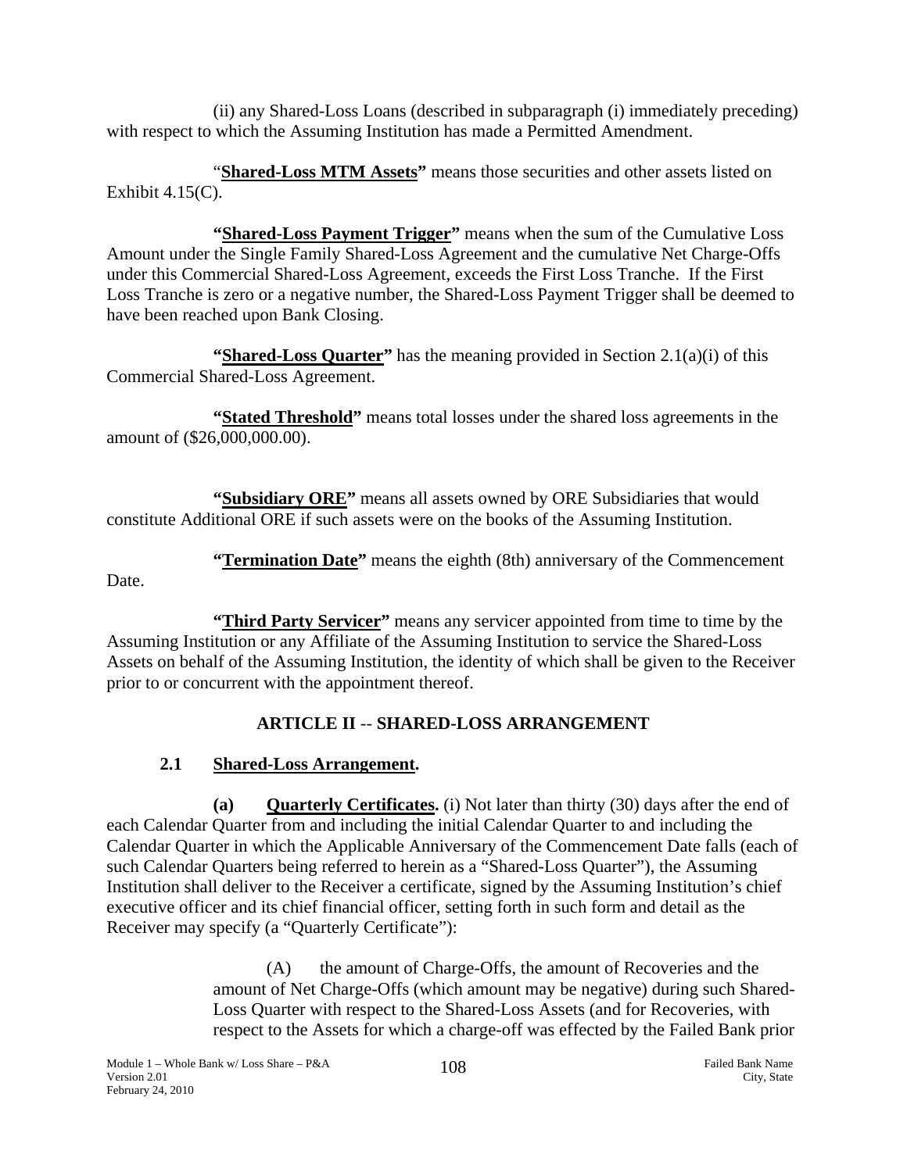(ii) any Shared-Loss Loans (described in subparagraph (i) immediately preceding) with respect to which the Assuming Institution has made a Permitted Amendment.

"**Shared-Loss MTM Assets"** means those securities and other assets listed on Exhibit  $4.15(C)$ .

**"Shared-Loss Payment Trigger"** means when the sum of the Cumulative Loss Amount under the Single Family Shared-Loss Agreement and the cumulative Net Charge-Offs under this Commercial Shared-Loss Agreement, exceeds the First Loss Tranche. If the First Loss Tranche is zero or a negative number, the Shared-Loss Payment Trigger shall be deemed to have been reached upon Bank Closing.

**"Shared-Loss Quarter"** has the meaning provided in Section 2.1(a)(i) of this Commercial Shared-Loss Agreement.

**"Stated Threshold"** means total losses under the shared loss agreements in the amount of (\$26,000,000.00).

"Subsidiary ORE" means all assets owned by ORE Subsidiaries that would constitute Additional ORE if such assets were on the books of the Assuming Institution.

**"Termination Date"** means the eighth (8th) anniversary of the Commencement

Date.

**"Third Party Servicer"** means any servicer appointed from time to time by the Assuming Institution or any Affiliate of the Assuming Institution to service the Shared-Loss Assets on behalf of the Assuming Institution, the identity of which shall be given to the Receiver prior to or concurrent with the appointment thereof.

# **ARTICLE II** -- **SHARED-LOSS ARRANGEMENT**

## **2.1 Shared-Loss Arrangement.**

**(a) Quarterly Certificates.** (i) Not later than thirty (30) days after the end of each Calendar Quarter from and including the initial Calendar Quarter to and including the Calendar Quarter in which the Applicable Anniversary of the Commencement Date falls (each of such Calendar Quarters being referred to herein as a "Shared-Loss Quarter"), the Assuming Institution shall deliver to the Receiver a certificate, signed by the Assuming Institution's chief executive officer and its chief financial officer, setting forth in such form and detail as the Receiver may specify (a "Quarterly Certificate"):

> (A) the amount of Charge-Offs, the amount of Recoveries and the amount of Net Charge-Offs (which amount may be negative) during such Shared-Loss Quarter with respect to the Shared-Loss Assets (and for Recoveries, with respect to the Assets for which a charge-off was effected by the Failed Bank prior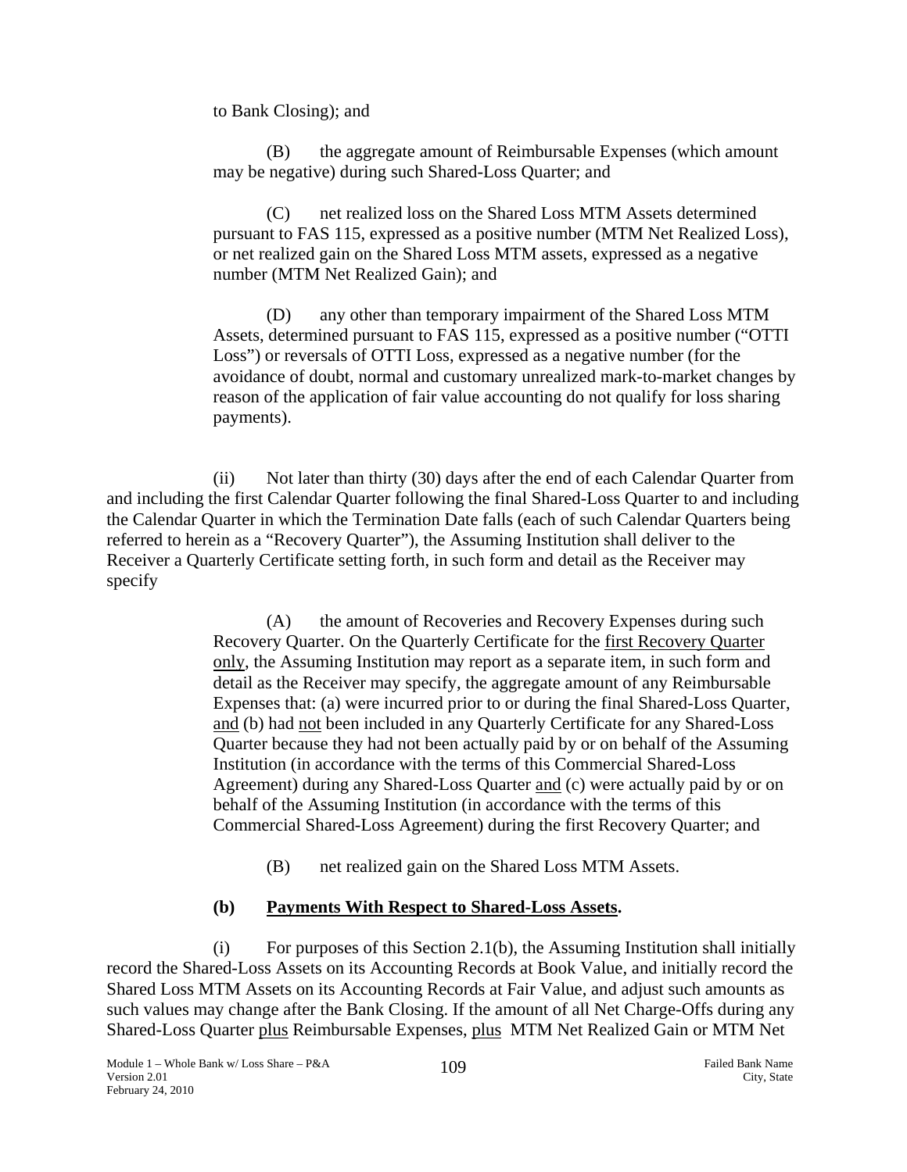to Bank Closing); and

(B) the aggregate amount of Reimbursable Expenses (which amount may be negative) during such Shared-Loss Quarter; and

(C) net realized loss on the Shared Loss MTM Assets determined pursuant to FAS 115, expressed as a positive number (MTM Net Realized Loss), or net realized gain on the Shared Loss MTM assets, expressed as a negative number (MTM Net Realized Gain); and

(D) any other than temporary impairment of the Shared Loss MTM Assets, determined pursuant to FAS 115, expressed as a positive number ("OTTI Loss") or reversals of OTTI Loss, expressed as a negative number (for the avoidance of doubt, normal and customary unrealized mark-to-market changes by reason of the application of fair value accounting do not qualify for loss sharing payments).

(ii) Not later than thirty (30) days after the end of each Calendar Quarter from and including the first Calendar Quarter following the final Shared-Loss Quarter to and including the Calendar Quarter in which the Termination Date falls (each of such Calendar Quarters being referred to herein as a "Recovery Quarter"), the Assuming Institution shall deliver to the Receiver a Quarterly Certificate setting forth, in such form and detail as the Receiver may specify

> (A) the amount of Recoveries and Recovery Expenses during such Recovery Quarter. On the Quarterly Certificate for the first Recovery Quarter only, the Assuming Institution may report as a separate item, in such form and detail as the Receiver may specify, the aggregate amount of any Reimbursable Expenses that: (a) were incurred prior to or during the final Shared-Loss Quarter, and (b) had not been included in any Quarterly Certificate for any Shared-Loss Quarter because they had not been actually paid by or on behalf of the Assuming Institution (in accordance with the terms of this Commercial Shared-Loss Agreement) during any Shared-Loss Quarter and (c) were actually paid by or on behalf of the Assuming Institution (in accordance with the terms of this Commercial Shared-Loss Agreement) during the first Recovery Quarter; and

(B) net realized gain on the Shared Loss MTM Assets.

## **(b) Payments With Respect to Shared-Loss Assets.**

(i) For purposes of this Section 2.1(b), the Assuming Institution shall initially record the Shared-Loss Assets on its Accounting Records at Book Value, and initially record the Shared Loss MTM Assets on its Accounting Records at Fair Value, and adjust such amounts as such values may change after the Bank Closing. If the amount of all Net Charge-Offs during any Shared-Loss Quarter plus Reimbursable Expenses, plus MTM Net Realized Gain or MTM Net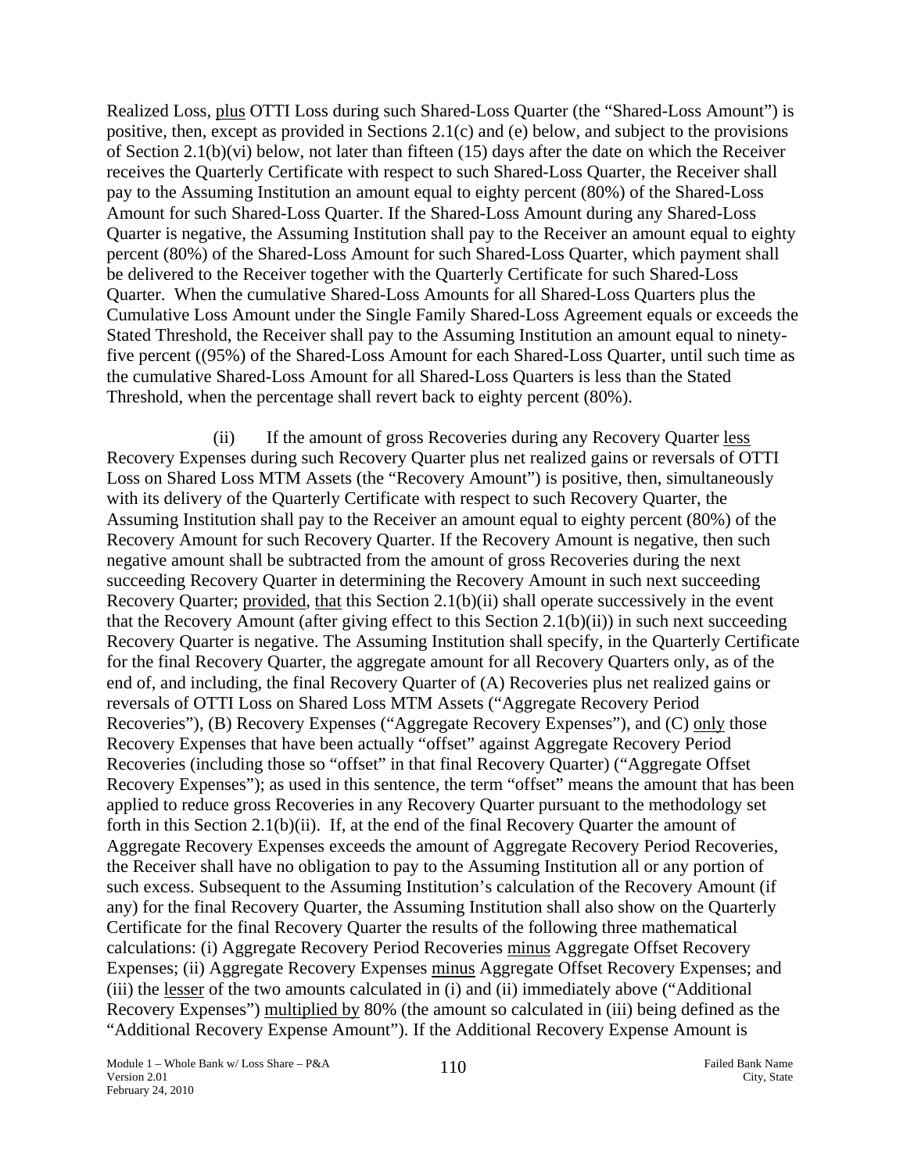Realized Loss, plus OTTI Loss during such Shared-Loss Quarter (the "Shared-Loss Amount") is positive, then, except as provided in Sections 2.1(c) and (e) below, and subject to the provisions of Section 2.1(b)(vi) below, not later than fifteen (15) days after the date on which the Receiver receives the Quarterly Certificate with respect to such Shared-Loss Quarter, the Receiver shall pay to the Assuming Institution an amount equal to eighty percent (80%) of the Shared-Loss Amount for such Shared-Loss Quarter. If the Shared-Loss Amount during any Shared-Loss Quarter is negative, the Assuming Institution shall pay to the Receiver an amount equal to eighty percent (80%) of the Shared-Loss Amount for such Shared-Loss Quarter, which payment shall be delivered to the Receiver together with the Quarterly Certificate for such Shared-Loss Quarter. When the cumulative Shared-Loss Amounts for all Shared-Loss Quarters plus the Cumulative Loss Amount under the Single Family Shared-Loss Agreement equals or exceeds the Stated Threshold, the Receiver shall pay to the Assuming Institution an amount equal to ninetyfive percent ((95%) of the Shared-Loss Amount for each Shared-Loss Quarter, until such time as the cumulative Shared-Loss Amount for all Shared-Loss Quarters is less than the Stated Threshold, when the percentage shall revert back to eighty percent (80%).

(ii) If the amount of gross Recoveries during any Recovery Quarter less Recovery Expenses during such Recovery Quarter plus net realized gains or reversals of OTTI Loss on Shared Loss MTM Assets (the "Recovery Amount") is positive, then, simultaneously with its delivery of the Quarterly Certificate with respect to such Recovery Quarter, the Assuming Institution shall pay to the Receiver an amount equal to eighty percent (80%) of the Recovery Amount for such Recovery Quarter. If the Recovery Amount is negative, then such negative amount shall be subtracted from the amount of gross Recoveries during the next succeeding Recovery Quarter in determining the Recovery Amount in such next succeeding Recovery Quarter; provided, that this Section 2.1(b)(ii) shall operate successively in the event that the Recovery Amount (after giving effect to this Section 2.1(b)(ii)) in such next succeeding Recovery Quarter is negative. The Assuming Institution shall specify, in the Quarterly Certificate for the final Recovery Quarter, the aggregate amount for all Recovery Quarters only, as of the end of, and including, the final Recovery Quarter of (A) Recoveries plus net realized gains or reversals of OTTI Loss on Shared Loss MTM Assets ("Aggregate Recovery Period Recoveries"), (B) Recovery Expenses ("Aggregate Recovery Expenses"), and (C) only those Recovery Expenses that have been actually "offset" against Aggregate Recovery Period Recoveries (including those so "offset" in that final Recovery Quarter) ("Aggregate Offset Recovery Expenses"); as used in this sentence, the term "offset" means the amount that has been applied to reduce gross Recoveries in any Recovery Quarter pursuant to the methodology set forth in this Section 2.1(b)(ii). If, at the end of the final Recovery Quarter the amount of Aggregate Recovery Expenses exceeds the amount of Aggregate Recovery Period Recoveries, the Receiver shall have no obligation to pay to the Assuming Institution all or any portion of such excess. Subsequent to the Assuming Institution's calculation of the Recovery Amount (if any) for the final Recovery Quarter, the Assuming Institution shall also show on the Quarterly Certificate for the final Recovery Quarter the results of the following three mathematical calculations: (i) Aggregate Recovery Period Recoveries minus Aggregate Offset Recovery Expenses; (ii) Aggregate Recovery Expenses minus Aggregate Offset Recovery Expenses; and (iii) the lesser of the two amounts calculated in (i) and (ii) immediately above ("Additional Recovery Expenses") multiplied by 80% (the amount so calculated in (iii) being defined as the "Additional Recovery Expense Amount"). If the Additional Recovery Expense Amount is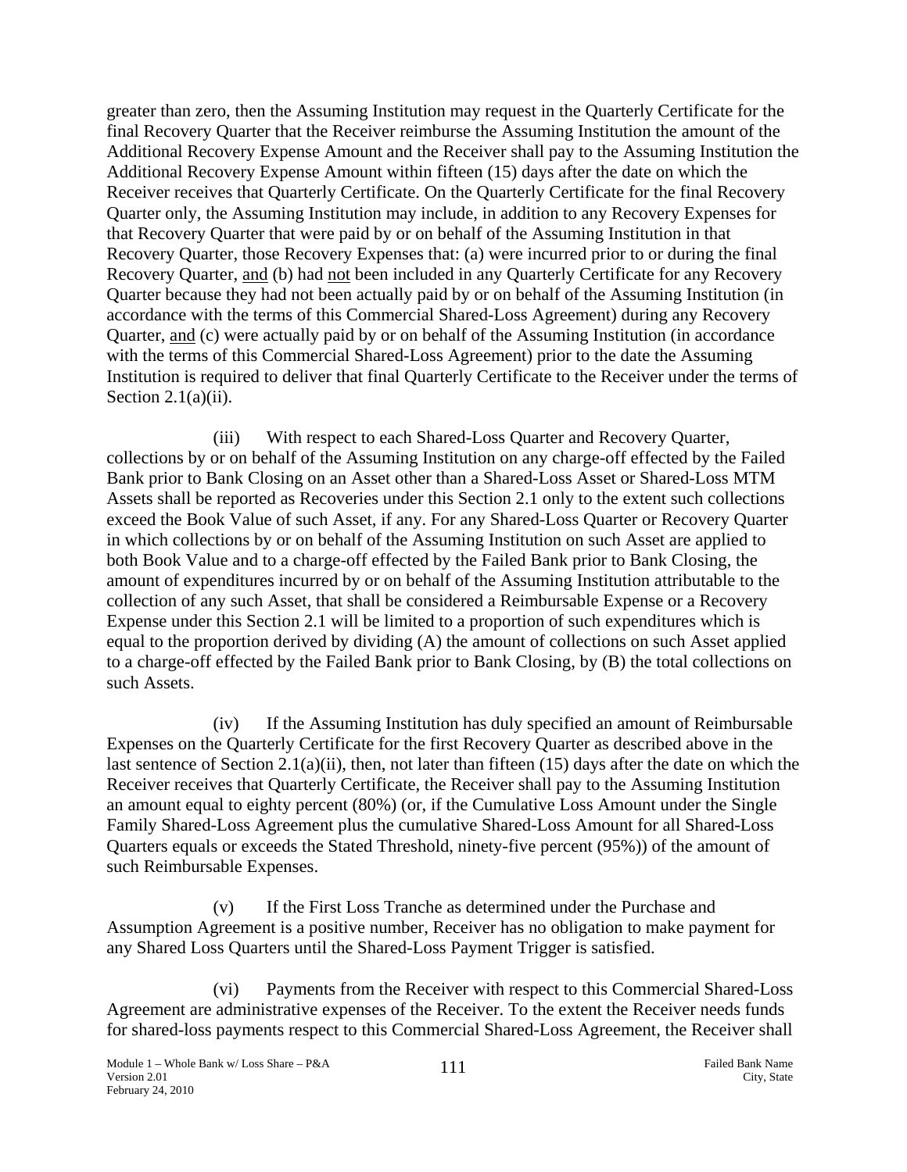greater than zero, then the Assuming Institution may request in the Quarterly Certificate for the final Recovery Quarter that the Receiver reimburse the Assuming Institution the amount of the Additional Recovery Expense Amount and the Receiver shall pay to the Assuming Institution the Additional Recovery Expense Amount within fifteen (15) days after the date on which the Receiver receives that Quarterly Certificate. On the Quarterly Certificate for the final Recovery Quarter only, the Assuming Institution may include, in addition to any Recovery Expenses for that Recovery Quarter that were paid by or on behalf of the Assuming Institution in that Recovery Quarter, those Recovery Expenses that: (a) were incurred prior to or during the final Recovery Quarter, and (b) had not been included in any Quarterly Certificate for any Recovery Quarter because they had not been actually paid by or on behalf of the Assuming Institution (in accordance with the terms of this Commercial Shared-Loss Agreement) during any Recovery Quarter, and (c) were actually paid by or on behalf of the Assuming Institution (in accordance with the terms of this Commercial Shared-Loss Agreement) prior to the date the Assuming Institution is required to deliver that final Quarterly Certificate to the Receiver under the terms of Section  $2.1(a)(ii)$ .

(iii) With respect to each Shared-Loss Quarter and Recovery Quarter, collections by or on behalf of the Assuming Institution on any charge-off effected by the Failed Bank prior to Bank Closing on an Asset other than a Shared-Loss Asset or Shared-Loss MTM Assets shall be reported as Recoveries under this Section 2.1 only to the extent such collections exceed the Book Value of such Asset, if any. For any Shared-Loss Quarter or Recovery Quarter in which collections by or on behalf of the Assuming Institution on such Asset are applied to both Book Value and to a charge-off effected by the Failed Bank prior to Bank Closing, the amount of expenditures incurred by or on behalf of the Assuming Institution attributable to the collection of any such Asset, that shall be considered a Reimbursable Expense or a Recovery Expense under this Section 2.1 will be limited to a proportion of such expenditures which is equal to the proportion derived by dividing (A) the amount of collections on such Asset applied to a charge-off effected by the Failed Bank prior to Bank Closing, by (B) the total collections on such Assets.

(iv) If the Assuming Institution has duly specified an amount of Reimbursable Expenses on the Quarterly Certificate for the first Recovery Quarter as described above in the last sentence of Section 2.1(a)(ii), then, not later than fifteen (15) days after the date on which the Receiver receives that Quarterly Certificate, the Receiver shall pay to the Assuming Institution an amount equal to eighty percent (80%) (or, if the Cumulative Loss Amount under the Single Family Shared-Loss Agreement plus the cumulative Shared-Loss Amount for all Shared-Loss Quarters equals or exceeds the Stated Threshold, ninety-five percent (95%)) of the amount of such Reimbursable Expenses.

(v) If the First Loss Tranche as determined under the Purchase and Assumption Agreement is a positive number, Receiver has no obligation to make payment for any Shared Loss Quarters until the Shared-Loss Payment Trigger is satisfied.

(vi) Payments from the Receiver with respect to this Commercial Shared-Loss Agreement are administrative expenses of the Receiver. To the extent the Receiver needs funds for shared-loss payments respect to this Commercial Shared-Loss Agreement, the Receiver shall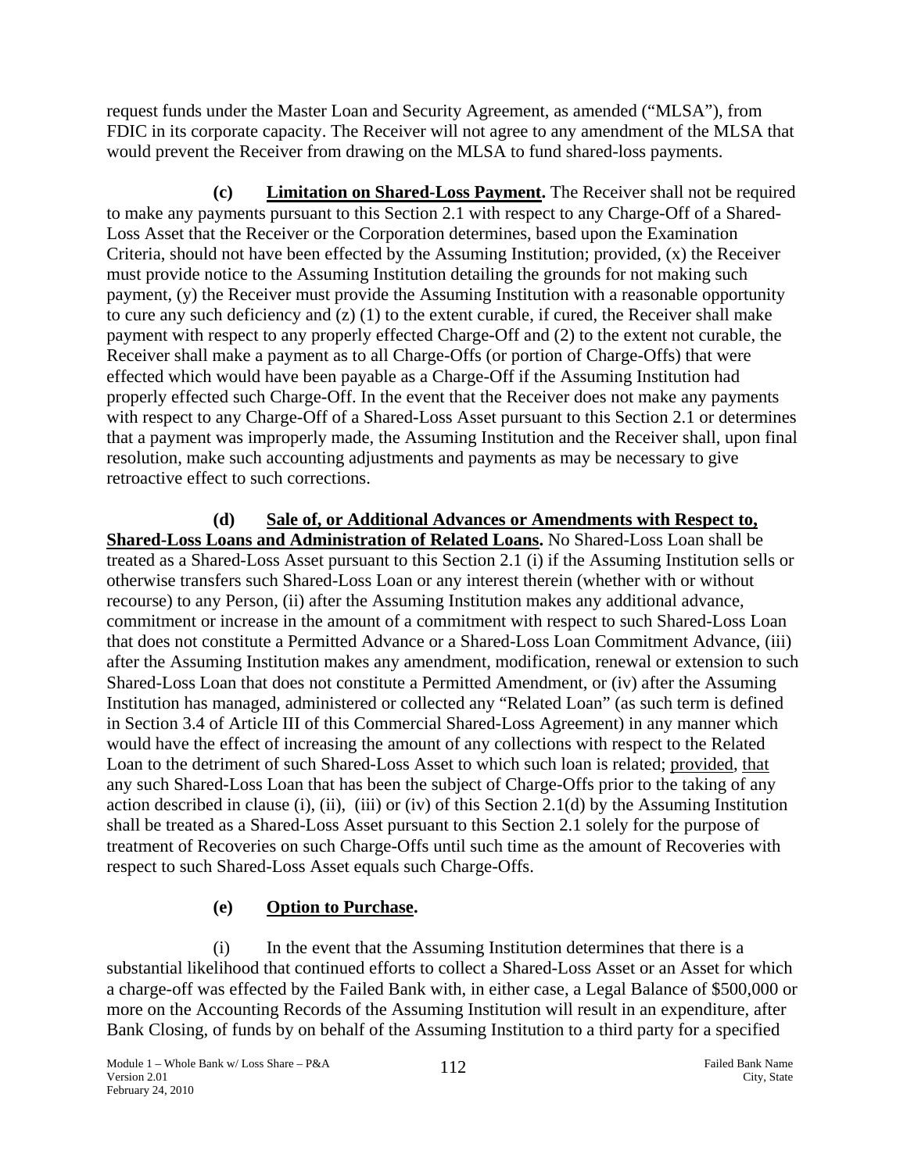request funds under the Master Loan and Security Agreement, as amended ("MLSA"), from FDIC in its corporate capacity. The Receiver will not agree to any amendment of the MLSA that would prevent the Receiver from drawing on the MLSA to fund shared-loss payments.

**(c) Limitation on Shared-Loss Payment.** The Receiver shall not be required to make any payments pursuant to this Section 2.1 with respect to any Charge-Off of a Shared-Loss Asset that the Receiver or the Corporation determines, based upon the Examination Criteria, should not have been effected by the Assuming Institution; provided, (x) the Receiver must provide notice to the Assuming Institution detailing the grounds for not making such payment, (y) the Receiver must provide the Assuming Institution with a reasonable opportunity to cure any such deficiency and (z) (1) to the extent curable, if cured, the Receiver shall make payment with respect to any properly effected Charge-Off and (2) to the extent not curable, the Receiver shall make a payment as to all Charge-Offs (or portion of Charge-Offs) that were effected which would have been payable as a Charge-Off if the Assuming Institution had properly effected such Charge-Off. In the event that the Receiver does not make any payments with respect to any Charge-Off of a Shared-Loss Asset pursuant to this Section 2.1 or determines that a payment was improperly made, the Assuming Institution and the Receiver shall, upon final resolution, make such accounting adjustments and payments as may be necessary to give retroactive effect to such corrections.

Loan to the detriment of such Shared-Loss Asset to which such loan is related; provided, that **(d) Sale of, or Additional Advances or Amendments with Respect to, Shared-Loss Loans and Administration of Related Loans.** No Shared-Loss Loan shall be treated as a Shared-Loss Asset pursuant to this Section 2.1 (i) if the Assuming Institution sells or otherwise transfers such Shared-Loss Loan or any interest therein (whether with or without recourse) to any Person, (ii) after the Assuming Institution makes any additional advance, commitment or increase in the amount of a commitment with respect to such Shared-Loss Loan that does not constitute a Permitted Advance or a Shared-Loss Loan Commitment Advance, (iii) after the Assuming Institution makes any amendment, modification, renewal or extension to such Shared-Loss Loan that does not constitute a Permitted Amendment, or (iv) after the Assuming Institution has managed, administered or collected any "Related Loan" (as such term is defined in Section 3.4 of Article III of this Commercial Shared-Loss Agreement) in any manner which would have the effect of increasing the amount of any collections with respect to the Related any such Shared-Loss Loan that has been the subject of Charge-Offs prior to the taking of any action described in clause (i), (ii), (iii) or (iv) of this Section 2.1(d) by the Assuming Institution shall be treated as a Shared-Loss Asset pursuant to this Section 2.1 solely for the purpose of treatment of Recoveries on such Charge-Offs until such time as the amount of Recoveries with respect to such Shared-Loss Asset equals such Charge-Offs.

## **(e) Option to Purchase.**

(i) In the event that the Assuming Institution determines that there is a substantial likelihood that continued efforts to collect a Shared-Loss Asset or an Asset for which a charge-off was effected by the Failed Bank with, in either case, a Legal Balance of \$500,000 or more on the Accounting Records of the Assuming Institution will result in an expenditure, after Bank Closing, of funds by on behalf of the Assuming Institution to a third party for a specified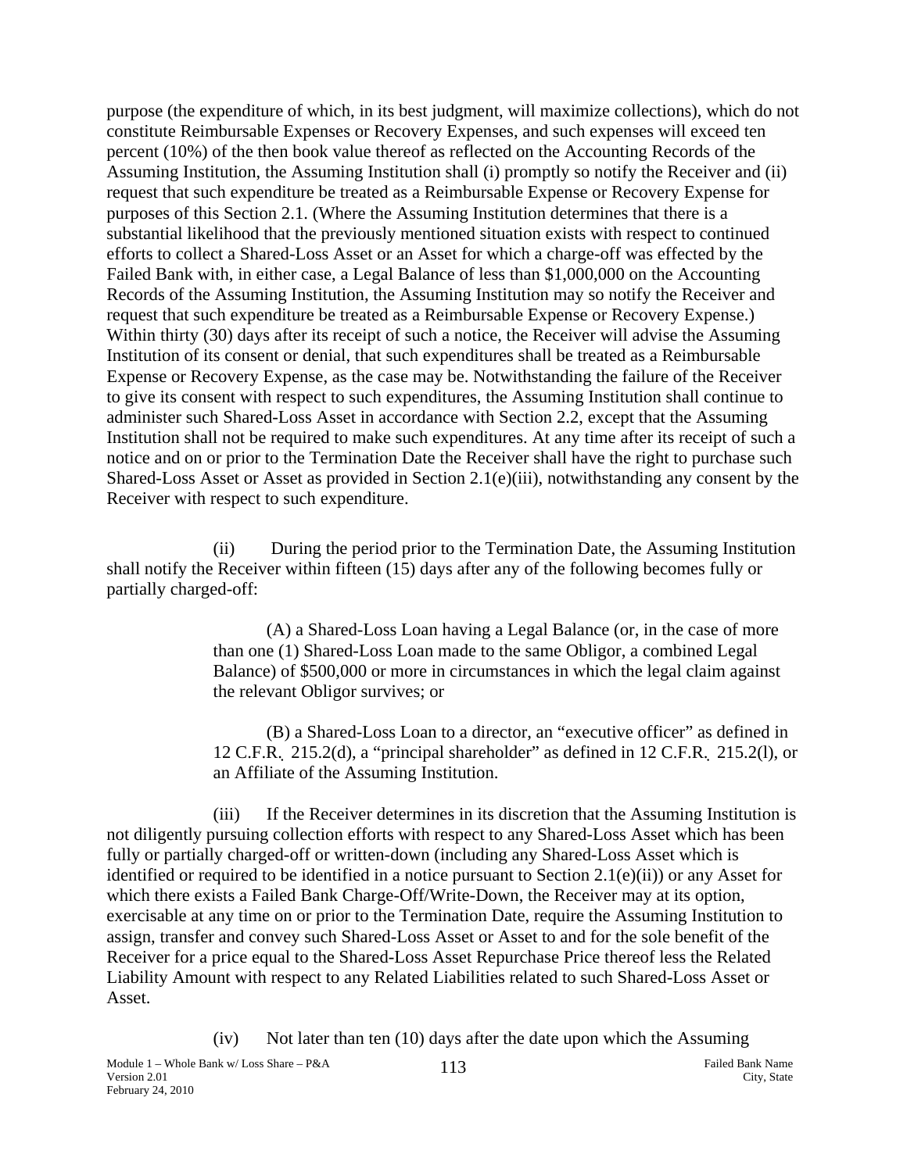purpose (the expenditure of which, in its best judgment, will maximize collections), which do not constitute Reimbursable Expenses or Recovery Expenses, and such expenses will exceed ten percent (10%) of the then book value thereof as reflected on the Accounting Records of the Assuming Institution, the Assuming Institution shall (i) promptly so notify the Receiver and (ii) request that such expenditure be treated as a Reimbursable Expense or Recovery Expense for purposes of this Section 2.1. (Where the Assuming Institution determines that there is a substantial likelihood that the previously mentioned situation exists with respect to continued efforts to collect a Shared-Loss Asset or an Asset for which a charge-off was effected by the Failed Bank with, in either case, a Legal Balance of less than \$1,000,000 on the Accounting Records of the Assuming Institution, the Assuming Institution may so notify the Receiver and request that such expenditure be treated as a Reimbursable Expense or Recovery Expense.) Within thirty (30) days after its receipt of such a notice, the Receiver will advise the Assuming Institution of its consent or denial, that such expenditures shall be treated as a Reimbursable Expense or Recovery Expense, as the case may be. Notwithstanding the failure of the Receiver to give its consent with respect to such expenditures, the Assuming Institution shall continue to administer such Shared-Loss Asset in accordance with Section 2.2, except that the Assuming Institution shall not be required to make such expenditures. At any time after its receipt of such a notice and on or prior to the Termination Date the Receiver shall have the right to purchase such Shared-Loss Asset or Asset as provided in Section 2.1(e)(iii), notwithstanding any consent by the Receiver with respect to such expenditure.

(ii) During the period prior to the Termination Date, the Assuming Institution shall notify the Receiver within fifteen (15) days after any of the following becomes fully or partially charged-off:

> (A) a Shared-Loss Loan having a Legal Balance (or, in the case of more than one (1) Shared-Loss Loan made to the same Obligor, a combined Legal Balance) of \$500,000 or more in circumstances in which the legal claim against the relevant Obligor survives; or

(B) a Shared-Loss Loan to a director, an "executive officer" as defined in 12 C.F.R. 215.2(d), a "principal shareholder" as defined in 12 C.F.R. 215.2(l), or an Affiliate of the Assuming Institution.

(iii) If the Receiver determines in its discretion that the Assuming Institution is not diligently pursuing collection efforts with respect to any Shared-Loss Asset which has been fully or partially charged-off or written-down (including any Shared-Loss Asset which is identified or required to be identified in a notice pursuant to Section 2.1(e)(ii)) or any Asset for which there exists a Failed Bank Charge-Off/Write-Down, the Receiver may at its option, exercisable at any time on or prior to the Termination Date, require the Assuming Institution to assign, transfer and convey such Shared-Loss Asset or Asset to and for the sole benefit of the Receiver for a price equal to the Shared-Loss Asset Repurchase Price thereof less the Related Liability Amount with respect to any Related Liabilities related to such Shared-Loss Asset or Asset.

(iv) Not later than ten (10) days after the date upon which the Assuming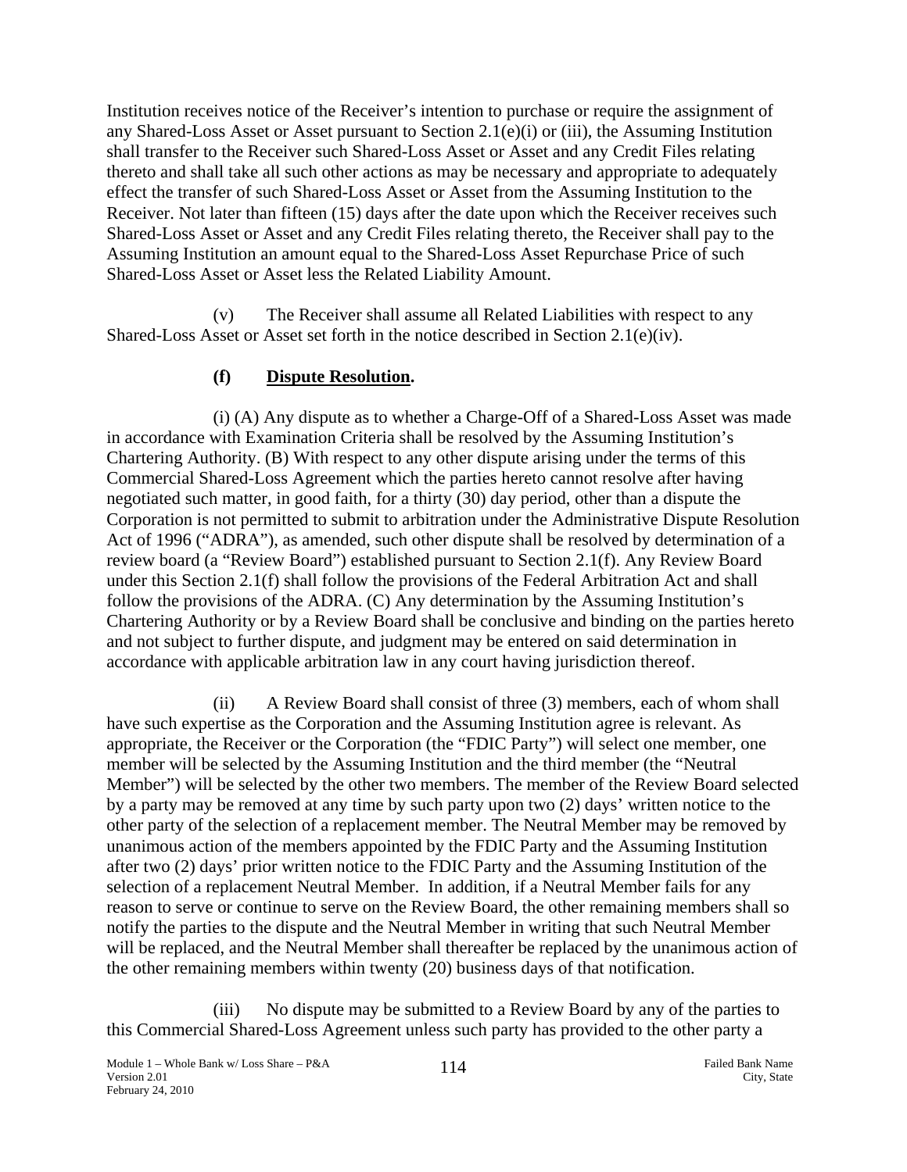Institution receives notice of the Receiver's intention to purchase or require the assignment of any Shared-Loss Asset or Asset pursuant to Section 2.1(e)(i) or (iii), the Assuming Institution shall transfer to the Receiver such Shared-Loss Asset or Asset and any Credit Files relating thereto and shall take all such other actions as may be necessary and appropriate to adequately effect the transfer of such Shared-Loss Asset or Asset from the Assuming Institution to the Receiver. Not later than fifteen (15) days after the date upon which the Receiver receives such Shared-Loss Asset or Asset and any Credit Files relating thereto, the Receiver shall pay to the Assuming Institution an amount equal to the Shared-Loss Asset Repurchase Price of such Shared-Loss Asset or Asset less the Related Liability Amount.

(v) The Receiver shall assume all Related Liabilities with respect to any Shared-Loss Asset or Asset set forth in the notice described in Section 2.1(e)(iv).

#### **(f) Dispute Resolution.**

(i) (A) Any dispute as to whether a Charge-Off of a Shared-Loss Asset was made in accordance with Examination Criteria shall be resolved by the Assuming Institution's Chartering Authority. (B) With respect to any other dispute arising under the terms of this Commercial Shared-Loss Agreement which the parties hereto cannot resolve after having negotiated such matter, in good faith, for a thirty (30) day period, other than a dispute the Corporation is not permitted to submit to arbitration under the Administrative Dispute Resolution Act of 1996 ("ADRA"), as amended, such other dispute shall be resolved by determination of a review board (a "Review Board") established pursuant to Section 2.1(f). Any Review Board under this Section 2.1(f) shall follow the provisions of the Federal Arbitration Act and shall follow the provisions of the ADRA. (C) Any determination by the Assuming Institution's Chartering Authority or by a Review Board shall be conclusive and binding on the parties hereto and not subject to further dispute, and judgment may be entered on said determination in accordance with applicable arbitration law in any court having jurisdiction thereof.

(ii) A Review Board shall consist of three (3) members, each of whom shall have such expertise as the Corporation and the Assuming Institution agree is relevant. As appropriate, the Receiver or the Corporation (the "FDIC Party") will select one member, one member will be selected by the Assuming Institution and the third member (the "Neutral Member") will be selected by the other two members. The member of the Review Board selected by a party may be removed at any time by such party upon two (2) days' written notice to the other party of the selection of a replacement member. The Neutral Member may be removed by unanimous action of the members appointed by the FDIC Party and the Assuming Institution after two (2) days' prior written notice to the FDIC Party and the Assuming Institution of the selection of a replacement Neutral Member. In addition, if a Neutral Member fails for any reason to serve or continue to serve on the Review Board, the other remaining members shall so notify the parties to the dispute and the Neutral Member in writing that such Neutral Member will be replaced, and the Neutral Member shall thereafter be replaced by the unanimous action of the other remaining members within twenty (20) business days of that notification.

(iii) No dispute may be submitted to a Review Board by any of the parties to this Commercial Shared-Loss Agreement unless such party has provided to the other party a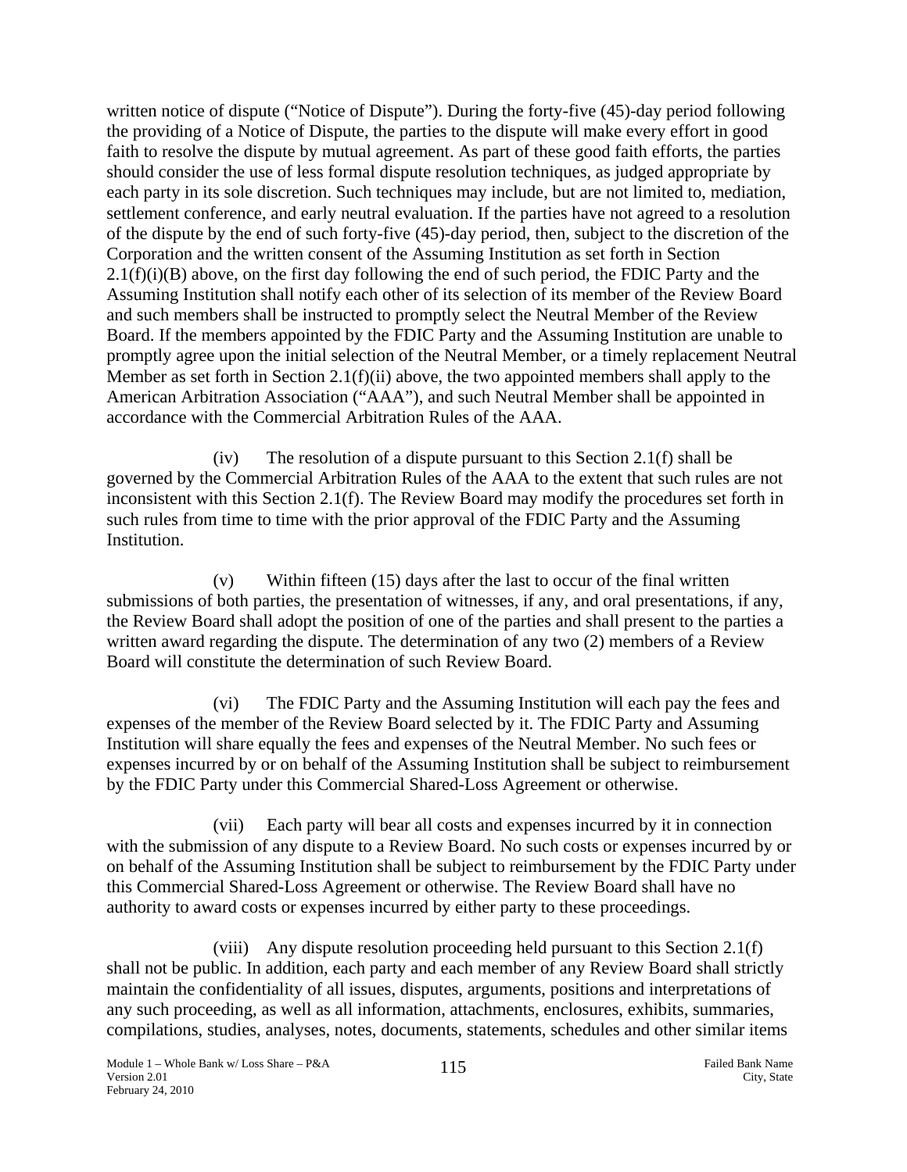written notice of dispute ("Notice of Dispute"). During the forty-five (45)-day period following the providing of a Notice of Dispute, the parties to the dispute will make every effort in good faith to resolve the dispute by mutual agreement. As part of these good faith efforts, the parties should consider the use of less formal dispute resolution techniques, as judged appropriate by each party in its sole discretion. Such techniques may include, but are not limited to, mediation, settlement conference, and early neutral evaluation. If the parties have not agreed to a resolution of the dispute by the end of such forty-five (45)-day period, then, subject to the discretion of the Corporation and the written consent of the Assuming Institution as set forth in Section  $2.1(f)(i)(B)$  above, on the first day following the end of such period, the FDIC Party and the Assuming Institution shall notify each other of its selection of its member of the Review Board and such members shall be instructed to promptly select the Neutral Member of the Review Board. If the members appointed by the FDIC Party and the Assuming Institution are unable to promptly agree upon the initial selection of the Neutral Member, or a timely replacement Neutral Member as set forth in Section 2.1(f)(ii) above, the two appointed members shall apply to the American Arbitration Association ("AAA"), and such Neutral Member shall be appointed in accordance with the Commercial Arbitration Rules of the AAA.

(iv) The resolution of a dispute pursuant to this Section 2.1(f) shall be governed by the Commercial Arbitration Rules of the AAA to the extent that such rules are not inconsistent with this Section 2.1(f). The Review Board may modify the procedures set forth in such rules from time to time with the prior approval of the FDIC Party and the Assuming Institution.

(v) Within fifteen (15) days after the last to occur of the final written submissions of both parties, the presentation of witnesses, if any, and oral presentations, if any, the Review Board shall adopt the position of one of the parties and shall present to the parties a written award regarding the dispute. The determination of any two (2) members of a Review Board will constitute the determination of such Review Board.

(vi) The FDIC Party and the Assuming Institution will each pay the fees and expenses of the member of the Review Board selected by it. The FDIC Party and Assuming Institution will share equally the fees and expenses of the Neutral Member. No such fees or expenses incurred by or on behalf of the Assuming Institution shall be subject to reimbursement by the FDIC Party under this Commercial Shared-Loss Agreement or otherwise.

(vii) Each party will bear all costs and expenses incurred by it in connection with the submission of any dispute to a Review Board. No such costs or expenses incurred by or on behalf of the Assuming Institution shall be subject to reimbursement by the FDIC Party under this Commercial Shared-Loss Agreement or otherwise. The Review Board shall have no authority to award costs or expenses incurred by either party to these proceedings.

(viii) Any dispute resolution proceeding held pursuant to this Section 2.1(f) shall not be public. In addition, each party and each member of any Review Board shall strictly maintain the confidentiality of all issues, disputes, arguments, positions and interpretations of any such proceeding, as well as all information, attachments, enclosures, exhibits, summaries, compilations, studies, analyses, notes, documents, statements, schedules and other similar items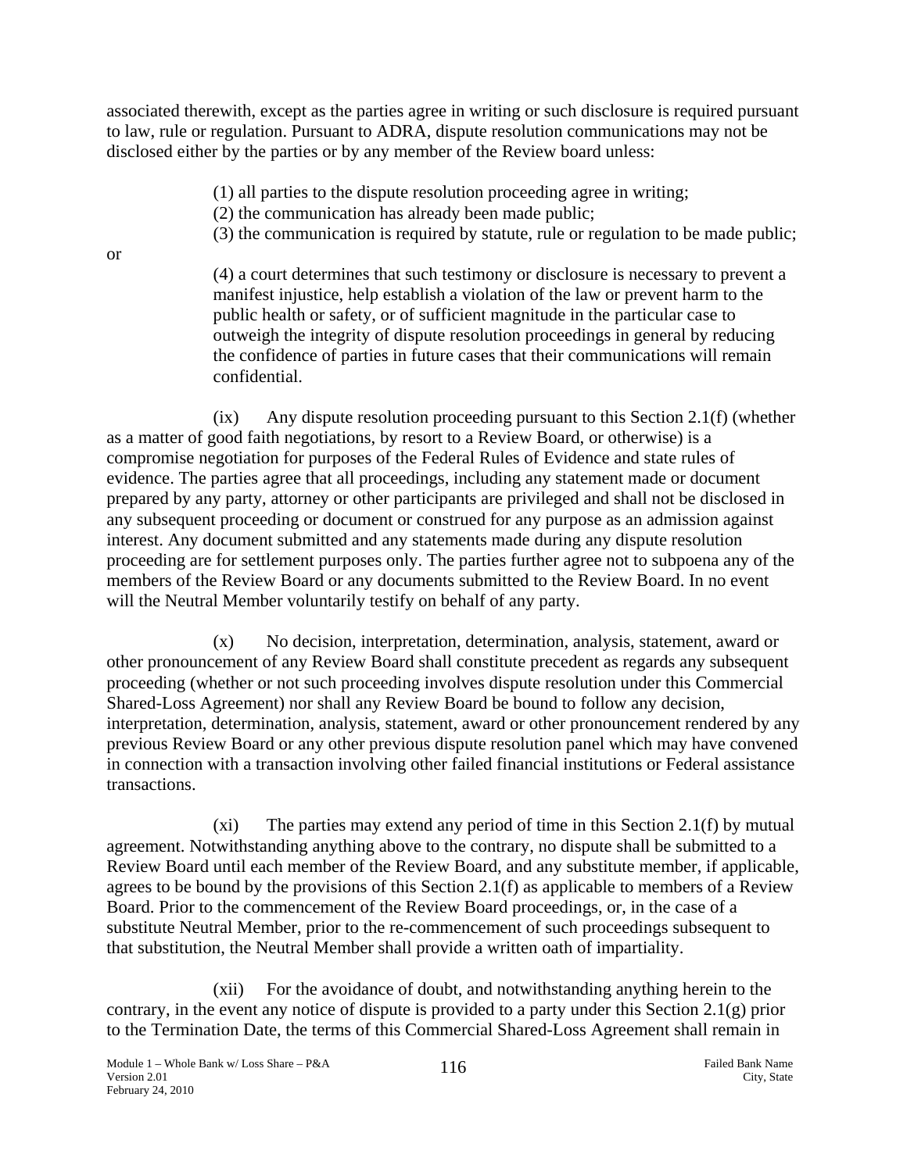associated therewith, except as the parties agree in writing or such disclosure is required pursuant to law, rule or regulation. Pursuant to ADRA, dispute resolution communications may not be disclosed either by the parties or by any member of the Review board unless:

- (1) all parties to the dispute resolution proceeding agree in writing;
- (2) the communication has already been made public;
- (3) the communication is required by statute, rule or regulation to be made public;

(4) a court determines that such testimony or disclosure is necessary to prevent a manifest injustice, help establish a violation of the law or prevent harm to the public health or safety, or of sufficient magnitude in the particular case to outweigh the integrity of dispute resolution proceedings in general by reducing the confidence of parties in future cases that their communications will remain confidential.

(ix) Any dispute resolution proceeding pursuant to this Section 2.1(f) (whether as a matter of good faith negotiations, by resort to a Review Board, or otherwise) is a compromise negotiation for purposes of the Federal Rules of Evidence and state rules of evidence. The parties agree that all proceedings, including any statement made or document prepared by any party, attorney or other participants are privileged and shall not be disclosed in any subsequent proceeding or document or construed for any purpose as an admission against interest. Any document submitted and any statements made during any dispute resolution proceeding are for settlement purposes only. The parties further agree not to subpoena any of the members of the Review Board or any documents submitted to the Review Board. In no event will the Neutral Member voluntarily testify on behalf of any party.

(x) No decision, interpretation, determination, analysis, statement, award or other pronouncement of any Review Board shall constitute precedent as regards any subsequent proceeding (whether or not such proceeding involves dispute resolution under this Commercial Shared-Loss Agreement) nor shall any Review Board be bound to follow any decision, interpretation, determination, analysis, statement, award or other pronouncement rendered by any previous Review Board or any other previous dispute resolution panel which may have convened in connection with a transaction involving other failed financial institutions or Federal assistance transactions.

 $(xi)$  The parties may extend any period of time in this Section 2.1(f) by mutual agreement. Notwithstanding anything above to the contrary, no dispute shall be submitted to a Review Board until each member of the Review Board, and any substitute member, if applicable, agrees to be bound by the provisions of this Section 2.1(f) as applicable to members of a Review Board. Prior to the commencement of the Review Board proceedings, or, in the case of a substitute Neutral Member, prior to the re-commencement of such proceedings subsequent to that substitution, the Neutral Member shall provide a written oath of impartiality.

(xii) For the avoidance of doubt, and notwithstanding anything herein to the contrary, in the event any notice of dispute is provided to a party under this Section 2.1(g) prior to the Termination Date, the terms of this Commercial Shared-Loss Agreement shall remain in

or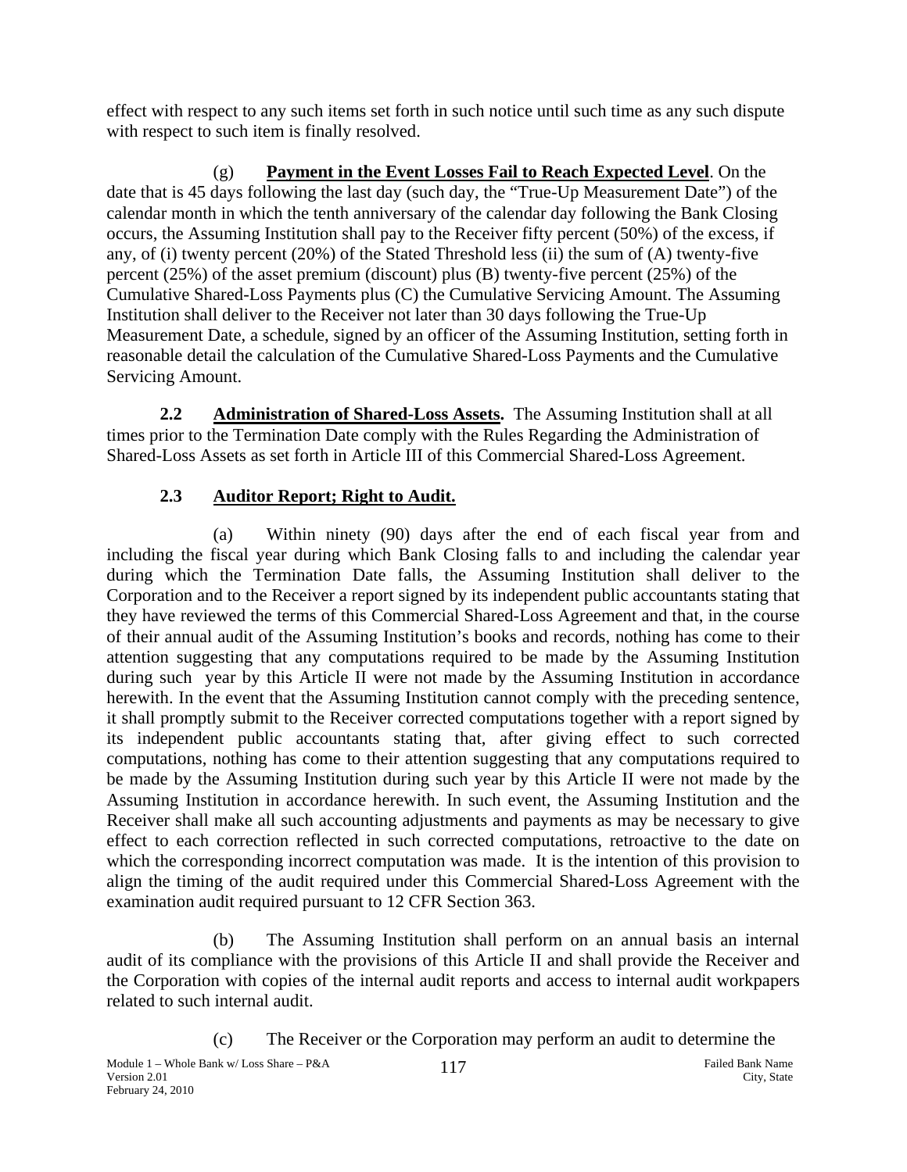effect with respect to any such items set forth in such notice until such time as any such dispute with respect to such item is finally resolved.

 (g) **Payment in the Event Losses Fail to Reach Expected Level**. On the date that is 45 days following the last day (such day, the "True-Up Measurement Date") of the calendar month in which the tenth anniversary of the calendar day following the Bank Closing occurs, the Assuming Institution shall pay to the Receiver fifty percent (50%) of the excess, if any, of (i) twenty percent (20%) of the Stated Threshold less (ii) the sum of (A) twenty-five percent (25%) of the asset premium (discount) plus (B) twenty-five percent (25%) of the Cumulative Shared-Loss Payments plus (C) the Cumulative Servicing Amount. The Assuming Institution shall deliver to the Receiver not later than 30 days following the True-Up Measurement Date, a schedule, signed by an officer of the Assuming Institution, setting forth in reasonable detail the calculation of the Cumulative Shared-Loss Payments and the Cumulative Servicing Amount.

**2.2 Administration of Shared-Loss Assets.** The Assuming Institution shall at all times prior to the Termination Date comply with the Rules Regarding the Administration of Shared-Loss Assets as set forth in Article III of this Commercial Shared-Loss Agreement.

## **2.3 Auditor Report; Right to Audit.**

(a) Within ninety (90) days after the end of each fiscal year from and including the fiscal year during which Bank Closing falls to and including the calendar year during which the Termination Date falls, the Assuming Institution shall deliver to the Corporation and to the Receiver a report signed by its independent public accountants stating that they have reviewed the terms of this Commercial Shared-Loss Agreement and that, in the course of their annual audit of the Assuming Institution's books and records, nothing has come to their attention suggesting that any computations required to be made by the Assuming Institution during such year by this Article II were not made by the Assuming Institution in accordance herewith. In the event that the Assuming Institution cannot comply with the preceding sentence, it shall promptly submit to the Receiver corrected computations together with a report signed by its independent public accountants stating that, after giving effect to such corrected computations, nothing has come to their attention suggesting that any computations required to be made by the Assuming Institution during such year by this Article II were not made by the Assuming Institution in accordance herewith. In such event, the Assuming Institution and the Receiver shall make all such accounting adjustments and payments as may be necessary to give effect to each correction reflected in such corrected computations, retroactive to the date on which the corresponding incorrect computation was made. It is the intention of this provision to align the timing of the audit required under this Commercial Shared-Loss Agreement with the examination audit required pursuant to 12 CFR Section 363.

(b) The Assuming Institution shall perform on an annual basis an internal audit of its compliance with the provisions of this Article II and shall provide the Receiver and the Corporation with copies of the internal audit reports and access to internal audit workpapers related to such internal audit.

(c) The Receiver or the Corporation may perform an audit to determine the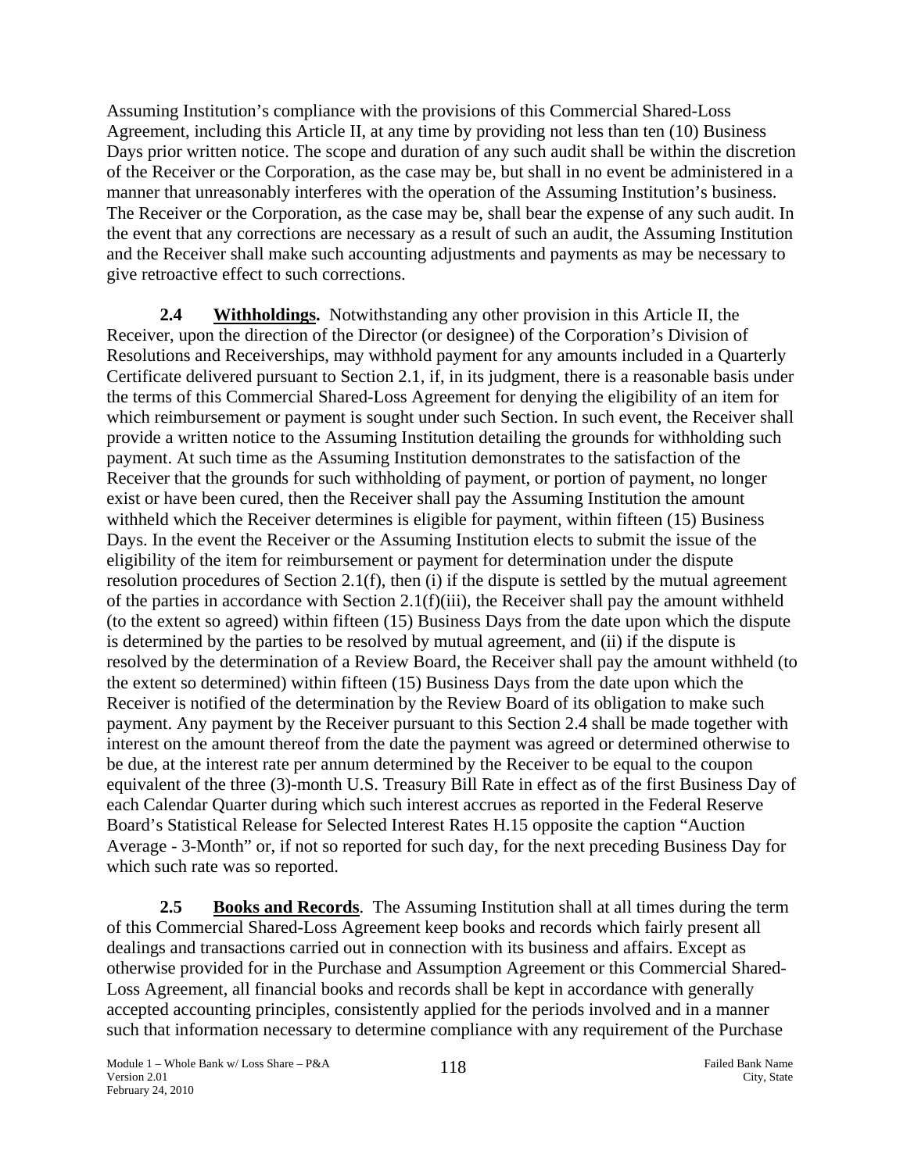Assuming Institution's compliance with the provisions of this Commercial Shared-Loss Agreement, including this Article II, at any time by providing not less than ten (10) Business Days prior written notice. The scope and duration of any such audit shall be within the discretion of the Receiver or the Corporation, as the case may be, but shall in no event be administered in a manner that unreasonably interferes with the operation of the Assuming Institution's business. The Receiver or the Corporation, as the case may be, shall bear the expense of any such audit. In the event that any corrections are necessary as a result of such an audit, the Assuming Institution and the Receiver shall make such accounting adjustments and payments as may be necessary to give retroactive effect to such corrections.

**2.4 Withholdings.** Notwithstanding any other provision in this Article II, the Receiver, upon the direction of the Director (or designee) of the Corporation's Division of Resolutions and Receiverships, may withhold payment for any amounts included in a Quarterly Certificate delivered pursuant to Section 2.1, if, in its judgment, there is a reasonable basis under the terms of this Commercial Shared-Loss Agreement for denying the eligibility of an item for which reimbursement or payment is sought under such Section. In such event, the Receiver shall provide a written notice to the Assuming Institution detailing the grounds for withholding such payment. At such time as the Assuming Institution demonstrates to the satisfaction of the Receiver that the grounds for such withholding of payment, or portion of payment, no longer exist or have been cured, then the Receiver shall pay the Assuming Institution the amount withheld which the Receiver determines is eligible for payment, within fifteen (15) Business Days. In the event the Receiver or the Assuming Institution elects to submit the issue of the eligibility of the item for reimbursement or payment for determination under the dispute resolution procedures of Section 2.1(f), then (i) if the dispute is settled by the mutual agreement of the parties in accordance with Section 2.1(f)(iii), the Receiver shall pay the amount withheld (to the extent so agreed) within fifteen (15) Business Days from the date upon which the dispute is determined by the parties to be resolved by mutual agreement, and (ii) if the dispute is resolved by the determination of a Review Board, the Receiver shall pay the amount withheld (to the extent so determined) within fifteen (15) Business Days from the date upon which the Receiver is notified of the determination by the Review Board of its obligation to make such payment. Any payment by the Receiver pursuant to this Section 2.4 shall be made together with interest on the amount thereof from the date the payment was agreed or determined otherwise to be due, at the interest rate per annum determined by the Receiver to be equal to the coupon equivalent of the three (3)-month U.S. Treasury Bill Rate in effect as of the first Business Day of each Calendar Quarter during which such interest accrues as reported in the Federal Reserve Board's Statistical Release for Selected Interest Rates H.15 opposite the caption "Auction Average - 3-Month" or, if not so reported for such day, for the next preceding Business Day for which such rate was so reported.

**2.5 Books and Records**. The Assuming Institution shall at all times during the term of this Commercial Shared-Loss Agreement keep books and records which fairly present all dealings and transactions carried out in connection with its business and affairs. Except as otherwise provided for in the Purchase and Assumption Agreement or this Commercial Shared-Loss Agreement, all financial books and records shall be kept in accordance with generally accepted accounting principles, consistently applied for the periods involved and in a manner such that information necessary to determine compliance with any requirement of the Purchase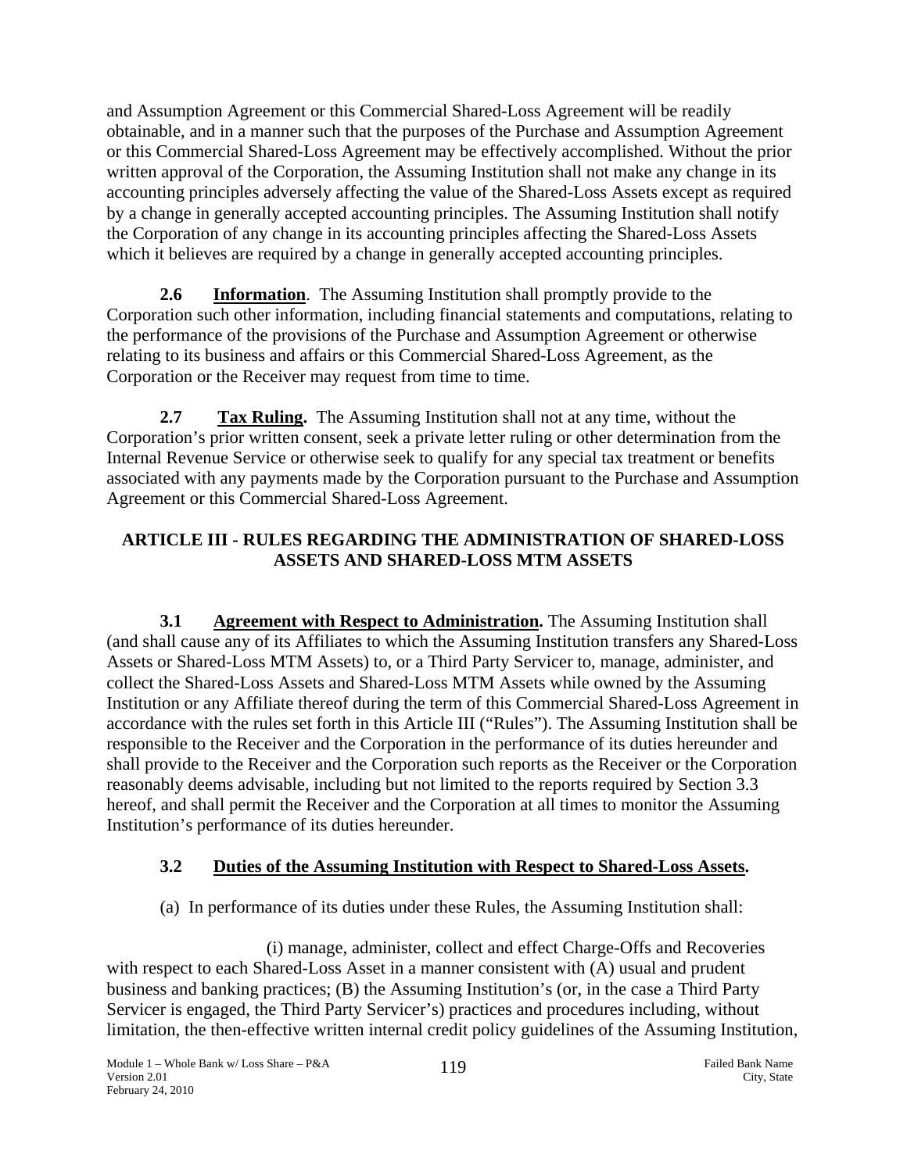and Assumption Agreement or this Commercial Shared-Loss Agreement will be readily obtainable, and in a manner such that the purposes of the Purchase and Assumption Agreement or this Commercial Shared-Loss Agreement may be effectively accomplished. Without the prior written approval of the Corporation, the Assuming Institution shall not make any change in its accounting principles adversely affecting the value of the Shared-Loss Assets except as required by a change in generally accepted accounting principles. The Assuming Institution shall notify the Corporation of any change in its accounting principles affecting the Shared-Loss Assets which it believes are required by a change in generally accepted accounting principles.

**2.6 Information**. The Assuming Institution shall promptly provide to the Corporation such other information, including financial statements and computations, relating to the performance of the provisions of the Purchase and Assumption Agreement or otherwise relating to its business and affairs or this Commercial Shared-Loss Agreement, as the Corporation or the Receiver may request from time to time.

**2.7 Tax Ruling.** The Assuming Institution shall not at any time, without the Corporation's prior written consent, seek a private letter ruling or other determination from the Internal Revenue Service or otherwise seek to qualify for any special tax treatment or benefits associated with any payments made by the Corporation pursuant to the Purchase and Assumption Agreement or this Commercial Shared-Loss Agreement.

## **ARTICLE III - RULES REGARDING THE ADMINISTRATION OF SHARED-LOSS ASSETS AND SHARED-LOSS MTM ASSETS**

**3.1 Agreement with Respect to Administration.** The Assuming Institution shall (and shall cause any of its Affiliates to which the Assuming Institution transfers any Shared-Loss Assets or Shared-Loss MTM Assets) to, or a Third Party Servicer to, manage, administer, and collect the Shared-Loss Assets and Shared-Loss MTM Assets while owned by the Assuming Institution or any Affiliate thereof during the term of this Commercial Shared-Loss Agreement in accordance with the rules set forth in this Article III ("Rules"). The Assuming Institution shall be responsible to the Receiver and the Corporation in the performance of its duties hereunder and shall provide to the Receiver and the Corporation such reports as the Receiver or the Corporation reasonably deems advisable, including but not limited to the reports required by Section 3.3 hereof, and shall permit the Receiver and the Corporation at all times to monitor the Assuming Institution's performance of its duties hereunder.

# **3.2 Duties of the Assuming Institution with Respect to Shared-Loss Assets.**

(a) In performance of its duties under these Rules, the Assuming Institution shall:

(i) manage, administer, collect and effect Charge-Offs and Recoveries with respect to each Shared-Loss Asset in a manner consistent with (A) usual and prudent business and banking practices; (B) the Assuming Institution's (or, in the case a Third Party Servicer is engaged, the Third Party Servicer's) practices and procedures including, without limitation, the then-effective written internal credit policy guidelines of the Assuming Institution,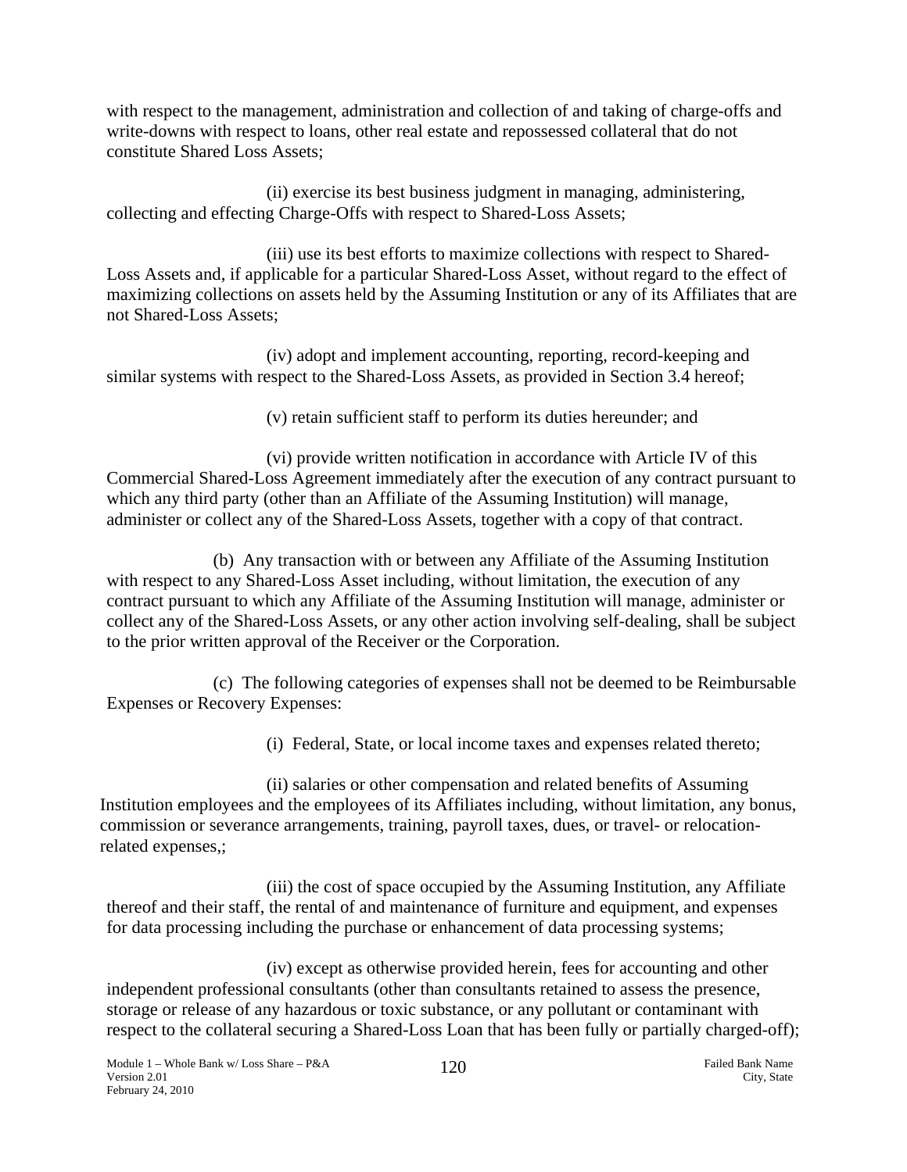with respect to the management, administration and collection of and taking of charge-offs and write-downs with respect to loans, other real estate and repossessed collateral that do not constitute Shared Loss Assets;

(ii) exercise its best business judgment in managing, administering, collecting and effecting Charge-Offs with respect to Shared-Loss Assets;

(iii) use its best efforts to maximize collections with respect to Shared-Loss Assets and, if applicable for a particular Shared-Loss Asset, without regard to the effect of maximizing collections on assets held by the Assuming Institution or any of its Affiliates that are not Shared-Loss Assets;

(iv) adopt and implement accounting, reporting, record-keeping and similar systems with respect to the Shared-Loss Assets, as provided in Section 3.4 hereof;

(v) retain sufficient staff to perform its duties hereunder; and

(vi) provide written notification in accordance with Article IV of this Commercial Shared-Loss Agreement immediately after the execution of any contract pursuant to which any third party (other than an Affiliate of the Assuming Institution) will manage, administer or collect any of the Shared-Loss Assets, together with a copy of that contract.

(b) Any transaction with or between any Affiliate of the Assuming Institution with respect to any Shared-Loss Asset including, without limitation, the execution of any contract pursuant to which any Affiliate of the Assuming Institution will manage, administer or collect any of the Shared-Loss Assets, or any other action involving self-dealing, shall be subject to the prior written approval of the Receiver or the Corporation.

(c) The following categories of expenses shall not be deemed to be Reimbursable Expenses or Recovery Expenses:

(i) Federal, State, or local income taxes and expenses related thereto;

(ii) salaries or other compensation and related benefits of Assuming Institution employees and the employees of its Affiliates including, without limitation, any bonus, commission or severance arrangements, training, payroll taxes, dues, or travel- or relocationrelated expenses,;

(iii) the cost of space occupied by the Assuming Institution, any Affiliate thereof and their staff, the rental of and maintenance of furniture and equipment, and expenses for data processing including the purchase or enhancement of data processing systems;

(iv) except as otherwise provided herein, fees for accounting and other independent professional consultants (other than consultants retained to assess the presence, storage or release of any hazardous or toxic substance, or any pollutant or contaminant with respect to the collateral securing a Shared-Loss Loan that has been fully or partially charged-off);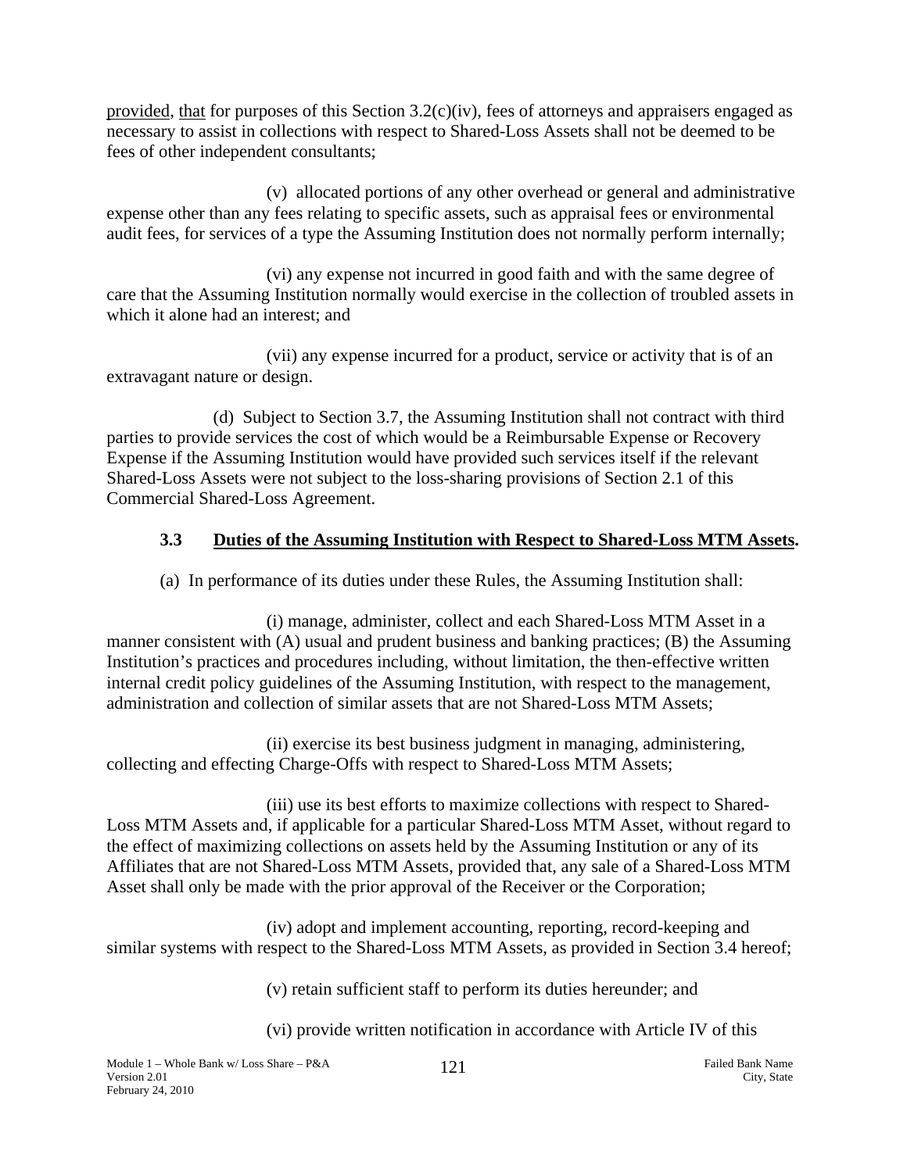provided, that for purposes of this Section 3.2(c)(iv), fees of attorneys and appraisers engaged as necessary to assist in collections with respect to Shared-Loss Assets shall not be deemed to be fees of other independent consultants;

(v) allocated portions of any other overhead or general and administrative expense other than any fees relating to specific assets, such as appraisal fees or environmental audit fees, for services of a type the Assuming Institution does not normally perform internally;

(vi) any expense not incurred in good faith and with the same degree of care that the Assuming Institution normally would exercise in the collection of troubled assets in which it alone had an interest; and

(vii) any expense incurred for a product, service or activity that is of an extravagant nature or design.

(d) Subject to Section 3.7, the Assuming Institution shall not contract with third parties to provide services the cost of which would be a Reimbursable Expense or Recovery Expense if the Assuming Institution would have provided such services itself if the relevant Shared-Loss Assets were not subject to the loss-sharing provisions of Section 2.1 of this Commercial Shared-Loss Agreement.

## **3.3 Duties of the Assuming Institution with Respect to Shared-Loss MTM Assets.**

(a) In performance of its duties under these Rules, the Assuming Institution shall:

(i) manage, administer, collect and each Shared-Loss MTM Asset in a manner consistent with (A) usual and prudent business and banking practices; (B) the Assuming Institution's practices and procedures including, without limitation, the then-effective written internal credit policy guidelines of the Assuming Institution, with respect to the management, administration and collection of similar assets that are not Shared-Loss MTM Assets;

(ii) exercise its best business judgment in managing, administering, collecting and effecting Charge-Offs with respect to Shared-Loss MTM Assets;

(iii) use its best efforts to maximize collections with respect to Shared-Loss MTM Assets and, if applicable for a particular Shared-Loss MTM Asset, without regard to the effect of maximizing collections on assets held by the Assuming Institution or any of its Affiliates that are not Shared-Loss MTM Assets, provided that, any sale of a Shared-Loss MTM Asset shall only be made with the prior approval of the Receiver or the Corporation;

(iv) adopt and implement accounting, reporting, record-keeping and similar systems with respect to the Shared-Loss MTM Assets, as provided in Section 3.4 hereof;

(v) retain sufficient staff to perform its duties hereunder; and

(vi) provide written notification in accordance with Article IV of this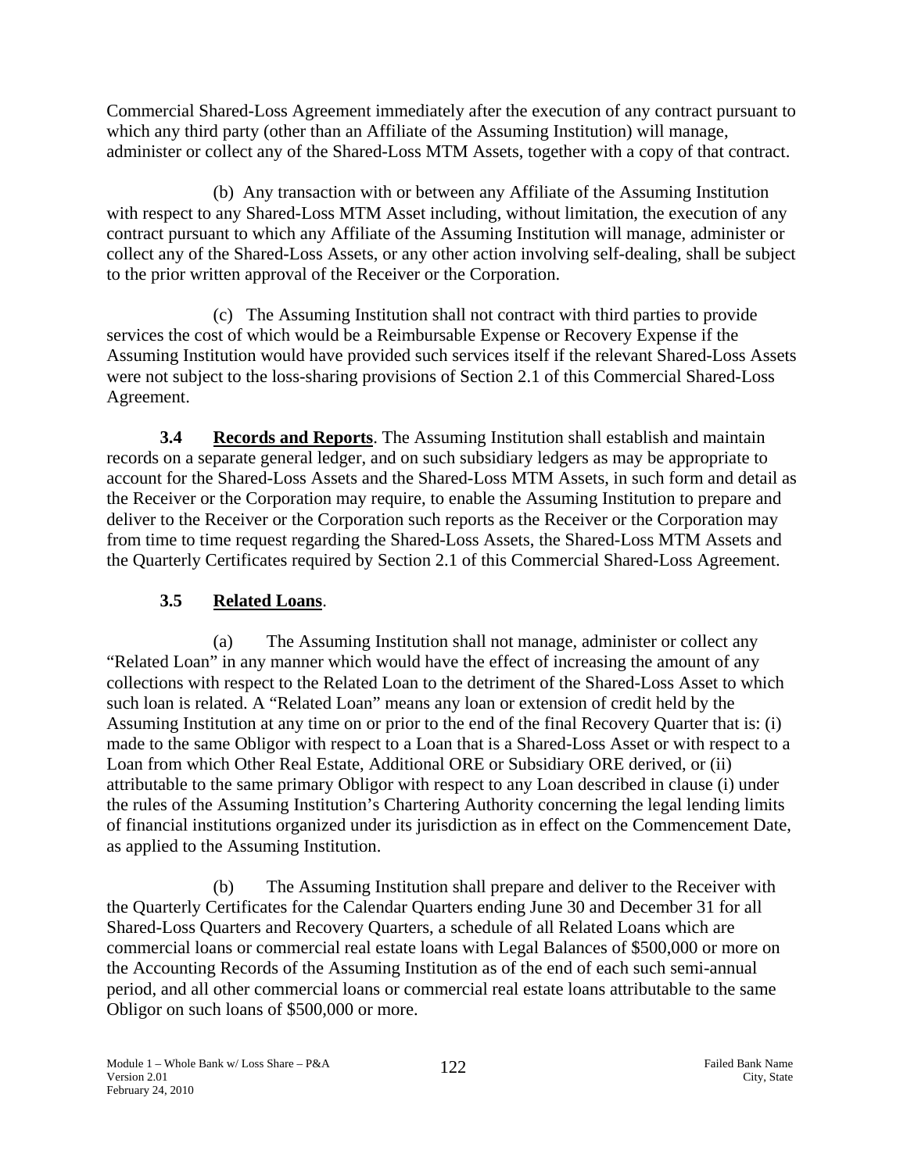Commercial Shared-Loss Agreement immediately after the execution of any contract pursuant to which any third party (other than an Affiliate of the Assuming Institution) will manage, administer or collect any of the Shared-Loss MTM Assets, together with a copy of that contract.

(b) Any transaction with or between any Affiliate of the Assuming Institution with respect to any Shared-Loss MTM Asset including, without limitation, the execution of any contract pursuant to which any Affiliate of the Assuming Institution will manage, administer or collect any of the Shared-Loss Assets, or any other action involving self-dealing, shall be subject to the prior written approval of the Receiver or the Corporation.

(c) The Assuming Institution shall not contract with third parties to provide services the cost of which would be a Reimbursable Expense or Recovery Expense if the Assuming Institution would have provided such services itself if the relevant Shared-Loss Assets were not subject to the loss-sharing provisions of Section 2.1 of this Commercial Shared-Loss Agreement.

**3.4 Records and Reports**. The Assuming Institution shall establish and maintain records on a separate general ledger, and on such subsidiary ledgers as may be appropriate to account for the Shared-Loss Assets and the Shared-Loss MTM Assets, in such form and detail as the Receiver or the Corporation may require, to enable the Assuming Institution to prepare and deliver to the Receiver or the Corporation such reports as the Receiver or the Corporation may from time to time request regarding the Shared-Loss Assets, the Shared-Loss MTM Assets and the Quarterly Certificates required by Section 2.1 of this Commercial Shared-Loss Agreement.

# **3.5 Related Loans**.

(a) The Assuming Institution shall not manage, administer or collect any "Related Loan" in any manner which would have the effect of increasing the amount of any collections with respect to the Related Loan to the detriment of the Shared-Loss Asset to which such loan is related. A "Related Loan" means any loan or extension of credit held by the Assuming Institution at any time on or prior to the end of the final Recovery Quarter that is: (i) made to the same Obligor with respect to a Loan that is a Shared-Loss Asset or with respect to a Loan from which Other Real Estate, Additional ORE or Subsidiary ORE derived, or (ii) attributable to the same primary Obligor with respect to any Loan described in clause (i) under the rules of the Assuming Institution's Chartering Authority concerning the legal lending limits of financial institutions organized under its jurisdiction as in effect on the Commencement Date, as applied to the Assuming Institution.

(b) The Assuming Institution shall prepare and deliver to the Receiver with the Quarterly Certificates for the Calendar Quarters ending June 30 and December 31 for all Shared-Loss Quarters and Recovery Quarters, a schedule of all Related Loans which are commercial loans or commercial real estate loans with Legal Balances of \$500,000 or more on the Accounting Records of the Assuming Institution as of the end of each such semi-annual period, and all other commercial loans or commercial real estate loans attributable to the same Obligor on such loans of \$500,000 or more.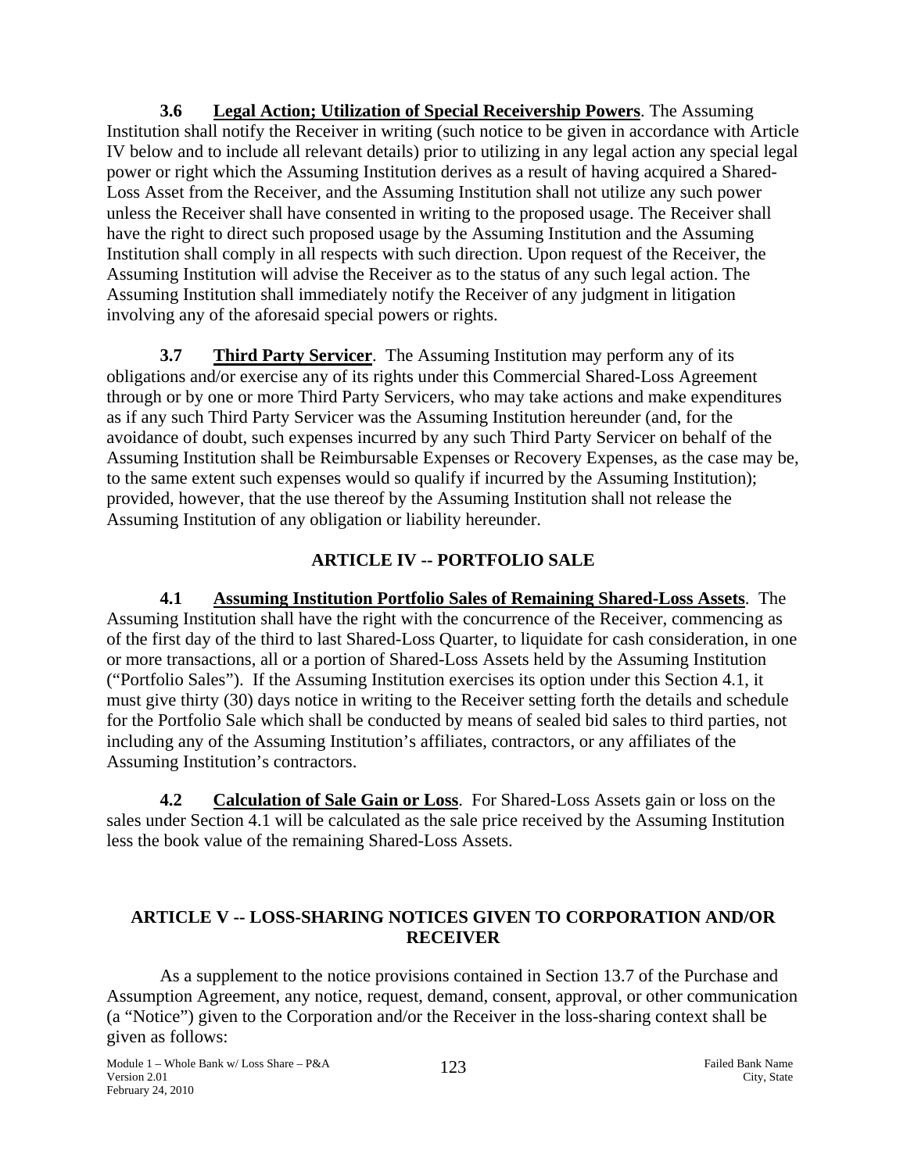**3.6 Legal Action; Utilization of Special Receivership Powers**. The Assuming Institution shall notify the Receiver in writing (such notice to be given in accordance with Article IV below and to include all relevant details) prior to utilizing in any legal action any special legal power or right which the Assuming Institution derives as a result of having acquired a Shared-Loss Asset from the Receiver, and the Assuming Institution shall not utilize any such power unless the Receiver shall have consented in writing to the proposed usage. The Receiver shall have the right to direct such proposed usage by the Assuming Institution and the Assuming Institution shall comply in all respects with such direction. Upon request of the Receiver, the Assuming Institution will advise the Receiver as to the status of any such legal action. The Assuming Institution shall immediately notify the Receiver of any judgment in litigation involving any of the aforesaid special powers or rights.

**3.7 Third Party Servicer**. The Assuming Institution may perform any of its obligations and/or exercise any of its rights under this Commercial Shared-Loss Agreement through or by one or more Third Party Servicers, who may take actions and make expenditures as if any such Third Party Servicer was the Assuming Institution hereunder (and, for the avoidance of doubt, such expenses incurred by any such Third Party Servicer on behalf of the Assuming Institution shall be Reimbursable Expenses or Recovery Expenses, as the case may be, to the same extent such expenses would so qualify if incurred by the Assuming Institution); provided, however, that the use thereof by the Assuming Institution shall not release the Assuming Institution of any obligation or liability hereunder.

## **ARTICLE IV -- PORTFOLIO SALE**

**4.1 Assuming Institution Portfolio Sales of Remaining Shared-Loss Assets**. The Assuming Institution shall have the right with the concurrence of the Receiver, commencing as of the first day of the third to last Shared-Loss Quarter, to liquidate for cash consideration, in one or more transactions, all or a portion of Shared-Loss Assets held by the Assuming Institution ("Portfolio Sales"). If the Assuming Institution exercises its option under this Section 4.1, it must give thirty (30) days notice in writing to the Receiver setting forth the details and schedule for the Portfolio Sale which shall be conducted by means of sealed bid sales to third parties, not including any of the Assuming Institution's affiliates, contractors, or any affiliates of the Assuming Institution's contractors.

**4.2 Calculation of Sale Gain or Loss**. For Shared-Loss Assets gain or loss on the sales under Section 4.1 will be calculated as the sale price received by the Assuming Institution less the book value of the remaining Shared-Loss Assets.

## **ARTICLE V -- LOSS-SHARING NOTICES GIVEN TO CORPORATION AND/OR RECEIVER**

As a supplement to the notice provisions contained in Section 13.7 of the Purchase and Assumption Agreement, any notice, request, demand, consent, approval, or other communication (a "Notice") given to the Corporation and/or the Receiver in the loss-sharing context shall be given as follows: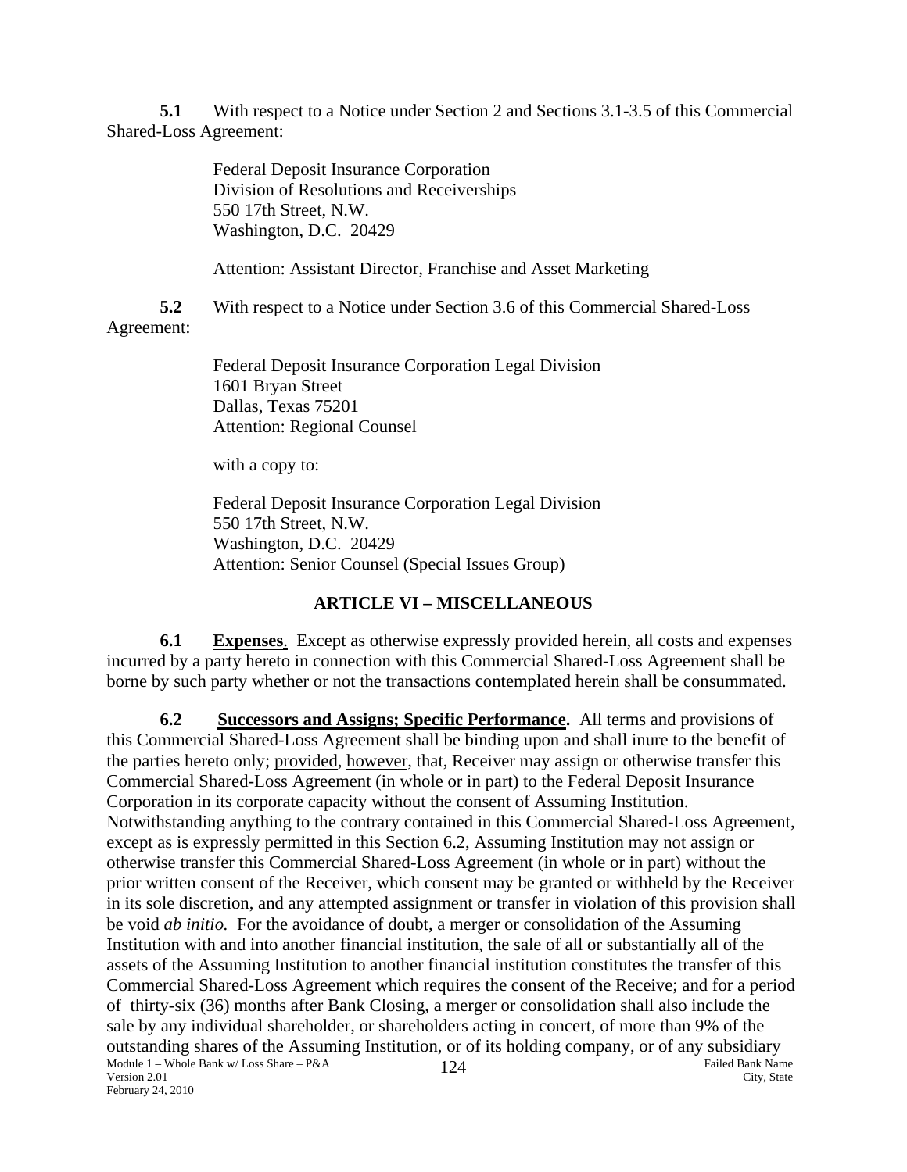**5.1** With respect to a Notice under Section 2 and Sections 3.1-3.5 of this Commercial Shared-Loss Agreement:

> Federal Deposit Insurance Corporation Division of Resolutions and Receiverships 550 17th Street, N.W. Washington, D.C. 20429

Attention: Assistant Director, Franchise and Asset Marketing

**5.2** With respect to a Notice under Section 3.6 of this Commercial Shared-Loss Agreement:

> Federal Deposit Insurance Corporation Legal Division 1601 Bryan Street Dallas, Texas 75201 Attention: Regional Counsel

with a copy to:

Federal Deposit Insurance Corporation Legal Division 550 17th Street, N.W. Washington, D.C. 20429 Attention: Senior Counsel (Special Issues Group)

## **ARTICLE VI – MISCELLANEOUS**

**6.1** Expenses. Except as otherwise expressly provided herein, all costs and expenses incurred by a party hereto in connection with this Commercial Shared-Loss Agreement shall be borne by such party whether or not the transactions contemplated herein shall be consummated.

**6.2 Successors and Assigns; Specific Performance.** All terms and provisions of this Commercial Shared-Loss Agreement shall be binding upon and shall inure to the benefit of the parties hereto only; provided, however, that, Receiver may assign or otherwise transfer this Commercial Shared-Loss Agreement (in whole or in part) to the Federal Deposit Insurance Corporation in its corporate capacity without the consent of Assuming Institution. Notwithstanding anything to the contrary contained in this Commercial Shared-Loss Agreement, except as is expressly permitted in this Section 6.2, Assuming Institution may not assign or otherwise transfer this Commercial Shared-Loss Agreement (in whole or in part) without the prior written consent of the Receiver, which consent may be granted or withheld by the Receiver in its sole discretion, and any attempted assignment or transfer in violation of this provision shall be void *ab initio.* For the avoidance of doubt, a merger or consolidation of the Assuming Institution with and into another financial institution, the sale of all or substantially all of the assets of the Assuming Institution to another financial institution constitutes the transfer of this Commercial Shared-Loss Agreement which requires the consent of the Receive; and for a period of thirty-six (36) months after Bank Closing, a merger or consolidation shall also include the sale by any individual shareholder, or shareholders acting in concert, of more than 9% of the outstanding shares of the Assuming Institution, or of its holding company, or of any subsidiary<br>Module 1 – Whole Bank W/ Loss Share – P&A<br>Failed Bank Name Module 1 – Whole Bank w/ Loss Share – P&A  $124$  Failed Bank Name City, State February 24, 2010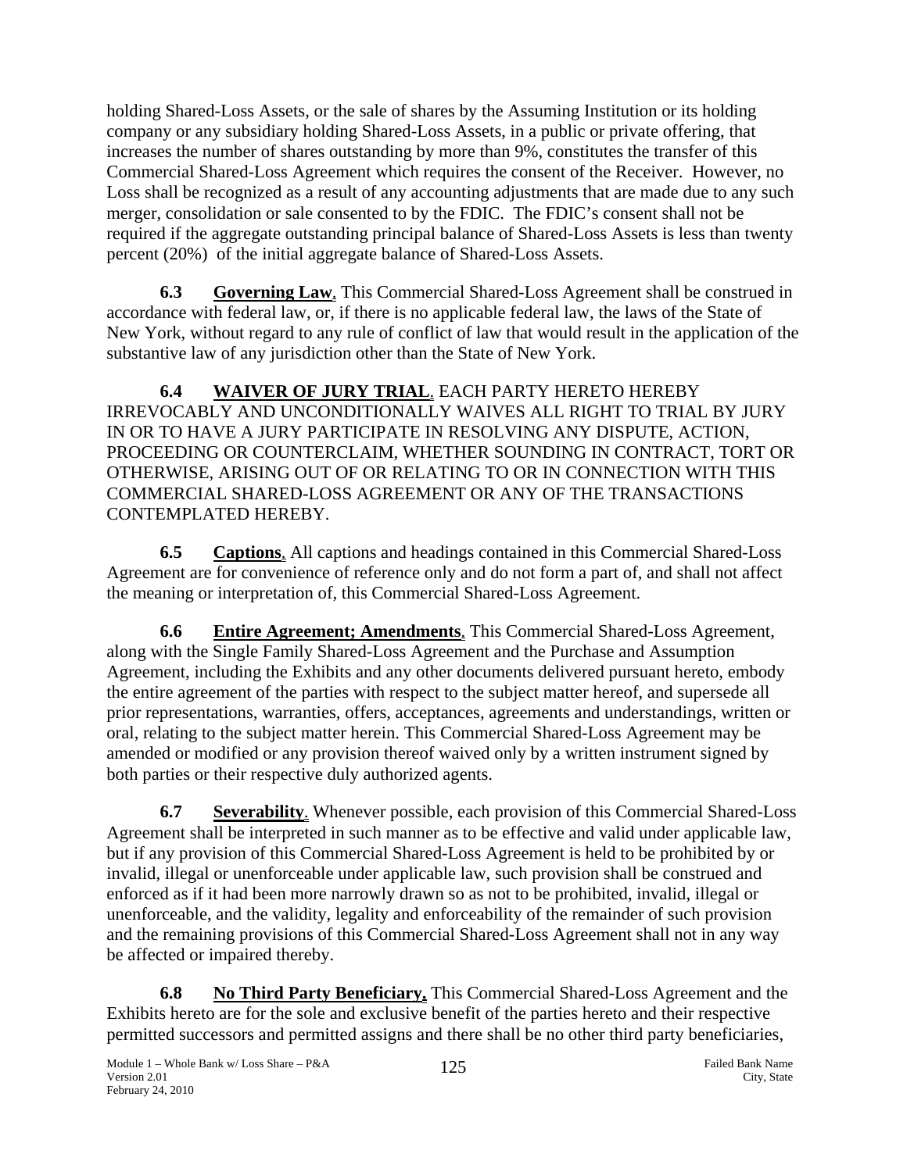holding Shared-Loss Assets, or the sale of shares by the Assuming Institution or its holding company or any subsidiary holding Shared-Loss Assets, in a public or private offering, that increases the number of shares outstanding by more than 9%, constitutes the transfer of this Commercial Shared-Loss Agreement which requires the consent of the Receiver. However, no Loss shall be recognized as a result of any accounting adjustments that are made due to any such merger, consolidation or sale consented to by the FDIC. The FDIC's consent shall not be required if the aggregate outstanding principal balance of Shared-Loss Assets is less than twenty percent (20%) of the initial aggregate balance of Shared-Loss Assets.

**6.3 Governing Law**. This Commercial Shared-Loss Agreement shall be construed in accordance with federal law, or, if there is no applicable federal law, the laws of the State of New York, without regard to any rule of conflict of law that would result in the application of the substantive law of any jurisdiction other than the State of New York.

**6.4 WAIVER OF JURY TRIAL**. EACH PARTY HERETO HEREBY IRREVOCABLY AND UNCONDITIONALLY WAIVES ALL RIGHT TO TRIAL BY JURY IN OR TO HAVE A JURY PARTICIPATE IN RESOLVING ANY DISPUTE, ACTION, PROCEEDING OR COUNTERCLAIM, WHETHER SOUNDING IN CONTRACT, TORT OR OTHERWISE, ARISING OUT OF OR RELATING TO OR IN CONNECTION WITH THIS COMMERCIAL SHARED-LOSS AGREEMENT OR ANY OF THE TRANSACTIONS CONTEMPLATED HEREBY.

**6.5 Captions**. All captions and headings contained in this Commercial Shared-Loss Agreement are for convenience of reference only and do not form a part of, and shall not affect the meaning or interpretation of, this Commercial Shared-Loss Agreement.

**6.6 Entire Agreement; Amendments**. This Commercial Shared-Loss Agreement, along with the Single Family Shared-Loss Agreement and the Purchase and Assumption Agreement, including the Exhibits and any other documents delivered pursuant hereto, embody the entire agreement of the parties with respect to the subject matter hereof, and supersede all prior representations, warranties, offers, acceptances, agreements and understandings, written or oral, relating to the subject matter herein. This Commercial Shared-Loss Agreement may be amended or modified or any provision thereof waived only by a written instrument signed by both parties or their respective duly authorized agents.

**6.7** Severability. Whenever possible, each provision of this Commercial Shared-Loss Agreement shall be interpreted in such manner as to be effective and valid under applicable law, but if any provision of this Commercial Shared-Loss Agreement is held to be prohibited by or invalid, illegal or unenforceable under applicable law, such provision shall be construed and enforced as if it had been more narrowly drawn so as not to be prohibited, invalid, illegal or unenforceable, and the validity, legality and enforceability of the remainder of such provision and the remaining provisions of this Commercial Shared-Loss Agreement shall not in any way be affected or impaired thereby.

**6.8 No Third Party Beneficiary.** This Commercial Shared-Loss Agreement and the Exhibits hereto are for the sole and exclusive benefit of the parties hereto and their respective permitted successors and permitted assigns and there shall be no other third party beneficiaries,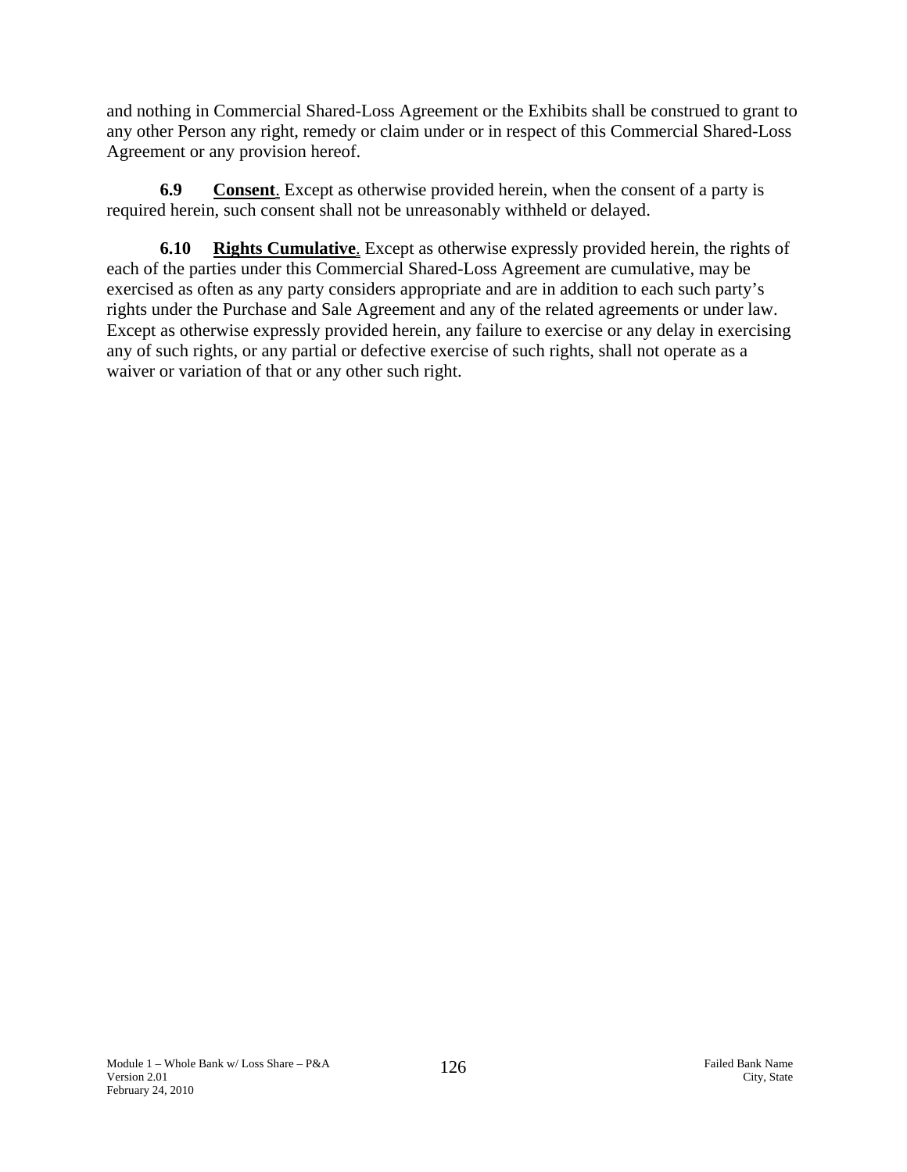and nothing in Commercial Shared-Loss Agreement or the Exhibits shall be construed to grant to any other Person any right, remedy or claim under or in respect of this Commercial Shared-Loss Agreement or any provision hereof.

**6.9 Consent**. Except as otherwise provided herein, when the consent of a party is required herein, such consent shall not be unreasonably withheld or delayed.

**6.10 Rights Cumulative.** Except as otherwise expressly provided herein, the rights of each of the parties under this Commercial Shared-Loss Agreement are cumulative, may be exercised as often as any party considers appropriate and are in addition to each such party's rights under the Purchase and Sale Agreement and any of the related agreements or under law. Except as otherwise expressly provided herein, any failure to exercise or any delay in exercising any of such rights, or any partial or defective exercise of such rights, shall not operate as a waiver or variation of that or any other such right.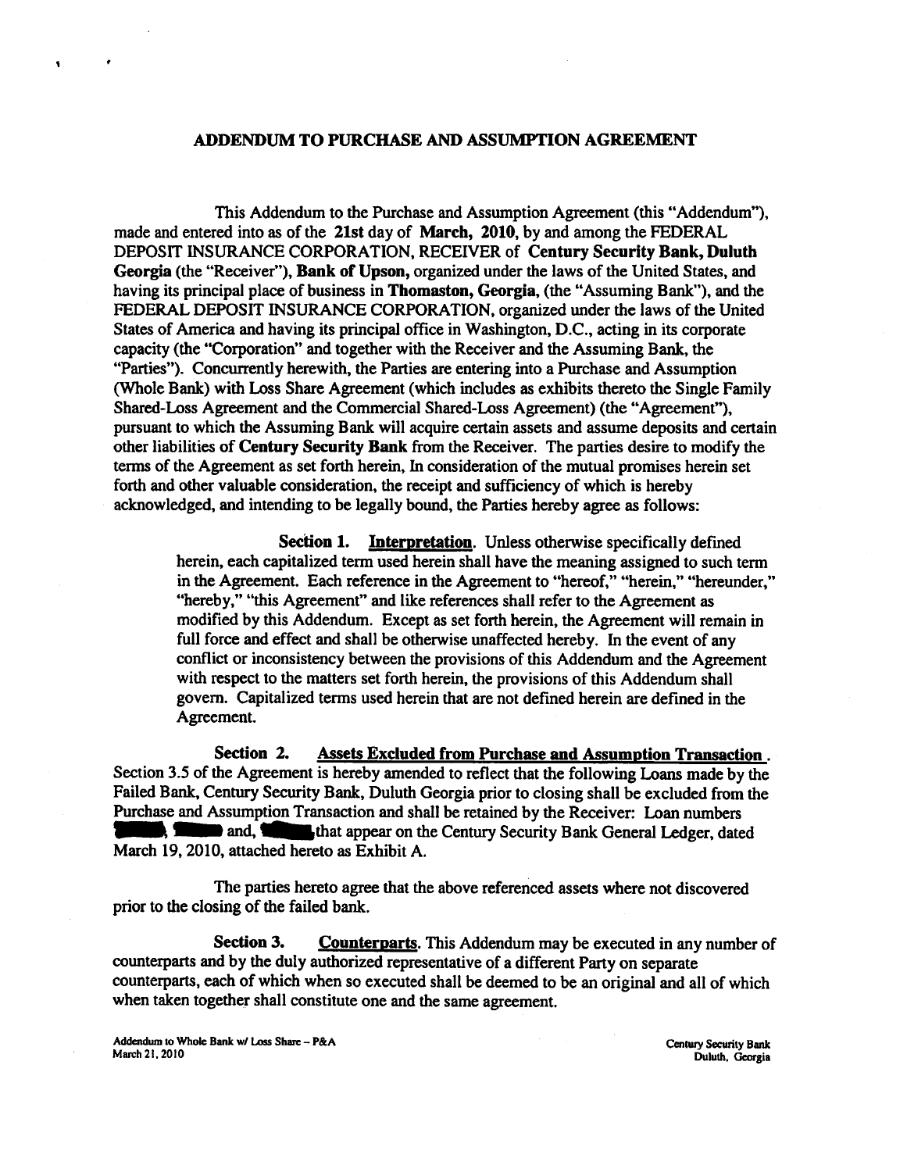#### ADDENDUM TO PURCHASE AND ASSUMPTION AGREEMENT

This Addendum to the Purchase and Assumption Agreement (this "Addendum"), made and entered into as of the 21st day of March, 2010, by and among the FEDERAL DEPOSIT INSURANCE CORPORATION, RECEIVER of Century Security Bank, Duluth Georgia (the "Receiver"), Bank of Upson, organized under the laws of the United States, and having its principal place of business in Thomaston, Georgia, (the "Assuming Bank"), and the FEDERAL DEPOSIT INSURANCE CORPORATION, organized under the laws of the United States of America and having its principal office in Washington, D.C., acting in its corporate capacity (the "Corporation" and together with the Receiver and the Assuming Bank, the "Parties"). Concurrently herewith, the Parties are entering into a Purchase and Assumption (Whole Bank) with Loss Share Agreement (which includes as exhibits thereto the Single Family Shared-Loss Agreement and the Commercial Shared-Loss Agreement) (the "Agreement"), pursuant to which the Assuming Bank will acquire certain assets and assume deposits and certain other liabilities of Century Security Bank from the Receiver. The parties desire to modify the terms of the Agreement as set forth herein, In consideration of the mutual promises herein set forth and other valuable consideration, the receipt and sufficiency of which is hereby acknowledged, and intending to be legally bound, the Parties hereby agree as follows:

Section 1. Interpretation. Unless otherwise specifically defined herein, each capitalized term used herein shall have the meaning assigned to such term in the Agreement. Each reference in the Agreement to "hereof," "herein," "hereunder," "hereby," "this Agreement" and like references shall refer to the Agreement as modified by this Addendum. Except as set forth herein, the Agreement will remain in full force and effect and shall be otherwise unaffected hereby. In the event of any conflict or inconsistency between the provisions of this Addendum and the Agreement with respect to the matters set forth herein, the provisions of this Addendum shall govern. Capitalized terms used herein that are not defined herein are defined in the Agreement.

Section 2. **Assets Excluded from Purchase and Assumption Transaction.** Section 3.5 of the Agreement is hereby amended to reflect that the following Loans made by the Failed Bank, Century Security Bank, Duluth Georgia prior to closing shall be excluded from the Purchase and Assumption Transaction and shall be retained by the Receiver: Loan numbers  $\blacksquare$  and,  $\blacksquare$ that appear on the Century Security Bank General Ledger, dated March 19, 2010, attached hereto as Exhibit A.

The parties hereto agree that the above referenced assets where not discovered prior to the closing of the failed bank.

**Section 3. Counterparts.** This Addendum may be executed in any number of counterparts and by the duly authorized representative of a different Party on separate counterparts, each of which when so executed shall be deemed to be an original and all of which when taken together shall constitute one and the same agreement.

 $\bullet$ 

Century Security Bank Duluth. Georgia